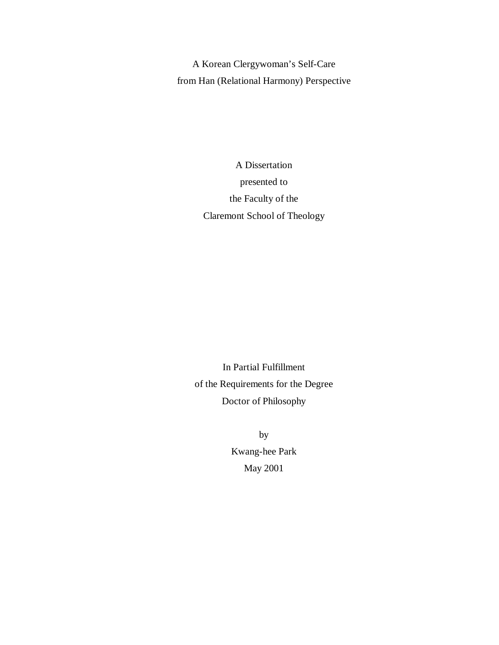A Korean Clergywoman's Self-Care from Han (Relational Harmony) Perspective

> A Dissertation presented to the Faculty of the Claremont School of Theology

In Partial Fulfillment of the Requirements for the Degree Doctor of Philosophy

> by Kwang-hee Park May 2001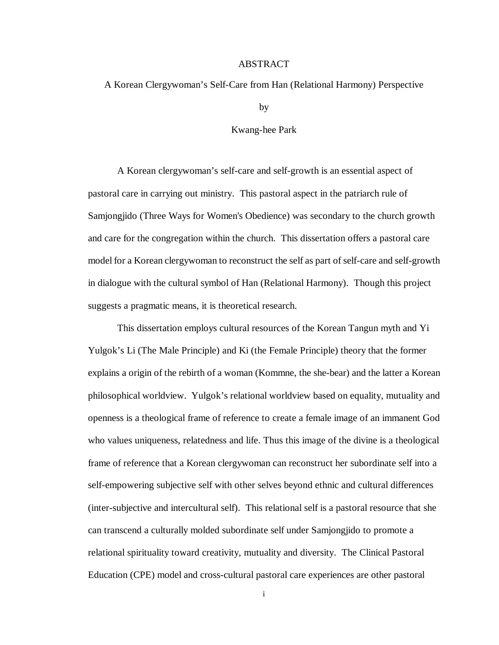## ABSTRACT

## A Korean Clergywoman's Self-Care from Han (Relational Harmony) Perspective

by

#### Kwang-hee Park

A Korean clergywoman's self-care and self-growth is an essential aspect of pastoral care in carrying out ministry. This pastoral aspect in the patriarch rule of Samjongjido (Three Ways for Women's Obedience) was secondary to the church growth and care for the congregation within the church. This dissertation offers a pastoral care model for a Korean clergywoman to reconstruct the self as part of self-care and self-growth in dialogue with the cultural symbol of Han (Relational Harmony). Though this project suggests a pragmatic means, it is theoretical research.

This dissertation employs cultural resources of the Korean Tangun myth and Yi Yulgok's Li (The Male Principle) and Ki (the Female Principle) theory that the former explains a origin of the rebirth of a woman (Kommne, the she-bear) and the latter a Korean philosophical worldview. Yulgok's relational worldview based on equality, mutuality and openness is a theological frame of reference to create a female image of an immanent God who values uniqueness, relatedness and life. Thus this image of the divine is a theological frame of reference that a Korean clergywoman can reconstruct her subordinate self into a self-empowering subjective self with other selves beyond ethnic and cultural differences (inter-subjective and intercultural self). This relational self is a pastoral resource that she can transcend a culturally molded subordinate self under Samjongjido to promote a relational spirituality toward creativity, mutuality and diversity. The Clinical Pastoral Education (CPE) model and cross-cultural pastoral care experiences are other pastoral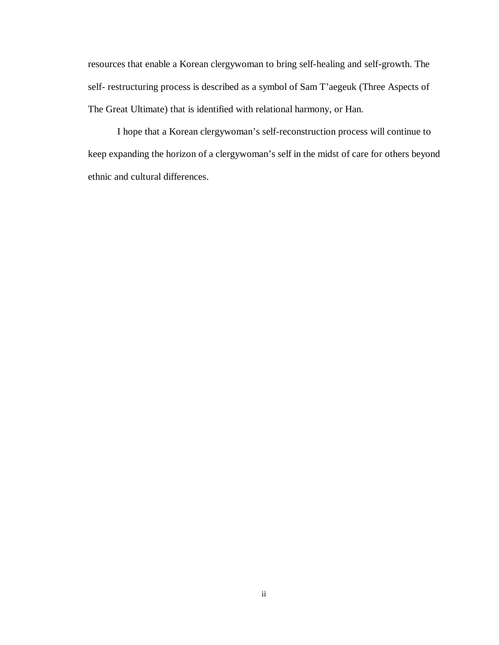resources that enable a Korean clergywoman to bring self-healing and self-growth. The self- restructuring process is described as a symbol of Sam T'aegeuk (Three Aspects of The Great Ultimate) that is identified with relational harmony, or Han.

I hope that a Korean clergywoman's self-reconstruction process will continue to keep expanding the horizon of a clergywoman's self in the midst of care for others beyond ethnic and cultural differences.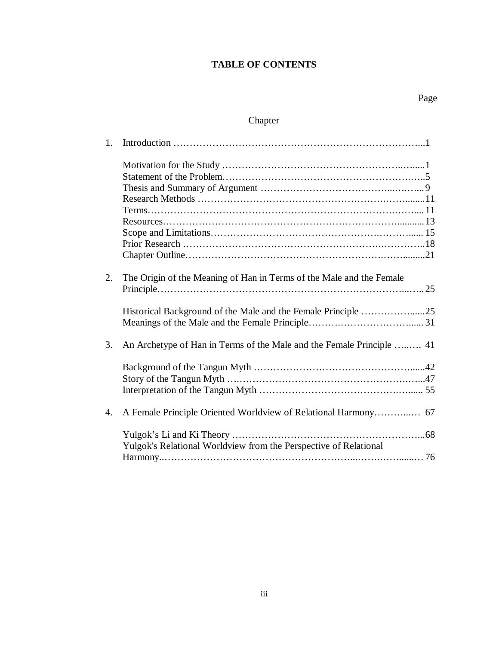## **TABLE OF CONTENTS**

# Chapter

| 1. |                                                                       |
|----|-----------------------------------------------------------------------|
|    |                                                                       |
|    |                                                                       |
|    |                                                                       |
|    |                                                                       |
|    |                                                                       |
|    |                                                                       |
|    |                                                                       |
|    |                                                                       |
|    |                                                                       |
| 2. | The Origin of the Meaning of Han in Terms of the Male and the Female  |
|    | $Principle \dots 25$                                                  |
|    |                                                                       |
|    |                                                                       |
| 3. | An Archetype of Han in Terms of the Male and the Female Principle  41 |
|    |                                                                       |
|    |                                                                       |
|    |                                                                       |
|    |                                                                       |
| 4. |                                                                       |
|    |                                                                       |
|    | Yulgok's Relational Worldview from the Perspective of Relational      |
|    |                                                                       |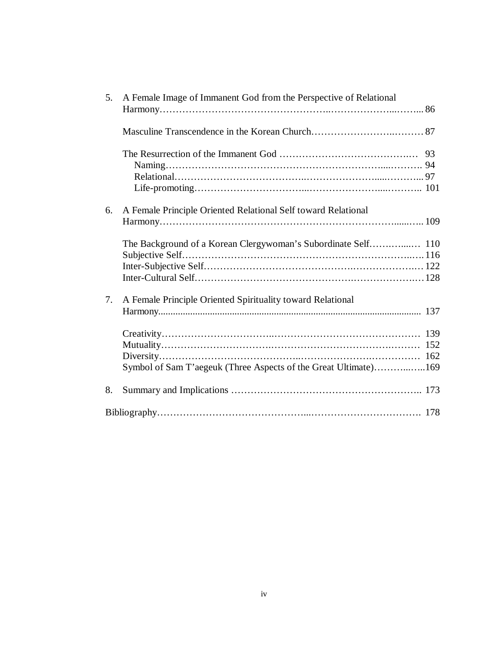| A Female Image of Immanent God from the Perspective of Relational |                                                                                                                                  |
|-------------------------------------------------------------------|----------------------------------------------------------------------------------------------------------------------------------|
|                                                                   |                                                                                                                                  |
|                                                                   |                                                                                                                                  |
|                                                                   |                                                                                                                                  |
|                                                                   |                                                                                                                                  |
| A Female Principle Oriented Relational Self toward Relational     |                                                                                                                                  |
|                                                                   |                                                                                                                                  |
|                                                                   |                                                                                                                                  |
|                                                                   |                                                                                                                                  |
|                                                                   |                                                                                                                                  |
|                                                                   |                                                                                                                                  |
| A Female Principle Oriented Spirituality toward Relational        |                                                                                                                                  |
|                                                                   |                                                                                                                                  |
|                                                                   |                                                                                                                                  |
|                                                                   |                                                                                                                                  |
|                                                                   |                                                                                                                                  |
|                                                                   |                                                                                                                                  |
|                                                                   |                                                                                                                                  |
|                                                                   |                                                                                                                                  |
|                                                                   | The Background of a Korean Clergywoman's Subordinate Self 110<br>Symbol of Sam T'aegeuk (Three Aspects of the Great Ultimate)169 |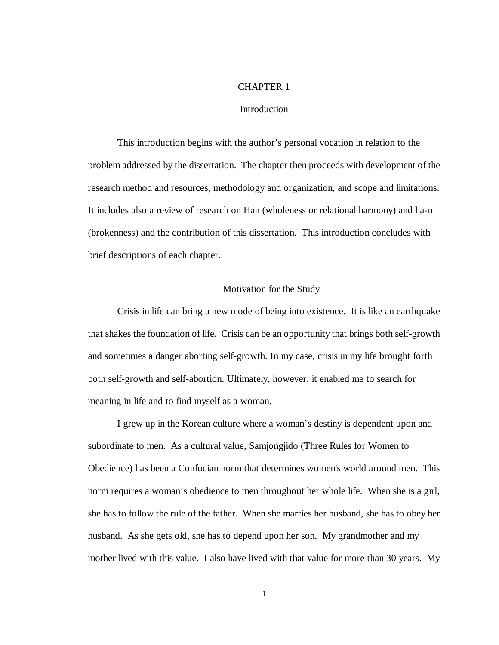## CHAPTER 1

#### **Introduction**

This introduction begins with the author's personal vocation in relation to the problem addressed by the dissertation. The chapter then proceeds with development of the research method and resources, methodology and organization, and scope and limitations. It includes also a review of research on Han (wholeness or relational harmony) and ha-n (brokenness) and the contribution of this dissertation. This introduction concludes with brief descriptions of each chapter.

#### Motivation for the Study

Crisis in life can bring a new mode of being into existence. It is like an earthquake that shakes the foundation of life. Crisis can be an opportunity that brings both self-growth and sometimes a danger aborting self-growth. In my case, crisis in my life brought forth both self-growth and self-abortion. Ultimately, however, it enabled me to search for meaning in life and to find myself as a woman.

I grew up in the Korean culture where a woman's destiny is dependent upon and subordinate to men. As a cultural value, Samjongjido (Three Rules for Women to Obedience) has been a Confucian norm that determines women's world around men. This norm requires a woman's obedience to men throughout her whole life. When she is a girl, she has to follow the rule of the father. When she marries her husband, she has to obey her husband. As she gets old, she has to depend upon her son. My grandmother and my mother lived with this value. I also have lived with that value for more than 30 years. My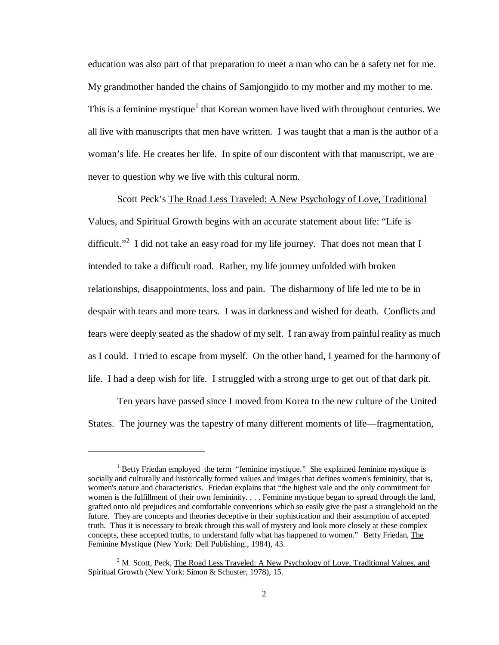education was also part of that preparation to meet a man who can be a safety net for me. My grandmother handed the chains of Samjongjido to my mother and my mother to me. This is a feminine mystique<sup>1</sup> that Korean women have lived with throughout centuries. We all live with manuscripts that men have written. I was taught that a man is the author of a woman's life. He creates her life. In spite of our discontent with that manuscript, we are never to question why we live with this cultural norm.

Scott Peck's The Road Less Traveled: A New Psychology of Love, Traditional Values, and Spiritual Growth begins with an accurate statement about life: "Life is difficult."<sup>2</sup> I did not take an easy road for my life journey. That does not mean that I intended to take a difficult road. Rather, my life journey unfolded with broken relationships, disappointments, loss and pain. The disharmony of life led me to be in despair with tears and more tears. I was in darkness and wished for death. Conflicts and fears were deeply seated as the shadow of my self. I ran away from painful reality as much as I could. I tried to escape from myself. On the other hand, I yearned for the harmony of life. I had a deep wish for life. I struggled with a strong urge to get out of that dark pit.

Ten years have passed since I moved from Korea to the new culture of the United States. The journey was the tapestry of many different moments of life— fragmentation,

 $\overline{a}$ 

<sup>&</sup>lt;sup>1</sup> Betty Friedan employed the term "feminine mystique." She explained feminine mystique is socially and culturally and historically formed values and images that defines women's femininity, that is, women's nature and characteristics. Friedan explains that "the highest vale and the only commitment for women is the fulfillment of their own femininity. . . . Feminine mystique began to spread through the land, grafted onto old prejudices and comfortable conventions which so easily give the past a stranglehold on the future. They are concepts and theories deceptive in their sophistication and their assumption of accepted truth. Thus it is necessary to break through this wall of mystery and look more closely at these complex concepts, these accepted truths, to understand fully what has happened to women." Betty Friedan, The Feminine Mystique (New York: Dell Publishing., 1984), 43.

<sup>&</sup>lt;sup>2</sup> M. Scott, Peck, The Road Less Traveled: A New Psychology of Love, Traditional Values, and Spiritual Growth (New York: Simon & Schuster, 1978), 15.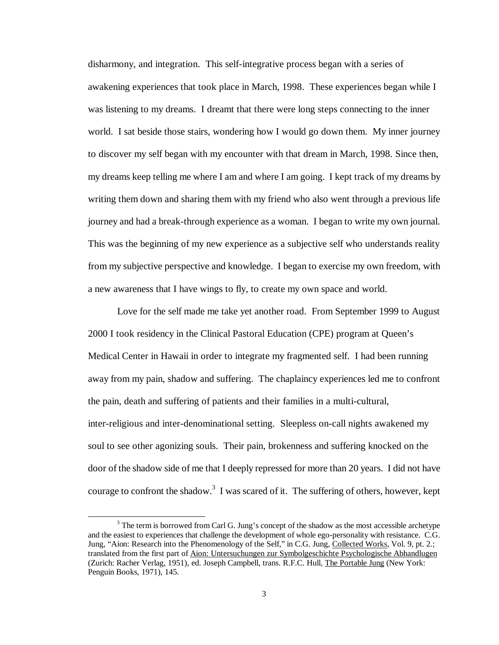disharmony, and integration. This self-integrative process began with a series of awakening experiences that took place in March, 1998. These experiences began while I was listening to my dreams. I dreamt that there were long steps connecting to the inner world. I sat beside those stairs, wondering how I would go down them. My inner journey to discover my self began with my encounter with that dream in March, 1998. Since then, my dreams keep telling me where I am and where I am going. I kept track of my dreams by writing them down and sharing them with my friend who also went through a previous life journey and had a break-through experience as a woman. I began to write my own journal. This was the beginning of my new experience as a subjective self who understands reality from my subjective perspective and knowledge. I began to exercise my own freedom, with a new awareness that I have wings to fly, to create my own space and world.

Love for the self made me take yet another road. From September 1999 to August 2000 I took residency in the Clinical Pastoral Education (CPE) program at Queen's Medical Center in Hawaii in order to integrate my fragmented self. I had been running away from my pain, shadow and suffering. The chaplaincy experiences led me to confront the pain, death and suffering of patients and their families in a multi-cultural, inter-religious and inter-denominational setting. Sleepless on-call nights awakened my soul to see other agonizing souls. Their pain, brokenness and suffering knocked on the door of the shadow side of me that I deeply repressed for more than 20 years. I did not have courage to confront the shadow.<sup>3</sup> I was scared of it. The suffering of others, however, kept

-

 $3$  The term is borrowed from Carl G. Jung's concept of the shadow as the most accessible archetype and the easiest to experiences that challenge the development of whole ego-personality with resistance. C.G. Jung, "Aion: Research into the Phenomenology of the Self," in C.G. Jung, Collected Works, Vol. 9, pt. 2.; translated from the first part of Aion: Untersuchungen zur Symbolgeschichte Psychologische Abhandlugen (Zurich: Racher Verlag, 1951), ed. Joseph Campbell, trans. R.F.C. Hull, The Portable Jung (New York: Penguin Books, 1971), 145.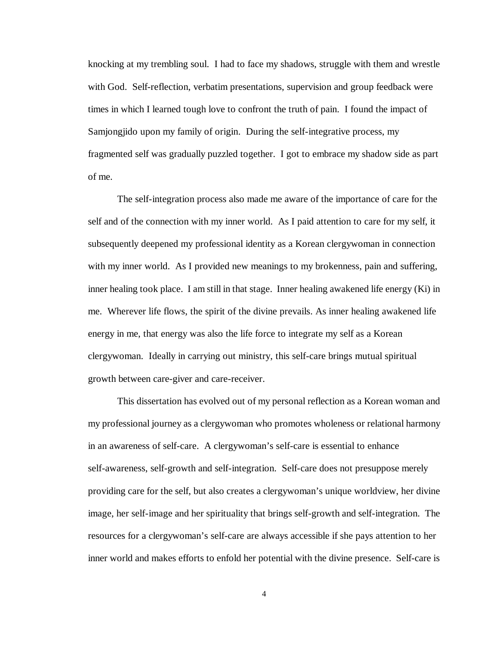knocking at my trembling soul. I had to face my shadows, struggle with them and wrestle with God. Self-reflection, verbatim presentations, supervision and group feedback were times in which I learned tough love to confront the truth of pain. I found the impact of Samjongjido upon my family of origin. During the self-integrative process, my fragmented self was gradually puzzled together. I got to embrace my shadow side as part of me.

The self-integration process also made me aware of the importance of care for the self and of the connection with my inner world. As I paid attention to care for my self, it subsequently deepened my professional identity as a Korean clergywoman in connection with my inner world. As I provided new meanings to my brokenness, pain and suffering, inner healing took place. I am still in that stage. Inner healing awakened life energy (Ki) in me. Wherever life flows, the spirit of the divine prevails. As inner healing awakened life energy in me, that energy was also the life force to integrate my self as a Korean clergywoman. Ideally in carrying out ministry, this self-care brings mutual spiritual growth between care-giver and care-receiver.

This dissertation has evolved out of my personal reflection as a Korean woman and my professional journey as a clergywoman who promotes wholeness or relational harmony in an awareness of self-care. A clergywoman's self-care is essential to enhance self-awareness, self-growth and self-integration. Self-care does not presuppose merely providing care for the self, but also creates a clergywoman's unique worldview, her divine image, her self-image and her spirituality that brings self-growth and self-integration. The resources for a clergywoman's self-care are always accessible if she pays attention to her inner world and makes efforts to enfold her potential with the divine presence. Self-care is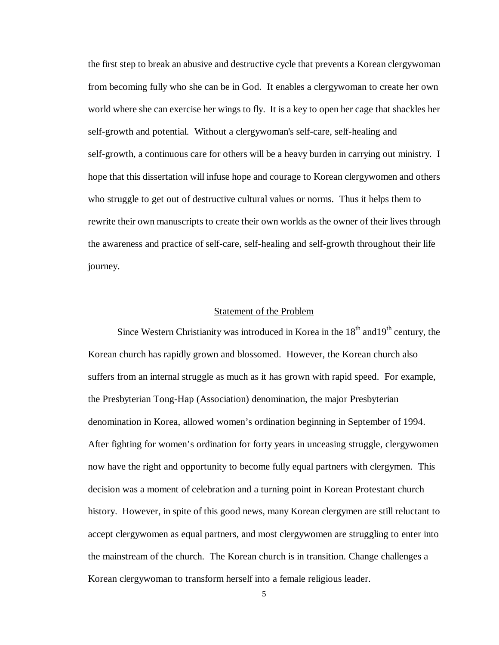the first step to break an abusive and destructive cycle that prevents a Korean clergywoman from becoming fully who she can be in God. It enables a clergywoman to create her own world where she can exercise her wings to fly. It is a key to open her cage that shackles her self-growth and potential. Without a clergywoman's self-care, self-healing and self-growth, a continuous care for others will be a heavy burden in carrying out ministry. I hope that this dissertation will infuse hope and courage to Korean clergywomen and others who struggle to get out of destructive cultural values or norms. Thus it helps them to rewrite their own manuscripts to create their own worlds as the owner of their lives through the awareness and practice of self-care, self-healing and self-growth throughout their life journey.

## Statement of the Problem

Since Western Christianity was introduced in Korea in the  $18<sup>th</sup>$  and  $19<sup>th</sup>$  century, the Korean church has rapidly grown and blossomed. However, the Korean church also suffers from an internal struggle as much as it has grown with rapid speed. For example, the Presbyterian Tong-Hap (Association) denomination, the major Presbyterian denomination in Korea, allowed women's ordination beginning in September of 1994. After fighting for women's ordination for forty years in unceasing struggle, clergywomen now have the right and opportunity to become fully equal partners with clergymen. This decision was a moment of celebration and a turning point in Korean Protestant church history. However, in spite of this good news, many Korean clergymen are still reluctant to accept clergywomen as equal partners, and most clergywomen are struggling to enter into the mainstream of the church. The Korean church is in transition. Change challenges a Korean clergywoman to transform herself into a female religious leader.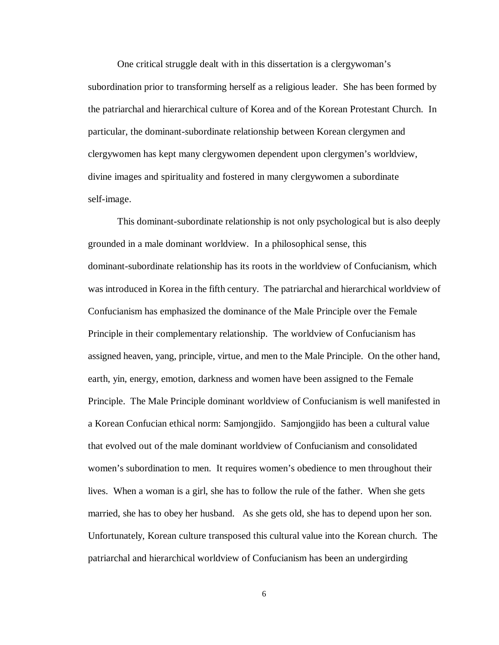One critical struggle dealt with in this dissertation is a clergywoman's subordination prior to transforming herself as a religious leader. She has been formed by the patriarchal and hierarchical culture of Korea and of the Korean Protestant Church. In particular, the dominant-subordinate relationship between Korean clergymen and clergywomen has kept many clergywomen dependent upon clergymen's worldview, divine images and spirituality and fostered in many clergywomen a subordinate self-image.

This dominant-subordinate relationship is not only psychological but is also deeply grounded in a male dominant worldview. In a philosophical sense, this dominant-subordinate relationship has its roots in the worldview of Confucianism, which was introduced in Korea in the fifth century. The patriarchal and hierarchical worldview of Confucianism has emphasized the dominance of the Male Principle over the Female Principle in their complementary relationship. The worldview of Confucianism has assigned heaven, yang, principle, virtue, and men to the Male Principle. On the other hand, earth, yin, energy, emotion, darkness and women have been assigned to the Female Principle. The Male Principle dominant worldview of Confucianism is well manifested in a Korean Confucian ethical norm: Samjongjido. Samjongjido has been a cultural value that evolved out of the male dominant worldview of Confucianism and consolidated women's subordination to men. It requires women's obedience to men throughout their lives. When a woman is a girl, she has to follow the rule of the father. When she gets married, she has to obey her husband. As she gets old, she has to depend upon her son. Unfortunately, Korean culture transposed this cultural value into the Korean church. The patriarchal and hierarchical worldview of Confucianism has been an undergirding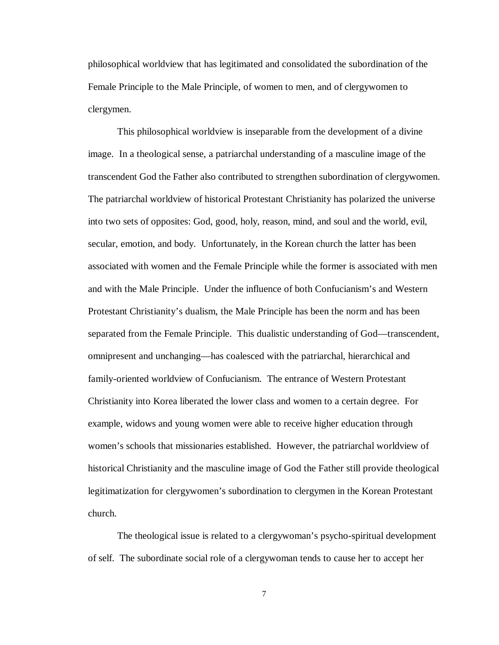philosophical worldview that has legitimated and consolidated the subordination of the Female Principle to the Male Principle, of women to men, and of clergywomen to clergymen.

This philosophical worldview is inseparable from the development of a divine image. In a theological sense, a patriarchal understanding of a masculine image of the transcendent God the Father also contributed to strengthen subordination of clergywomen. The patriarchal worldview of historical Protestant Christianity has polarized the universe into two sets of opposites: God, good, holy, reason, mind, and soul and the world, evil, secular, emotion, and body. Unfortunately, in the Korean church the latter has been associated with women and the Female Principle while the former is associated with men and with the Male Principle. Under the influence of both Confucianism's and Western Protestant Christianity's dualism, the Male Principle has been the norm and has been separated from the Female Principle. This dualistic understanding of God— transcendent, omnipresent and unchanging— has coalesced with the patriarchal, hierarchical and family-oriented worldview of Confucianism. The entrance of Western Protestant Christianity into Korea liberated the lower class and women to a certain degree. For example, widows and young women were able to receive higher education through women's schools that missionaries established. However, the patriarchal worldview of historical Christianity and the masculine image of God the Father still provide theological legitimatization for clergywomen's subordination to clergymen in the Korean Protestant church.

The theological issue is related to a clergywoman's psycho-spiritual development of self. The subordinate social role of a clergywoman tends to cause her to accept her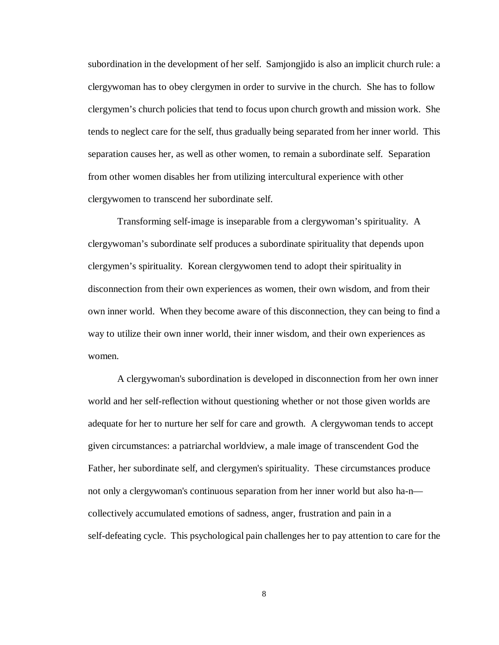subordination in the development of her self. Samjongjido is also an implicit church rule: a clergywoman has to obey clergymen in order to survive in the church. She has to follow clergymen's church policies that tend to focus upon church growth and mission work. She tends to neglect care for the self, thus gradually being separated from her inner world. This separation causes her, as well as other women, to remain a subordinate self. Separation from other women disables her from utilizing intercultural experience with other clergywomen to transcend her subordinate self.

Transforming self-image is inseparable from a clergywoman's spirituality. A clergywoman's subordinate self produces a subordinate spirituality that depends upon clergymen's spirituality. Korean clergywomen tend to adopt their spirituality in disconnection from their own experiences as women, their own wisdom, and from their own inner world. When they become aware of this disconnection, they can being to find a way to utilize their own inner world, their inner wisdom, and their own experiences as women.

A clergywoman's subordination is developed in disconnection from her own inner world and her self-reflection without questioning whether or not those given worlds are adequate for her to nurture her self for care and growth. A clergywoman tends to accept given circumstances: a patriarchal worldview, a male image of transcendent God the Father, her subordinate self, and clergymen's spirituality. These circumstances produce not only a clergywoman's continuous separation from her inner world but also ha-n collectively accumulated emotions of sadness, anger, frustration and pain in a self-defeating cycle. This psychological pain challenges her to pay attention to care for the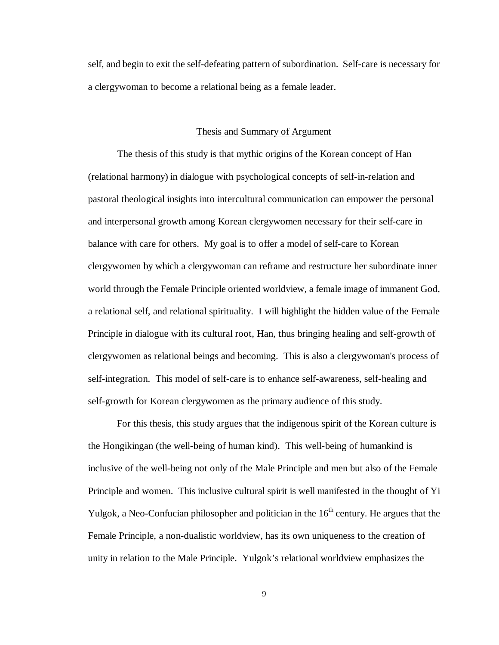self, and begin to exit the self-defeating pattern of subordination. Self-care is necessary for a clergywoman to become a relational being as a female leader.

#### Thesis and Summary of Argument

The thesis of this study is that mythic origins of the Korean concept of Han (relational harmony) in dialogue with psychological concepts of self-in-relation and pastoral theological insights into intercultural communication can empower the personal and interpersonal growth among Korean clergywomen necessary for their self-care in balance with care for others. My goal is to offer a model of self-care to Korean clergywomen by which a clergywoman can reframe and restructure her subordinate inner world through the Female Principle oriented worldview, a female image of immanent God, a relational self, and relational spirituality. I will highlight the hidden value of the Female Principle in dialogue with its cultural root, Han, thus bringing healing and self-growth of clergywomen as relational beings and becoming. This is also a clergywoman's process of self-integration. This model of self-care is to enhance self-awareness, self-healing and self-growth for Korean clergywomen as the primary audience of this study.

For this thesis, this study argues that the indigenous spirit of the Korean culture is the Hongikingan (the well-being of human kind). This well-being of humankind is inclusive of the well-being not only of the Male Principle and men but also of the Female Principle and women. This inclusive cultural spirit is well manifested in the thought of Yi Yulgok, a Neo-Confucian philosopher and politician in the  $16<sup>th</sup>$  century. He argues that the Female Principle, a non-dualistic worldview, has its own uniqueness to the creation of unity in relation to the Male Principle. Yulgok's relational worldview emphasizes the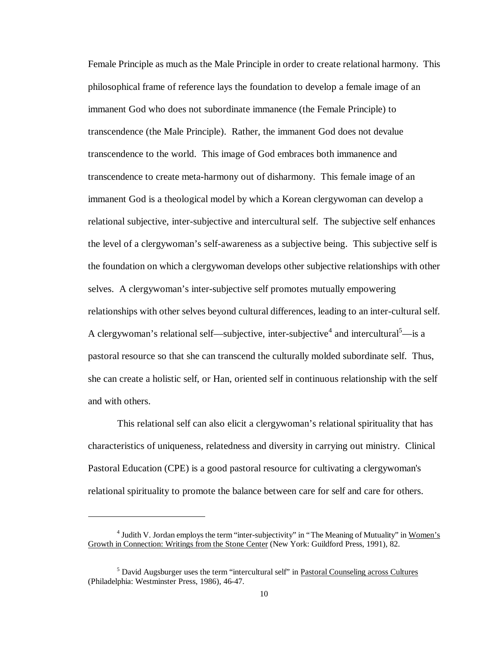Female Principle as much as the Male Principle in order to create relational harmony. This philosophical frame of reference lays the foundation to develop a female image of an immanent God who does not subordinate immanence (the Female Principle) to transcendence (the Male Principle). Rather, the immanent God does not devalue transcendence to the world. This image of God embraces both immanence and transcendence to create meta-harmony out of disharmony. This female image of an immanent God is a theological model by which a Korean clergywoman can develop a relational subjective, inter-subjective and intercultural self. The subjective self enhances the level of a clergywoman's self-awareness as a subjective being. This subjective self is the foundation on which a clergywoman develops other subjective relationships with other selves. A clergywoman's inter-subjective self promotes mutually empowering relationships with other selves beyond cultural differences, leading to an inter-cultural self. A clergywoman's relational self—subjective, inter-subjective<sup>4</sup> and intercultural<sup>5</sup>—is a pastoral resource so that she can transcend the culturally molded subordinate self. Thus, she can create a holistic self, or Han, oriented self in continuous relationship with the self and with others.

This relational self can also elicit a clergywoman's relational spirituality that has characteristics of uniqueness, relatedness and diversity in carrying out ministry. Clinical Pastoral Education (CPE) is a good pastoral resource for cultivating a clergywoman's relational spirituality to promote the balance between care for self and care for others.

-

<sup>&</sup>lt;sup>4</sup> Judith V. Jordan employs the term "inter-subjectivity" in "The Meaning of Mutuality" in Women's Growth in Connection: Writings from the Stone Center (New York: Guildford Press, 1991), 82.

<sup>&</sup>lt;sup>5</sup> David Augsburger uses the term "intercultural self" in Pastoral Counseling across Cultures (Philadelphia: Westminster Press, 1986), 46-47.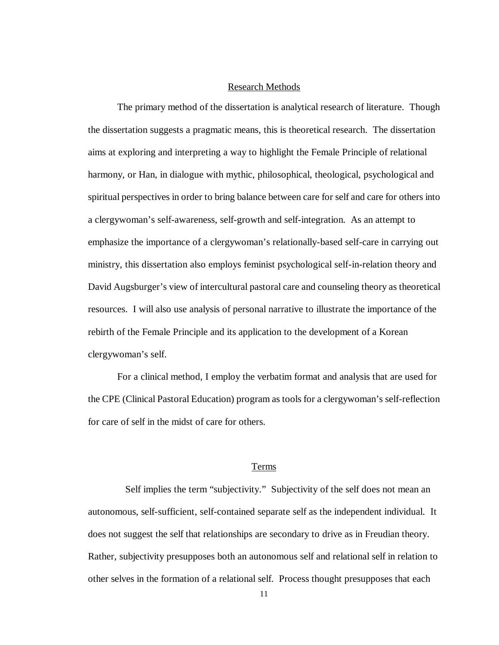## Research Methods

The primary method of the dissertation is analytical research of literature. Though the dissertation suggests a pragmatic means, this is theoretical research. The dissertation aims at exploring and interpreting a way to highlight the Female Principle of relational harmony, or Han, in dialogue with mythic, philosophical, theological, psychological and spiritual perspectives in order to bring balance between care for self and care for others into a clergywoman's self-awareness, self-growth and self-integration. As an attempt to emphasize the importance of a clergywoman's relationally-based self-care in carrying out ministry, this dissertation also employs feminist psychological self-in-relation theory and David Augsburger's view of intercultural pastoral care and counseling theory as theoretical resources. I will also use analysis of personal narrative to illustrate the importance of the rebirth of the Female Principle and its application to the development of a Korean clergywoman's self.

For a clinical method, I employ the verbatim format and analysis that are used for the CPE (Clinical Pastoral Education) program as tools for a clergywoman's self-reflection for care of self in the midst of care for others.

#### Terms

Self implies the term "subjectivity." Subjectivity of the self does not mean an autonomous, self-sufficient, self-contained separate self as the independent individual. It does not suggest the self that relationships are secondary to drive as in Freudian theory. Rather, subjectivity presupposes both an autonomous self and relational self in relation to other selves in the formation of a relational self. Process thought presupposes that each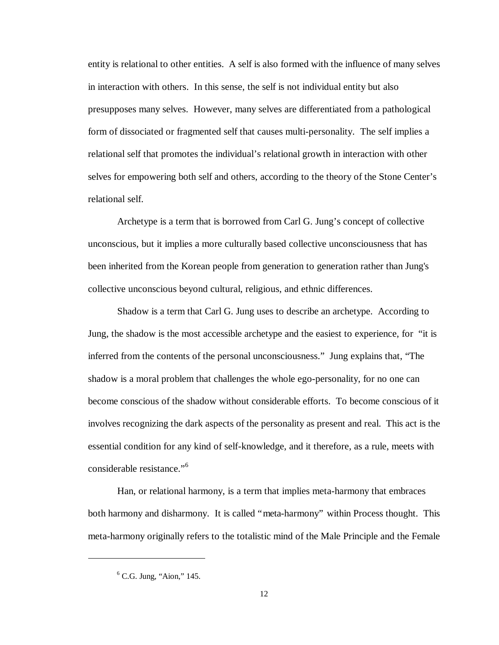entity is relational to other entities. A self is also formed with the influence of many selves in interaction with others. In this sense, the self is not individual entity but also presupposes many selves. However, many selves are differentiated from a pathological form of dissociated or fragmented self that causes multi-personality. The self implies a relational self that promotes the individual's relational growth in interaction with other selves for empowering both self and others, according to the theory of the Stone Center's relational self.

Archetype is a term that is borrowed from Carl G. Jung's concept of collective unconscious, but it implies a more culturally based collective unconsciousness that has been inherited from the Korean people from generation to generation rather than Jung's collective unconscious beyond cultural, religious, and ethnic differences.

Shadow is a term that Carl G. Jung uses to describe an archetype. According to Jung, the shadow is the most accessible archetype and the easiest to experience, for "it is inferred from the contents of the personal unconsciousness." Jung explains that, "The shadow is a moral problem that challenges the whole ego-personality, for no one can become conscious of the shadow without considerable efforts. To become conscious of it involves recognizing the dark aspects of the personality as present and real. This act is the essential condition for any kind of self-knowledge, and it therefore, as a rule, meets with considerable resistance." 6

Han, or relational harmony, is a term that implies meta-harmony that embraces both harmony and disharmony. It is called "meta-harmony" within Process thought. This meta-harmony originally refers to the totalistic mind of the Male Principle and the Female

 $\overline{a}$ 

<sup>&</sup>lt;sup>6</sup> C.G. Jung, "Aion," 145.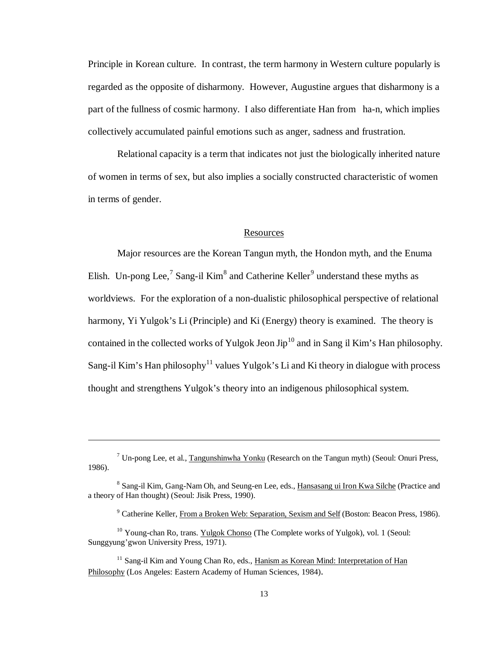Principle in Korean culture. In contrast, the term harmony in Western culture popularly is regarded as the opposite of disharmony. However, Augustine argues that disharmony is a part of the fullness of cosmic harmony. I also differentiate Han from ha-n, which implies collectively accumulated painful emotions such as anger, sadness and frustration.

Relational capacity is a term that indicates not just the biologically inherited nature of women in terms of sex, but also implies a socially constructed characteristic of women in terms of gender.

## **Resources**

Major resources are the Korean Tangun myth, the Hondon myth, and the Enuma Elish. Un-pong Lee,<sup>7</sup> Sang-il Kim<sup>8</sup> and Catherine Keller<sup>9</sup> understand these myths as worldviews. For the exploration of a non-dualistic philosophical perspective of relational harmony, Yi Yulgok's Li (Principle) and Ki (Energy) theory is examined. The theory is contained in the collected works of Yulgok Jeon  $Jip^{10}$  and in Sang il Kim's Han philosophy. Sang-il Kim's Han philosophy<sup>11</sup> values Yulgok's Li and Ki theory in dialogue with process thought and strengthens Yulgok's theory into an indigenous philosophical system.

-

<sup>&</sup>lt;sup>7</sup> Un-pong Lee, et al., Tangunshinwha Yonku (Research on the Tangun myth) (Seoul: Onuri Press, 1986).

<sup>&</sup>lt;sup>8</sup> Sang-il Kim, Gang-Nam Oh, and Seung-en Lee, eds., Hansasang ui Iron Kwa Silche (Practice and a theory of Han thought) (Seoul: Jisik Press, 1990).

<sup>&</sup>lt;sup>9</sup> Catherine Keller, From a Broken Web: Separation, Sexism and Self (Boston: Beacon Press, 1986).

<sup>&</sup>lt;sup>10</sup> Young-chan Ro, trans. Yulgok Chonso (The Complete works of Yulgok), vol. 1 (Seoul: Sunggyung'gwon University Press, 1971).

<sup>&</sup>lt;sup>11</sup> Sang-il Kim and Young Chan Ro, eds., Hanism as Korean Mind: Interpretation of Han Philosophy (Los Angeles: Eastern Academy of Human Sciences, 1984).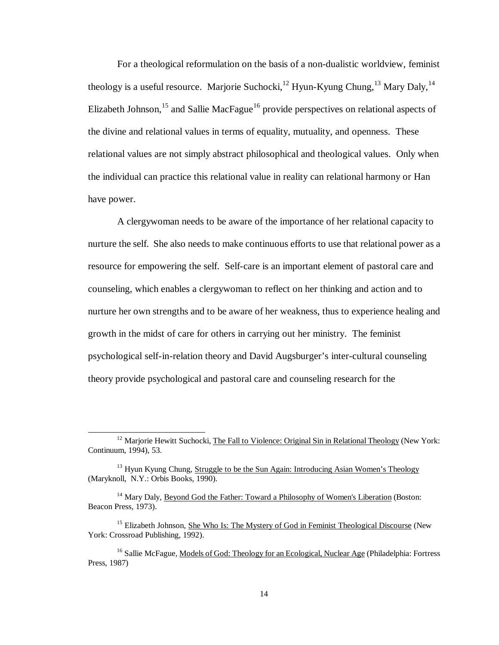For a theological reformulation on the basis of a non-dualistic worldview, feminist theology is a useful resource. Marjorie Suchocki,  $^{12}$  Hyun-Kyung Chung,  $^{13}$  Mary Daly,  $^{14}$ Elizabeth Johnson,<sup>15</sup> and Sallie MacFague<sup>16</sup> provide perspectives on relational aspects of the divine and relational values in terms of equality, mutuality, and openness. These relational values are not simply abstract philosophical and theological values. Only when the individual can practice this relational value in reality can relational harmony or Han have power.

A clergywoman needs to be aware of the importance of her relational capacity to nurture the self. She also needs to make continuous efforts to use that relational power as a resource for empowering the self. Self-care is an important element of pastoral care and counseling, which enables a clergywoman to reflect on her thinking and action and to nurture her own strengths and to be aware of her weakness, thus to experience healing and growth in the midst of care for others in carrying out her ministry. The feminist psychological self-in-relation theory and David Augsburger's inter-cultural counseling theory provide psychological and pastoral care and counseling research for the

<sup>&</sup>lt;sup>12</sup> Marjorie Hewitt Suchocki, The Fall to Violence: Original Sin in Relational Theology (New York: Continuum, 1994), 53.

<sup>&</sup>lt;sup>13</sup> Hyun Kyung Chung, Struggle to be the Sun Again: Introducing Asian Women's Theology (Maryknoll, N.Y.: Orbis Books, 1990).

<sup>&</sup>lt;sup>14</sup> Mary Daly, Beyond God the Father: Toward a Philosophy of Women's Liberation (Boston: Beacon Press, 1973).

<sup>&</sup>lt;sup>15</sup> Elizabeth Johnson, She Who Is: The Mystery of God in Feminist Theological Discourse (New York: Crossroad Publishing, 1992).

<sup>&</sup>lt;sup>16</sup> Sallie McFague, Models of God: Theology for an Ecological, Nuclear Age (Philadelphia: Fortress Press, 1987)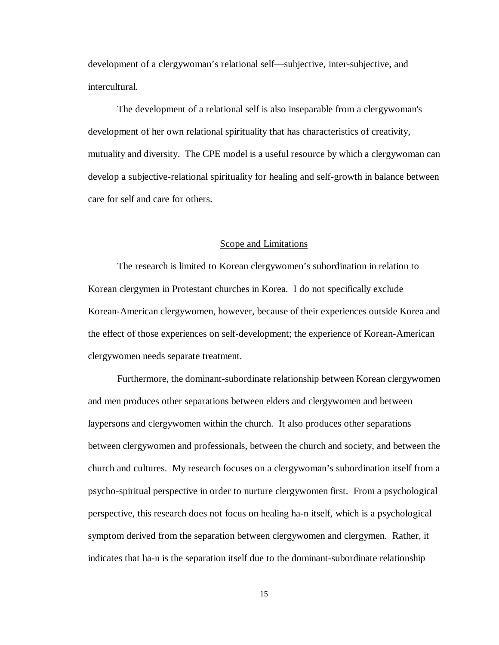development of a clergywoman's relational self— subjective, inter-subjective, and intercultural.

The development of a relational self is also inseparable from a clergywoman's development of her own relational spirituality that has characteristics of creativity, mutuality and diversity. The CPE model is a useful resource by which a clergywoman can develop a subjective-relational spirituality for healing and self-growth in balance between care for self and care for others.

#### Scope and Limitations

The research is limited to Korean clergywomen's subordination in relation to Korean clergymen in Protestant churches in Korea. I do not specifically exclude Korean-American clergywomen, however, because of their experiences outside Korea and the effect of those experiences on self-development; the experience of Korean-American clergywomen needs separate treatment.

Furthermore, the dominant-subordinate relationship between Korean clergywomen and men produces other separations between elders and clergywomen and between laypersons and clergywomen within the church. It also produces other separations between clergywomen and professionals, between the church and society, and between the church and cultures. My research focuses on a clergywoman's subordination itself from a psycho-spiritual perspective in order to nurture clergywomen first. From a psychological perspective, this research does not focus on healing ha-n itself, which is a psychological symptom derived from the separation between clergywomen and clergymen. Rather, it indicates that ha-n is the separation itself due to the dominant-subordinate relationship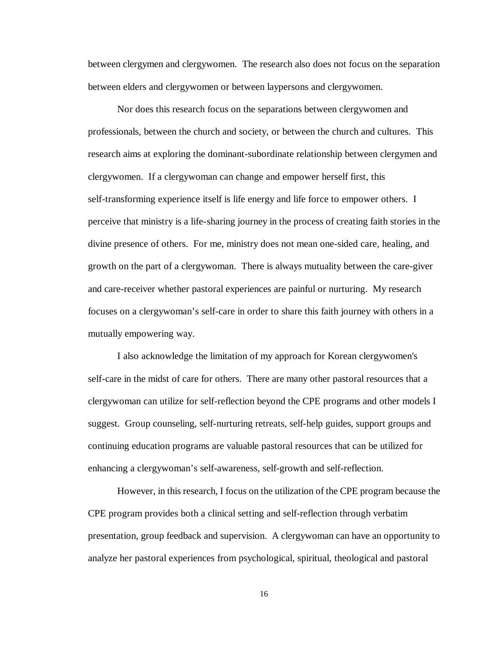between clergymen and clergywomen. The research also does not focus on the separation between elders and clergywomen or between laypersons and clergywomen.

Nor does this research focus on the separations between clergywomen and professionals, between the church and society, or between the church and cultures. This research aims at exploring the dominant-subordinate relationship between clergymen and clergywomen. If a clergywoman can change and empower herself first, this self-transforming experience itself is life energy and life force to empower others. I perceive that ministry is a life-sharing journey in the process of creating faith stories in the divine presence of others. For me, ministry does not mean one-sided care, healing, and growth on the part of a clergywoman. There is always mutuality between the care-giver and care-receiver whether pastoral experiences are painful or nurturing. My research focuses on a clergywoman's self-care in order to share this faith journey with others in a mutually empowering way.

I also acknowledge the limitation of my approach for Korean clergywomen's self-care in the midst of care for others. There are many other pastoral resources that a clergywoman can utilize for self-reflection beyond the CPE programs and other models I suggest. Group counseling, self-nurturing retreats, self-help guides, support groups and continuing education programs are valuable pastoral resources that can be utilized for enhancing a clergywoman's self-awareness, self-growth and self-reflection.

However, in this research, I focus on the utilization of the CPE program because the CPE program provides both a clinical setting and self-reflection through verbatim presentation, group feedback and supervision. A clergywoman can have an opportunity to analyze her pastoral experiences from psychological, spiritual, theological and pastoral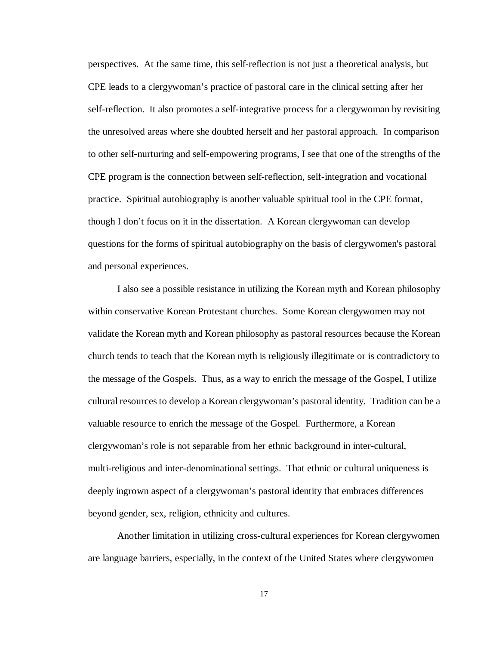perspectives. At the same time, this self-reflection is not just a theoretical analysis, but CPE leads to a clergywoman's practice of pastoral care in the clinical setting after her self-reflection. It also promotes a self-integrative process for a clergywoman by revisiting the unresolved areas where she doubted herself and her pastoral approach. In comparison to other self-nurturing and self-empowering programs, I see that one of the strengths of the CPE program is the connection between self-reflection, self-integration and vocational practice. Spiritual autobiography is another valuable spiritual tool in the CPE format, though I don't focus on it in the dissertation. A Korean clergywoman can develop questions for the forms of spiritual autobiography on the basis of clergywomen's pastoral and personal experiences.

I also see a possible resistance in utilizing the Korean myth and Korean philosophy within conservative Korean Protestant churches. Some Korean clergywomen may not validate the Korean myth and Korean philosophy as pastoral resources because the Korean church tends to teach that the Korean myth is religiously illegitimate or is contradictory to the message of the Gospels. Thus, as a way to enrich the message of the Gospel, I utilize cultural resources to develop a Korean clergywoman's pastoral identity. Tradition can be a valuable resource to enrich the message of the Gospel. Furthermore, a Korean clergywoman's role is not separable from her ethnic background in inter-cultural, multi-religious and inter-denominational settings. That ethnic or cultural uniqueness is deeply ingrown aspect of a clergywoman's pastoral identity that embraces differences beyond gender, sex, religion, ethnicity and cultures.

Another limitation in utilizing cross-cultural experiences for Korean clergywomen are language barriers, especially, in the context of the United States where clergywomen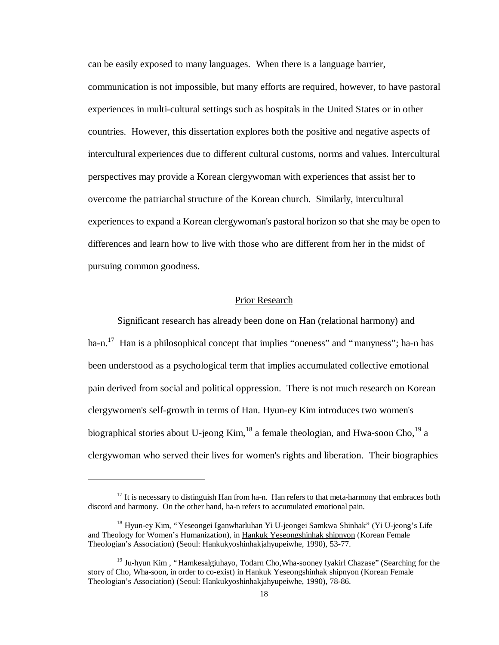can be easily exposed to many languages. When there is a language barrier, communication is not impossible, but many efforts are required, however, to have pastoral experiences in multi-cultural settings such as hospitals in the United States or in other countries. However, this dissertation explores both the positive and negative aspects of intercultural experiences due to different cultural customs, norms and values. Intercultural perspectives may provide a Korean clergywoman with experiences that assist her to overcome the patriarchal structure of the Korean church. Similarly, intercultural experiences to expand a Korean clergywoman's pastoral horizon so that she may be open to differences and learn how to live with those who are different from her in the midst of pursuing common goodness.

## Prior Research

Significant research has already been done on Han (relational harmony) and ha-n.<sup>17</sup> Han is a philosophical concept that implies "oneness" and "manyness"; ha-n has been understood as a psychological term that implies accumulated collective emotional pain derived from social and political oppression. There is not much research on Korean clergywomen's self-growth in terms of Han. Hyun-ey Kim introduces two women's biographical stories about U-jeong Kim,<sup>18</sup> a female theologian, and Hwa-soon Cho,<sup>19</sup> a clergywoman who served their lives for women's rights and liberation. Their biographies

 $17$  It is necessary to distinguish Han from ha-n. Han refers to that meta-harmony that embraces both discord and harmony. On the other hand, ha-n refers to accumulated emotional pain.

<sup>&</sup>lt;sup>18</sup> Hyun-ey Kim, "Yeseongei Iganwharluhan Yi U-jeongei Samkwa Shinhak" (Yi U-jeong's Life and Theology for Women's Humanization), in Hankuk Yeseongshinhak shipnyon (Korean Female Theologian's Association) (Seoul: Hankukyoshinhakjahyupeiwhe, 1990), 53-77.

<sup>&</sup>lt;sup>19</sup> Ju-hyun Kim, "Hamkesalgiuhayo, Todarn Cho, Wha-sooney Iyakirl Chazase" (Searching for the story of Cho, Wha-soon, in order to co-exist) in Hankuk Yeseongshinhak shipnyon (Korean Female Theologian's Association) (Seoul: Hankukyoshinhakjahyupeiwhe, 1990), 78-86.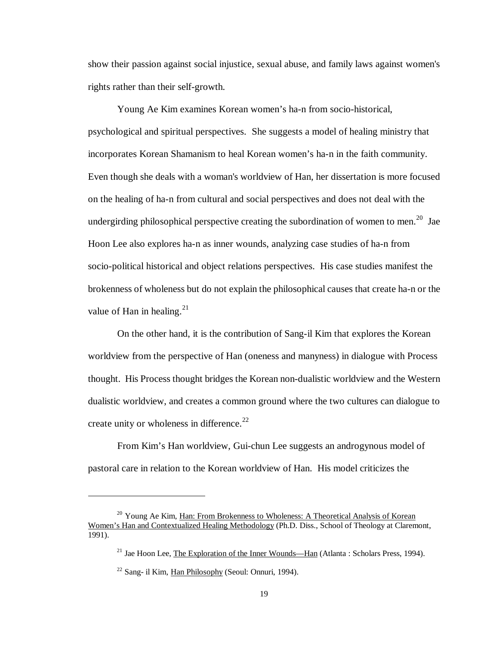show their passion against social injustice, sexual abuse, and family laws against women's rights rather than their self-growth.

Young Ae Kim examines Korean women's ha-n from socio-historical, psychological and spiritual perspectives. She suggests a model of healing ministry that incorporates Korean Shamanism to heal Korean women's ha-n in the faith community. Even though she deals with a woman's worldview of Han, her dissertation is more focused on the healing of ha-n from cultural and social perspectives and does not deal with the undergirding philosophical perspective creating the subordination of women to men.<sup>20</sup> Jae Hoon Lee also explores ha-n as inner wounds, analyzing case studies of ha-n from socio-political historical and object relations perspectives. His case studies manifest the brokenness of wholeness but do not explain the philosophical causes that create ha-n or the value of Han in healing.<sup>21</sup>

On the other hand, it is the contribution of Sang-il Kim that explores the Korean worldview from the perspective of Han (oneness and manyness) in dialogue with Process thought. His Process thought bridges the Korean non-dualistic worldview and the Western dualistic worldview, and creates a common ground where the two cultures can dialogue to create unity or wholeness in difference. $^{22}$ 

From Kim's Han worldview, Gui-chun Lee suggests an androgynous model of pastoral care in relation to the Korean worldview of Han. His model criticizes the

<sup>&</sup>lt;sup>20</sup> Young Ae Kim, Han: From Brokenness to Wholeness: A Theoretical Analysis of Korean Women's Han and Contextualized Healing Methodology (Ph.D. Diss., School of Theology at Claremont, 1991).

<sup>&</sup>lt;sup>21</sup> Jae Hoon Lee, The Exploration of the Inner Wounds— Han (Atlanta : Scholars Press, 1994).

 $22$  Sang- il Kim, Han Philosophy (Seoul: Onnuri, 1994).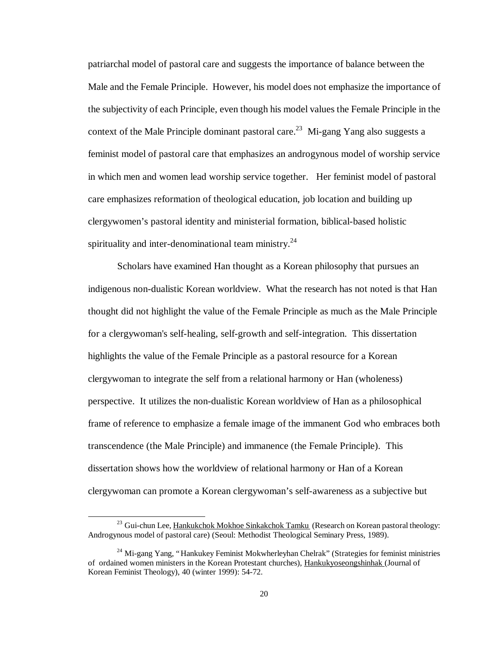patriarchal model of pastoral care and suggests the importance of balance between the Male and the Female Principle. However, his model does not emphasize the importance of the subjectivity of each Principle, even though his model values the Female Principle in the context of the Male Principle dominant pastoral care.<sup>23</sup> Mi-gang Yang also suggests a feminist model of pastoral care that emphasizes an androgynous model of worship service in which men and women lead worship service together. Her feminist model of pastoral care emphasizes reformation of theological education, job location and building up clergywomen's pastoral identity and ministerial formation, biblical-based holistic spirituality and inter-denominational team ministry. $24$ 

Scholars have examined Han thought as a Korean philosophy that pursues an indigenous non-dualistic Korean worldview. What the research has not noted is that Han thought did not highlight the value of the Female Principle as much as the Male Principle for a clergywoman's self-healing, self-growth and self-integration. This dissertation highlights the value of the Female Principle as a pastoral resource for a Korean clergywoman to integrate the self from a relational harmony or Han (wholeness) perspective. It utilizes the non-dualistic Korean worldview of Han as a philosophical frame of reference to emphasize a female image of the immanent God who embraces both transcendence (the Male Principle) and immanence (the Female Principle). This dissertation shows how the worldview of relational harmony or Han of a Korean clergywoman can promote a Korean clergywoman's self-awareness as a subjective but

 $\overline{a}$ 

<sup>&</sup>lt;sup>23</sup> Gui-chun Lee, Hankukchok Mokhoe Sinkakchok Tamku (Research on Korean pastoral theology: Androgynous model of pastoral care) (Seoul: Methodist Theological Seminary Press, 1989).

<sup>&</sup>lt;sup>24</sup> Mi-gang Yang, "Hankukey Feminist Mokwherleyhan Chelrak" (Strategies for feminist ministries of ordained women ministers in the Korean Protestant churches), Hankukyoseongshinhak (Journal of Korean Feminist Theology), 40 (winter 1999): 54-72.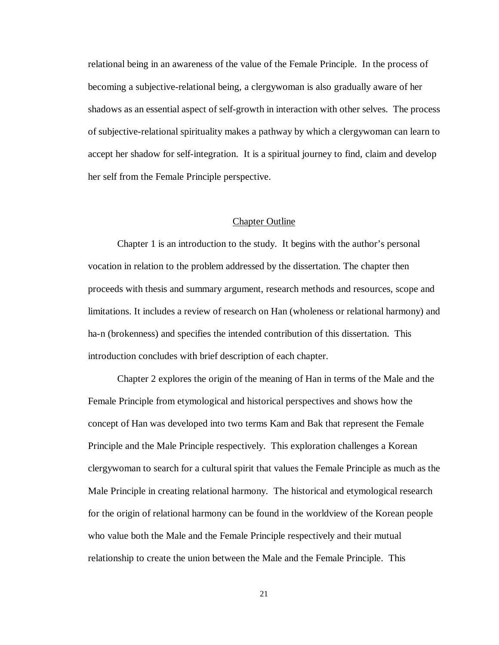relational being in an awareness of the value of the Female Principle. In the process of becoming a subjective-relational being, a clergywoman is also gradually aware of her shadows as an essential aspect of self-growth in interaction with other selves. The process of subjective-relational spirituality makes a pathway by which a clergywoman can learn to accept her shadow for self-integration. It is a spiritual journey to find, claim and develop her self from the Female Principle perspective.

#### Chapter Outline

Chapter 1 is an introduction to the study. It begins with the author's personal vocation in relation to the problem addressed by the dissertation. The chapter then proceeds with thesis and summary argument, research methods and resources, scope and limitations. It includes a review of research on Han (wholeness or relational harmony) and ha-n (brokenness) and specifies the intended contribution of this dissertation. This introduction concludes with brief description of each chapter.

Chapter 2 explores the origin of the meaning of Han in terms of the Male and the Female Principle from etymological and historical perspectives and shows how the concept of Han was developed into two terms Kam and Bak that represent the Female Principle and the Male Principle respectively. This exploration challenges a Korean clergywoman to search for a cultural spirit that values the Female Principle as much as the Male Principle in creating relational harmony. The historical and etymological research for the origin of relational harmony can be found in the worldview of the Korean people who value both the Male and the Female Principle respectively and their mutual relationship to create the union between the Male and the Female Principle. This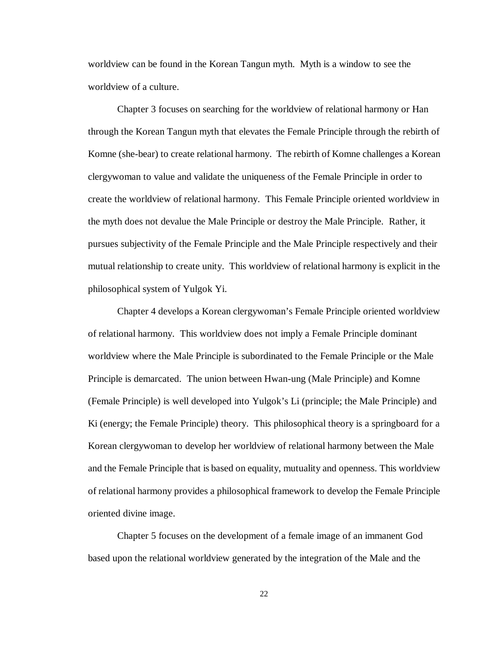worldview can be found in the Korean Tangun myth. Myth is a window to see the worldview of a culture.

Chapter 3 focuses on searching for the worldview of relational harmony or Han through the Korean Tangun myth that elevates the Female Principle through the rebirth of Komne (she-bear) to create relational harmony. The rebirth of Komne challenges a Korean clergywoman to value and validate the uniqueness of the Female Principle in order to create the worldview of relational harmony. This Female Principle oriented worldview in the myth does not devalue the Male Principle or destroy the Male Principle. Rather, it pursues subjectivity of the Female Principle and the Male Principle respectively and their mutual relationship to create unity. This worldview of relational harmony is explicit in the philosophical system of Yulgok Yi.

Chapter 4 develops a Korean clergywoman's Female Principle oriented worldview of relational harmony. This worldview does not imply a Female Principle dominant worldview where the Male Principle is subordinated to the Female Principle or the Male Principle is demarcated. The union between Hwan-ung (Male Principle) and Komne (Female Principle) is well developed into Yulgok's Li (principle; the Male Principle) and Ki (energy; the Female Principle) theory. This philosophical theory is a springboard for a Korean clergywoman to develop her worldview of relational harmony between the Male and the Female Principle that is based on equality, mutuality and openness. This worldview of relational harmony provides a philosophical framework to develop the Female Principle oriented divine image.

Chapter 5 focuses on the development of a female image of an immanent God based upon the relational worldview generated by the integration of the Male and the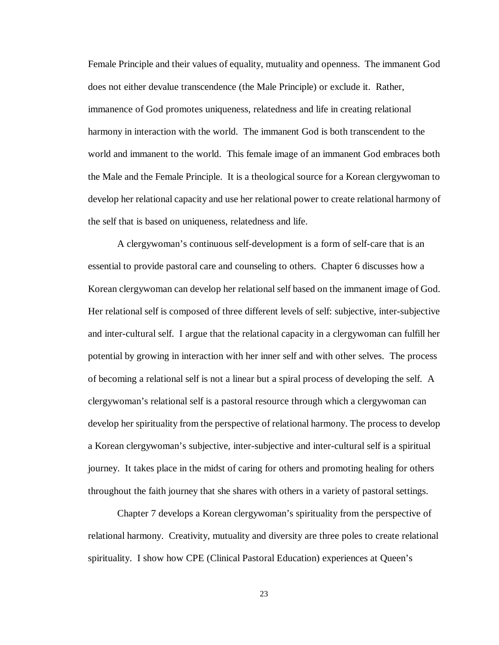Female Principle and their values of equality, mutuality and openness. The immanent God does not either devalue transcendence (the Male Principle) or exclude it. Rather, immanence of God promotes uniqueness, relatedness and life in creating relational harmony in interaction with the world. The immanent God is both transcendent to the world and immanent to the world. This female image of an immanent God embraces both the Male and the Female Principle. It is a theological source for a Korean clergywoman to develop her relational capacity and use her relational power to create relational harmony of the self that is based on uniqueness, relatedness and life.

A clergywoman's continuous self-development is a form of self-care that is an essential to provide pastoral care and counseling to others. Chapter 6 discusses how a Korean clergywoman can develop her relational self based on the immanent image of God. Her relational self is composed of three different levels of self: subjective, inter-subjective and inter-cultural self. I argue that the relational capacity in a clergywoman can fulfill her potential by growing in interaction with her inner self and with other selves. The process of becoming a relational self is not a linear but a spiral process of developing the self. A clergywoman's relational self is a pastoral resource through which a clergywoman can develop her spirituality from the perspective of relational harmony. The process to develop a Korean clergywoman's subjective, inter-subjective and inter-cultural self is a spiritual journey. It takes place in the midst of caring for others and promoting healing for others throughout the faith journey that she shares with others in a variety of pastoral settings.

Chapter 7 develops a Korean clergywoman's spirituality from the perspective of relational harmony. Creativity, mutuality and diversity are three poles to create relational spirituality. I show how CPE (Clinical Pastoral Education) experiences at Queen's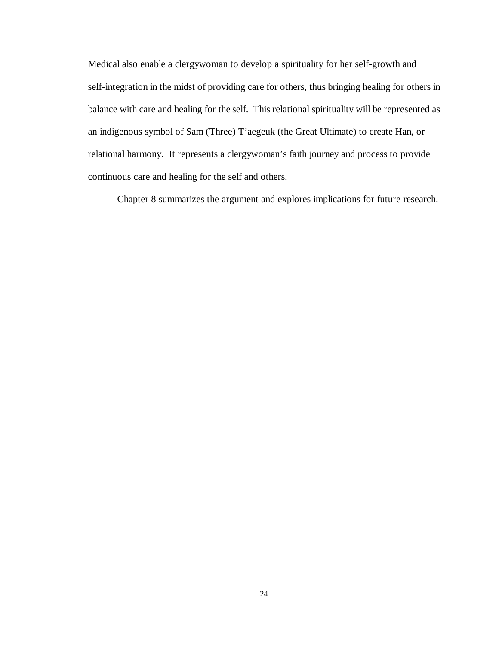Medical also enable a clergywoman to develop a spirituality for her self-growth and self-integration in the midst of providing care for others, thus bringing healing for others in balance with care and healing for the self. This relational spirituality will be represented as an indigenous symbol of Sam (Three) T'aegeuk (the Great Ultimate) to create Han, or relational harmony. It represents a clergywoman's faith journey and process to provide continuous care and healing for the self and others.

Chapter 8 summarizes the argument and explores implications for future research.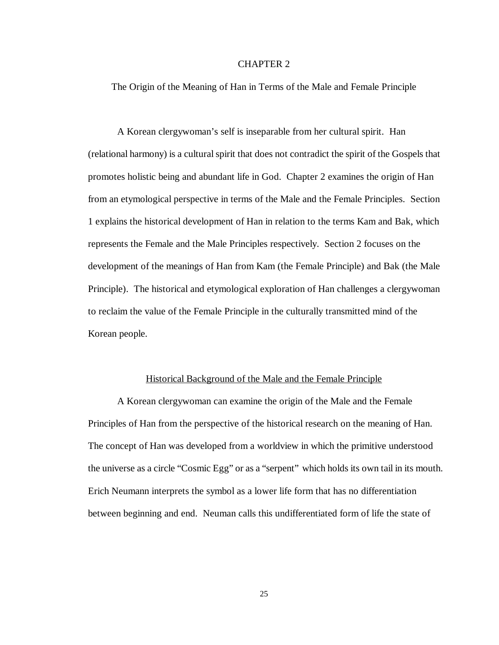## CHAPTER 2

The Origin of the Meaning of Han in Terms of the Male and Female Principle

A Korean clergywoman's self is inseparable from her cultural spirit. Han (relational harmony) is a cultural spirit that does not contradict the spirit of the Gospels that promotes holistic being and abundant life in God. Chapter 2 examines the origin of Han from an etymological perspective in terms of the Male and the Female Principles. Section 1 explains the historical development of Han in relation to the terms Kam and Bak, which represents the Female and the Male Principles respectively. Section 2 focuses on the development of the meanings of Han from Kam (the Female Principle) and Bak (the Male Principle). The historical and etymological exploration of Han challenges a clergywoman to reclaim the value of the Female Principle in the culturally transmitted mind of the Korean people.

#### Historical Background of the Male and the Female Principle

A Korean clergywoman can examine the origin of the Male and the Female Principles of Han from the perspective of the historical research on the meaning of Han. The concept of Han was developed from a worldview in which the primitive understood the universe as a circle "Cosmic Egg" or as a "serpent" which holds its own tail in its mouth. Erich Neumann interprets the symbol as a lower life form that has no differentiation between beginning and end. Neuman calls this undifferentiated form of life the state of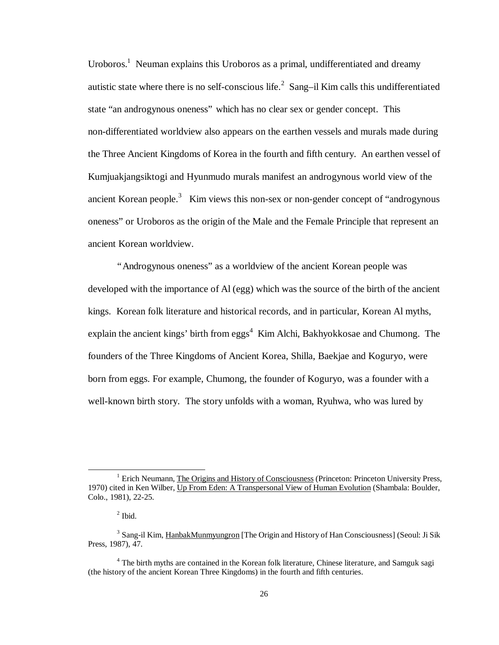Uroboros.<sup>1</sup> Neuman explains this Uroboros as a primal, undifferentiated and dreamy autistic state where there is no self-conscious life.<sup>2</sup> Sang-il Kim calls this undifferentiated state "an androgynous oneness" which has no clear sex or gender concept. This non-differentiated worldview also appears on the earthen vessels and murals made during the Three Ancient Kingdoms of Korea in the fourth and fifth century. An earthen vessel of Kumjuakjangsiktogi and Hyunmudo murals manifest an androgynous world view of the ancient Korean people. $3$  Kim views this non-sex or non-gender concept of "androgynous" oneness" or Uroboros as the origin of the Male and the Female Principle that represent an ancient Korean worldview.

"Androgynous oneness" as a worldview of the ancient Korean people was developed with the importance of Al (egg) which was the source of the birth of the ancient kings. Korean folk literature and historical records, and in particular, Korean Al myths, explain the ancient kings' birth from eggs<sup>4</sup> Kim Alchi, Bakhyokkosae and Chumong. The founders of the Three Kingdoms of Ancient Korea, Shilla, Baekjae and Koguryo, were born from eggs. For example, Chumong, the founder of Koguryo, was a founder with a well-known birth story. The story unfolds with a woman, Ryuhwa, who was lured by

-

<sup>&</sup>lt;sup>1</sup> Erich Neumann, The Origins and History of Consciousness (Princeton: Princeton University Press, 1970) cited in Ken Wilber, Up From Eden: A Transpersonal View of Human Evolution (Shambala: Boulder, Colo., 1981), 22-25.

 $<sup>2</sup>$  Ibid.</sup>

<sup>&</sup>lt;sup>3</sup> Sang-il Kim, HanbakMunmyungron [The Origin and History of Han Consciousness] (Seoul: Ji Sik Press, 1987), 47.

<sup>&</sup>lt;sup>4</sup> The birth myths are contained in the Korean folk literature, Chinese literature, and Samguk sagi (the history of the ancient Korean Three Kingdoms) in the fourth and fifth centuries.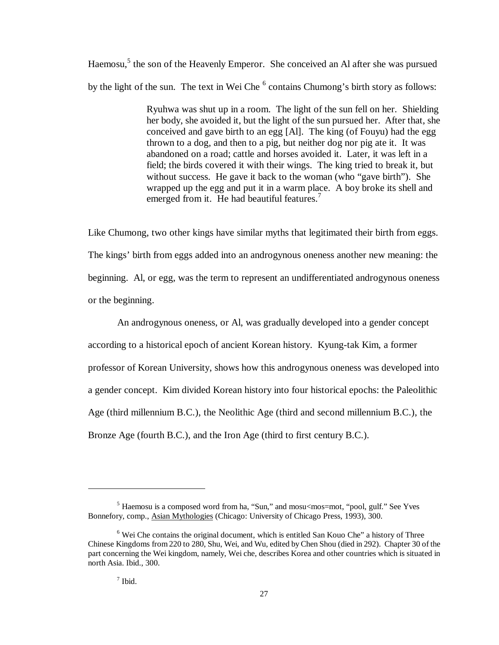Haemosu,<sup>5</sup> the son of the Heavenly Emperor. She conceived an Al after she was pursued by the light of the sun. The text in Wei Che<sup>6</sup> contains Chumong's birth story as follows:

> Ryuhwa was shut up in a room. The light of the sun fell on her. Shielding her body, she avoided it, but the light of the sun pursued her. After that, she conceived and gave birth to an egg [Al]. The king (of Fouyu) had the egg thrown to a dog, and then to a pig, but neither dog nor pig ate it. It was abandoned on a road; cattle and horses avoided it. Later, it was left in a field; the birds covered it with their wings. The king tried to break it, but without success. He gave it back to the woman (who "gave birth"). She wrapped up the egg and put it in a warm place. A boy broke its shell and emerged from it. He had beautiful features.<sup>7</sup>

Like Chumong, two other kings have similar myths that legitimated their birth from eggs. The kings' birth from eggs added into an androgynous oneness another new meaning: the beginning. Al, or egg, was the term to represent an undifferentiated androgynous oneness or the beginning.

An androgynous oneness, or Al, was gradually developed into a gender concept according to a historical epoch of ancient Korean history. Kyung-tak Kim, a former professor of Korean University, shows how this androgynous oneness was developed into a gender concept. Kim divided Korean history into four historical epochs: the Paleolithic Age (third millennium B.C.), the Neolithic Age (third and second millennium B.C.), the Bronze Age (fourth B.C.), and the Iron Age (third to first century B.C.).

 $\overline{a}$ 

<sup>&</sup>lt;sup>5</sup> Haemosu is a composed word from ha, "Sun," and mosu<mos=mot, "pool, gulf." See Yves Bonnefory, comp., Asian Mythologies (Chicago: University of Chicago Press, 1993), 300.

<sup>&</sup>lt;sup>6</sup> Wei Che contains the original document, which is entitled San Kouo Che" a history of Three Chinese Kingdoms from 220 to 280, Shu, Wei, and Wu, edited by Chen Shou (died in 292). Chapter 30 of the part concerning the Wei kingdom, namely, Wei che, describes Korea and other countries which is situated in north Asia. Ibid., 300.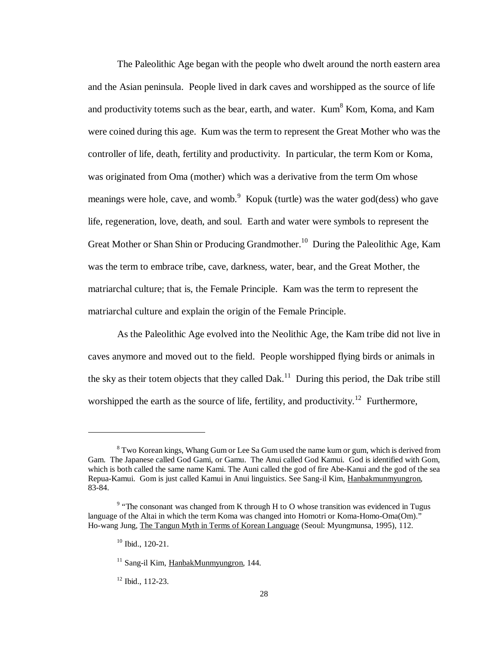The Paleolithic Age began with the people who dwelt around the north eastern area and the Asian peninsula. People lived in dark caves and worshipped as the source of life and productivity totems such as the bear, earth, and water. Kum $<sup>8</sup>$  Kom, Koma, and Kam</sup> were coined during this age. Kum was the term to represent the Great Mother who was the controller of life, death, fertility and productivity. In particular, the term Kom or Koma, was originated from Oma (mother) which was a derivative from the term Om whose meanings were hole, cave, and womb. Kopuk (turtle) was the water god(dess) who gave life, regeneration, love, death, and soul. Earth and water were symbols to represent the Great Mother or Shan Shin or Producing Grandmother.<sup>10</sup> During the Paleolithic Age, Kam was the term to embrace tribe, cave, darkness, water, bear, and the Great Mother, the matriarchal culture; that is, the Female Principle. Kam was the term to represent the matriarchal culture and explain the origin of the Female Principle.

As the Paleolithic Age evolved into the Neolithic Age, the Kam tribe did not live in caves anymore and moved out to the field. People worshipped flying birds or animals in the sky as their totem objects that they called  $\text{Dak}^{11}$ . During this period, the Dak tribe still worshipped the earth as the source of life, fertility, and productivity.<sup>12</sup> Furthermore,

1

 $12$  Ibid.,  $112-23$ .

 $8$  Two Korean kings, Whang Gum or Lee Sa Gum used the name kum or gum, which is derived from Gam. The Japanese called God Gami, or Gamu. The Anui called God Kamui. God is identified with Gom, which is both called the same name Kami. The Auni called the god of fire Abe-Kanui and the god of the sea Repua-Kamui. Gom is just called Kamui in Anui linguistics. See Sang-il Kim, Hanbakmunmyungron, 83-84.

 $9$  "The consonant was changed from K through H to O whose transition was evidenced in Tugus language of the Altai in which the term Koma was changed into Homotri or Koma-Homo-Oma(Om)." Ho-wang Jung, The Tangun Myth in Terms of Korean Language (Seoul: Myungmunsa, 1995), 112.

<sup>10</sup> Ibid., 120-21.

 $11$  Sang-il Kim, HanbakMunmyungron, 144.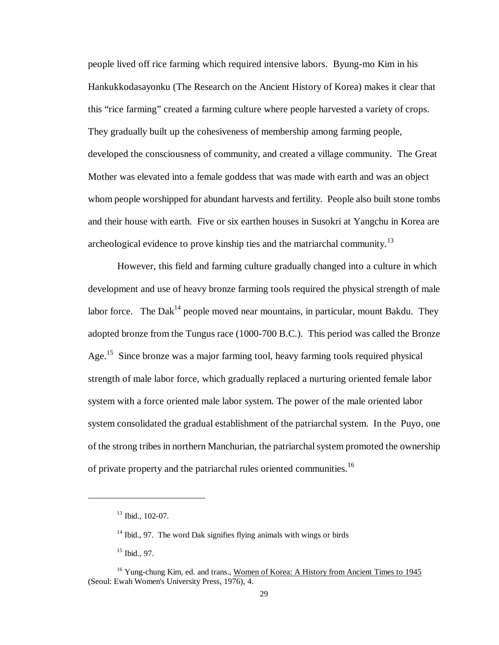people lived off rice farming which required intensive labors. Byung-mo Kim in his Hankukkodasayonku (The Research on the Ancient History of Korea) makes it clear that this "rice farming" created a farming culture where people harvested a variety of crops. They gradually built up the cohesiveness of membership among farming people, developed the consciousness of community, and created a village community. The Great Mother was elevated into a female goddess that was made with earth and was an object whom people worshipped for abundant harvests and fertility. People also built stone tombs and their house with earth. Five or six earthen houses in Susokri at Yangchu in Korea are archeological evidence to prove kinship ties and the matriarchal community.<sup>13</sup>

However, this field and farming culture gradually changed into a culture in which development and use of heavy bronze farming tools required the physical strength of male labor force. The Dak<sup>14</sup> people moved near mountains, in particular, mount Bakdu. They adopted bronze from the Tungus race (1000-700 B.C.). This period was called the Bronze Age.<sup>15</sup> Since bronze was a major farming tool, heavy farming tools required physical strength of male labor force, which gradually replaced a nurturing oriented female labor system with a force oriented male labor system. The power of the male oriented labor system consolidated the gradual establishment of the patriarchal system. In the Puyo, one of the strong tribes in northern Manchurian, the patriarchal system promoted the ownership of private property and the patriarchal rules oriented communities.<sup>16</sup>

 $\overline{a}$ 

 $13$  Ibid., 102-07.

 $14$  Ibid., 97. The word Dak signifies flying animals with wings or birds

<sup>15</sup> Ibid., 97.

<sup>&</sup>lt;sup>16</sup> Yung-chung Kim, ed. and trans., Women of Korea: A History from Ancient Times to 1945 (Seoul: Ewah Women's University Press, 1976), 4.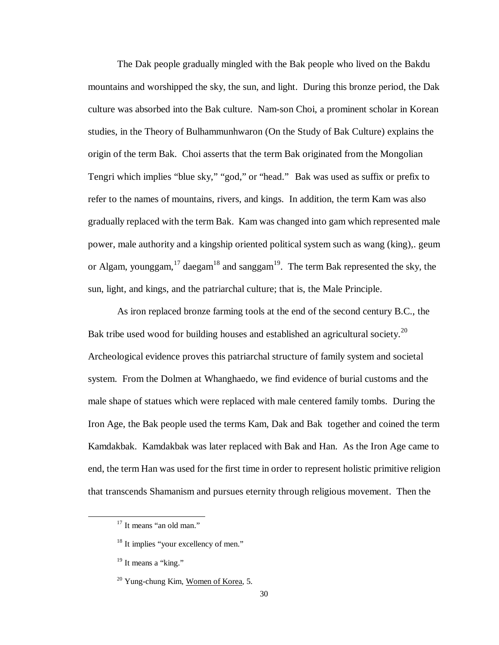The Dak people gradually mingled with the Bak people who lived on the Bakdu mountains and worshipped the sky, the sun, and light. During this bronze period, the Dak culture was absorbed into the Bak culture. Nam-son Choi, a prominent scholar in Korean studies, in the Theory of Bulhammunhwaron (On the Study of Bak Culture) explains the origin of the term Bak. Choi asserts that the term Bak originated from the Mongolian Tengri which implies "blue sky," "god," or "head." Bak was used as suffix or prefix to refer to the names of mountains, rivers, and kings. In addition, the term Kam was also gradually replaced with the term Bak. Kam was changed into gam which represented male power, male authority and a kingship oriented political system such as wang (king),. geum or Algam, younggam, $^{17}$  daegam<sup>18</sup> and sanggam<sup>19</sup>. The term Bak represented the sky, the sun, light, and kings, and the patriarchal culture; that is, the Male Principle.

As iron replaced bronze farming tools at the end of the second century B.C., the Bak tribe used wood for building houses and established an agricultural society.<sup>20</sup> Archeological evidence proves this patriarchal structure of family system and societal system. From the Dolmen at Whanghaedo, we find evidence of burial customs and the male shape of statues which were replaced with male centered family tombs. During the Iron Age, the Bak people used the terms Kam, Dak and Bak together and coined the term Kamdakbak. Kamdakbak was later replaced with Bak and Han. As the Iron Age came to end, the term Han was used for the first time in order to represent holistic primitive religion that transcends Shamanism and pursues eternity through religious movement. Then the

-

<sup>&</sup>lt;sup>17</sup> It means "an old man."

<sup>&</sup>lt;sup>18</sup> It implies "your excellency of men."

 $19$  It means a "king."

 $20$  Yung-chung Kim, Women of Korea, 5.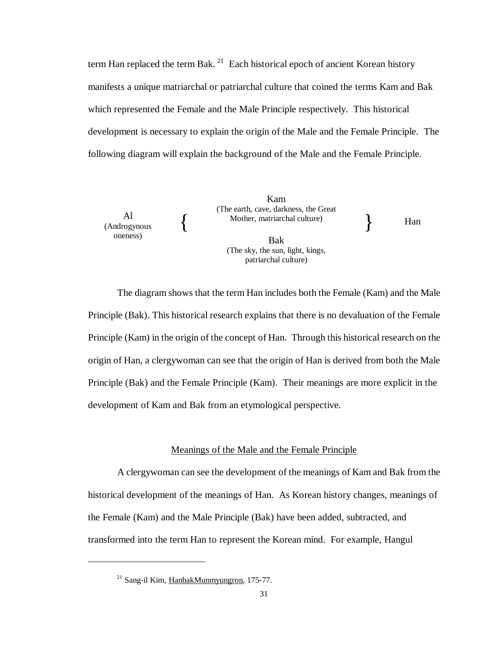term Han replaced the term Bak.<sup>21</sup> Each historical epoch of ancient Korean history manifests a unique matriarchal or patriarchal culture that coined the terms Kam and Bak which represented the Female and the Male Principle respectively. This historical development is necessary to explain the origin of the Male and the Female Principle. The following diagram will explain the background of the Male and the Female Principle.



The diagram shows that the term Han includes both the Female (Kam) and the Male Principle (Bak). This historical research explains that there is no devaluation of the Female Principle (Kam) in the origin of the concept of Han. Through this historical research on the origin of Han, a clergywoman can see that the origin of Han is derived from both the Male Principle (Bak) and the Female Principle (Kam). Their meanings are more explicit in the development of Kam and Bak from an etymological perspective.

## Meanings of the Male and the Female Principle

A clergywoman can see the development of the meanings of Kam and Bak from the historical development of the meanings of Han. As Korean history changes, meanings of the Female (Kam) and the Male Principle (Bak) have been added, subtracted, and transformed into the term Han to represent the Korean mind. For example, Hangul

 $\overline{a}$ 

<sup>21</sup> Sang-il Kim, HanbakMunmyungron, 175-77.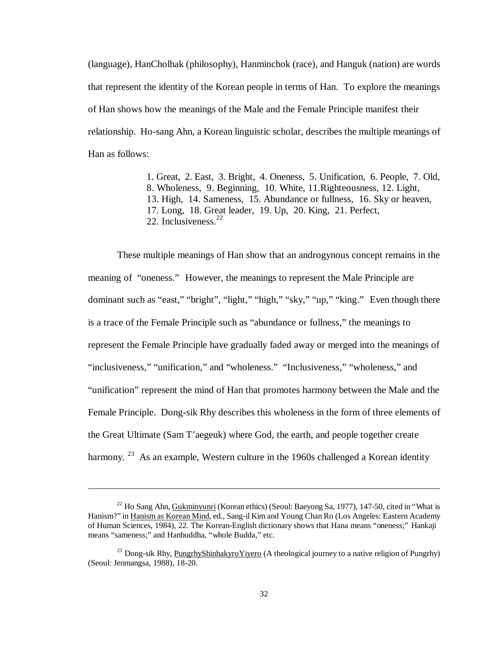(language), HanCholhak (philosophy), Hanminchok (race), and Hanguk (nation) are words that represent the identity of the Korean people in terms of Han. To explore the meanings of Han shows how the meanings of the Male and the Female Principle manifest their relationship. Ho-sang Ahn, a Korean linguistic scholar, describes the multiple meanings of Han as follows:

> 1. Great, 2. East, 3. Bright, 4. Oneness, 5. Unification, 6. People, 7. Old, 8. Wholeness, 9. Beginning, 10. White, 11.Righteousness, 12. Light, 13. High, 14. Sameness, 15. Abundance or fullness, 16. Sky or heaven, 17. Long, 18. Great leader, 19. Up, 20. King, 21. Perfect, 22. Inclusiveness.<sup>22</sup>

These multiple meanings of Han show that an androgynous concept remains in the meaning of "oneness." However, the meanings to represent the Male Principle are dominant such as "east," "bright", "light," "high," "sky," "up," "king." Even though there is a trace of the Female Principle such as "abundance or fullness," the meanings to represent the Female Principle have gradually faded away or merged into the meanings of "inclusiveness," "unification," and "wholeness." "Inclusiveness," "wholeness," and "unification" represent the mind of Han that promotes harmony between the Male and the Female Principle. Dong-sik Rhy describes this wholeness in the form of three elements of the Great Ultimate (Sam T'aegeuk) where God, the earth, and people together create harmony. <sup>23</sup> As an example, Western culture in the 1960s challenged a Korean identity

 $22$  Ho Sang Ahn, Gukminyunri (Korean ethics) (Seoul: Baeyong Sa, 1977), 147-50, cited in "What is Hanism?" in Hanism as Korean Mind, ed., Sang-il Kim and Young Chan Ro (Los Angeles: Eastern Academy of Human Sciences, 1984), 22. The Korean-English dictionary shows that Hana means "oneness;" Hankaji means "sameness;" and Hanbuddha, "whole Budda," etc.

<sup>&</sup>lt;sup>23</sup> Dong-sik Rhy, PungrhyShinhakyroYiyero (A theological journey to a native religion of Pungrhy) (Seoul: Jenmangsa, 1988), 18-20.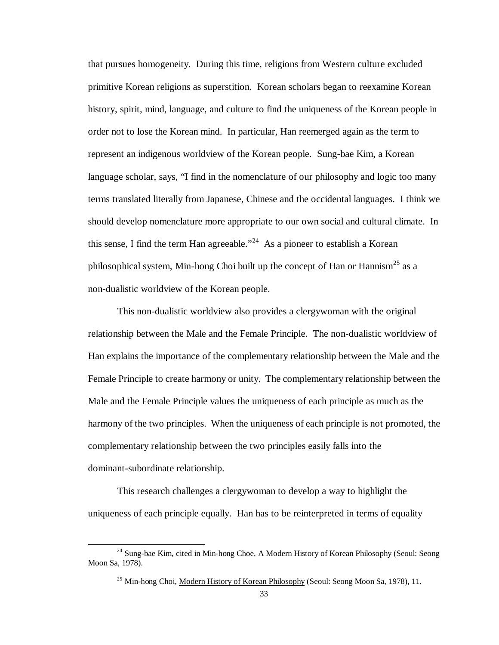that pursues homogeneity. During this time, religions from Western culture excluded primitive Korean religions as superstition. Korean scholars began to reexamine Korean history, spirit, mind, language, and culture to find the uniqueness of the Korean people in order not to lose the Korean mind. In particular, Han reemerged again as the term to represent an indigenous worldview of the Korean people. Sung-bae Kim, a Korean language scholar, says, "I find in the nomenclature of our philosophy and logic too many terms translated literally from Japanese, Chinese and the occidental languages. I think we should develop nomenclature more appropriate to our own social and cultural climate. In this sense, I find the term Han agreeable.<sup> $24$ </sup> As a pioneer to establish a Korean philosophical system, Min-hong Choi built up the concept of Han or Hannism<sup>25</sup> as a non-dualistic worldview of the Korean people.

This non-dualistic worldview also provides a clergywoman with the original relationship between the Male and the Female Principle. The non-dualistic worldview of Han explains the importance of the complementary relationship between the Male and the Female Principle to create harmony or unity. The complementary relationship between the Male and the Female Principle values the uniqueness of each principle as much as the harmony of the two principles. When the uniqueness of each principle is not promoted, the complementary relationship between the two principles easily falls into the dominant-subordinate relationship.

This research challenges a clergywoman to develop a way to highlight the uniqueness of each principle equally. Han has to be reinterpreted in terms of equality

<sup>&</sup>lt;sup>24</sup> Sung-bae Kim, cited in Min-hong Choe, A Modern History of Korean Philosophy (Seoul: Seong Moon Sa, 1978).

<sup>&</sup>lt;sup>25</sup> Min-hong Choi, Modern History of Korean Philosophy (Seoul: Seong Moon Sa, 1978), 11.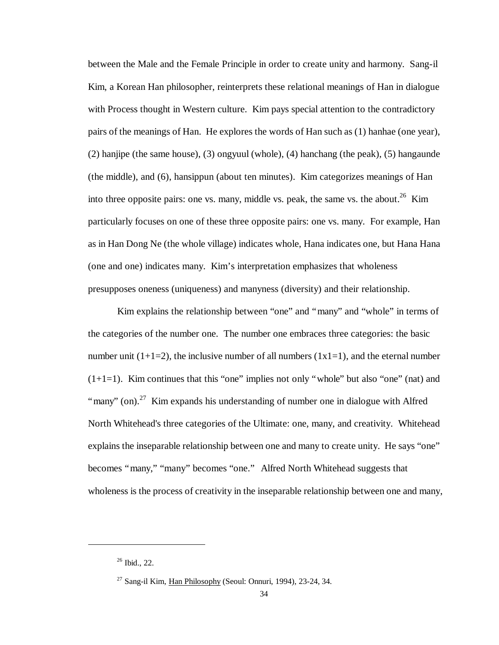between the Male and the Female Principle in order to create unity and harmony. Sang-il Kim, a Korean Han philosopher, reinterprets these relational meanings of Han in dialogue with Process thought in Western culture. Kim pays special attention to the contradictory pairs of the meanings of Han. He explores the words of Han such as (1) hanhae (one year), (2) hanjipe (the same house), (3) ongyuul (whole), (4) hanchang (the peak), (5) hangaunde (the middle), and (6), hansippun (about ten minutes). Kim categorizes meanings of Han into three opposite pairs: one vs. many, middle vs. peak, the same vs. the about.<sup>26</sup> Kim particularly focuses on one of these three opposite pairs: one vs. many. For example, Han as in Han Dong Ne (the whole village) indicates whole, Hana indicates one, but Hana Hana (one and one) indicates many. Kim's interpretation emphasizes that wholeness presupposes oneness (uniqueness) and manyness (diversity) and their relationship.

Kim explains the relationship between "one" and "many" and "whole" in terms of the categories of the number one. The number one embraces three categories: the basic number unit  $(1+1=2)$ , the inclusive number of all numbers  $(1x1=1)$ , and the eternal number  $(1+1=1)$ . Kim continues that this "one" implies not only "whole" but also "one" (nat) and "many" (on).<sup>27</sup> Kim expands his understanding of number one in dialogue with Alfred North Whitehead's three categories of the Ultimate: one, many, and creativity. Whitehead explains the inseparable relationship between one and many to create unity. He says "one" becomes "many," "many" becomes "one." Alfred North Whitehead suggests that wholeness is the process of creativity in the inseparable relationship between one and many,

 $26$  Ibid., 22.

 $27$  Sang-il Kim, Han Philosophy (Seoul: Onnuri, 1994), 23-24, 34.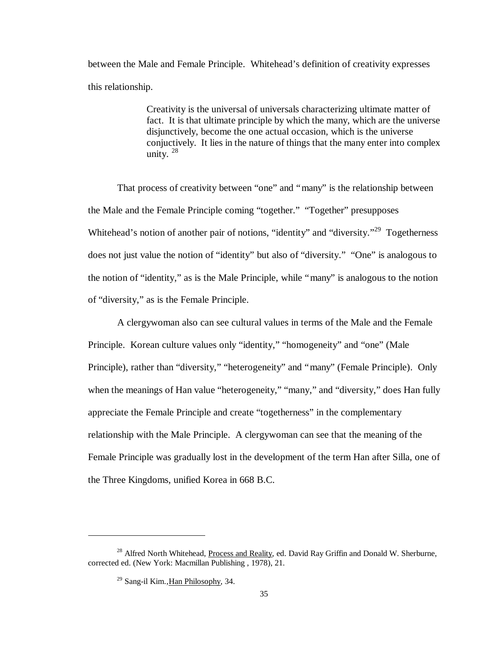between the Male and Female Principle. Whitehead's definition of creativity expresses this relationship.

> Creativity is the universal of universals characterizing ultimate matter of fact. It is that ultimate principle by which the many, which are the universe disjunctively, become the one actual occasion, which is the universe conjuctively. It lies in the nature of things that the many enter into complex unity.  $28$

That process of creativity between "one" and "many" is the relationship between the Male and the Female Principle coming "together." "Together" presupposes Whitehead's notion of another pair of notions, "identity" and "diversity."<sup>29</sup> Togetherness does not just value the notion of "identity" but also of "diversity." "One" is analogous to the notion of "identity," as is the Male Principle, while "many" is analogous to the notion of "diversity," as is the Female Principle.

A clergywoman also can see cultural values in terms of the Male and the Female Principle. Korean culture values only "identity," "homogeneity" and "one" (Male Principle), rather than "diversity," "heterogeneity" and "many" (Female Principle). Only when the meanings of Han value "heterogeneity," "many," and "diversity," does Han fully appreciate the Female Principle and create "togetherness" in the complementary relationship with the Male Principle. A clergywoman can see that the meaning of the Female Principle was gradually lost in the development of the term Han after Silla, one of the Three Kingdoms, unified Korea in 668 B.C.

<sup>&</sup>lt;sup>28</sup> Alfred North Whitehead, Process and Reality, ed. David Ray Griffin and Donald W. Sherburne, corrected ed. (New York: Macmillan Publishing , 1978), 21.

<sup>29</sup> Sang-il Kim.,Han Philosophy, 34.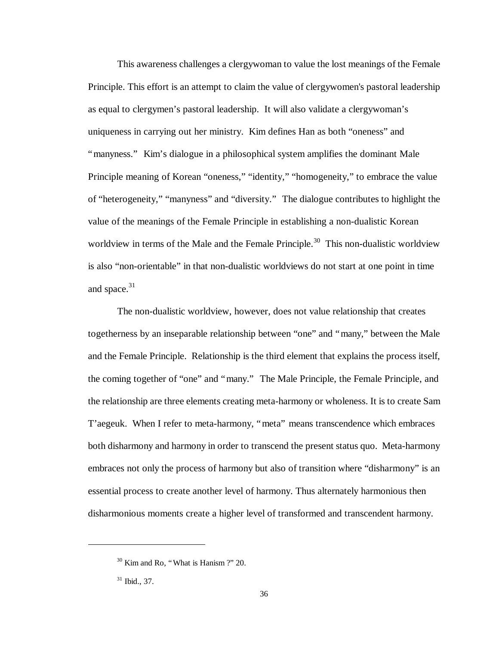This awareness challenges a clergywoman to value the lost meanings of the Female Principle. This effort is an attempt to claim the value of clergywomen's pastoral leadership as equal to clergymen's pastoral leadership. It will also validate a clergywoman's uniqueness in carrying out her ministry. Kim defines Han as both "oneness" and "manyness." Kim's dialogue in a philosophical system amplifies the dominant Male Principle meaning of Korean "oneness," "identity," "homogeneity," to embrace the value of "heterogeneity," "manyness" and "diversity." The dialogue contributes to highlight the value of the meanings of the Female Principle in establishing a non-dualistic Korean worldview in terms of the Male and the Female Principle.<sup>30</sup> This non-dualistic worldview is also "non-orientable" in that non-dualistic worldviews do not start at one point in time and space. $31$ 

The non-dualistic worldview, however, does not value relationship that creates togetherness by an inseparable relationship between "one" and "many," between the Male and the Female Principle. Relationship is the third element that explains the process itself, the coming together of "one" and "many." The Male Principle, the Female Principle, and the relationship are three elements creating meta-harmony or wholeness. It is to create Sam T'aegeuk. When I refer to meta-harmony, "meta" means transcendence which embraces both disharmony and harmony in order to transcend the present status quo. Meta-harmony embraces not only the process of harmony but also of transition where "disharmony" is an essential process to create another level of harmony. Thus alternately harmonious then disharmonious moments create a higher level of transformed and transcendent harmony.

 $30$  Kim and Ro, "What is Hanism ?" 20.

<sup>31</sup> Ibid., 37.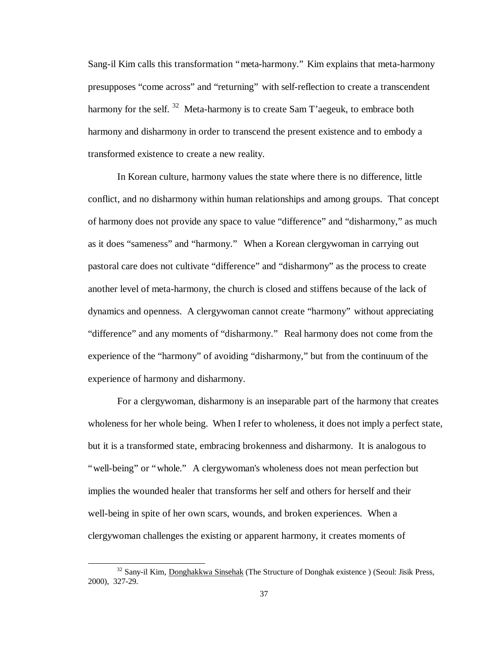Sang-il Kim calls this transformation "meta-harmony." Kim explains that meta-harmony presupposes "come across" and "returning" with self-reflection to create a transcendent harmony for the self.  $32$  Meta-harmony is to create Sam T'aegeuk, to embrace both harmony and disharmony in order to transcend the present existence and to embody a transformed existence to create a new reality.

In Korean culture, harmony values the state where there is no difference, little conflict, and no disharmony within human relationships and among groups. That concept of harmony does not provide any space to value "difference" and "disharmony," as much as it does "sameness" and "harmony." When a Korean clergywoman in carrying out pastoral care does not cultivate "difference" and "disharmony" as the process to create another level of meta-harmony, the church is closed and stiffens because of the lack of dynamics and openness. A clergywoman cannot create "harmony" without appreciating "difference" and any moments of "disharmony." Real harmony does not come from the experience of the "harmony" of avoiding "disharmony," but from the continuum of the experience of harmony and disharmony.

For a clergywoman, disharmony is an inseparable part of the harmony that creates wholeness for her whole being. When I refer to wholeness, it does not imply a perfect state, but it is a transformed state, embracing brokenness and disharmony. It is analogous to "well-being" or "whole." A clergywoman's wholeness does not mean perfection but implies the wounded healer that transforms her self and others for herself and their well-being in spite of her own scars, wounds, and broken experiences. When a clergywoman challenges the existing or apparent harmony, it creates moments of

<sup>&</sup>lt;sup>32</sup> Sany-il Kim, Donghakkwa Sinsehak (The Structure of Donghak existence) (Seoul: Jisik Press, 2000), 327-29.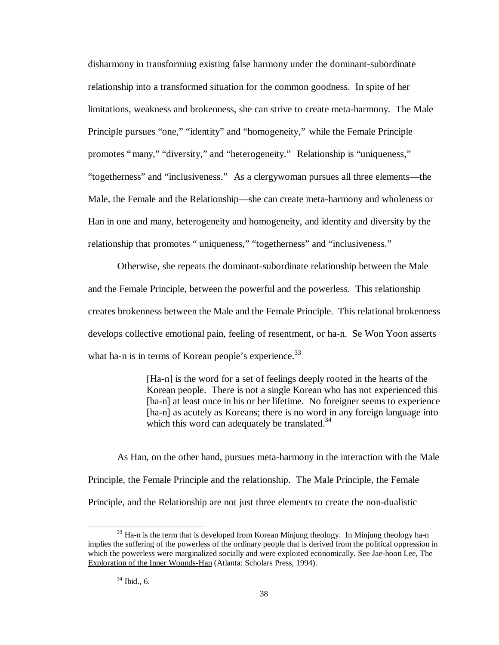disharmony in transforming existing false harmony under the dominant-subordinate relationship into a transformed situation for the common goodness. In spite of her limitations, weakness and brokenness, she can strive to create meta-harmony. The Male Principle pursues "one," "identity" and "homogeneity," while the Female Principle promotes "many," "diversity," and "heterogeneity." Relationship is "uniqueness," "togetherness" and "inclusiveness." As a clergywoman pursues all three elements— the Male, the Female and the Relationship— she can create meta-harmony and wholeness or Han in one and many, heterogeneity and homogeneity, and identity and diversity by the relationship that promotes " uniqueness," "togetherness" and "inclusiveness."

Otherwise, she repeats the dominant-subordinate relationship between the Male and the Female Principle, between the powerful and the powerless. This relationship creates brokenness between the Male and the Female Principle. This relational brokenness develops collective emotional pain, feeling of resentment, or ha-n. Se Won Yoon asserts what ha-n is in terms of Korean people's experience. $33$ 

> [Ha-n] is the word for a set of feelings deeply rooted in the hearts of the Korean people. There is not a single Korean who has not experienced this [ha-n] at least once in his or her lifetime. No foreigner seems to experience [ha-n] as acutely as Koreans; there is no word in any foreign language into which this word can adequately be translated. $34$

As Han, on the other hand, pursues meta-harmony in the interaction with the Male Principle, the Female Principle and the relationship. The Male Principle, the Female Principle, and the Relationship are not just three elements to create the non-dualistic

<sup>&</sup>lt;sup>33</sup> Ha-n is the term that is developed from Korean Minjung theology. In Minjung theology ha-n implies the suffering of the powerless of the ordinary people that is derived from the political oppression in which the powerless were marginalized socially and were exploited economically. See Jae-hoon Lee, The Exploration of the Inner Wounds-Han (Atlanta: Scholars Press, 1994).

 $34$  Ibid., 6.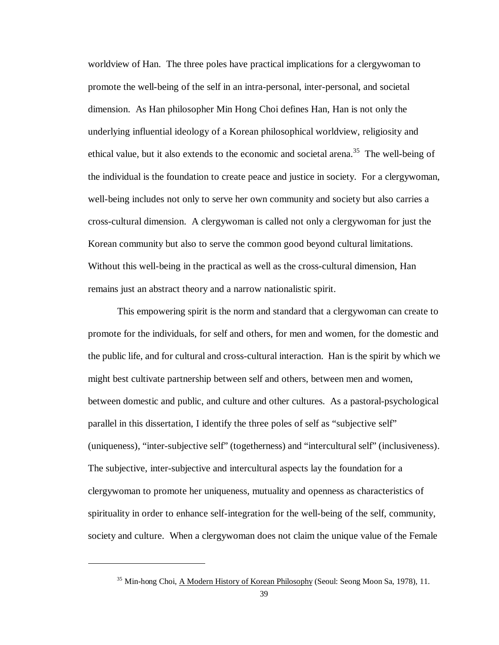worldview of Han. The three poles have practical implications for a clergywoman to promote the well-being of the self in an intra-personal, inter-personal, and societal dimension. As Han philosopher Min Hong Choi defines Han, Han is not only the underlying influential ideology of a Korean philosophical worldview, religiosity and ethical value, but it also extends to the economic and societal arena.<sup>35</sup> The well-being of the individual is the foundation to create peace and justice in society. For a clergywoman, well-being includes not only to serve her own community and society but also carries a cross-cultural dimension. A clergywoman is called not only a clergywoman for just the Korean community but also to serve the common good beyond cultural limitations. Without this well-being in the practical as well as the cross-cultural dimension, Han remains just an abstract theory and a narrow nationalistic spirit.

This empowering spirit is the norm and standard that a clergywoman can create to promote for the individuals, for self and others, for men and women, for the domestic and the public life, and for cultural and cross-cultural interaction. Han is the spirit by which we might best cultivate partnership between self and others, between men and women, between domestic and public, and culture and other cultures. As a pastoral-psychological parallel in this dissertation, I identify the three poles of self as "subjective self" (uniqueness), "inter-subjective self" (togetherness) and "intercultural self" (inclusiveness). The subjective, inter-subjective and intercultural aspects lay the foundation for a clergywoman to promote her uniqueness, mutuality and openness as characteristics of spirituality in order to enhance self-integration for the well-being of the self, community, society and culture. When a clergywoman does not claim the unique value of the Female

<sup>&</sup>lt;sup>35</sup> Min-hong Choi, A Modern History of Korean Philosophy (Seoul: Seong Moon Sa, 1978), 11.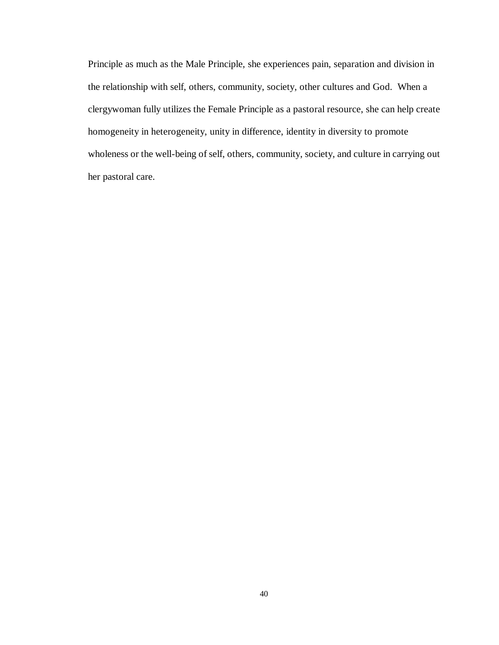Principle as much as the Male Principle, she experiences pain, separation and division in the relationship with self, others, community, society, other cultures and God. When a clergywoman fully utilizes the Female Principle as a pastoral resource, she can help create homogeneity in heterogeneity, unity in difference, identity in diversity to promote wholeness or the well-being of self, others, community, society, and culture in carrying out her pastoral care.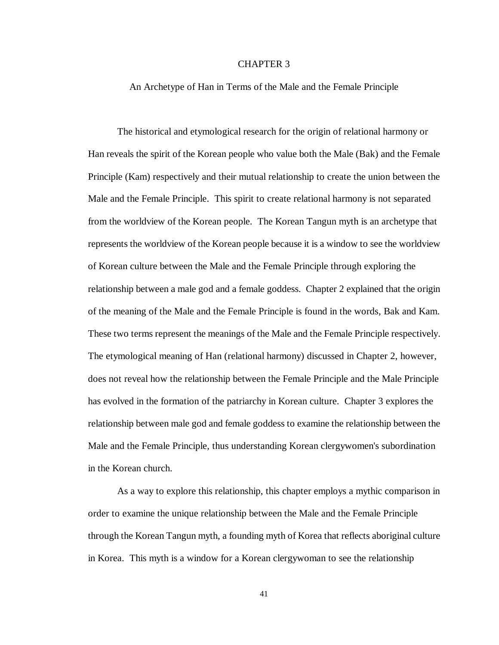# CHAPTER 3

#### An Archetype of Han in Terms of the Male and the Female Principle

The historical and etymological research for the origin of relational harmony or Han reveals the spirit of the Korean people who value both the Male (Bak) and the Female Principle (Kam) respectively and their mutual relationship to create the union between the Male and the Female Principle. This spirit to create relational harmony is not separated from the worldview of the Korean people. The Korean Tangun myth is an archetype that represents the worldview of the Korean people because it is a window to see the worldview of Korean culture between the Male and the Female Principle through exploring the relationship between a male god and a female goddess. Chapter 2 explained that the origin of the meaning of the Male and the Female Principle is found in the words, Bak and Kam. These two terms represent the meanings of the Male and the Female Principle respectively. The etymological meaning of Han (relational harmony) discussed in Chapter 2, however, does not reveal how the relationship between the Female Principle and the Male Principle has evolved in the formation of the patriarchy in Korean culture. Chapter 3 explores the relationship between male god and female goddess to examine the relationship between the Male and the Female Principle, thus understanding Korean clergywomen's subordination in the Korean church.

As a way to explore this relationship, this chapter employs a mythic comparison in order to examine the unique relationship between the Male and the Female Principle through the Korean Tangun myth, a founding myth of Korea that reflects aboriginal culture in Korea. This myth is a window for a Korean clergywoman to see the relationship

41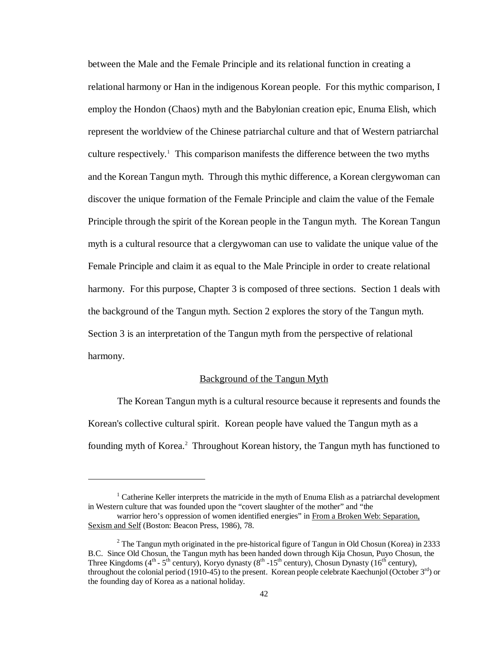between the Male and the Female Principle and its relational function in creating a relational harmony or Han in the indigenous Korean people. For this mythic comparison, I employ the Hondon (Chaos) myth and the Babylonian creation epic, Enuma Elish, which represent the worldview of the Chinese patriarchal culture and that of Western patriarchal culture respectively.<sup>1</sup> This comparison manifests the difference between the two myths and the Korean Tangun myth. Through this mythic difference, a Korean clergywoman can discover the unique formation of the Female Principle and claim the value of the Female Principle through the spirit of the Korean people in the Tangun myth. The Korean Tangun myth is a cultural resource that a clergywoman can use to validate the unique value of the Female Principle and claim it as equal to the Male Principle in order to create relational harmony. For this purpose, Chapter 3 is composed of three sections. Section 1 deals with the background of the Tangun myth. Section 2 explores the story of the Tangun myth. Section 3 is an interpretation of the Tangun myth from the perspective of relational harmony.

#### Background of the Tangun Myth

The Korean Tangun myth is a cultural resource because it represents and founds the Korean's collective cultural spirit. Korean people have valued the Tangun myth as a founding myth of Korea.<sup>2</sup> Throughout Korean history, the Tangun myth has functioned to

1

 $1$  Catherine Keller interprets the matricide in the myth of Enuma Elish as a patriarchal development in Western culture that was founded upon the "covert slaughter of the mother" and "the

warrior hero's oppression of women identified energies" in From a Broken Web: Separation, Sexism and Self (Boston: Beacon Press, 1986), 78.

<sup>&</sup>lt;sup>2</sup> The Tangun myth originated in the pre-historical figure of Tangun in Old Chosun (Korea) in 2333 B.C. Since Old Chosun, the Tangun myth has been handed down through Kija Chosun, Puyo Chosun, the Three Kingdoms (4<sup>th</sup> - 5<sup>th</sup> century), Koryo dynasty (8<sup>th</sup> -15<sup>th</sup> century), Chosun Dynasty (16<sup>th</sup> century), throughout the colonial period (1910-45) to the present. Korean people celebrate Kaechunjol (October  $3<sup>rd</sup>$ ) or the founding day of Korea as a national holiday.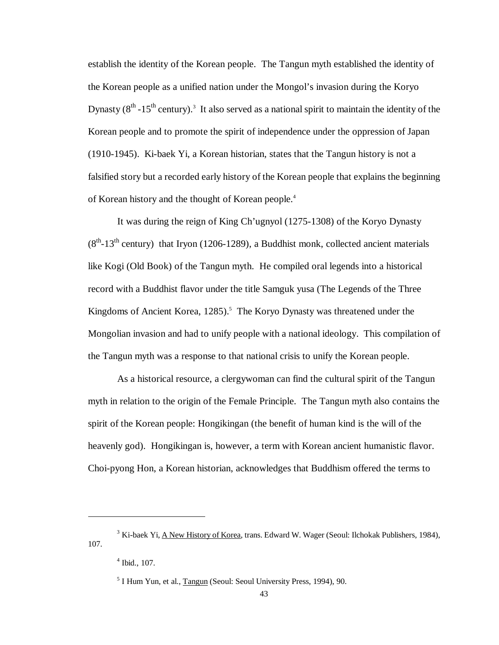establish the identity of the Korean people. The Tangun myth established the identity of the Korean people as a unified nation under the Mongol's invasion during the Koryo Dynasty  $(8<sup>th</sup> - 15<sup>th</sup>$  century).<sup>3</sup> It also served as a national spirit to maintain the identity of the Korean people and to promote the spirit of independence under the oppression of Japan (1910-1945). Ki-baek Yi, a Korean historian, states that the Tangun history is not a falsified story but a recorded early history of the Korean people that explains the beginning of Korean history and the thought of Korean people.<sup>4</sup>

It was during the reign of King Ch'ugnyol (1275-1308) of the Koryo Dynasty  $(8<sup>th</sup> - 13<sup>th</sup>$  century) that Iryon (1206-1289), a Buddhist monk, collected ancient materials like Kogi (Old Book) of the Tangun myth. He compiled oral legends into a historical record with a Buddhist flavor under the title Samguk yusa (The Legends of the Three Kingdoms of Ancient Korea, 1285).<sup>5</sup> The Koryo Dynasty was threatened under the Mongolian invasion and had to unify people with a national ideology. This compilation of the Tangun myth was a response to that national crisis to unify the Korean people.

As a historical resource, a clergywoman can find the cultural spirit of the Tangun myth in relation to the origin of the Female Principle. The Tangun myth also contains the spirit of the Korean people: Hongikingan (the benefit of human kind is the will of the heavenly god). Hongikingan is, however, a term with Korean ancient humanistic flavor. Choi-pyong Hon, a Korean historian, acknowledges that Buddhism offered the terms to

<sup>&</sup>lt;sup>3</sup> Ki-baek Yi, <u>A New History of Korea</u>, trans. Edward W. Wager (Seoul: Ilchokak Publishers, 1984), 107.

 $4$  Ibid., 107.

<sup>&</sup>lt;sup>5</sup> I Hum Yun, et al., Tangun (Seoul: Seoul University Press, 1994), 90.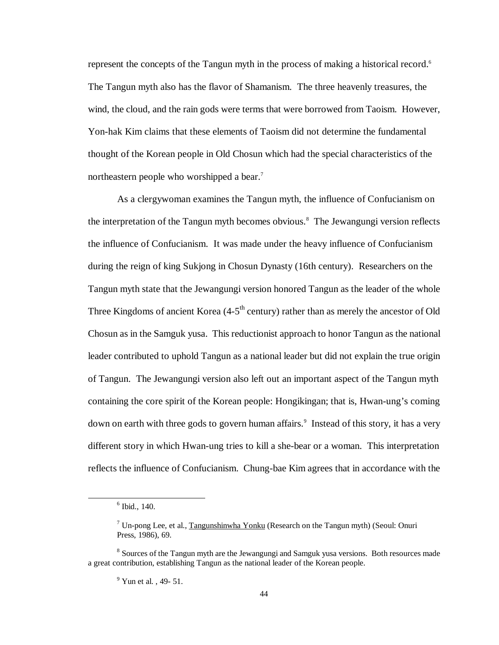represent the concepts of the Tangun myth in the process of making a historical record.<sup>6</sup> The Tangun myth also has the flavor of Shamanism. The three heavenly treasures, the wind, the cloud, and the rain gods were terms that were borrowed from Taoism. However, Yon-hak Kim claims that these elements of Taoism did not determine the fundamental thought of the Korean people in Old Chosun which had the special characteristics of the northeastern people who worshipped a bear.<sup>7</sup>

As a clergywoman examines the Tangun myth, the influence of Confucianism on the interpretation of the Tangun myth becomes obvious.<sup>8</sup> The Jewangungi version reflects the influence of Confucianism. It was made under the heavy influence of Confucianism during the reign of king Sukjong in Chosun Dynasty (16th century). Researchers on the Tangun myth state that the Jewangungi version honored Tangun as the leader of the whole Three Kingdoms of ancient Korea (4-5<sup>th</sup> century) rather than as merely the ancestor of Old Chosun as in the Samguk yusa. This reductionist approach to honor Tangun as the national leader contributed to uphold Tangun as a national leader but did not explain the true origin of Tangun. The Jewangungi version also left out an important aspect of the Tangun myth containing the core spirit of the Korean people: Hongikingan; that is, Hwan-ung's coming down on earth with three gods to govern human affairs.<sup>9</sup> Instead of this story, it has a very different story in which Hwan-ung tries to kill a she-bear or a woman. This interpretation reflects the influence of Confucianism. Chung-bae Kim agrees that in accordance with the

<sup>6</sup> Ibid., 140.

<sup>&</sup>lt;sup>7</sup> Un-pong Lee, et al., Tangunshinwha Yonku (Research on the Tangun myth) (Seoul: Onuri Press, 1986), 69.

<sup>&</sup>lt;sup>8</sup> Sources of the Tangun myth are the Jewangungi and Samguk yusa versions. Both resources made a great contribution, establishing Tangun as the national leader of the Korean people.

 $9$  Yun et al., 49- 51.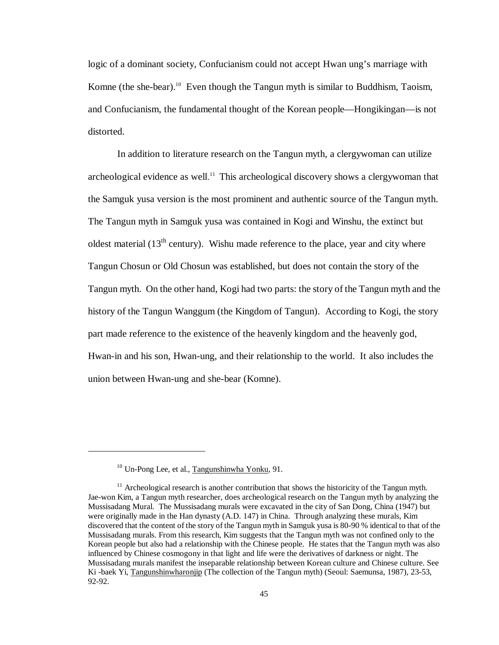logic of a dominant society, Confucianism could not accept Hwan ung's marriage with Komne (the she-bear).<sup>10</sup> Even though the Tangun myth is similar to Buddhism, Taoism, and Confucianism, the fundamental thought of the Korean people— Hongikingan— is not distorted.

In addition to literature research on the Tangun myth, a clergywoman can utilize archeological evidence as well.<sup>11</sup> This archeological discovery shows a clergywoman that the Samguk yusa version is the most prominent and authentic source of the Tangun myth. The Tangun myth in Samguk yusa was contained in Kogi and Winshu, the extinct but oldest material  $(13<sup>th</sup>$  century). Wishu made reference to the place, year and city where Tangun Chosun or Old Chosun was established, but does not contain the story of the Tangun myth. On the other hand, Kogi had two parts: the story of the Tangun myth and the history of the Tangun Wanggum (the Kingdom of Tangun). According to Kogi, the story part made reference to the existence of the heavenly kingdom and the heavenly god, Hwan-in and his son, Hwan-ung, and their relationship to the world. It also includes the union between Hwan-ung and she-bear (Komne).

<sup>10</sup> Un-Pong Lee, et al., Tangunshinwha Yonku, 91.

 $11$  Archeological research is another contribution that shows the historicity of the Tangun myth. Jae-won Kim, a Tangun myth researcher, does archeological research on the Tangun myth by analyzing the Mussisadang Mural. The Mussisadang murals were excavated in the city of San Dong, China (1947) but were originally made in the Han dynasty (A.D. 147) in China. Through analyzing these murals, Kim discovered that the content of the story of the Tangun myth in Samguk yusa is 80-90 % identical to that of the Mussisadang murals. From this research, Kim suggests that the Tangun myth was not confined only to the Korean people but also had a relationship with the Chinese people. He states that the Tangun myth was also influenced by Chinese cosmogony in that light and life were the derivatives of darkness or night. The Mussisadang murals manifest the inseparable relationship between Korean culture and Chinese culture. See Ki -baek Yi, Tangunshinwharonjip (The collection of the Tangun myth) (Seoul: Saemunsa, 1987), 23-53, 92-92.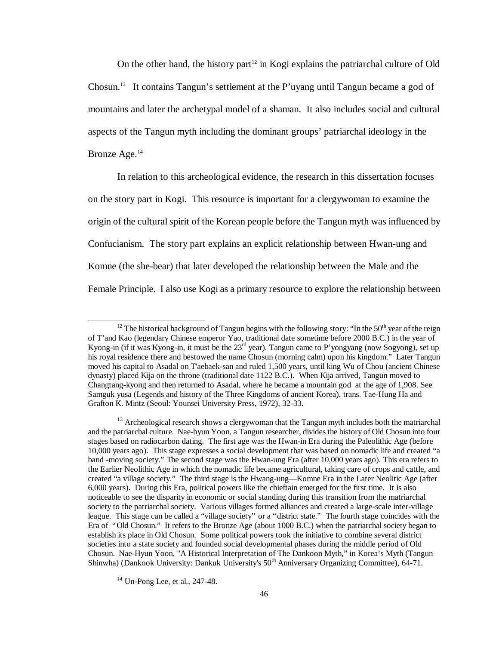On the other hand, the history part<sup>12</sup> in Kogi explains the patriarchal culture of Old Chosun.<sup>13</sup> It contains Tangun's settlement at the P'uyang until Tangun became a god of mountains and later the archetypal model of a shaman. It also includes social and cultural aspects of the Tangun myth including the dominant groups' patriarchal ideology in the Bronze Age.<sup>14</sup>

In relation to this archeological evidence, the research in this dissertation focuses on the story part in Kogi. This resource is important for a clergywoman to examine the origin of the cultural spirit of the Korean people before the Tangun myth was influenced by Confucianism. The story part explains an explicit relationship between Hwan-ung and Komne (the she-bear) that later developed the relationship between the Male and the Female Principle. I also use Kogi as a primary resource to explore the relationship between

1

<sup>&</sup>lt;sup>12</sup> The historical background of Tangun begins with the following story: "In the 50<sup>th</sup> year of the reign of T'and Kao (legendary Chinese emperor Yao, traditional date sometime before 2000 B.C.) in the year of Kyong-in (if it was Kyong-in, it must be the 23<sup>rd</sup> year). Tangun came to P'yongyang (now Sogyong), set up his royal residence there and bestowed the name Chosun (morning calm) upon his kingdom." Later Tangun moved his capital to Asadal on T'aebaek-san and ruled 1,500 years, until king Wu of Chou (ancient Chinese dynasty) placed Kija on the throne (traditional date 1122 B.C.). When Kija arrived, Tangun moved to Changtang-kyong and then returned to Asadal, where he became a mountain god at the age of 1,908. See Samguk yusa (Legends and history of the Three Kingdoms of ancient Korea), trans. Tae-Hung Ha and Grafton K. Mintz (Seoul: Younsei University Press, 1972), 32-33.

 $<sup>13</sup>$  Archeological research shows a clergywoman that the Tangun myth includes both the matriarchal</sup> and the patriarchal culture. Nae-hyun Yoon, a Tangun researcher, divides the history of Old Chosun into four stages based on radiocarbon dating. The first age was the Hwan-in Era during the Paleolithic Age (before 10,000 years ago). This stage expresses a social development that was based on nomadic life and created "a band -moving society." The second stage was the Hwan-ung Era (after 10,000 years ago). This era refers to the Earlier Neolithic Age in which the nomadic life became agricultural, taking care of crops and cattle, and created "a village society." The third stage is the Hwang-ung— Komne Era in the Later Neolitic Age (after 6,000 years). During this Era, political powers like the chieftain emerged for the first time. It is also noticeable to see the disparity in economic or social standing during this transition from the matriarchal society to the patriarchal society. Various villages formed alliances and created a large-scale inter-village league. This stage can be called a "village society" or a "district state." The fourth stage coincides with the Era of "Old Chosun." It refers to the Bronze Age (about 1000 B.C.) when the patriarchal society began to establish its place in Old Chosun. Some political powers took the initiative to combine several district societies into a state society and founded social developmental phases during the middle period of Old Chosun. Nae-Hyun Yoon, "A Historical Interpretation of The Dankoon Myth," in Korea's Myth (Tangun Shinwha) (Dankook University: Dankuk University's 50<sup>th</sup> Anniversary Organizing Committee), 64-71.

<sup>14</sup> Un-Pong Lee, et al., 247-48.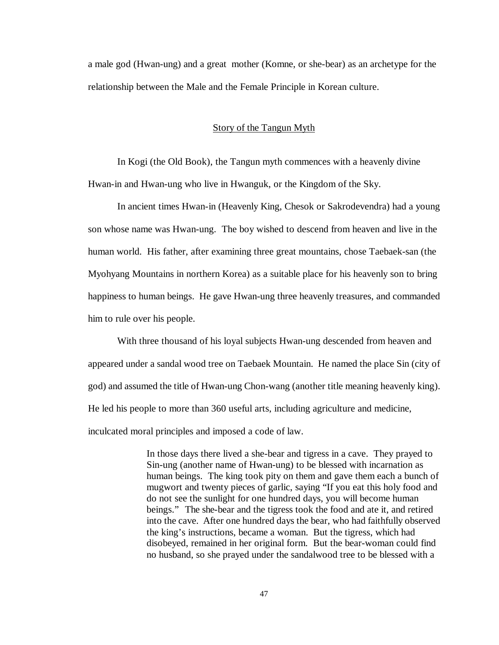a male god (Hwan-ung) and a great mother (Komne, or she-bear) as an archetype for the relationship between the Male and the Female Principle in Korean culture.

# Story of the Tangun Myth

In Kogi (the Old Book), the Tangun myth commences with a heavenly divine Hwan-in and Hwan-ung who live in Hwanguk, or the Kingdom of the Sky.

In ancient times Hwan-in (Heavenly King, Chesok or Sakrodevendra) had a young son whose name was Hwan-ung. The boy wished to descend from heaven and live in the human world. His father, after examining three great mountains, chose Taebaek-san (the Myohyang Mountains in northern Korea) as a suitable place for his heavenly son to bring happiness to human beings. He gave Hwan-ung three heavenly treasures, and commanded him to rule over his people.

With three thousand of his loyal subjects Hwan-ung descended from heaven and appeared under a sandal wood tree on Taebaek Mountain. He named the place Sin (city of god) and assumed the title of Hwan-ung Chon-wang (another title meaning heavenly king). He led his people to more than 360 useful arts, including agriculture and medicine, inculcated moral principles and imposed a code of law.

> In those days there lived a she-bear and tigress in a cave. They prayed to Sin-ung (another name of Hwan-ung) to be blessed with incarnation as human beings. The king took pity on them and gave them each a bunch of mugwort and twenty pieces of garlic, saying "If you eat this holy food and do not see the sunlight for one hundred days, you will become human beings." The she-bear and the tigress took the food and ate it, and retired into the cave. After one hundred days the bear, who had faithfully observed the king's instructions, became a woman. But the tigress, which had disobeyed, remained in her original form. But the bear-woman could find no husband, so she prayed under the sandalwood tree to be blessed with a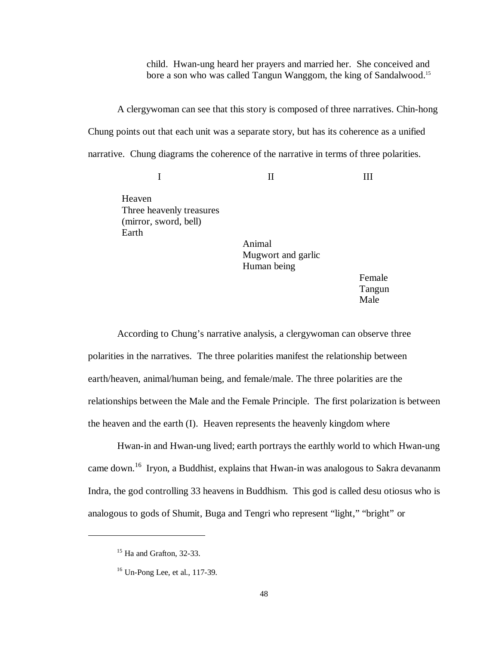child. Hwan-ung heard her prayers and married her. She conceived and bore a son who was called Tangun Wanggom, the king of Sandalwood.<sup>15</sup>

A clergywoman can see that this story is composed of three narratives. Chin-hong Chung points out that each unit was a separate story, but has its coherence as a unified narrative. Chung diagrams the coherence of the narrative in terms of three polarities.

II

Heaven Three heavenly treasures (mirror, sword, bell) Earth

I

Animal Mugwort and garlic Human being

Female Tangun Male

III

According to Chung's narrative analysis, a clergywoman can observe three polarities in the narratives. The three polarities manifest the relationship between earth/heaven, animal/human being, and female/male. The three polarities are the relationships between the Male and the Female Principle. The first polarization is between the heaven and the earth (I). Heaven represents the heavenly kingdom where

Hwan-in and Hwan-ung lived; earth portrays the earthly world to which Hwan-ung came down.<sup>16</sup> Iryon, a Buddhist, explains that Hwan-in was analogous to Sakra devananm Indra, the god controlling 33 heavens in Buddhism. This god is called desu otiosus who is analogous to gods of Shumit, Buga and Tengri who represent "light," "bright" or

<sup>&</sup>lt;sup>15</sup> Ha and Grafton, 32-33.

<sup>16</sup> Un-Pong Lee, et al., 117-39.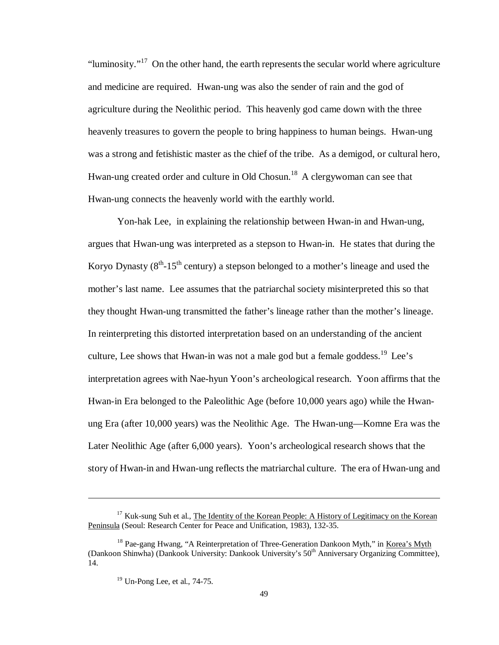"luminosity."<sup>17</sup> On the other hand, the earth represents the secular world where agriculture and medicine are required. Hwan-ung was also the sender of rain and the god of agriculture during the Neolithic period. This heavenly god came down with the three heavenly treasures to govern the people to bring happiness to human beings. Hwan-ung was a strong and fetishistic master as the chief of the tribe. As a demigod, or cultural hero, Hwan-ung created order and culture in Old Chosun.<sup>18</sup> A clergywoman can see that Hwan-ung connects the heavenly world with the earthly world.

Yon-hak Lee, in explaining the relationship between Hwan-in and Hwan-ung, argues that Hwan-ung was interpreted as a stepson to Hwan-in. He states that during the Koryo Dynasty ( $8<sup>th</sup> - 15<sup>th</sup>$  century) a stepson belonged to a mother's lineage and used the mother's last name. Lee assumes that the patriarchal society misinterpreted this so that they thought Hwan-ung transmitted the father's lineage rather than the mother's lineage. In reinterpreting this distorted interpretation based on an understanding of the ancient culture, Lee shows that Hwan-in was not a male god but a female goddess.<sup>19</sup> Lee's interpretation agrees with Nae-hyun Yoon's archeological research. Yoon affirms that the Hwan-in Era belonged to the Paleolithic Age (before 10,000 years ago) while the Hwanung Era (after 10,000 years) was the Neolithic Age. The Hwan-ung— Komne Era was the Later Neolithic Age (after 6,000 years). Yoon's archeological research shows that the story of Hwan-in and Hwan-ung reflects the matriarchal culture. The era of Hwan-ung and

 $17$  Kuk-sung Suh et al., The Identity of the Korean People: A History of Legitimacy on the Korean Peninsula (Seoul: Research Center for Peace and Unification, 1983), 132-35.

<sup>&</sup>lt;sup>18</sup> Pae-gang Hwang, "A Reinterpretation of Three-Generation Dankoon Myth," in Korea's Myth (Dankoon Shinwha) (Dankook University: Dankook University's 50th Anniversary Organizing Committee), 14.

 $19$  Un-Pong Lee, et al., 74-75.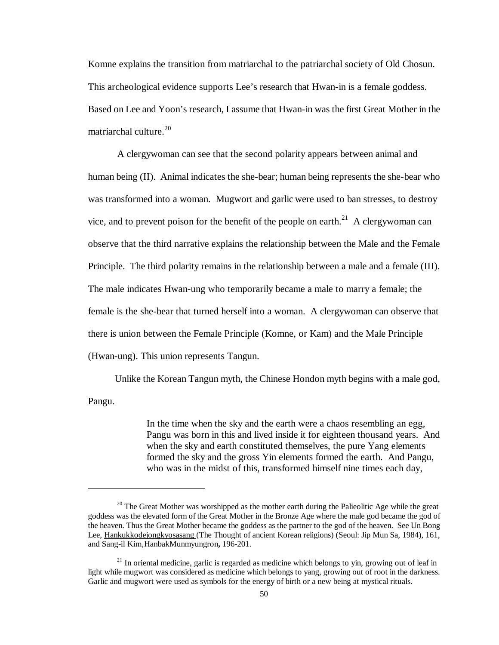Komne explains the transition from matriarchal to the patriarchal society of Old Chosun. This archeological evidence supports Lee's research that Hwan-in is a female goddess. Based on Lee and Yoon's research, I assume that Hwan-in was the first Great Mother in the matriarchal culture. 20

A clergywoman can see that the second polarity appears between animal and human being (II). Animal indicates the she-bear; human being represents the she-bear who was transformed into a woman. Mugwort and garlic were used to ban stresses, to destroy vice, and to prevent poison for the benefit of the people on earth.<sup>21</sup> A clergywoman can observe that the third narrative explains the relationship between the Male and the Female Principle. The third polarity remains in the relationship between a male and a female (III). The male indicates Hwan-ung who temporarily became a male to marry a female; the female is the she-bear that turned herself into a woman. A clergywoman can observe that there is union between the Female Principle (Komne, or Kam) and the Male Principle (Hwan-ung). This union represents Tangun.

Unlike the Korean Tangun myth, the Chinese Hondon myth begins with a male god, Pangu.

> In the time when the sky and the earth were a chaos resembling an egg, Pangu was born in this and lived inside it for eighteen thousand years. And when the sky and earth constituted themselves, the pure Yang elements formed the sky and the gross Yin elements formed the earth. And Pangu, who was in the midst of this, transformed himself nine times each day,

 $20$  The Great Mother was worshipped as the mother earth during the Palieolitic Age while the great goddess was the elevated form of the Great Mother in the Bronze Age where the male god became the god of the heaven. Thus the Great Mother became the goddess as the partner to the god of the heaven. See Un Bong Lee, Hankukkodejongkyosasang (The Thought of ancient Korean religions) (Seoul: Jip Mun Sa, 1984), 161, and Sang-il Kim,HanbakMunmyungron**,** 196-201.

 $21$  In oriental medicine, garlic is regarded as medicine which belongs to yin, growing out of leaf in light while mugwort was considered as medicine which belongs to yang, growing out of root in the darkness. Garlic and mugwort were used as symbols for the energy of birth or a new being at mystical rituals.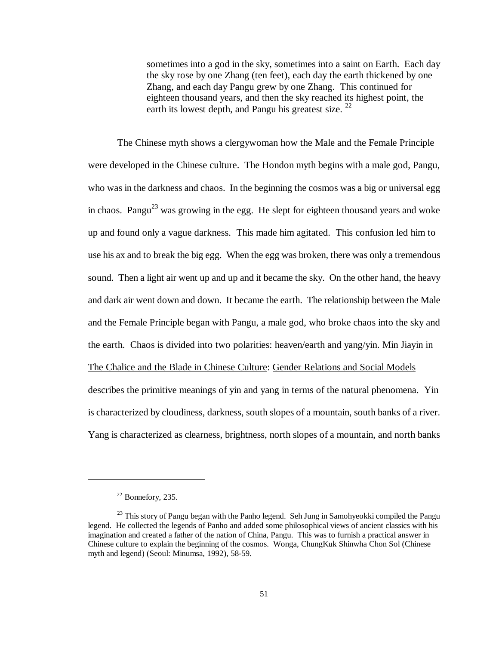sometimes into a god in the sky, sometimes into a saint on Earth. Each day the sky rose by one Zhang (ten feet), each day the earth thickened by one Zhang, and each day Pangu grew by one Zhang. This continued for eighteen thousand years, and then the sky reached its highest point, the earth its lowest depth, and Pangu his greatest size.  $^{22}$ 

The Chinese myth shows a clergywoman how the Male and the Female Principle were developed in the Chinese culture. The Hondon myth begins with a male god, Pangu, who was in the darkness and chaos. In the beginning the cosmos was a big or universal egg in chaos. Pangu<sup>23</sup> was growing in the egg. He slept for eighteen thousand years and woke up and found only a vague darkness. This made him agitated. This confusion led him to use his ax and to break the big egg. When the egg was broken, there was only a tremendous sound. Then a light air went up and up and it became the sky. On the other hand, the heavy and dark air went down and down. It became the earth. The relationship between the Male and the Female Principle began with Pangu, a male god, who broke chaos into the sky and the earth. Chaos is divided into two polarities: heaven/earth and yang/yin. Min Jiayin in The Chalice and the Blade in Chinese Culture: Gender Relations and Social Models describes the primitive meanings of yin and yang in terms of the natural phenomena. Yin is characterized by cloudiness, darkness, south slopes of a mountain, south banks of a river. Yang is characterized as clearness, brightness, north slopes of a mountain, and north banks

 $22$  Bonnefory, 235.

 $^{23}$  This story of Pangu began with the Panho legend. Seh Jung in Samohyeokki compiled the Pangu legend. He collected the legends of Panho and added some philosophical views of ancient classics with his imagination and created a father of the nation of China, Pangu. This was to furnish a practical answer in Chinese culture to explain the beginning of the cosmos. Wonga, ChungKuk Shinwha Chon Sol (Chinese myth and legend) (Seoul: Minumsa, 1992), 58-59.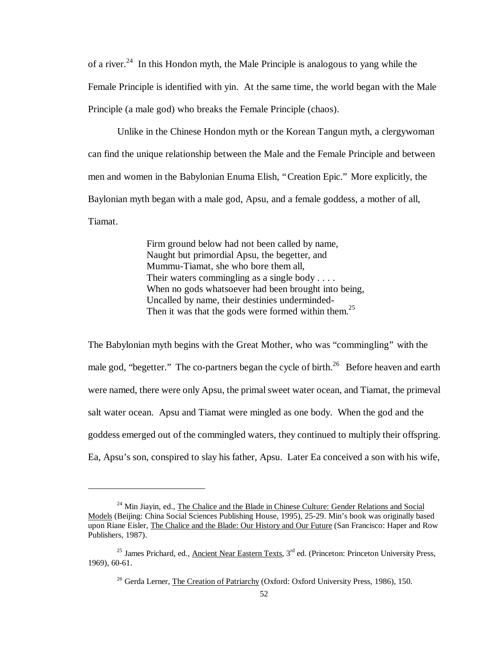of a river.<sup>24</sup> In this Hondon myth, the Male Principle is analogous to yang while the Female Principle is identified with yin. At the same time, the world began with the Male Principle (a male god) who breaks the Female Principle (chaos).

Unlike in the Chinese Hondon myth or the Korean Tangun myth, a clergywoman can find the unique relationship between the Male and the Female Principle and between men and women in the Babylonian Enuma Elish, "Creation Epic." More explicitly, the Baylonian myth began with a male god, Apsu, and a female goddess, a mother of all, Tiamat.

> Firm ground below had not been called by name, Naught but primordial Apsu, the begetter, and Mummu-Tiamat, she who bore them all, Their waters commingling as a single body . . . . When no gods whatsoever had been brought into being, Uncalled by name, their destinies underminded-Then it was that the gods were formed within them.<sup>25</sup>

The Babylonian myth begins with the Great Mother, who was "commingling" with the male god, "begetter." The co-partners began the cycle of birth.<sup>26</sup> Before heaven and earth were named, there were only Apsu, the primal sweet water ocean, and Tiamat, the primeval salt water ocean. Apsu and Tiamat were mingled as one body. When the god and the goddess emerged out of the commingled waters, they continued to multiply their offspring. Ea, Apsu's son, conspired to slay his father, Apsu. Later Ea conceived a son with his wife,

<sup>&</sup>lt;sup>24</sup> Min Jiayin, ed., The Chalice and the Blade in Chinese Culture: Gender Relations and Social Models (Beijing: China Social Sciences Publishing House, 1995), 25-29. Min's book was originally based upon Riane Eisler, The Chalice and the Blade: Our History and Our Future (San Francisco: Haper and Row Publishers, 1987).

<sup>&</sup>lt;sup>25</sup> James Prichard, ed., Ancient Near Eastern Texts,  $3<sup>rd</sup>$  ed. (Princeton: Princeton University Press, 1969), 60-61.

<sup>&</sup>lt;sup>26</sup> Gerda Lerner, The Creation of Patriarchy (Oxford: Oxford University Press, 1986), 150.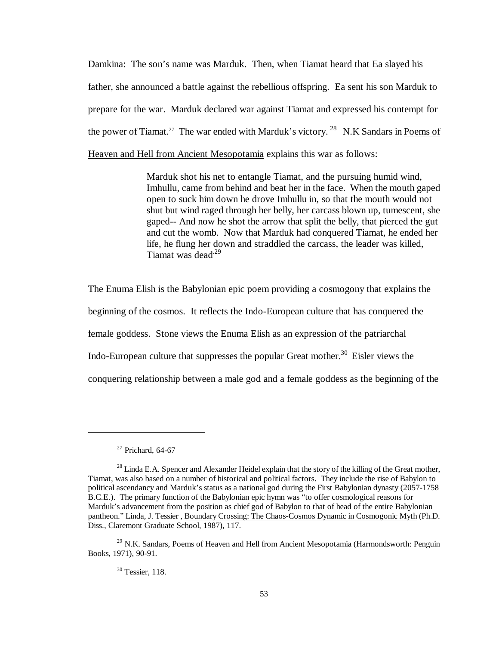Damkina: The son's name was Marduk. Then, when Tiamat heard that Ea slayed his father, she announced a battle against the rebellious offspring. Ea sent his son Marduk to prepare for the war. Marduk declared war against Tiamat and expressed his contempt for the power of Tiamat.<sup>27</sup> The war ended with Marduk's victory.<sup>28</sup> N.K Sandars in Poems of Heaven and Hell from Ancient Mesopotamia explains this war as follows:

> Marduk shot his net to entangle Tiamat, and the pursuing humid wind, Imhullu, came from behind and beat her in the face. When the mouth gaped open to suck him down he drove Imhullu in, so that the mouth would not shut but wind raged through her belly, her carcass blown up, tumescent, she gaped-- And now he shot the arrow that split the belly, that pierced the gut and cut the womb. Now that Marduk had conquered Tiamat, he ended her life, he flung her down and straddled the carcass, the leader was killed, Tiamat was dead<sup>.29</sup>

The Enuma Elish is the Babylonian epic poem providing a cosmogony that explains the beginning of the cosmos. It reflects the Indo-European culture that has conquered the female goddess. Stone views the Enuma Elish as an expression of the patriarchal Indo-European culture that suppresses the popular Great mother.<sup>30</sup> Eisler views the conquering relationship between a male god and a female goddess as the beginning of the

1

<sup>30</sup> Tessier, 118.

 $27$  Prichard, 64-67

<sup>&</sup>lt;sup>28</sup> Linda E.A. Spencer and Alexander Heidel explain that the story of the killing of the Great mother, Tiamat, was also based on a number of historical and political factors. They include the rise of Babylon to political ascendancy and Marduk's status as a national god during the First Babylonian dynasty (2057-1758 B.C.E.). The primary function of the Babylonian epic hymn was "to offer cosmological reasons for Marduk's advancement from the position as chief god of Babylon to that of head of the entire Babylonian pantheon." Linda, J. Tessier , Boundary Crossing: The Chaos-Cosmos Dynamic in Cosmogonic Myth (Ph.D. Diss., Claremont Graduate School, 1987), 117.

<sup>&</sup>lt;sup>29</sup> N.K. Sandars, Poems of Heaven and Hell from Ancient Mesopotamia (Harmondsworth: Penguin Books, 1971), 90-91.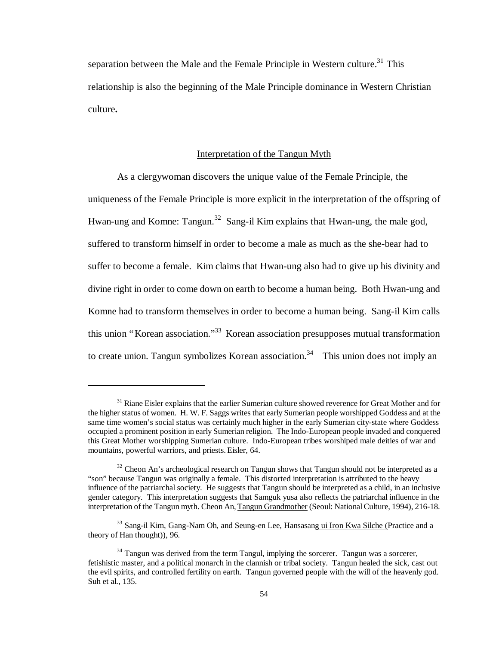separation between the Male and the Female Principle in Western culture.<sup>31</sup> This relationship is also the beginning of the Male Principle dominance in Western Christian culture**.**

### Interpretation of the Tangun Myth

As a clergywoman discovers the unique value of the Female Principle, the uniqueness of the Female Principle is more explicit in the interpretation of the offspring of Hwan-ung and Komne: Tangun.<sup>32</sup> Sang-il Kim explains that Hwan-ung, the male god, suffered to transform himself in order to become a male as much as the she-bear had to suffer to become a female. Kim claims that Hwan-ung also had to give up his divinity and divine right in order to come down on earth to become a human being. Both Hwan-ung and Komne had to transform themselves in order to become a human being. Sang-il Kim calls this union "Korean association."<sup>33</sup> Korean association presupposes mutual transformation to create union. Tangun symbolizes Korean association.<sup>34</sup> This union does not imply an

<sup>&</sup>lt;sup>31</sup> Riane Eisler explains that the earlier Sumerian culture showed reverence for Great Mother and for the higher status of women. H. W. F. Saggs writes that early Sumerian people worshipped Goddess and at the same time women's social status was certainly much higher in the early Sumerian city-state where Goddess occupied a prominent position in early Sumerian religion. The Indo-European people invaded and conquered this Great Mother worshipping Sumerian culture. Indo-European tribes worshiped male deities of war and mountains, powerful warriors, and priests.Eisler, 64.

 $32$  Cheon An's archeological research on Tangun shows that Tangun should not be interpreted as a "son" because Tangun was originally a female. This distorted interpretation is attributed to the heavy influence of the patriarchal society. He suggests that Tangun should be interpreted as a child, in an inclusive gender category. This interpretation suggests that Samguk yusa also reflects the patriarchal influence in the interpretation of the Tangun myth. Cheon An, Tangun Grandmother (Seoul: National Culture, 1994), 216-18.

<sup>&</sup>lt;sup>33</sup> Sang-il Kim, Gang-Nam Oh, and Seung-en Lee, Hansasang ui Iron Kwa Silche (Practice and a theory of Han thought)), 96.

 $34$  Tangun was derived from the term Tangul, implying the sorcerer. Tangun was a sorcerer, fetishistic master, and a political monarch in the clannish or tribal society. Tangun healed the sick, cast out the evil spirits, and controlled fertility on earth. Tangun governed people with the will of the heavenly god. Suh et al., 135.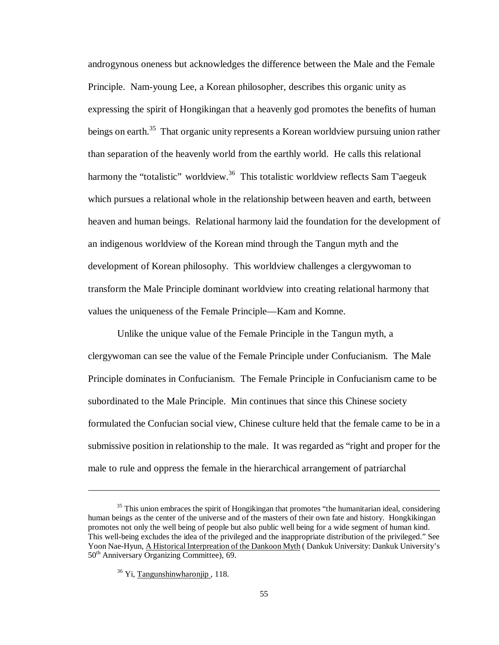androgynous oneness but acknowledges the difference between the Male and the Female Principle. Nam-young Lee, a Korean philosopher, describes this organic unity as expressing the spirit of Hongikingan that a heavenly god promotes the benefits of human beings on earth.<sup>35</sup> That organic unity represents a Korean worldview pursuing union rather than separation of the heavenly world from the earthly world. He calls this relational harmony the "totalistic" worldview.<sup>36</sup> This totalistic worldview reflects Sam T'aegeuk which pursues a relational whole in the relationship between heaven and earth, between heaven and human beings. Relational harmony laid the foundation for the development of an indigenous worldview of the Korean mind through the Tangun myth and the development of Korean philosophy. This worldview challenges a clergywoman to transform the Male Principle dominant worldview into creating relational harmony that values the uniqueness of the Female Principle— Kam and Komne.

Unlike the unique value of the Female Principle in the Tangun myth, a clergywoman can see the value of the Female Principle under Confucianism. The Male Principle dominates in Confucianism. The Female Principle in Confucianism came to be subordinated to the Male Principle. Min continues that since this Chinese society formulated the Confucian social view, Chinese culture held that the female came to be in a submissive position in relationship to the male. It was regarded as "right and proper for the male to rule and oppress the female in the hierarchical arrangement of patriarchal

<sup>&</sup>lt;sup>35</sup> This union embraces the spirit of Hongikingan that promotes "the humanitarian ideal, considering human beings as the center of the universe and of the masters of their own fate and history. Hongkikingan promotes not only the well being of people but also public well being for a wide segment of human kind. This well-being excludes the idea of the privileged and the inappropriate distribution of the privileged." See Yoon Nae-Hyun, A Historical Interpreation of the Dankoon Myth ( Dankuk University: Dankuk University's 50<sup>th</sup> Anniversary Organizing Committee), 69.

 $36$  Yi, Tangunshinwharonjip, 118.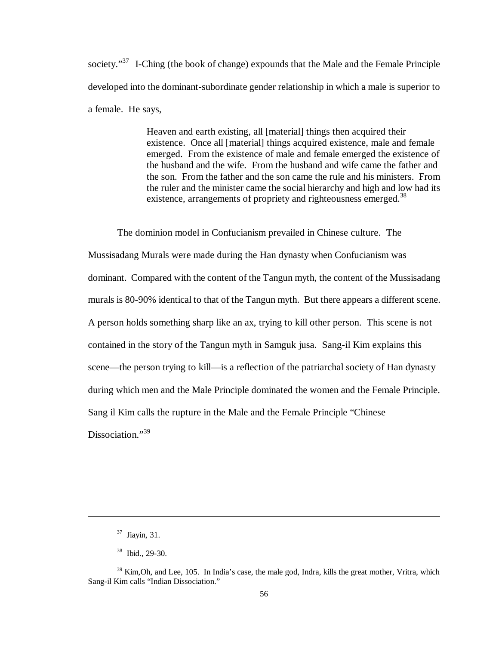society."<sup>37</sup> I-Ching (the book of change) expounds that the Male and the Female Principle developed into the dominant-subordinate gender relationship in which a male is superior to a female. He says,

> Heaven and earth existing, all [material] things then acquired their existence. Once all [material] things acquired existence, male and female emerged. From the existence of male and female emerged the existence of the husband and the wife. From the husband and wife came the father and the son. From the father and the son came the rule and his ministers. From the ruler and the minister came the social hierarchy and high and low had its existence, arrangements of propriety and righteousness emerged.<sup>38</sup>

The dominion model in Confucianism prevailed in Chinese culture. The Mussisadang Murals were made during the Han dynasty when Confucianism was dominant. Compared with the content of the Tangun myth, the content of the Mussisadang murals is 80-90% identical to that of the Tangun myth. But there appears a different scene. A person holds something sharp like an ax, trying to kill other person. This scene is not contained in the story of the Tangun myth in Samguk jusa. Sang-il Kim explains this scene— the person trying to kill— is a reflection of the patriarchal society of Han dynasty during which men and the Male Principle dominated the women and the Female Principle. Sang il Kim calls the rupture in the Male and the Female Principle "Chinese Dissociation."<sup>39</sup>

<sup>37</sup> Jiayin, 31.

<sup>38</sup> Ibid., 29-30.

<sup>&</sup>lt;sup>39</sup> Kim, Oh, and Lee, 105. In India's case, the male god, Indra, kills the great mother, Vritra, which Sang-il Kim calls "Indian Dissociation."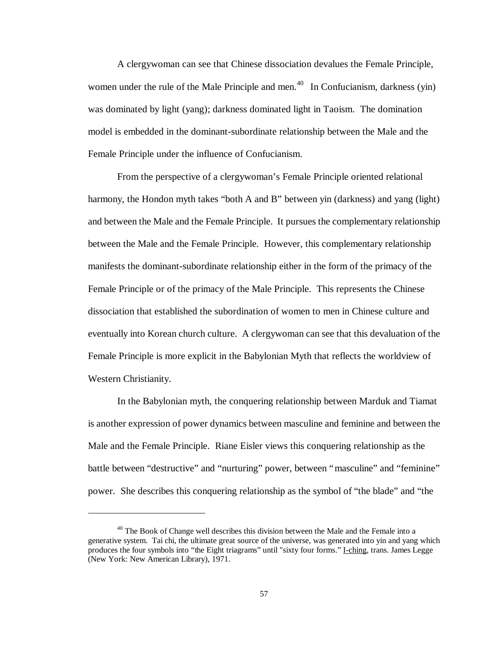A clergywoman can see that Chinese dissociation devalues the Female Principle, women under the rule of the Male Principle and men.<sup>40</sup> In Confucianism, darkness (yin) was dominated by light (yang); darkness dominated light in Taoism. The domination model is embedded in the dominant-subordinate relationship between the Male and the Female Principle under the influence of Confucianism.

From the perspective of a clergywoman's Female Principle oriented relational harmony, the Hondon myth takes "both A and B" between yin (darkness) and yang (light) and between the Male and the Female Principle. It pursues the complementary relationship between the Male and the Female Principle. However, this complementary relationship manifests the dominant-subordinate relationship either in the form of the primacy of the Female Principle or of the primacy of the Male Principle. This represents the Chinese dissociation that established the subordination of women to men in Chinese culture and eventually into Korean church culture. A clergywoman can see that this devaluation of the Female Principle is more explicit in the Babylonian Myth that reflects the worldview of Western Christianity.

In the Babylonian myth, the conquering relationship between Marduk and Tiamat is another expression of power dynamics between masculine and feminine and between the Male and the Female Principle. Riane Eisler views this conquering relationship as the battle between "destructive" and "nurturing" power, between "masculine" and "feminine" power. She describes this conquering relationship as the symbol of "the blade" and "the

 $40$  The Book of Change well describes this division between the Male and the Female into a generative system. Tai chi, the ultimate great source of the universe, was generated into yin and yang which produces the four symbols into "the Eight triagrams" until "sixty four forms." I-ching, trans. James Legge (New York: New American Library), 1971.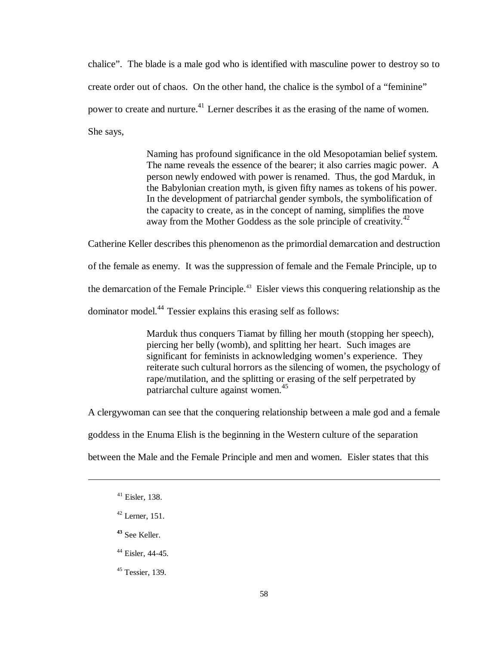chalice". The blade is a male god who is identified with masculine power to destroy so to create order out of chaos. On the other hand, the chalice is the symbol of a "feminine" power to create and nurture.<sup>41</sup> Lerner describes it as the erasing of the name of women. She says,

> Naming has profound significance in the old Mesopotamian belief system. The name reveals the essence of the bearer; it also carries magic power. A person newly endowed with power is renamed. Thus, the god Marduk, in the Babylonian creation myth, is given fifty names as tokens of his power. In the development of patriarchal gender symbols, the symbolification of the capacity to create, as in the concept of naming, simplifies the move away from the Mother Goddess as the sole principle of creativity.<sup>42</sup>

Catherine Keller describes this phenomenon as the primordial demarcation and destruction

of the female as enemy. It was the suppression of female and the Female Principle, up to

the demarcation of the Female Principle.<sup>43</sup> Eisler views this conquering relationship as the

dominator model.<sup>44</sup> Tessier explains this erasing self as follows:

Marduk thus conquers Tiamat by filling her mouth (stopping her speech), piercing her belly (womb), and splitting her heart. Such images are significant for feminists in acknowledging women's experience. They reiterate such cultural horrors as the silencing of women, the psychology of rape/mutilation, and the splitting or erasing of the self perpetrated by patriarchal culture against women.<sup>45</sup>

A clergywoman can see that the conquering relationship between a male god and a female

goddess in the Enuma Elish is the beginning in the Western culture of the separation

between the Male and the Female Principle and men and women. Eisler states that this

-

 $42$  Lerner, 151.

**<sup>43</sup>** See Keller.

<sup>44</sup> Eisler, 44-45.

<sup>45</sup> Tessier, 139.

<sup>41</sup> Eisler, 138.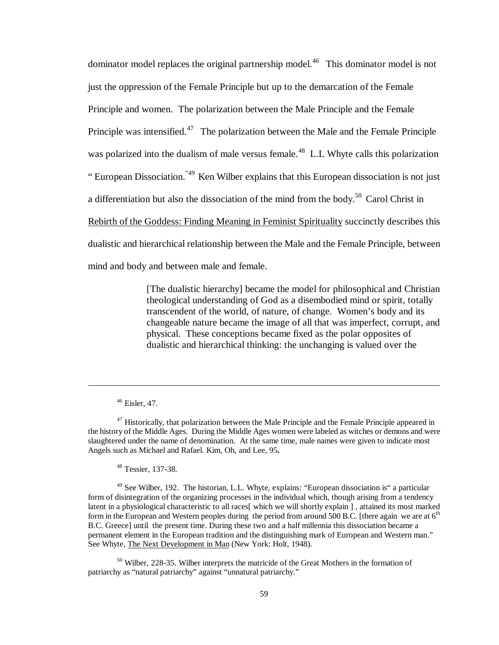dominator model replaces the original partnership model.<sup>46</sup> This dominator model is not just the oppression of the Female Principle but up to the demarcation of the Female Principle and women. The polarization between the Male Principle and the Female Principle was intensified.<sup>47</sup> The polarization between the Male and the Female Principle was polarized into the dualism of male versus female.<sup>48</sup> L.L Whyte calls this polarization " European Dissociation."49 Ken Wilber explains that this European dissociation is not just a differentiation but also the dissociation of the mind from the body.<sup>50</sup> Carol Christ in Rebirth of the Goddess: Finding Meaning in Feminist Spirituality succinctly describes this dualistic and hierarchical relationship between the Male and the Female Principle, between mind and body and between male and female.

> [The dualistic hierarchy] became the model for philosophical and Christian theological understanding of God as a disembodied mind or spirit, totally transcendent of the world, of nature, of change. Women's body and its changeable nature became the image of all that was imperfect, corrupt, and physical. These conceptions became fixed as the polar opposites of dualistic and hierarchical thinking: the unchanging is valued over the

 $\overline{a}$ 

<sup>48</sup> Tessier, 137-38.

<sup>49</sup> See Wilber, 192. The historian, L.L. Whyte, explains: "European dissociation is" a particular form of disintegration of the organizing processes in the individual which, though arising from a tendency latent in a physiological characteristic to all races[ which we will shortly explain ] , attained its most marked form in the European and Western peoples during the period from around 500 B.C. [there again we are at  $6<sup>th</sup>$ B.C. Greece] until the present time. During these two and a half millennia this dissociation became a permanent element in the European tradition and the distinguishing mark of European and Western man." See Whyte, The Next Development in Man (New York: Holt, 1948).

<sup>50</sup> Wilber, 228-35. Wilber interprets the matricide of the Great Mothers in the formation of patriarchy as "natural patriarchy" against "unnatural patriarchy."

<sup>46</sup> Eisler, 47.

<sup>&</sup>lt;sup>47</sup> Historically, that polarization between the Male Principle and the Female Principle appeared in the history of the Middle Ages. During the Middle Ages women were labeled as witches or demons and were slaughtered under the name of denomination. At the same time, male names were given to indicate most Angels such as Michael and Rafael. Kim, Oh, and Lee, 95**.**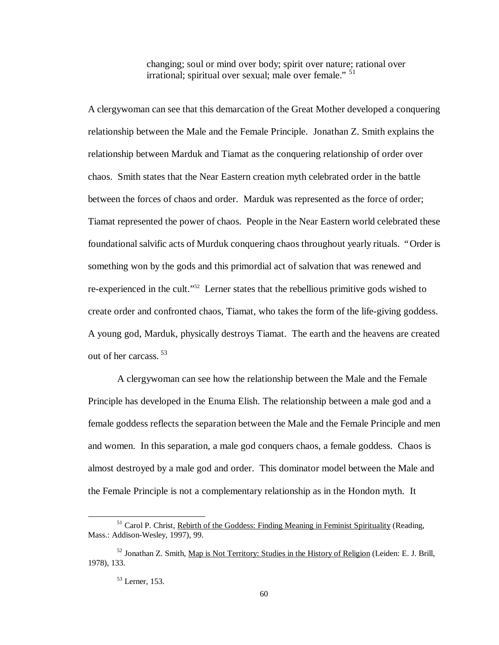changing; soul or mind over body; spirit over nature; rational over irrational; spiritual over sexual; male over female." <sup>51</sup>

A clergywoman can see that this demarcation of the Great Mother developed a conquering relationship between the Male and the Female Principle. Jonathan Z. Smith explains the relationship between Marduk and Tiamat as the conquering relationship of order over chaos. Smith states that the Near Eastern creation myth celebrated order in the battle between the forces of chaos and order. Marduk was represented as the force of order; Tiamat represented the power of chaos. People in the Near Eastern world celebrated these foundational salvific acts of Murduk conquering chaos throughout yearly rituals. "Order is something won by the gods and this primordial act of salvation that was renewed and re-experienced in the cult."<sup>52</sup> Lerner states that the rebellious primitive gods wished to create order and confronted chaos, Tiamat, who takes the form of the life-giving goddess. A young god, Marduk, physically destroys Tiamat. The earth and the heavens are created out of her carcass. <sup>53</sup>

A clergywoman can see how the relationship between the Male and the Female Principle has developed in the Enuma Elish. The relationship between a male god and a female goddess reflects the separation between the Male and the Female Principle and men and women. In this separation, a male god conquers chaos, a female goddess. Chaos is almost destroyed by a male god and order. This dominator model between the Male and the Female Principle is not a complementary relationship as in the Hondon myth. It

 $<sup>51</sup>$  Carol P. Christ, Rebirth of the Goddess: Finding Meaning in Feminist Spirituality (Reading,</sup> Mass.: Addison-Wesley, 1997), 99.

<sup>&</sup>lt;sup>52</sup> Jonathan Z. Smith, Map is Not Territory: Studies in the History of Religion (Leiden: E. J. Brill, 1978), 133.

<sup>53</sup> Lerner, 153.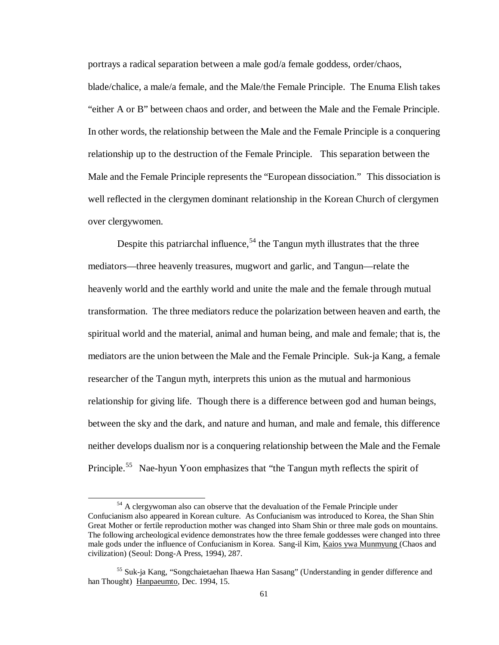portrays a radical separation between a male god/a female goddess, order/chaos,

blade/chalice, a male/a female, and the Male/the Female Principle. The Enuma Elish takes "either A or B" between chaos and order, and between the Male and the Female Principle. In other words, the relationship between the Male and the Female Principle is a conquering relationship up to the destruction of the Female Principle. This separation between the Male and the Female Principle represents the "European dissociation." This dissociation is well reflected in the clergymen dominant relationship in the Korean Church of clergymen over clergywomen.

Despite this patriarchal influence,  $54$  the Tangun myth illustrates that the three mediators— three heavenly treasures, mugwort and garlic, and Tangun— relate the heavenly world and the earthly world and unite the male and the female through mutual transformation. The three mediators reduce the polarization between heaven and earth, the spiritual world and the material, animal and human being, and male and female; that is, the mediators are the union between the Male and the Female Principle. Suk-ja Kang, a female researcher of the Tangun myth, interprets this union as the mutual and harmonious relationship for giving life. Though there is a difference between god and human beings, between the sky and the dark, and nature and human, and male and female, this difference neither develops dualism nor is a conquering relationship between the Male and the Female Principle.<sup>55</sup> Nae-hyun Yoon emphasizes that "the Tangun myth reflects the spirit of

<sup>&</sup>lt;sup>54</sup> A clergywoman also can observe that the devaluation of the Female Principle under Confucianism also appeared in Korean culture. As Confucianism was introduced to Korea, the Shan Shin Great Mother or fertile reproduction mother was changed into Sham Shin or three male gods on mountains. The following archeological evidence demonstrates how the three female goddesses were changed into three male gods under the influence of Confucianism in Korea. Sang-il Kim, Kaios ywa Munmyung (Chaos and civilization) (Seoul: Dong-A Press, 1994), 287.

<sup>55</sup> Suk-ja Kang, "Songchaietaehan Ihaewa Han Sasang" (Understanding in gender difference and han Thought) Hanpaeumto, Dec. 1994, 15.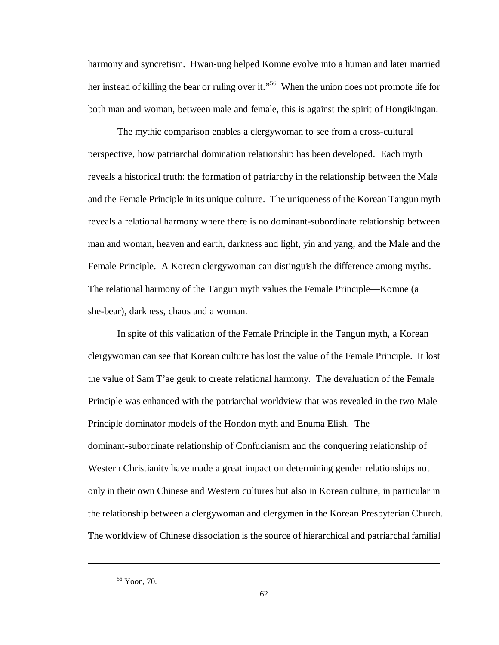harmony and syncretism. Hwan-ung helped Komne evolve into a human and later married her instead of killing the bear or ruling over it."<sup>56</sup> When the union does not promote life for both man and woman, between male and female, this is against the spirit of Hongikingan.

The mythic comparison enables a clergywoman to see from a cross-cultural perspective, how patriarchal domination relationship has been developed. Each myth reveals a historical truth: the formation of patriarchy in the relationship between the Male and the Female Principle in its unique culture. The uniqueness of the Korean Tangun myth reveals a relational harmony where there is no dominant-subordinate relationship between man and woman, heaven and earth, darkness and light, yin and yang, and the Male and the Female Principle. A Korean clergywoman can distinguish the difference among myths. The relational harmony of the Tangun myth values the Female Principle— Komne (a she-bear), darkness, chaos and a woman.

In spite of this validation of the Female Principle in the Tangun myth, a Korean clergywoman can see that Korean culture has lost the value of the Female Principle. It lost the value of Sam T'ae geuk to create relational harmony. The devaluation of the Female Principle was enhanced with the patriarchal worldview that was revealed in the two Male Principle dominator models of the Hondon myth and Enuma Elish. The dominant-subordinate relationship of Confucianism and the conquering relationship of Western Christianity have made a great impact on determining gender relationships not only in their own Chinese and Western cultures but also in Korean culture, in particular in the relationship between a clergywoman and clergymen in the Korean Presbyterian Church. The worldview of Chinese dissociation is the source of hierarchical and patriarchal familial

<sup>56</sup> Yoon, 70.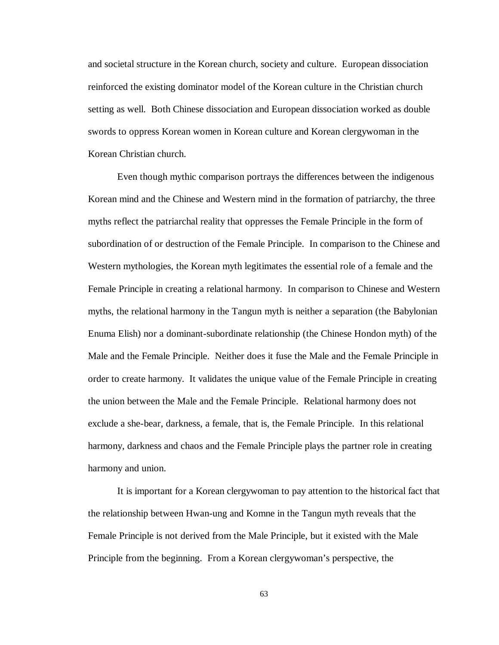and societal structure in the Korean church, society and culture. European dissociation reinforced the existing dominator model of the Korean culture in the Christian church setting as well. Both Chinese dissociation and European dissociation worked as double swords to oppress Korean women in Korean culture and Korean clergywoman in the Korean Christian church.

Even though mythic comparison portrays the differences between the indigenous Korean mind and the Chinese and Western mind in the formation of patriarchy, the three myths reflect the patriarchal reality that oppresses the Female Principle in the form of subordination of or destruction of the Female Principle. In comparison to the Chinese and Western mythologies, the Korean myth legitimates the essential role of a female and the Female Principle in creating a relational harmony. In comparison to Chinese and Western myths, the relational harmony in the Tangun myth is neither a separation (the Babylonian Enuma Elish) nor a dominant-subordinate relationship (the Chinese Hondon myth) of the Male and the Female Principle. Neither does it fuse the Male and the Female Principle in order to create harmony. It validates the unique value of the Female Principle in creating the union between the Male and the Female Principle. Relational harmony does not exclude a she-bear, darkness, a female, that is, the Female Principle. In this relational harmony, darkness and chaos and the Female Principle plays the partner role in creating harmony and union.

It is important for a Korean clergywoman to pay attention to the historical fact that the relationship between Hwan-ung and Komne in the Tangun myth reveals that the Female Principle is not derived from the Male Principle, but it existed with the Male Principle from the beginning. From a Korean clergywoman's perspective, the

63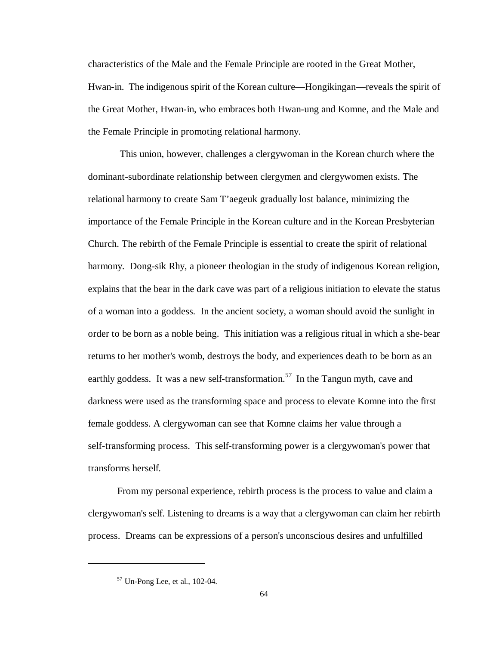characteristics of the Male and the Female Principle are rooted in the Great Mother, Hwan-in. The indigenous spirit of the Korean culture— Hongikingan— reveals the spirit of the Great Mother, Hwan-in, who embraces both Hwan-ung and Komne, and the Male and the Female Principle in promoting relational harmony.

 This union, however, challenges a clergywoman in the Korean church where the dominant-subordinate relationship between clergymen and clergywomen exists. The relational harmony to create Sam T'aegeuk gradually lost balance, minimizing the importance of the Female Principle in the Korean culture and in the Korean Presbyterian Church. The rebirth of the Female Principle is essential to create the spirit of relational harmony. Dong-sik Rhy, a pioneer theologian in the study of indigenous Korean religion, explains that the bear in the dark cave was part of a religious initiation to elevate the status of a woman into a goddess. In the ancient society, a woman should avoid the sunlight in order to be born as a noble being. This initiation was a religious ritual in which a she-bear returns to her mother's womb, destroys the body, and experiences death to be born as an earthly goddess. It was a new self-transformation.<sup>57</sup> In the Tangun myth, cave and darkness were used as the transforming space and process to elevate Komne into the first female goddess. A clergywoman can see that Komne claims her value through a self-transforming process. This self-transforming power is a clergywoman's power that transforms herself.

From my personal experience, rebirth process is the process to value and claim a clergywoman's self. Listening to dreams is a way that a clergywoman can claim her rebirth process. Dreams can be expressions of a person's unconscious desires and unfulfilled

<sup>57</sup> Un-Pong Lee, et al., 102-04.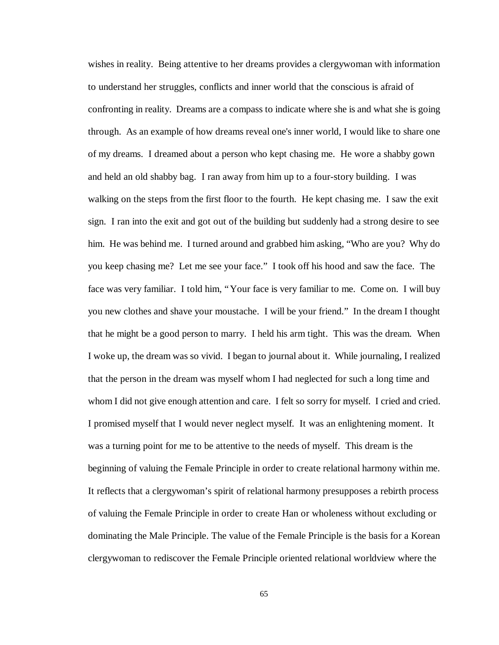wishes in reality. Being attentive to her dreams provides a clergywoman with information to understand her struggles, conflicts and inner world that the conscious is afraid of confronting in reality. Dreams are a compass to indicate where she is and what she is going through. As an example of how dreams reveal one's inner world, I would like to share one of my dreams. I dreamed about a person who kept chasing me. He wore a shabby gown and held an old shabby bag. I ran away from him up to a four-story building. I was walking on the steps from the first floor to the fourth. He kept chasing me. I saw the exit sign. I ran into the exit and got out of the building but suddenly had a strong desire to see him. He was behind me. I turned around and grabbed him asking, "Who are you? Why do you keep chasing me? Let me see your face." I took off his hood and saw the face. The face was very familiar. I told him, "Your face is very familiar to me. Come on. I will buy you new clothes and shave your moustache. I will be your friend." In the dream I thought that he might be a good person to marry. I held his arm tight. This was the dream. When I woke up, the dream was so vivid. I began to journal about it. While journaling, I realized that the person in the dream was myself whom I had neglected for such a long time and whom I did not give enough attention and care. I felt so sorry for myself. I cried and cried. I promised myself that I would never neglect myself. It was an enlightening moment. It was a turning point for me to be attentive to the needs of myself. This dream is the beginning of valuing the Female Principle in order to create relational harmony within me. It reflects that a clergywoman's spirit of relational harmony presupposes a rebirth process of valuing the Female Principle in order to create Han or wholeness without excluding or dominating the Male Principle. The value of the Female Principle is the basis for a Korean clergywoman to rediscover the Female Principle oriented relational worldview where the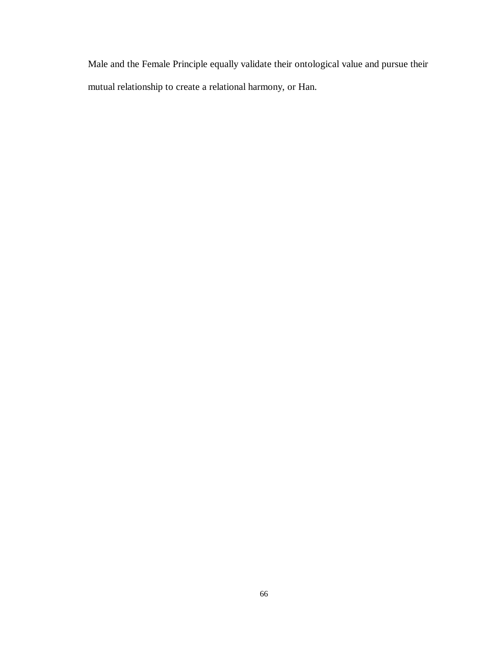Male and the Female Principle equally validate their ontological value and pursue their mutual relationship to create a relational harmony, or Han.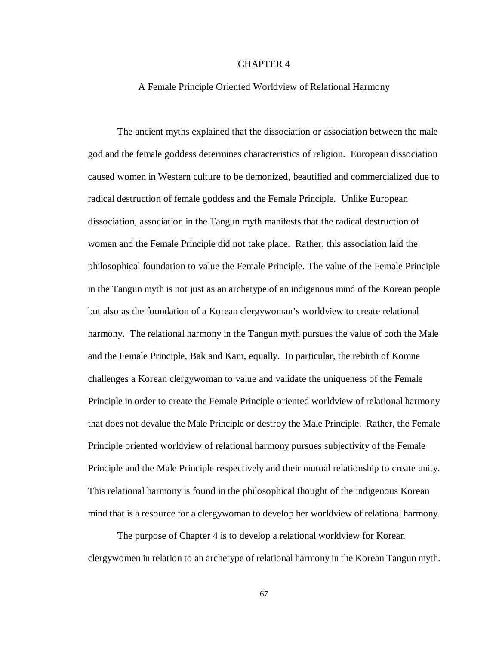# CHAPTER 4

#### A Female Principle Oriented Worldview of Relational Harmony

The ancient myths explained that the dissociation or association between the male god and the female goddess determines characteristics of religion. European dissociation caused women in Western culture to be demonized, beautified and commercialized due to radical destruction of female goddess and the Female Principle. Unlike European dissociation, association in the Tangun myth manifests that the radical destruction of women and the Female Principle did not take place. Rather, this association laid the philosophical foundation to value the Female Principle. The value of the Female Principle in the Tangun myth is not just as an archetype of an indigenous mind of the Korean people but also as the foundation of a Korean clergywoman's worldview to create relational harmony. The relational harmony in the Tangun myth pursues the value of both the Male and the Female Principle, Bak and Kam, equally. In particular, the rebirth of Komne challenges a Korean clergywoman to value and validate the uniqueness of the Female Principle in order to create the Female Principle oriented worldview of relational harmony that does not devalue the Male Principle or destroy the Male Principle. Rather, the Female Principle oriented worldview of relational harmony pursues subjectivity of the Female Principle and the Male Principle respectively and their mutual relationship to create unity. This relational harmony is found in the philosophical thought of the indigenous Korean mind that is a resource for a clergywoman to develop her worldview of relational harmony.

The purpose of Chapter 4 is to develop a relational worldview for Korean clergywomen in relation to an archetype of relational harmony in the Korean Tangun myth.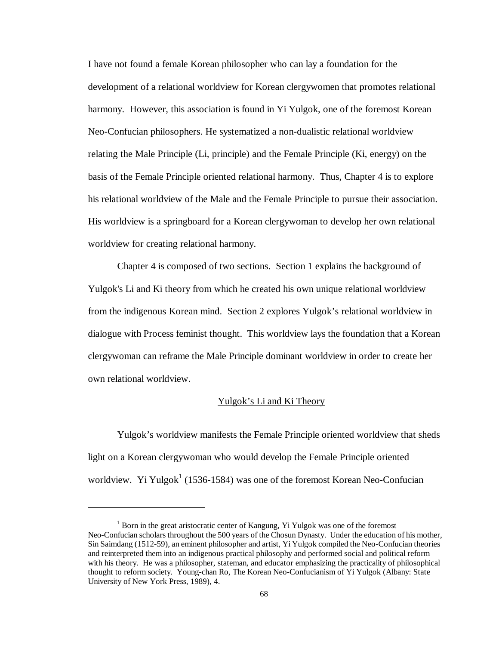I have not found a female Korean philosopher who can lay a foundation for the development of a relational worldview for Korean clergywomen that promotes relational harmony. However, this association is found in Yi Yulgok, one of the foremost Korean Neo-Confucian philosophers. He systematized a non-dualistic relational worldview relating the Male Principle (Li, principle) and the Female Principle (Ki, energy) on the basis of the Female Principle oriented relational harmony.Thus, Chapter 4 is to explore his relational worldview of the Male and the Female Principle to pursue their association. His worldview is a springboard for a Korean clergywoman to develop her own relational worldview for creating relational harmony.

Chapter 4 is composed of two sections. Section 1 explains the background of Yulgok's Li and Ki theory from which he created his own unique relational worldview from the indigenous Korean mind. Section 2 explores Yulgok's relational worldview in dialogue with Process feminist thought. This worldview lays the foundation that a Korean clergywoman can reframe the Male Principle dominant worldview in order to create her own relational worldview.

## Yulgok's Li and Ki Theory

Yulgok's worldview manifests the Female Principle oriented worldview that sheds light on a Korean clergywoman who would develop the Female Principle oriented worldview. Yi Yulgok<sup>1</sup> (1536-1584) was one of the foremost Korean Neo-Confucian

<sup>&</sup>lt;sup>1</sup> Born in the great aristocratic center of Kangung, Yi Yulgok was one of the foremost Neo-Confucian scholars throughout the 500 years of the Chosun Dynasty. Under the education of his mother, Sin Saimdang (1512-59), an eminent philosopher and artist, Yi Yulgok compiled the Neo-Confucian theories and reinterpreted them into an indigenous practical philosophy and performed social and political reform with his theory. He was a philosopher, stateman, and educator emphasizing the practicality of philosophical thought to reform society. Young-chan Ro, The Korean Neo-Confucianism of Yi Yulgok (Albany: State University of New York Press, 1989), 4.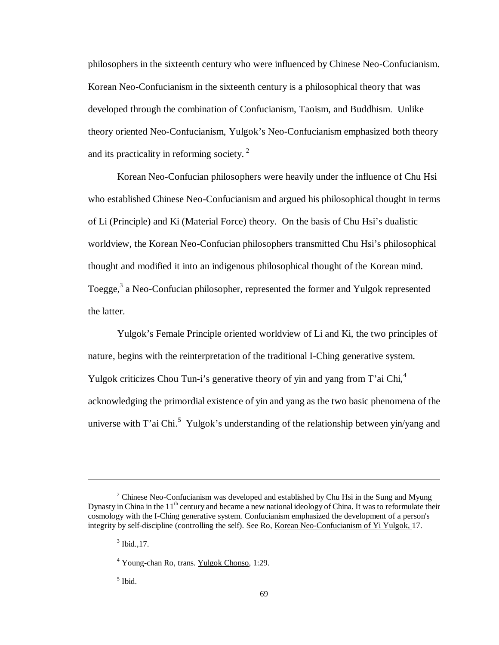philosophers in the sixteenth century who were influenced by Chinese Neo-Confucianism. Korean Neo-Confucianism in the sixteenth century is a philosophical theory that was developed through the combination of Confucianism, Taoism, and Buddhism. Unlike theory oriented Neo-Confucianism, Yulgok's Neo-Confucianism emphasized both theory and its practicality in reforming society.<sup>2</sup>

Korean Neo-Confucian philosophers were heavily under the influence of Chu Hsi who established Chinese Neo-Confucianism and argued his philosophical thought in terms of Li (Principle) and Ki (Material Force) theory. On the basis of Chu Hsi's dualistic worldview, the Korean Neo-Confucian philosophers transmitted Chu Hsi's philosophical thought and modified it into an indigenous philosophical thought of the Korean mind. Toegge,<sup>3</sup> a Neo-Confucian philosopher, represented the former and Yulgok represented the latter.

Yulgok's Female Principle oriented worldview of Li and Ki, the two principles of nature, begins with the reinterpretation of the traditional I-Ching generative system. Yulgok criticizes Chou Tun-i's generative theory of yin and yang from T'ai Chi,<sup>4</sup> acknowledging the primordial existence of yin and yang as the two basic phenomena of the universe with T'ai Chi.<sup>5</sup> Yulgok's understanding of the relationship between yin/yang and

1

 $2^2$  Chinese Neo-Confucianism was developed and established by Chu Hsi in the Sung and Myung Dynasty in China in the 11<sup>th</sup> century and became a new national ideology of China. It was to reformulate their cosmology with the I-Ching generative system. Confucianism emphasized the development of a person's integrity by self-discipline (controlling the self). See Ro, Korean Neo-Confucianism of Yi Yulgok, 17.

 $3$  Ibid., 17.

<sup>&</sup>lt;sup>4</sup> Young-chan Ro, trans. Yulgok Chonso, 1:29.

<sup>5</sup> Ibid.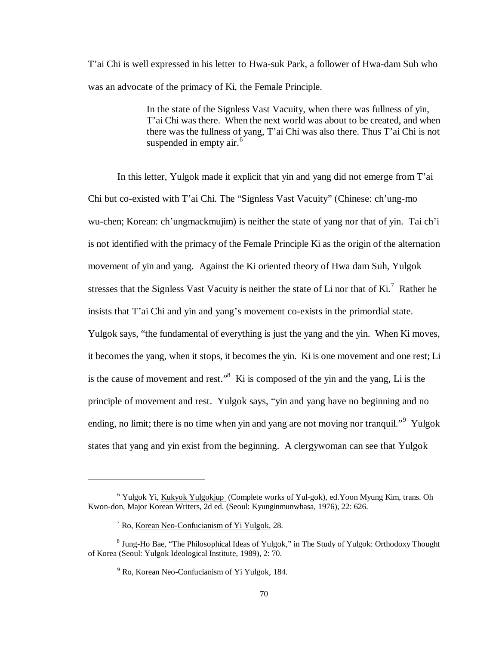T'ai Chi is well expressed in his letter to Hwa-suk Park, a follower of Hwa-dam Suh who was an advocate of the primacy of Ki, the Female Principle.

> In the state of the Signless Vast Vacuity, when there was fullness of yin, T'ai Chi was there. When the next world was about to be created, and when there was the fullness of yang, T'ai Chi was also there. Thus T'ai Chi is not suspended in empty air.<sup>6</sup>

In this letter, Yulgok made it explicit that yin and yang did not emerge from T'ai Chi but co-existed with T'ai Chi. The "Signless Vast Vacuity" (Chinese: ch'ung-mo wu-chen; Korean: ch'ungmackmujim) is neither the state of yang nor that of yin. Tai ch'i is not identified with the primacy of the Female Principle Ki as the origin of the alternation movement of yin and yang. Against the Ki oriented theory of Hwa dam Suh, Yulgok stresses that the Signless Vast Vacuity is neither the state of Li nor that of Ki.<sup>7</sup> Rather he insists that T'ai Chi and yin and yang's movement co-exists in the primordial state. Yulgok says, "the fundamental of everything is just the yang and the yin. When Ki moves, it becomes the yang, when it stops, it becomes the yin. Ki is one movement and one rest; Li is the cause of movement and rest." $8$  Ki is composed of the yin and the yang, Li is the principle of movement and rest. Yulgok says, "yin and yang have no beginning and no ending, no limit; there is no time when yin and yang are not moving nor tranquil."<sup>9</sup> Yulgok states that yang and yin exist from the beginning. A clergywoman can see that Yulgok

1

<sup>&</sup>lt;sup>6</sup> Yulgok Yi, Kukyok Yulgokjup (Complete works of Yul-gok), ed. Yoon Myung Kim, trans. Oh Kwon-don, Major Korean Writers, 2d ed. (Seoul: Kyunginmunwhasa, 1976), 22: 626.

<sup>&</sup>lt;sup>7</sup> Ro, <u>Korean Neo-Confucianism of Yi Yulgok</u>, 28.

<sup>&</sup>lt;sup>8</sup> Jung-Ho Bae, "The Philosophical Ideas of Yulgok," in The Study of Yulgok: Orthodoxy Thought of Korea (Seoul: Yulgok Ideological Institute, 1989), 2: 70.

<sup>&</sup>lt;sup>9</sup> Ro, <u>Korean Neo-Confucianism of Yi Yulgok,</u> 184.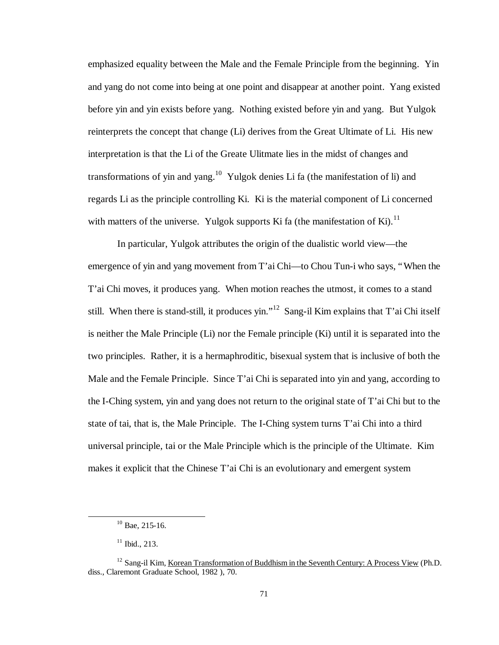emphasized equality between the Male and the Female Principle from the beginning. Yin and yang do not come into being at one point and disappear at another point. Yang existed before yin and yin exists before yang. Nothing existed before yin and yang. But Yulgok reinterprets the concept that change (Li) derives from the Great Ultimate of Li. His new interpretation is that the Li of the Greate Ulitmate lies in the midst of changes and transformations of yin and yang.<sup>10</sup> Yulgok denies Li fa (the manifestation of li) and regards Li as the principle controlling Ki. Ki is the material component of Li concerned with matters of the universe. Yulgok supports Ki fa (the manifestation of Ki).<sup>11</sup>

In particular, Yulgok attributes the origin of the dualistic world view— the emergence of yin and yang movement from T'ai Chi— to Chou Tun-i who says, "When the T'ai Chi moves, it produces yang. When motion reaches the utmost, it comes to a stand still. When there is stand-still, it produces yin."<sup>12</sup> Sang-il Kim explains that T'ai Chi itself is neither the Male Principle (Li) nor the Female principle (Ki) until it is separated into the two principles. Rather, it is a hermaphroditic, bisexual system that is inclusive of both the Male and the Female Principle. Since T'ai Chi is separated into yin and yang, according to the I-Ching system, yin and yang does not return to the original state of T'ai Chi but to the state of tai, that is, the Male Principle. The I-Ching system turns T'ai Chi into a third universal principle, tai or the Male Principle which is the principle of the Ultimate. Kim makes it explicit that the Chinese T'ai Chi is an evolutionary and emergent system

 $10$  Bae, 215-16.

 $11$  Ibid., 213.

<sup>&</sup>lt;sup>12</sup> Sang-il Kim, Korean Transformation of Buddhism in the Seventh Century: A Process View (Ph.D. diss., Claremont Graduate School, 1982 ), 70.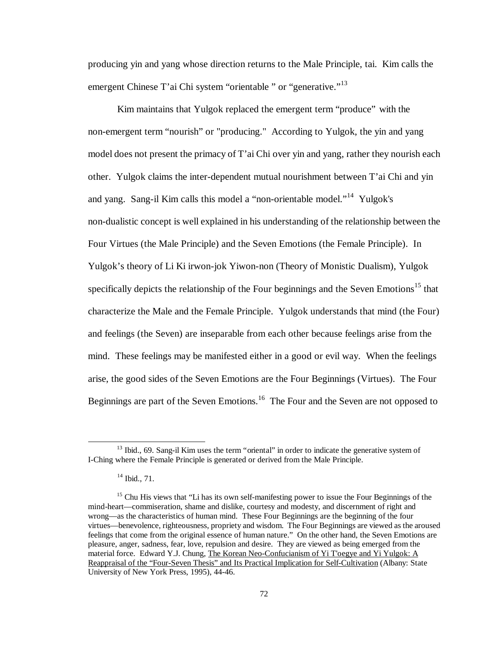producing yin and yang whose direction returns to the Male Principle, tai. Kim calls the emergent Chinese T'ai Chi system "orientable " or "generative."<sup>13</sup>

Kim maintains that Yulgok replaced the emergent term "produce" with the non-emergent term "nourish" or "producing." According to Yulgok, the yin and yang model does not present the primacy of T'ai Chi over yin and yang, rather they nourish each other. Yulgok claims the inter-dependent mutual nourishment between T'ai Chi and yin and yang. Sang-il Kim calls this model a "non-orientable model."<sup>14</sup> Yulgok's non-dualistic concept is well explained in his understanding of the relationship between the Four Virtues (the Male Principle) and the Seven Emotions (the Female Principle). In Yulgok's theory of Li Ki irwon-jok Yiwon-non (Theory of Monistic Dualism), Yulgok specifically depicts the relationship of the Four beginnings and the Seven Emotions<sup>15</sup> that characterize the Male and the Female Principle. Yulgok understands that mind (the Four) and feelings (the Seven) are inseparable from each other because feelings arise from the mind. These feelings may be manifested either in a good or evil way. When the feelings arise, the good sides of the Seven Emotions are the Four Beginnings (Virtues). The Four Beginnings are part of the Seven Emotions.<sup>16</sup> The Four and the Seven are not opposed to

 $13$  Ibid., 69. Sang-il Kim uses the term "oriental" in order to indicate the generative system of I-Ching where the Female Principle is generated or derived from the Male Principle.

 $14$  Ibid., 71.

<sup>&</sup>lt;sup>15</sup> Chu His views that "Li has its own self-manifesting power to issue the Four Beginnings of the mind-heart— commiseration, shame and dislike, courtesy and modesty, and discernment of right and wrong— as the characteristics of human mind. These Four Beginnings are the beginning of the four virtues— benevolence, righteousness, propriety and wisdom. The Four Beginnings are viewed as the aroused feelings that come from the original essence of human nature." On the other hand, the Seven Emotions are pleasure, anger, sadness, fear, love, repulsion and desire. They are viewed as being emerged from the material force. Edward Y.J. Chung, The Korean Neo-Confucianism of Yi T'oegye and Yi Yulgok: A Reappraisal of the "Four-Seven Thesis" and Its Practical Implication for Self-Cultivation (Albany: State University of New York Press, 1995), 44-46.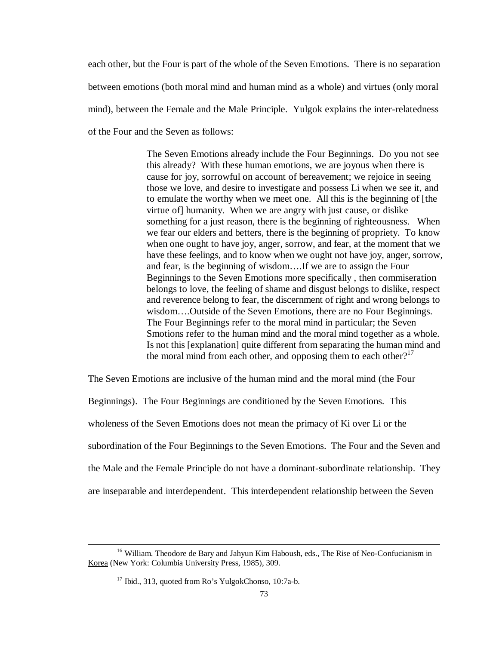each other, but the Four is part of the whole of the Seven Emotions. There is no separation between emotions (both moral mind and human mind as a whole) and virtues (only moral mind), between the Female and the Male Principle. Yulgok explains the inter-relatedness of the Four and the Seven as follows:

> The Seven Emotions already include the Four Beginnings. Do you not see this already? With these human emotions, we are joyous when there is cause for joy, sorrowful on account of bereavement; we rejoice in seeing those we love, and desire to investigate and possess Li when we see it, and to emulate the worthy when we meet one. All this is the beginning of [the virtue of] humanity. When we are angry with just cause, or dislike something for a just reason, there is the beginning of righteousness. When we fear our elders and betters, there is the beginning of propriety. To know when one ought to have joy, anger, sorrow, and fear, at the moment that we have these feelings, and to know when we ought not have joy, anger, sorrow, and fear, is the beginning of wisdom… .If we are to assign the Four Beginnings to the Seven Emotions more specifically , then commiseration belongs to love, the feeling of shame and disgust belongs to dislike, respect and reverence belong to fear, the discernment of right and wrong belongs to wisdom… .Outside of the Seven Emotions, there are no Four Beginnings. The Four Beginnings refer to the moral mind in particular; the Seven Smotions refer to the human mind and the moral mind together as a whole. Is not this [explanation] quite different from separating the human mind and the moral mind from each other, and opposing them to each other?<sup>17</sup>

The Seven Emotions are inclusive of the human mind and the moral mind (the Four Beginnings). The Four Beginnings are conditioned by the Seven Emotions. This wholeness of the Seven Emotions does not mean the primacy of Ki over Li or the subordination of the Four Beginnings to the Seven Emotions. The Four and the Seven and the Male and the Female Principle do not have a dominant-subordinate relationship. They are inseparable and interdependent. This interdependent relationship between the Seven

<sup>&</sup>lt;sup>16</sup> William. Theodore de Bary and Jahyun Kim Haboush, eds., The Rise of Neo-Confucianism in Korea (New York: Columbia University Press, 1985), 309.

<sup>&</sup>lt;sup>17</sup> Ibid., 313, quoted from Ro's YulgokChonso, 10:7a-b.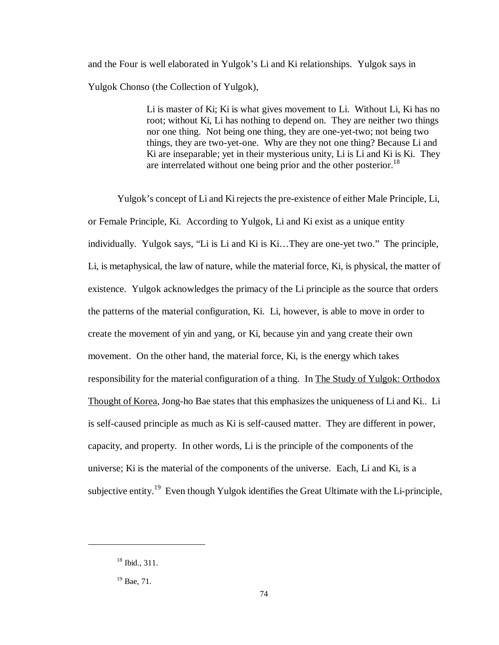and the Four is well elaborated in Yulgok's Li and Ki relationships. Yulgok says in Yulgok Chonso (the Collection of Yulgok),

> Li is master of Ki; Ki is what gives movement to Li. Without Li, Ki has no root; without Ki, Li has nothing to depend on. They are neither two things nor one thing. Not being one thing, they are one-yet-two; not being two things, they are two-yet-one. Why are they not one thing? Because Li and Ki are inseparable; yet in their mysterious unity, Li is Li and Ki is Ki. They are interrelated without one being prior and the other posterior.<sup>18</sup>

Yulgok's concept of Li and Ki rejects the pre-existence of either Male Principle, Li, or Female Principle, Ki. According to Yulgok, Li and Ki exist as a unique entity individually. Yulgok says, "Li is Li and Ki is Ki… They are one-yet two." The principle, Li, is metaphysical, the law of nature, while the material force, Ki, is physical, the matter of existence. Yulgok acknowledges the primacy of the Li principle as the source that orders the patterns of the material configuration, Ki. Li, however, is able to move in order to create the movement of yin and yang, or Ki, because yin and yang create their own movement. On the other hand, the material force, Ki, is the energy which takes responsibility for the material configuration of a thing. In The Study of Yulgok: Orthodox Thought of Korea, Jong-ho Bae states that this emphasizes the uniqueness of Li and Ki.. Li is self-caused principle as much as Ki is self-caused matter. They are different in power, capacity, and property. In other words, Li is the principle of the components of the universe; Ki is the material of the components of the universe. Each, Li and Ki, is a subjective entity.<sup>19</sup> Even though Yulgok identifies the Great Ultimate with the Li-principle,

 $18$  Ibid., 311.

 $19$  Bae, 71.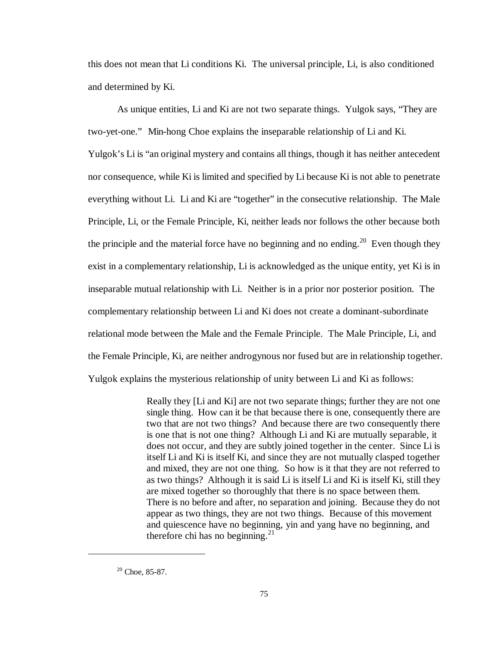this does not mean that Li conditions Ki. The universal principle, Li, is also conditioned and determined by Ki.

As unique entities, Li and Ki are not two separate things. Yulgok says, "They are two-yet-one." Min-hong Choe explains the inseparable relationship of Li and Ki. Yulgok's Li is "an original mystery and contains all things, though it has neither antecedent nor consequence, while Ki is limited and specified by Li because Ki is not able to penetrate everything without Li. Li and Ki are "together" in the consecutive relationship. The Male Principle, Li, or the Female Principle, Ki, neither leads nor follows the other because both the principle and the material force have no beginning and no ending.<sup>20</sup> Even though they exist in a complementary relationship, Li is acknowledged as the unique entity, yet Ki is in inseparable mutual relationship with Li. Neither is in a prior nor posterior position. The complementary relationship between Li and Ki does not create a dominant-subordinate relational mode between the Male and the Female Principle. The Male Principle, Li, and the Female Principle, Ki, are neither androgynous nor fused but are in relationship together. Yulgok explains the mysterious relationship of unity between Li and Ki as follows:

> Really they [Li and Ki] are not two separate things; further they are not one single thing. How can it be that because there is one, consequently there are two that are not two things? And because there are two consequently there is one that is not one thing? Although Li and Ki are mutually separable, it does not occur, and they are subtly joined together in the center. Since Li is itself Li and Ki is itself Ki, and since they are not mutually clasped together and mixed, they are not one thing. So how is it that they are not referred to as two things? Although it is said Li is itself Li and Ki is itself Ki, still they are mixed together so thoroughly that there is no space between them. There is no before and after, no separation and joining. Because they do not appear as two things, they are not two things. Because of this movement and quiescence have no beginning, yin and yang have no beginning, and therefore chi has no beginning. $^{21}$

 $\overline{a}$ 

 $20$  Choe, 85-87.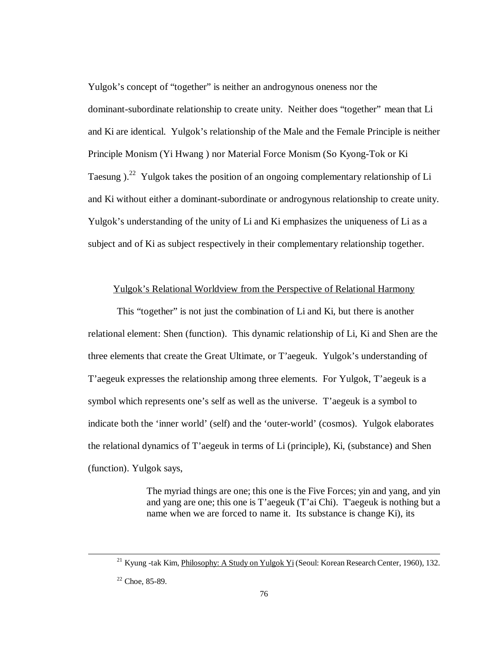Yulgok's concept of "together" is neither an androgynous oneness nor the dominant-subordinate relationship to create unity. Neither does "together" mean that Li and Ki are identical. Yulgok's relationship of the Male and the Female Principle is neither Principle Monism (Yi Hwang ) nor Material Force Monism (So Kyong-Tok or Ki Taesung  $\lambda^{22}$  Yulgok takes the position of an ongoing complementary relationship of Li and Ki without either a dominant-subordinate or androgynous relationship to create unity. Yulgok's understanding of the unity of Li and Ki emphasizes the uniqueness of Li as a subject and of Ki as subject respectively in their complementary relationship together.

## Yulgok's Relational Worldview from the Perspective of Relational Harmony

This "together" is not just the combination of Li and Ki, but there is another relational element: Shen (function). This dynamic relationship of Li, Ki and Shen are the three elements that create the Great Ultimate, or T'aegeuk. Yulgok's understanding of T'aegeuk expresses the relationship among three elements. For Yulgok, T'aegeuk is a symbol which represents one's self as well as the universe. T'aegeuk is a symbol to indicate both the 'inner world' (self) and the 'outer-world' (cosmos). Yulgok elaborates the relational dynamics of T'aegeuk in terms of Li (principle), Ki, (substance) and Shen (function). Yulgok says,

> The myriad things are one; this one is the Five Forces; yin and yang, and yin and yang are one; this one is T'aegeuk (T'ai Chi). T'aegeuk is nothing but a name when we are forced to name it. Its substance is change Ki), its

<sup>&</sup>lt;sup>21</sup> Kyung -tak Kim, Philosophy: A Study on Yulgok Yi (Seoul: Korean Research Center, 1960), 132.

 $22$  Choe, 85-89.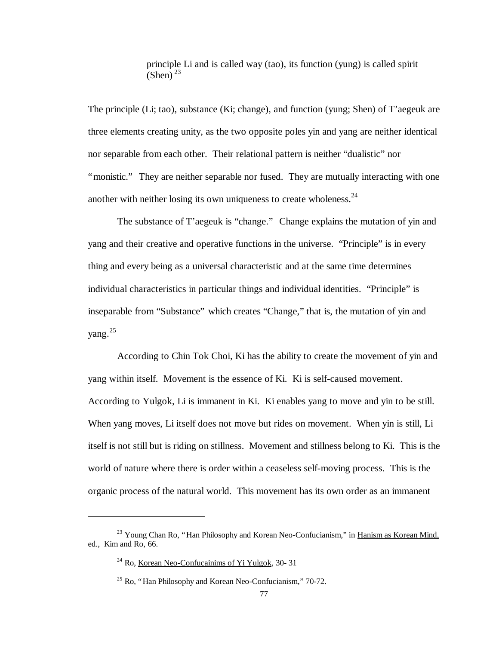principle Li and is called way (tao), its function (yung) is called spirit  $(Shen)^{23}$ 

The principle (Li; tao), substance (Ki; change), and function (yung; Shen) of T'aegeuk are three elements creating unity, as the two opposite poles yin and yang are neither identical nor separable from each other. Their relational pattern is neither "dualistic" nor "monistic." They are neither separable nor fused. They are mutually interacting with one another with neither losing its own uniqueness to create wholeness. $24$ 

The substance of T'aegeuk is "change." Change explains the mutation of yin and yang and their creative and operative functions in the universe. "Principle" is in every thing and every being as a universal characteristic and at the same time determines individual characteristics in particular things and individual identities. "Principle" is inseparable from "Substance" which creates "Change," that is, the mutation of yin and yang.<sup>25</sup>

According to Chin Tok Choi, Ki has the ability to create the movement of yin and yang within itself. Movement is the essence of Ki. Ki is self-caused movement. According to Yulgok, Li is immanent in Ki. Ki enables yang to move and yin to be still. When yang moves, Li itself does not move but rides on movement. When yin is still, Li itself is not still but is riding on stillness. Movement and stillness belong to Ki. This is the world of nature where there is order within a ceaseless self-moving process. This is the organic process of the natural world. This movement has its own order as an immanent

<sup>&</sup>lt;sup>23</sup> Young Chan Ro, "Han Philosophy and Korean Neo-Confucianism," in Hanism as Korean Mind, ed., Kim and Ro, 66.

 $24$  Ro, Korean Neo-Confucainims of Yi Yulgok, 30-31

<sup>&</sup>lt;sup>25</sup> Ro, "Han Philosophy and Korean Neo-Confucianism," 70-72.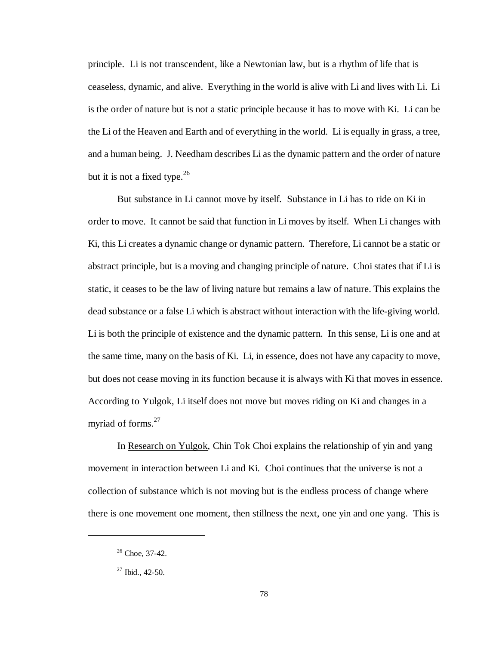principle. Li is not transcendent, like a Newtonian law, but is a rhythm of life that is ceaseless, dynamic, and alive. Everything in the world is alive with Li and lives with Li. Li is the order of nature but is not a static principle because it has to move with Ki. Li can be the Li of the Heaven and Earth and of everything in the world. Li is equally in grass, a tree, and a human being. J. Needham describes Li as the dynamic pattern and the order of nature but it is not a fixed type.<sup>26</sup>

But substance in Li cannot move by itself. Substance in Li has to ride on Ki in order to move. It cannot be said that function in Li moves by itself. When Li changes with Ki, this Li creates a dynamic change or dynamic pattern. Therefore, Li cannot be a static or abstract principle, but is a moving and changing principle of nature. Choi states that if Li is static, it ceases to be the law of living nature but remains a law of nature. This explains the dead substance or a false Li which is abstract without interaction with the life-giving world. Li is both the principle of existence and the dynamic pattern. In this sense, Li is one and at the same time, many on the basis of Ki. Li, in essence, does not have any capacity to move, but does not cease moving in its function because it is always with Ki that moves in essence. According to Yulgok, Li itself does not move but moves riding on Ki and changes in a myriad of forms.<sup>27</sup>

In Research on Yulgok, Chin Tok Choi explains the relationship of yin and yang movement in interaction between Li and Ki. Choi continues that the universe is not a collection of substance which is not moving but is the endless process of change where there is one movement one moment, then stillness the next, one yin and one yang. This is

 $26$  Choe, 37-42.

 $27$  Ibid., 42-50.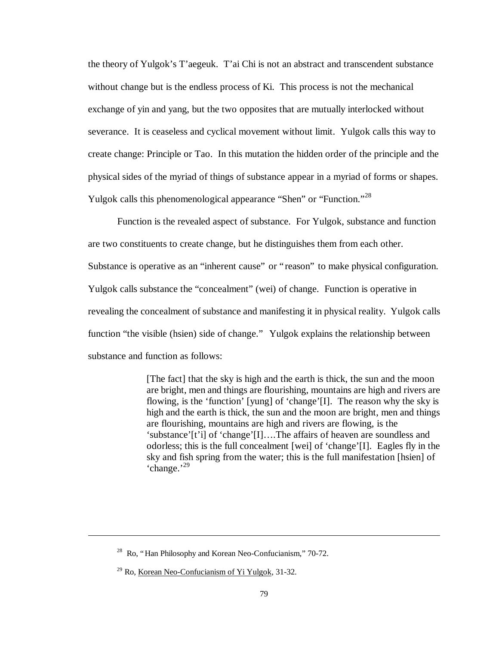the theory of Yulgok's T'aegeuk. T'ai Chi is not an abstract and transcendent substance without change but is the endless process of Ki. This process is not the mechanical exchange of yin and yang, but the two opposites that are mutually interlocked without severance. It is ceaseless and cyclical movement without limit. Yulgok calls this way to create change: Principle or Tao. In this mutation the hidden order of the principle and the physical sides of the myriad of things of substance appear in a myriad of forms or shapes. Yulgok calls this phenomenological appearance "Shen" or "Function."<sup>28</sup>

Function is the revealed aspect of substance. For Yulgok, substance and function are two constituents to create change, but he distinguishes them from each other. Substance is operative as an "inherent cause" or "reason" to make physical configuration. Yulgok calls substance the "concealment" (wei) of change. Function is operative in revealing the concealment of substance and manifesting it in physical reality. Yulgok calls function "the visible (hsien) side of change." Yulgok explains the relationship between substance and function as follows:

> [The fact] that the sky is high and the earth is thick, the sun and the moon are bright, men and things are flourishing, mountains are high and rivers are flowing, is the 'function' [yung] of 'change'[I]. The reason why the sky is high and the earth is thick, the sun and the moon are bright, men and things are flourishing, mountains are high and rivers are flowing, is the 'substance'[t'i] of 'change'[I]… .The affairs of heaven are soundless and odorless; this is the full concealment [wei] of 'change'[I]. Eagles fly in the sky and fish spring from the water; this is the full manifestation [hsien] of 'change.' 29

 $28$  Ro, "Han Philosophy and Korean Neo-Confucianism," 70-72.

 $29$  Ro, Korean Neo-Confucianism of Yi Yulgok, 31-32.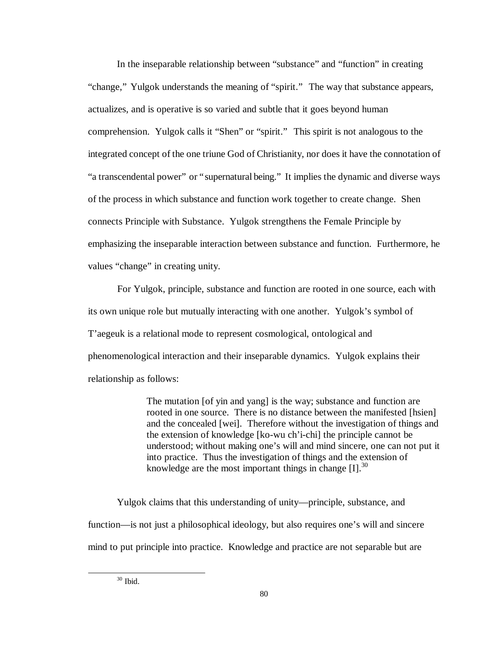In the inseparable relationship between "substance" and "function" in creating "change," Yulgok understands the meaning of "spirit." The way that substance appears, actualizes, and is operative is so varied and subtle that it goes beyond human comprehension. Yulgok calls it "Shen" or "spirit." This spirit is not analogous to the integrated concept of the one triune God of Christianity, nor does it have the connotation of "a transcendental power" or "supernatural being." It implies the dynamic and diverse ways of the process in which substance and function work together to create change. Shen connects Principle with Substance. Yulgok strengthens the Female Principle by emphasizing the inseparable interaction between substance and function. Furthermore, he values "change" in creating unity.

For Yulgok, principle, substance and function are rooted in one source, each with its own unique role but mutually interacting with one another. Yulgok's symbol of T'aegeuk is a relational mode to represent cosmological, ontological and phenomenological interaction and their inseparable dynamics. Yulgok explains their relationship as follows:

> The mutation [of yin and yang] is the way; substance and function are rooted in one source. There is no distance between the manifested [hsien] and the concealed [wei]. Therefore without the investigation of things and the extension of knowledge [ko-wu ch'i-chi] the principle cannot be understood; without making one's will and mind sincere, one can not put it into practice. Thus the investigation of things and the extension of knowledge are the most important things in change  $[I]$ .<sup>30</sup>

Yulgok claims that this understanding of unity— principle, substance, and function— is not just a philosophical ideology, but also requires one's will and sincere mind to put principle into practice. Knowledge and practice are not separable but are

<sup>30</sup> Ibid.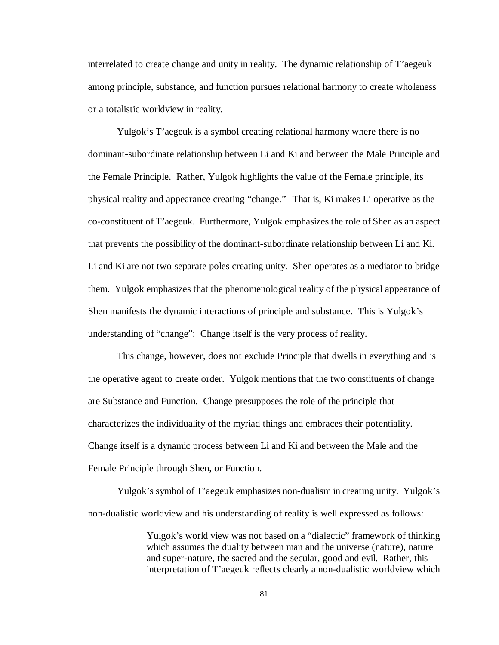interrelated to create change and unity in reality. The dynamic relationship of T'aegeuk among principle, substance, and function pursues relational harmony to create wholeness or a totalistic worldview in reality.

Yulgok's T'aegeuk is a symbol creating relational harmony where there is no dominant-subordinate relationship between Li and Ki and between the Male Principle and the Female Principle. Rather, Yulgok highlights the value of the Female principle, its physical reality and appearance creating "change." That is, Ki makes Li operative as the co-constituent of T'aegeuk. Furthermore, Yulgok emphasizes the role of Shen as an aspect that prevents the possibility of the dominant-subordinate relationship between Li and Ki. Li and Ki are not two separate poles creating unity. Shen operates as a mediator to bridge them. Yulgok emphasizes that the phenomenological reality of the physical appearance of Shen manifests the dynamic interactions of principle and substance. This is Yulgok's understanding of "change": Change itself is the very process of reality.

This change, however, does not exclude Principle that dwells in everything and is the operative agent to create order. Yulgok mentions that the two constituents of change are Substance and Function. Change presupposes the role of the principle that characterizes the individuality of the myriad things and embraces their potentiality. Change itself is a dynamic process between Li and Ki and between the Male and the Female Principle through Shen, or Function.

Yulgok's symbol of T'aegeuk emphasizes non-dualism in creating unity. Yulgok's non-dualistic worldview and his understanding of reality is well expressed as follows:

> Yulgok's world view was not based on a "dialectic" framework of thinking which assumes the duality between man and the universe (nature), nature and super-nature, the sacred and the secular, good and evil. Rather, this interpretation of T'aegeuk reflects clearly a non-dualistic worldview which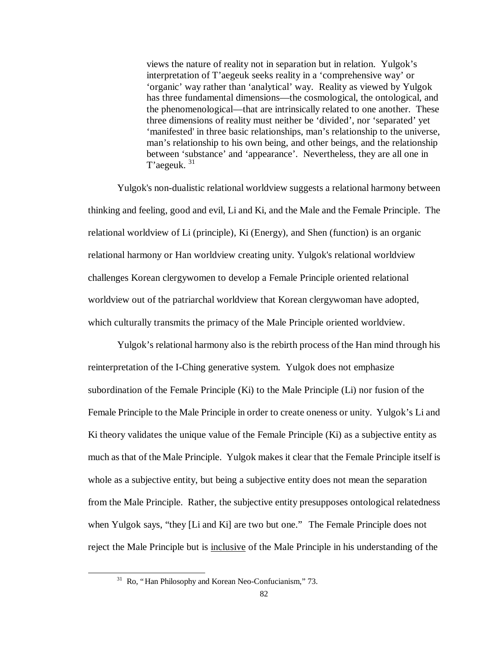views the nature of reality not in separation but in relation. Yulgok's interpretation of T'aegeuk seeks reality in a 'comprehensive way' or 'organic' way rather than 'analytical' way. Reality as viewed by Yulgok has three fundamental dimensions— the cosmological, the ontological, and the phenomenological— that are intrinsically related to one another. These three dimensions of reality must neither be 'divided', nor 'separated' yet 'manifested' in three basic relationships, man's relationship to the universe, man's relationship to his own being, and other beings, and the relationship between 'substance' and 'appearance'. Nevertheless, they are all one in T'aegeuk. <sup>31</sup>

Yulgok's non-dualistic relational worldview suggests a relational harmony between thinking and feeling, good and evil, Li and Ki, and the Male and the Female Principle. The relational worldview of Li (principle), Ki (Energy), and Shen (function) is an organic relational harmony or Han worldview creating unity. Yulgok's relational worldview challenges Korean clergywomen to develop a Female Principle oriented relational worldview out of the patriarchal worldview that Korean clergywoman have adopted, which culturally transmits the primacy of the Male Principle oriented worldview.

Yulgok's relational harmony also is the rebirth process of the Han mind through his reinterpretation of the I-Ching generative system. Yulgok does not emphasize subordination of the Female Principle (Ki) to the Male Principle (Li) nor fusion of the Female Principle to the Male Principle in order to create oneness or unity. Yulgok's Li and Ki theory validates the unique value of the Female Principle (Ki) as a subjective entity as much as that of the Male Principle. Yulgok makes it clear that the Female Principle itself is whole as a subjective entity, but being a subjective entity does not mean the separation from the Male Principle. Rather, the subjective entity presupposes ontological relatedness when Yulgok says, "they [Li and Ki] are two but one." The Female Principle does not reject the Male Principle but is inclusive of the Male Principle in his understanding of the

<sup>&</sup>lt;sup>31</sup> Ro, "Han Philosophy and Korean Neo-Confucianism," 73.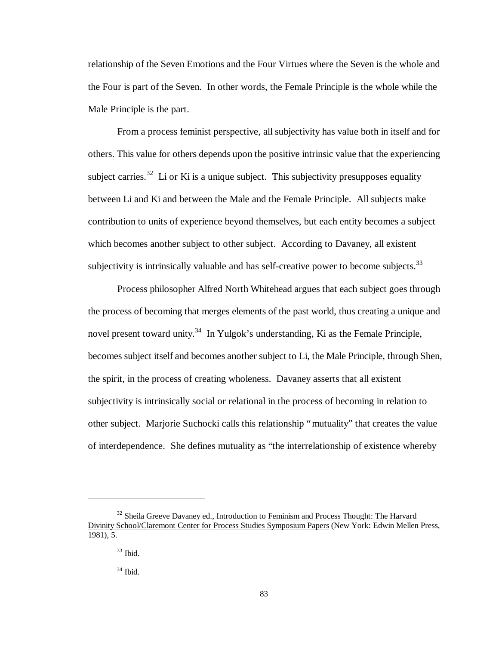relationship of the Seven Emotions and the Four Virtues where the Seven is the whole and the Four is part of the Seven. In other words, the Female Principle is the whole while the Male Principle is the part.

From a process feminist perspective, all subjectivity has value both in itself and for others. This value for others depends upon the positive intrinsic value that the experiencing subject carries.<sup>32</sup> Li or Ki is a unique subject. This subjectivity presupposes equality between Li and Ki and between the Male and the Female Principle. All subjects make contribution to units of experience beyond themselves, but each entity becomes a subject which becomes another subject to other subject. According to Davaney, all existent subjectivity is intrinsically valuable and has self-creative power to become subjects. $33$ 

Process philosopher Alfred North Whitehead argues that each subject goes through the process of becoming that merges elements of the past world, thus creating a unique and novel present toward unity.<sup>34</sup> In Yulgok's understanding, Ki as the Female Principle, becomes subject itself and becomes another subject to Li, the Male Principle, through Shen, the spirit, in the process of creating wholeness. Davaney asserts that all existent subjectivity is intrinsically social or relational in the process of becoming in relation to other subject. Marjorie Suchocki calls this relationship "mutuality" that creates the value of interdependence. She defines mutuality as "the interrelationship of existence whereby

<sup>&</sup>lt;sup>32</sup> Sheila Greeve Davaney ed., Introduction to Feminism and Process Thought: The Harvard Divinity School/Claremont Center for Process Studies Symposium Papers (New York: Edwin Mellen Press, 1981), 5.

 $33$  Ibid.

 $34$  Ibid.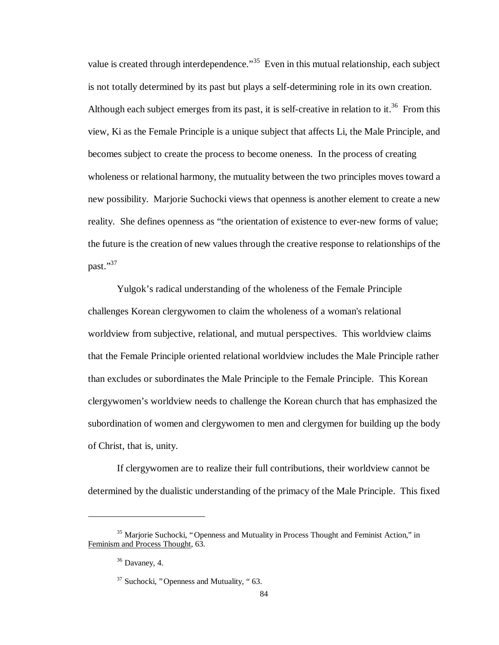value is created through interdependence."<sup>35</sup> Even in this mutual relationship, each subject is not totally determined by its past but plays a self-determining role in its own creation. Although each subject emerges from its past, it is self-creative in relation to it.<sup>36</sup> From this view, Ki as the Female Principle is a unique subject that affects Li, the Male Principle, and becomes subject to create the process to become oneness. In the process of creating wholeness or relational harmony, the mutuality between the two principles moves toward a new possibility. Marjorie Suchocki views that openness is another element to create a new reality. She defines openness as "the orientation of existence to ever-new forms of value; the future is the creation of new values through the creative response to relationships of the past."<sup>37</sup>

Yulgok's radical understanding of the wholeness of the Female Principle challenges Korean clergywomen to claim the wholeness of a woman's relational worldview from subjective, relational, and mutual perspectives. This worldview claims that the Female Principle oriented relational worldview includes the Male Principle rather than excludes or subordinates the Male Principle to the Female Principle. This Korean clergywomen's worldview needs to challenge the Korean church that has emphasized the subordination of women and clergywomen to men and clergymen for building up the body of Christ, that is, unity.

If clergywomen are to realize their full contributions, their worldview cannot be determined by the dualistic understanding of the primacy of the Male Principle. This fixed

<sup>&</sup>lt;sup>35</sup> Marjorie Suchocki, "Openness and Mutuality in Process Thought and Feminist Action," in Feminism and Process Thought, 63.

 $36$  Davaney, 4.

 $37$  Suchocki, "Openness and Mutuality, "63.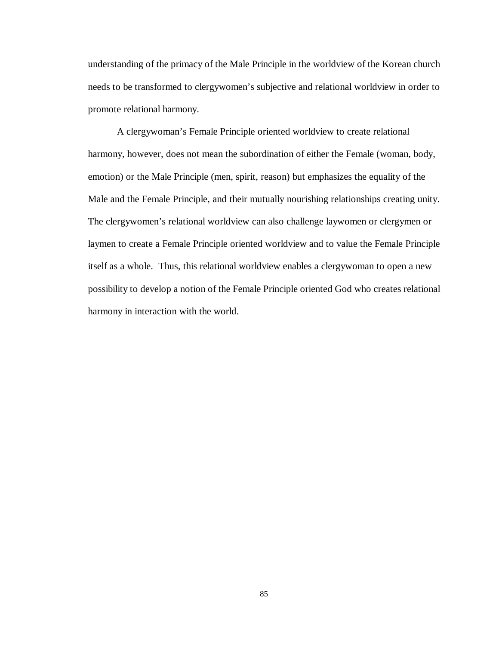understanding of the primacy of the Male Principle in the worldview of the Korean church needs to be transformed to clergywomen's subjective and relational worldview in order to promote relational harmony.

A clergywoman's Female Principle oriented worldview to create relational harmony, however, does not mean the subordination of either the Female (woman, body, emotion) or the Male Principle (men, spirit, reason) but emphasizes the equality of the Male and the Female Principle, and their mutually nourishing relationships creating unity. The clergywomen's relational worldview can also challenge laywomen or clergymen or laymen to create a Female Principle oriented worldview and to value the Female Principle itself as a whole. Thus, this relational worldview enables a clergywoman to open a new possibility to develop a notion of the Female Principle oriented God who creates relational harmony in interaction with the world.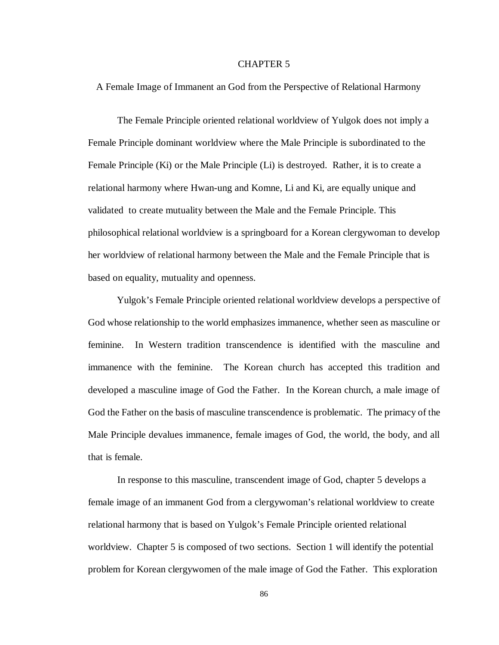## CHAPTER 5

A Female Image of Immanent an God from the Perspective of Relational Harmony

The Female Principle oriented relational worldview of Yulgok does not imply a Female Principle dominant worldview where the Male Principle is subordinated to the Female Principle (Ki) or the Male Principle (Li) is destroyed. Rather, it is to create a relational harmony where Hwan-ung and Komne, Li and Ki, are equally unique and validated to create mutuality between the Male and the Female Principle. This philosophical relational worldview is a springboard for a Korean clergywoman to develop her worldview of relational harmony between the Male and the Female Principle that is based on equality, mutuality and openness.

Yulgok's Female Principle oriented relational worldview develops a perspective of God whose relationship to the world emphasizes immanence, whether seen as masculine or feminine. In Western tradition transcendence is identified with the masculine and immanence with the feminine. The Korean church has accepted this tradition and developed a masculine image of God the Father. In the Korean church, a male image of God the Father on the basis of masculine transcendence is problematic. The primacy of the Male Principle devalues immanence, female images of God, the world, the body, and all that is female.

In response to this masculine, transcendent image of God, chapter 5 develops a female image of an immanent God from a clergywoman's relational worldview to create relational harmony that is based on Yulgok's Female Principle oriented relational worldview. Chapter 5 is composed of two sections. Section 1 will identify the potential problem for Korean clergywomen of the male image of God the Father. This exploration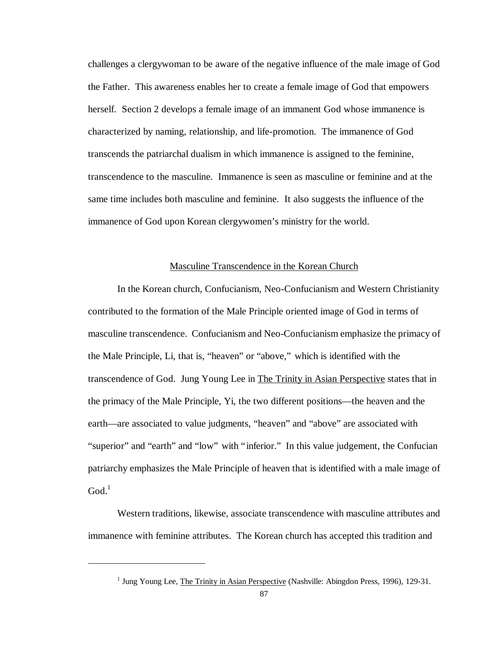challenges a clergywoman to be aware of the negative influence of the male image of God the Father. This awareness enables her to create a female image of God that empowers herself. Section 2 develops a female image of an immanent God whose immanence is characterized by naming, relationship, and life-promotion. The immanence of God transcends the patriarchal dualism in which immanence is assigned to the feminine, transcendence to the masculine. Immanence is seen as masculine or feminine and at the same time includes both masculine and feminine. It also suggests the influence of the immanence of God upon Korean clergywomen's ministry for the world.

#### Masculine Transcendence in the Korean Church

In the Korean church, Confucianism, Neo-Confucianism and Western Christianity contributed to the formation of the Male Principle oriented image of God in terms of masculine transcendence. Confucianism and Neo-Confucianism emphasize the primacy of the Male Principle, Li, that is, "heaven" or "above," which is identified with the transcendence of God. Jung Young Lee in The Trinity in Asian Perspective states that in the primacy of the Male Principle, Yi, the two different positions— the heaven and the earth— are associated to value judgments, "heaven" and "above" are associated with "superior" and "earth" and "low" with "inferior." In this value judgement, the Confucian patriarchy emphasizes the Male Principle of heaven that is identified with a male image of  $God<sup>1</sup>$ 

Western traditions, likewise, associate transcendence with masculine attributes and immanence with feminine attributes. The Korean church has accepted this tradition and

<sup>&</sup>lt;sup>1</sup> Jung Young Lee, The Trinity in Asian Perspective (Nashville: Abingdon Press, 1996), 129-31.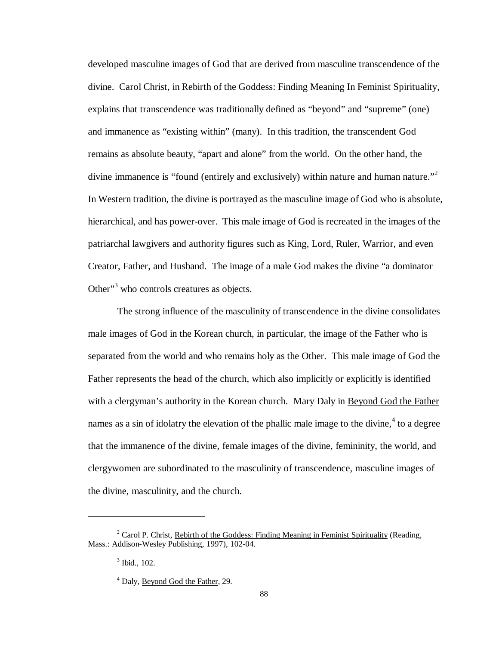developed masculine images of God that are derived from masculine transcendence of the divine. Carol Christ, in Rebirth of the Goddess: Finding Meaning In Feminist Spirituality, explains that transcendence was traditionally defined as "beyond" and "supreme" (one) and immanence as "existing within" (many). In this tradition, the transcendent God remains as absolute beauty, "apart and alone" from the world. On the other hand, the divine immanence is "found (entirely and exclusively) within nature and human nature."<sup>2</sup> In Western tradition, the divine is portrayed as the masculine image of God who is absolute, hierarchical, and has power-over. This male image of God is recreated in the images of the patriarchal lawgivers and authority figures such as King, Lord, Ruler, Warrior, and even Creator, Father, and Husband. The image of a male God makes the divine "a dominator Other"<sup>3</sup> who controls creatures as objects.

The strong influence of the masculinity of transcendence in the divine consolidates male images of God in the Korean church, in particular, the image of the Father who is separated from the world and who remains holy as the Other. This male image of God the Father represents the head of the church, which also implicitly or explicitly is identified with a clergyman's authority in the Korean church. Mary Daly in Beyond God the Father names as a sin of idolatry the elevation of the phallic male image to the divine,  $4$  to a degree that the immanence of the divine, female images of the divine, femininity, the world, and clergywomen are subordinated to the masculinity of transcendence, masculine images of the divine, masculinity, and the church.

<sup>&</sup>lt;sup>2</sup> Carol P. Christ, Rebirth of the Goddess: Finding Meaning in Feminist Spirituality (Reading, Mass.: Addison-Wesley Publishing, 1997), 102-04.

 $3$  Ibid., 102.

<sup>&</sup>lt;sup>4</sup> Daly, <u>Beyond God the Father</u>, 29.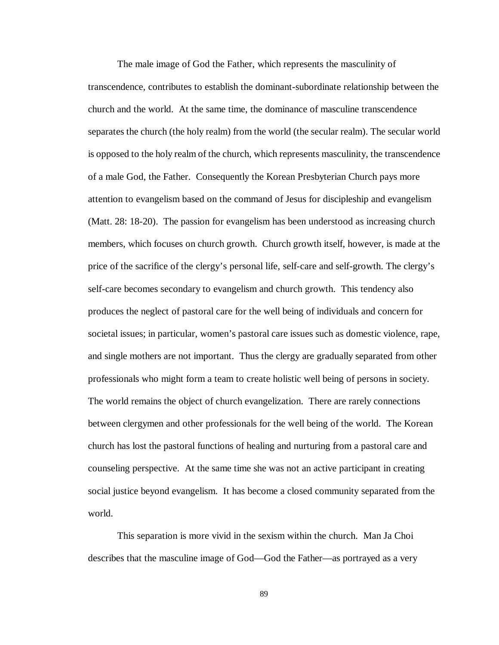The male image of God the Father, which represents the masculinity of transcendence, contributes to establish the dominant-subordinate relationship between the church and the world. At the same time, the dominance of masculine transcendence separates the church (the holy realm) from the world (the secular realm). The secular world is opposed to the holy realm of the church, which represents masculinity, the transcendence of a male God, the Father. Consequently the Korean Presbyterian Church pays more attention to evangelism based on the command of Jesus for discipleship and evangelism (Matt. 28: 18-20). The passion for evangelism has been understood as increasing church members, which focuses on church growth. Church growth itself, however, is made at the price of the sacrifice of the clergy's personal life, self-care and self-growth. The clergy's self-care becomes secondary to evangelism and church growth. This tendency also produces the neglect of pastoral care for the well being of individuals and concern for societal issues; in particular, women's pastoral care issues such as domestic violence, rape, and single mothers are not important. Thus the clergy are gradually separated from other professionals who might form a team to create holistic well being of persons in society. The world remains the object of church evangelization. There are rarely connections between clergymen and other professionals for the well being of the world. The Korean church has lost the pastoral functions of healing and nurturing from a pastoral care and counseling perspective. At the same time she was not an active participant in creating social justice beyond evangelism. It has become a closed community separated from the world.

This separation is more vivid in the sexism within the church. Man Ja Choi describes that the masculine image of God— God the Father— as portrayed as a very

89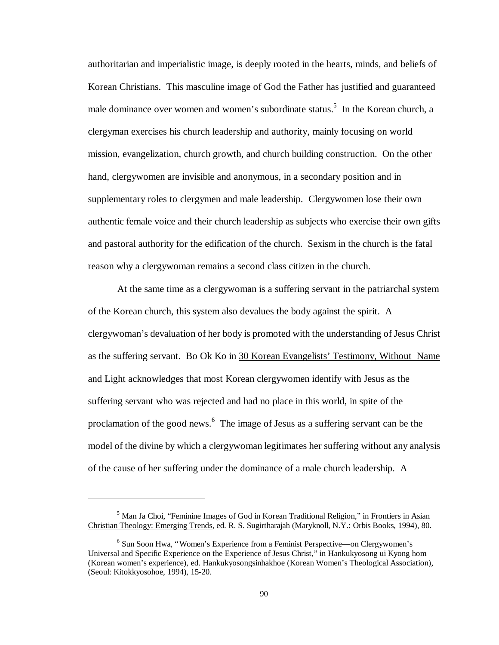authoritarian and imperialistic image, is deeply rooted in the hearts, minds, and beliefs of Korean Christians. This masculine image of God the Father has justified and guaranteed male dominance over women and women's subordinate status.<sup>5</sup> In the Korean church, a clergyman exercises his church leadership and authority, mainly focusing on world mission, evangelization, church growth, and church building construction. On the other hand, clergywomen are invisible and anonymous, in a secondary position and in supplementary roles to clergymen and male leadership. Clergywomen lose their own authentic female voice and their church leadership as subjects who exercise their own gifts and pastoral authority for the edification of the church. Sexism in the church is the fatal reason why a clergywoman remains a second class citizen in the church.

At the same time as a clergywoman is a suffering servant in the patriarchal system of the Korean church, this system also devalues the body against the spirit. A clergywoman's devaluation of her body is promoted with the understanding of Jesus Christ as the suffering servant. Bo Ok Ko in 30 Korean Evangelists' Testimony, Without Name and Light acknowledges that most Korean clergywomen identify with Jesus as the suffering servant who was rejected and had no place in this world, in spite of the proclamation of the good news.<sup>6</sup> The image of Jesus as a suffering servant can be the model of the divine by which a clergywoman legitimates her suffering without any analysis of the cause of her suffering under the dominance of a male church leadership. A

<sup>&</sup>lt;sup>5</sup> Man Ja Choi, "Feminine Images of God in Korean Traditional Religion," in Frontiers in Asian Christian Theology: Emerging Trends, ed. R. S. Sugirtharajah (Maryknoll, N.Y.: Orbis Books, 1994), 80.

<sup>&</sup>lt;sup>6</sup> Sun Soon Hwa, "Women's Experience from a Feminist Perspective—on Clergywomen's Universal and Specific Experience on the Experience of Jesus Christ," in Hankukyosong ui Kyong hom (Korean women's experience), ed. Hankukyosongsinhakhoe (Korean Women's Theological Association), (Seoul: Kitokkyosohoe, 1994), 15-20.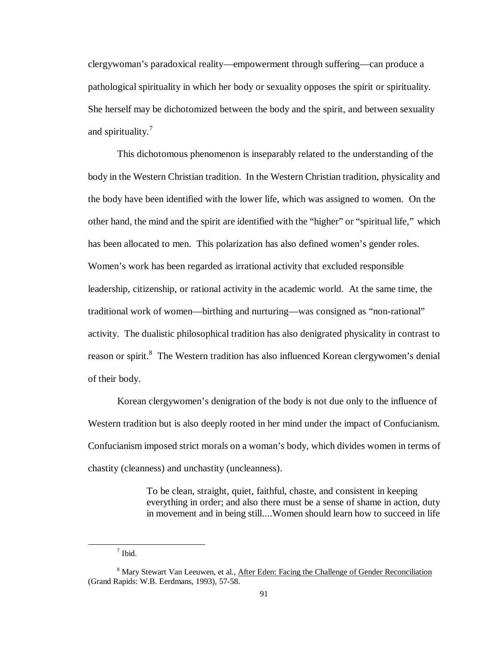clergywoman's paradoxical reality— empowerment through suffering— can produce a pathological spirituality in which her body or sexuality opposes the spirit or spirituality. She herself may be dichotomized between the body and the spirit, and between sexuality and spirituality.<sup>7</sup>

This dichotomous phenomenon is inseparably related to the understanding of the body in the Western Christian tradition. In the Western Christian tradition, physicality and the body have been identified with the lower life, which was assigned to women. On the other hand, the mind and the spirit are identified with the "higher" or "spiritual life," which has been allocated to men. This polarization has also defined women's gender roles. Women's work has been regarded as irrational activity that excluded responsible leadership, citizenship, or rational activity in the academic world. At the same time, the traditional work of women— birthing and nurturing— was consigned as "non-rational" activity. The dualistic philosophical tradition has also denigrated physicality in contrast to reason or spirit.<sup>8</sup> The Western tradition has also influenced Korean clergywomen's denial of their body.

Korean clergywomen's denigration of the body is not due only to the influence of Western tradition but is also deeply rooted in her mind under the impact of Confucianism. Confucianism imposed strict morals on a woman's body, which divides women in terms of chastity (cleanness) and unchastity (uncleanness).

> To be clean, straight, quiet, faithful, chaste, and consistent in keeping everything in order; and also there must be a sense of shame in action, duty in movement and in being still....Women should learn how to succeed in life

<sup>7</sup> Ibid.

<sup>&</sup>lt;sup>8</sup> Mary Stewart Van Leeuwen, et al., After Eden: Facing the Challenge of Gender Reconciliation (Grand Rapids: W.B. Eerdmans, 1993), 57-58.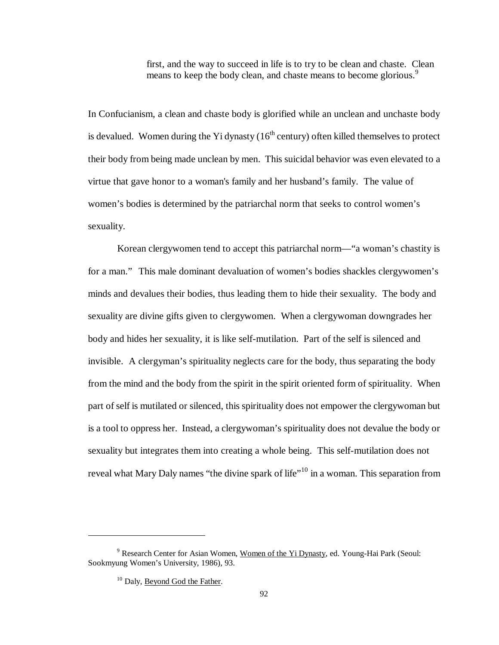first, and the way to succeed in life is to try to be clean and chaste. Clean means to keep the body clean, and chaste means to become glorious.<sup>9</sup>

In Confucianism, a clean and chaste body is glorified while an unclean and unchaste body is devalued. Women during the Yi dynasty  $(16<sup>th</sup>$  century) often killed themselves to protect their body from being made unclean by men. This suicidal behavior was even elevated to a virtue that gave honor to a woman's family and her husband's family. The value of women's bodies is determined by the patriarchal norm that seeks to control women's sexuality.

Korean clergywomen tend to accept this patriarchal norm— "a woman's chastity is for a man." This male dominant devaluation of women's bodies shackles clergywomen's minds and devalues their bodies, thus leading them to hide their sexuality. The body and sexuality are divine gifts given to clergywomen. When a clergywoman downgrades her body and hides her sexuality, it is like self-mutilation. Part of the self is silenced and invisible. A clergyman's spirituality neglects care for the body, thus separating the body from the mind and the body from the spirit in the spirit oriented form of spirituality. When part of self is mutilated or silenced, this spirituality does not empower the clergywoman but is a tool to oppress her. Instead, a clergywoman's spirituality does not devalue the body or sexuality but integrates them into creating a whole being. This self-mutilation does not reveal what Mary Daly names "the divine spark of life"<sup>10</sup> in a woman. This separation from

<sup>9</sup> Research Center for Asian Women, Women of the Yi Dynasty, ed. Young-Hai Park (Seoul: Sookmyung Women's University, 1986), 93.

<sup>&</sup>lt;sup>10</sup> Daly, Beyond God the Father.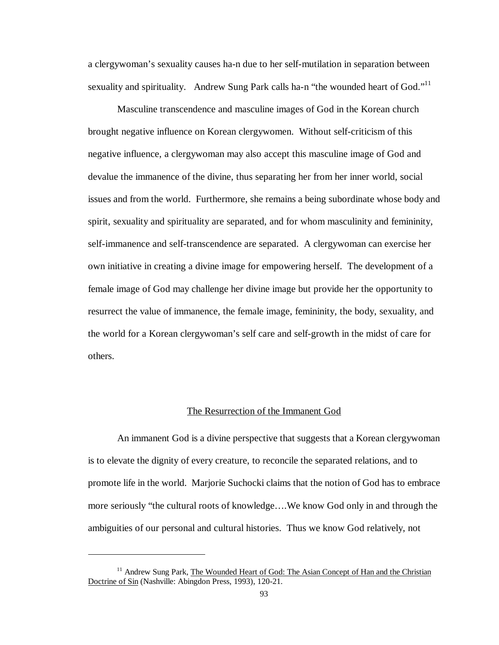a clergywoman's sexuality causes ha-n due to her self-mutilation in separation between sexuality and spirituality. Andrew Sung Park calls ha-n "the wounded heart of God."<sup>11</sup>

Masculine transcendence and masculine images of God in the Korean church brought negative influence on Korean clergywomen. Without self-criticism of this negative influence, a clergywoman may also accept this masculine image of God and devalue the immanence of the divine, thus separating her from her inner world, social issues and from the world. Furthermore, she remains a being subordinate whose body and spirit, sexuality and spirituality are separated, and for whom masculinity and femininity, self-immanence and self-transcendence are separated. A clergywoman can exercise her own initiative in creating a divine image for empowering herself. The development of a female image of God may challenge her divine image but provide her the opportunity to resurrect the value of immanence, the female image, femininity, the body, sexuality, and the world for a Korean clergywoman's self care and self-growth in the midst of care for others.

#### The Resurrection of the Immanent God

An immanent God is a divine perspective that suggests that a Korean clergywoman is to elevate the dignity of every creature, to reconcile the separated relations, and to promote life in the world. Marjorie Suchocki claims that the notion of God has to embrace more seriously "the cultural roots of knowledge… .We know God only in and through the ambiguities of our personal and cultural histories. Thus we know God relatively, not

<sup>&</sup>lt;sup>11</sup> Andrew Sung Park, The Wounded Heart of God: The Asian Concept of Han and the Christian Doctrine of Sin (Nashville: Abingdon Press, 1993), 120-21.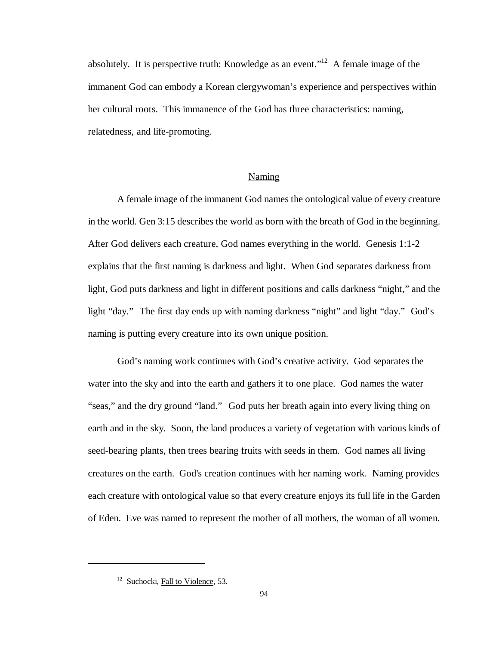absolutely. It is perspective truth: Knowledge as an event."<sup>12</sup> A female image of the immanent God can embody a Korean clergywoman's experience and perspectives within her cultural roots. This immanence of the God has three characteristics: naming, relatedness, and life-promoting.

#### Naming

A female image of the immanent God names the ontological value of every creature in the world. Gen 3:15 describes the world as born with the breath of God in the beginning. After God delivers each creature, God names everything in the world. Genesis 1:1-2 explains that the first naming is darkness and light. When God separates darkness from light, God puts darkness and light in different positions and calls darkness "night," and the light "day." The first day ends up with naming darkness "night" and light "day." God's naming is putting every creature into its own unique position.

God's naming work continues with God's creative activity. God separates the water into the sky and into the earth and gathers it to one place. God names the water "seas," and the dry ground "land." God puts her breath again into every living thing on earth and in the sky. Soon, the land produces a variety of vegetation with various kinds of seed-bearing plants, then trees bearing fruits with seeds in them. God names all living creatures on the earth. God's creation continues with her naming work. Naming provides each creature with ontological value so that every creature enjoys its full life in the Garden of Eden. Eve was named to represent the mother of all mothers, the woman of all women.

<sup>&</sup>lt;sup>12</sup> Suchocki, Fall to Violence, 53.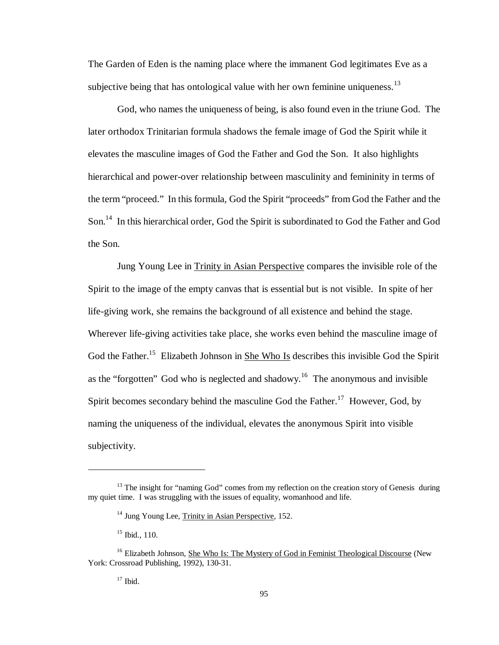The Garden of Eden is the naming place where the immanent God legitimates Eve as a subjective being that has ontological value with her own feminine uniqueness.<sup>13</sup>

God, who names the uniqueness of being, is also found even in the triune God. The later orthodox Trinitarian formula shadows the female image of God the Spirit while it elevates the masculine images of God the Father and God the Son. It also highlights hierarchical and power-over relationship between masculinity and femininity in terms of the term "proceed." In this formula, God the Spirit "proceeds" from God the Father and the Son.<sup>14</sup> In this hierarchical order, God the Spirit is subordinated to God the Father and God the Son.

Jung Young Lee in Trinity in Asian Perspective compares the invisible role of the Spirit to the image of the empty canvas that is essential but is not visible. In spite of her life-giving work, she remains the background of all existence and behind the stage. Wherever life-giving activities take place, she works even behind the masculine image of God the Father.<sup>15</sup> Elizabeth Johnson in She Who Is describes this invisible God the Spirit as the "forgotten" God who is neglected and shadowy.<sup>16</sup> The anonymous and invisible Spirit becomes secondary behind the masculine God the Father.<sup>17</sup> However, God, by naming the uniqueness of the individual, elevates the anonymous Spirit into visible subjectivity.

<sup>&</sup>lt;sup>13</sup> The insight for "naming God" comes from my reflection on the creation story of Genesis during my quiet time. I was struggling with the issues of equality, womanhood and life.

<sup>&</sup>lt;sup>14</sup> Jung Young Lee, Trinity in Asian Perspective, 152.

 $15$  Ibid., 110.

<sup>&</sup>lt;sup>16</sup> Elizabeth Johnson, She Who Is: The Mystery of God in Feminist Theological Discourse (New York: Crossroad Publishing, 1992), 130-31.

 $17$  Ibid.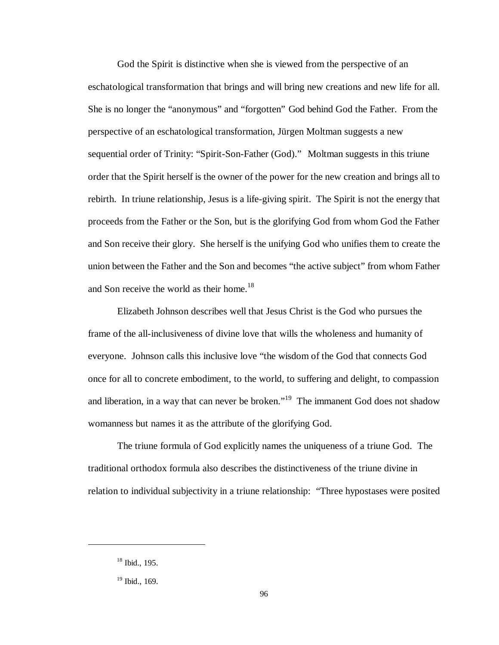God the Spirit is distinctive when she is viewed from the perspective of an eschatological transformation that brings and will bring new creations and new life for all. She is no longer the "anonymous" and "forgotten" God behind God the Father. From the perspective of an eschatological transformation, Jürgen Moltman suggests a new sequential order of Trinity: "Spirit-Son-Father (God)." Moltman suggests in this triune order that the Spirit herself is the owner of the power for the new creation and brings all to rebirth. In triune relationship, Jesus is a life-giving spirit. The Spirit is not the energy that proceeds from the Father or the Son, but is the glorifying God from whom God the Father and Son receive their glory. She herself is the unifying God who unifies them to create the union between the Father and the Son and becomes "the active subject" from whom Father and Son receive the world as their home.<sup>18</sup>

Elizabeth Johnson describes well that Jesus Christ is the God who pursues the frame of the all-inclusiveness of divine love that wills the wholeness and humanity of everyone. Johnson calls this inclusive love "the wisdom of the God that connects God once for all to concrete embodiment, to the world, to suffering and delight, to compassion and liberation, in a way that can never be broken."<sup>19</sup> The immanent God does not shadow womanness but names it as the attribute of the glorifying God.

The triune formula of God explicitly names the uniqueness of a triune God. The traditional orthodox formula also describes the distinctiveness of the triune divine in relation to individual subjectivity in a triune relationship: "Three hypostases were posited

 $18$  Ibid., 195.

 $19$  Ibid., 169.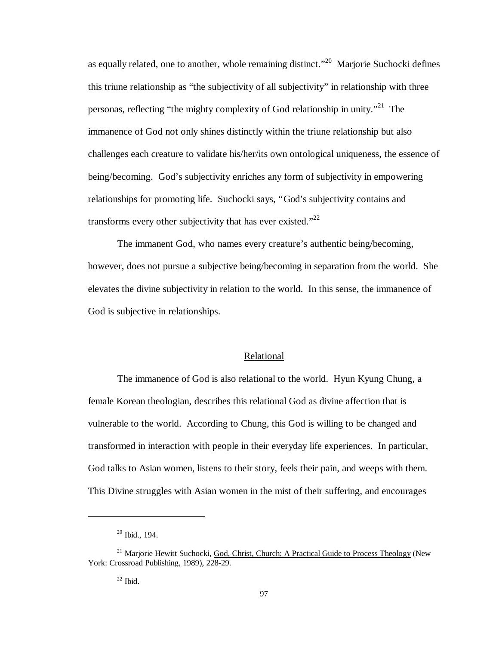as equally related, one to another, whole remaining distinct."<sup>20</sup> Marjorie Suchocki defines this triune relationship as "the subjectivity of all subjectivity" in relationship with three personas, reflecting "the mighty complexity of God relationship in unity."<sup>21</sup> The immanence of God not only shines distinctly within the triune relationship but also challenges each creature to validate his/her/its own ontological uniqueness, the essence of being/becoming. God's subjectivity enriches any form of subjectivity in empowering relationships for promoting life. Suchocki says, "God's subjectivity contains and transforms every other subjectivity that has ever existed." $^{22}$ 

The immanent God, who names every creature's authentic being/becoming, however, does not pursue a subjective being/becoming in separation from the world. She elevates the divine subjectivity in relation to the world. In this sense, the immanence of God is subjective in relationships.

### Relational

The immanence of God is also relational to the world. Hyun Kyung Chung, a female Korean theologian, describes this relational God as divine affection that is vulnerable to the world. According to Chung, this God is willing to be changed and transformed in interaction with people in their everyday life experiences. In particular, God talks to Asian women, listens to their story, feels their pain, and weeps with them. This Divine struggles with Asian women in the mist of their suffering, and encourages

<sup>20</sup> Ibid., 194.

<sup>&</sup>lt;sup>21</sup> Marjorie Hewitt Suchocki, God, Christ, Church: A Practical Guide to Process Theology (New York: Crossroad Publishing, 1989), 228-29.

 $22$  Ibid.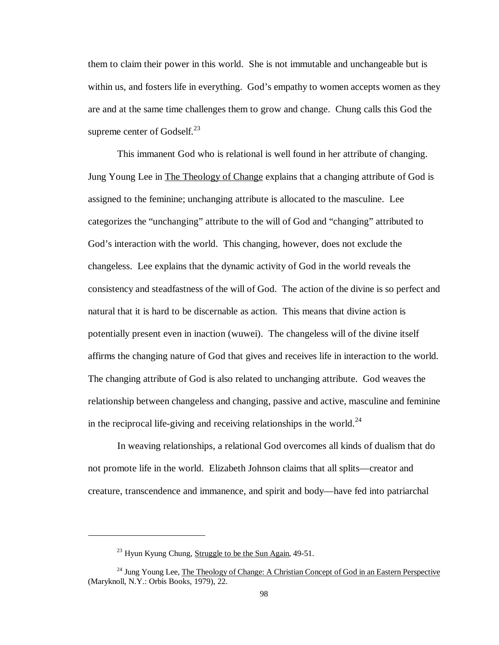them to claim their power in this world. She is not immutable and unchangeable but is within us, and fosters life in everything. God's empathy to women accepts women as they are and at the same time challenges them to grow and change. Chung calls this God the supreme center of Godself. $^{23}$ 

This immanent God who is relational is well found in her attribute of changing. Jung Young Lee in The Theology of Change explains that a changing attribute of God is assigned to the feminine; unchanging attribute is allocated to the masculine. Lee categorizes the "unchanging" attribute to the will of God and "changing" attributed to God's interaction with the world. This changing, however, does not exclude the changeless. Lee explains that the dynamic activity of God in the world reveals the consistency and steadfastness of the will of God. The action of the divine is so perfect and natural that it is hard to be discernable as action. This means that divine action is potentially present even in inaction (wuwei). The changeless will of the divine itself affirms the changing nature of God that gives and receives life in interaction to the world. The changing attribute of God is also related to unchanging attribute. God weaves the relationship between changeless and changing, passive and active, masculine and feminine in the reciprocal life-giving and receiving relationships in the world.<sup>24</sup>

In weaving relationships, a relational God overcomes all kinds of dualism that do not promote life in the world. Elizabeth Johnson claims that all splits— creator and creature, transcendence and immanence, and spirit and body— have fed into patriarchal

<sup>&</sup>lt;sup>23</sup> Hyun Kyung Chung, Struggle to be the Sun Again, 49-51.

<sup>&</sup>lt;sup>24</sup> Jung Young Lee, The Theology of Change: A Christian Concept of God in an Eastern Perspective (Maryknoll, N.Y.: Orbis Books, 1979), 22.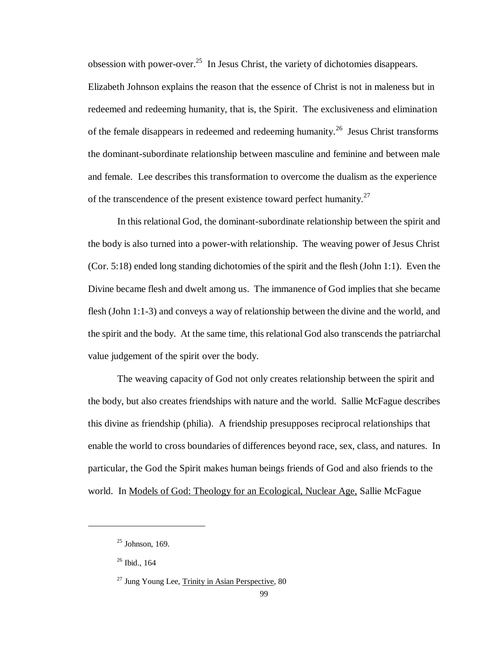obsession with power-over.<sup>25</sup> In Jesus Christ, the variety of dichotomies disappears.

Elizabeth Johnson explains the reason that the essence of Christ is not in maleness but in redeemed and redeeming humanity, that is, the Spirit. The exclusiveness and elimination of the female disappears in redeemed and redeeming humanity.<sup>26</sup> Jesus Christ transforms the dominant-subordinate relationship between masculine and feminine and between male and female. Lee describes this transformation to overcome the dualism as the experience of the transcendence of the present existence toward perfect humanity. $27$ 

In this relational God, the dominant-subordinate relationship between the spirit and the body is also turned into a power-with relationship. The weaving power of Jesus Christ (Cor. 5:18) ended long standing dichotomies of the spirit and the flesh (John 1:1). Even the Divine became flesh and dwelt among us. The immanence of God implies that she became flesh (John 1:1-3) and conveys a way of relationship between the divine and the world, and the spirit and the body. At the same time, this relational God also transcends the patriarchal value judgement of the spirit over the body.

The weaving capacity of God not only creates relationship between the spirit and the body, but also creates friendships with nature and the world. Sallie McFague describes this divine as friendship (philia). A friendship presupposes reciprocal relationships that enable the world to cross boundaries of differences beyond race, sex, class, and natures. In particular, the God the Spirit makes human beings friends of God and also friends to the world. In Models of God: Theology for an Ecological, Nuclear Age, Sallie McFague

 $25$  Johnson, 169.

 $26$  Ibid., 164

 $27$  Jung Young Lee, Trinity in Asian Perspective, 80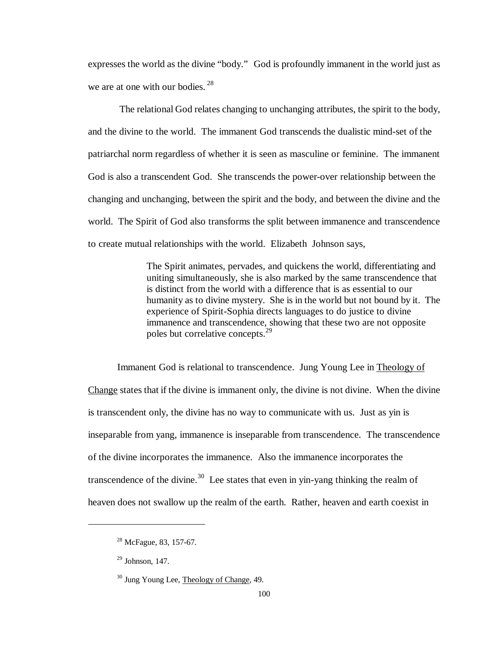expresses the world as the divine "body." God is profoundly immanent in the world just as we are at one with our bodies. <sup>28</sup>

 The relational God relates changing to unchanging attributes, the spirit to the body, and the divine to the world. The immanent God transcends the dualistic mind-set of the patriarchal norm regardless of whether it is seen as masculine or feminine. The immanent God is also a transcendent God. She transcends the power-over relationship between the changing and unchanging, between the spirit and the body, and between the divine and the world. The Spirit of God also transforms the split between immanence and transcendence to create mutual relationships with the world. Elizabeth Johnson says,

> The Spirit animates, pervades, and quickens the world, differentiating and uniting simultaneously, she is also marked by the same transcendence that is distinct from the world with a difference that is as essential to our humanity as to divine mystery. She is in the world but not bound by it. The experience of Spirit-Sophia directs languages to do justice to divine immanence and transcendence, showing that these two are not opposite poles but correlative concepts.<sup>29</sup>

Immanent God is relational to transcendence. Jung Young Lee in Theology of Change states that if the divine is immanent only, the divine is not divine. When the divine is transcendent only, the divine has no way to communicate with us. Just as yin is inseparable from yang, immanence is inseparable from transcendence. The transcendence of the divine incorporates the immanence. Also the immanence incorporates the transcendence of the divine.<sup>30</sup> Lee states that even in yin-yang thinking the realm of heaven does not swallow up the realm of the earth. Rather, heaven and earth coexist in

<sup>&</sup>lt;sup>28</sup> McFague, 83, 157-67.

 $29$  Johnson, 147.

<sup>30</sup> Jung Young Lee, Theology of Change, 49.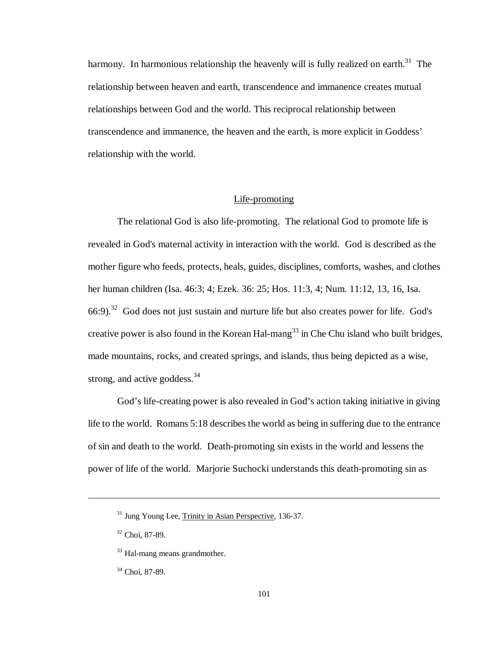harmony. In harmonious relationship the heavenly will is fully realized on earth.<sup>31</sup> The relationship between heaven and earth, transcendence and immanence creates mutual relationships between God and the world. This reciprocal relationship between transcendence and immanence, the heaven and the earth, is more explicit in Goddess' relationship with the world.

# Life-promoting

The relational God is also life-promoting. The relational God to promote life is revealed in God's maternal activity in interaction with the world. God is described as the mother figure who feeds, protects, heals, guides, disciplines, comforts, washes, and clothes her human children (Isa. 46:3; 4; Ezek. 36: 25; Hos. 11:3, 4; Num. 11:12, 13, 16, Isa.  $66:9$ .<sup>32</sup> God does not just sustain and nurture life but also creates power for life. God's creative power is also found in the Korean Hal-mang<sup>33</sup> in Che Chu island who built bridges, made mountains, rocks, and created springs, and islands, thus being depicted as a wise, strong, and active goddess. $34$ 

God's life-creating power is also revealed in God's action taking initiative in giving life to the world. Romans 5:18 describes the world as being in suffering due to the entrance of sin and death to the world. Death-promoting sin exists in the world and lessens the power of life of the world. Marjorie Suchocki understands this death-promoting sin as

<sup>&</sup>lt;sup>31</sup> Jung Young Lee, Trinity in Asian Perspective, 136-37.

<sup>32</sup> Choi, 87-89.

<sup>33</sup> Hal-mang means grandmother.

<sup>34</sup> Choi, 87-89.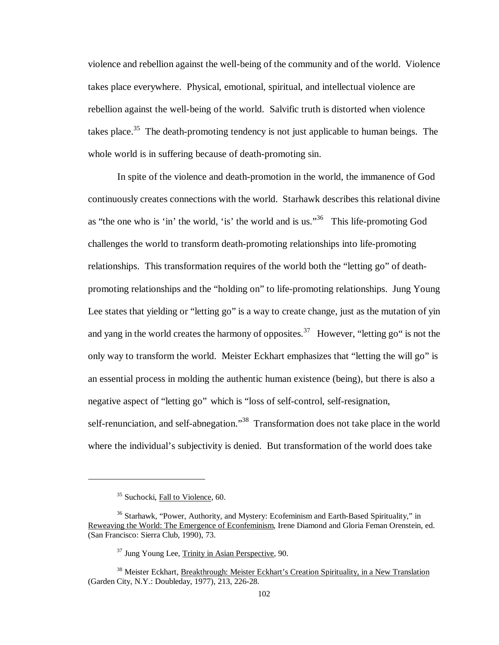violence and rebellion against the well-being of the community and of the world. Violence takes place everywhere. Physical, emotional, spiritual, and intellectual violence are rebellion against the well-being of the world. Salvific truth is distorted when violence takes place.<sup>35</sup> The death-promoting tendency is not just applicable to human beings. The whole world is in suffering because of death-promoting sin.

In spite of the violence and death-promotion in the world, the immanence of God continuously creates connections with the world. Starhawk describes this relational divine as "the one who is 'in' the world, 'is' the world and is us."<sup>36</sup> This life-promoting God challenges the world to transform death-promoting relationships into life-promoting relationships. This transformation requires of the world both the "letting go" of deathpromoting relationships and the "holding on" to life-promoting relationships. Jung Young Lee states that yielding or "letting go" is a way to create change, just as the mutation of yin and yang in the world creates the harmony of opposites.<sup>37</sup> However, "letting go" is not the only way to transform the world. Meister Eckhart emphasizes that "letting the will go" is an essential process in molding the authentic human existence (being), but there is also a negative aspect of "letting go" which is "loss of self-control, self-resignation, self-renunciation, and self-abnegation."<sup>38</sup> Transformation does not take place in the world where the individual's subjectivity is denied. But transformation of the world does take

 $\overline{a}$ 

<sup>&</sup>lt;sup>35</sup> Suchocki, Fall to Violence, 60.

<sup>&</sup>lt;sup>36</sup> Starhawk, "Power, Authority, and Mystery: Ecofeminism and Earth-Based Spirituality," in Reweaving the World: The Emergence of Econfeminism, Irene Diamond and Gloria Feman Orenstein, ed. (San Francisco: Sierra Club, 1990), 73.

<sup>37</sup> Jung Young Lee, Trinity in Asian Perspective, 90.

<sup>38</sup> Meister Eckhart, Breakthrough: Meister Eckhart's Creation Spirituality, in a New Translation (Garden City, N.Y.: Doubleday, 1977), 213, 226-28.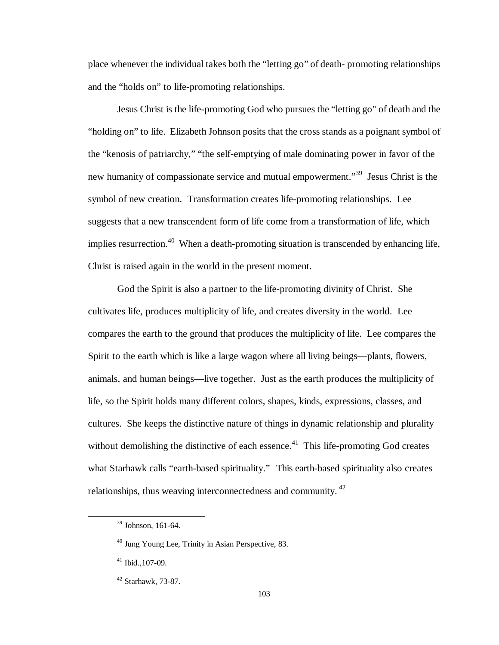place whenever the individual takes both the "letting go" of death- promoting relationships and the "holds on" to life-promoting relationships.

Jesus Christ is the life-promoting God who pursues the "letting go" of death and the "holding on" to life. Elizabeth Johnson posits that the cross stands as a poignant symbol of the "kenosis of patriarchy," "the self-emptying of male dominating power in favor of the new humanity of compassionate service and mutual empowerment."<sup>39</sup> Jesus Christ is the symbol of new creation. Transformation creates life-promoting relationships. Lee suggests that a new transcendent form of life come from a transformation of life, which implies resurrection.<sup>40</sup> When a death-promoting situation is transcended by enhancing life, Christ is raised again in the world in the present moment.

God the Spirit is also a partner to the life-promoting divinity of Christ. She cultivates life, produces multiplicity of life, and creates diversity in the world. Lee compares the earth to the ground that produces the multiplicity of life. Lee compares the Spirit to the earth which is like a large wagon where all living beings— plants, flowers, animals, and human beings— live together. Just as the earth produces the multiplicity of life, so the Spirit holds many different colors, shapes, kinds, expressions, classes, and cultures. She keeps the distinctive nature of things in dynamic relationship and plurality without demolishing the distinctive of each essence.<sup>41</sup> This life-promoting God creates what Starhawk calls "earth-based spirituality." This earth-based spirituality also creates relationships, thus weaving interconnectedness and community. <sup>42</sup>

<sup>39</sup> Johnson, 161-64.

<sup>40</sup> Jung Young Lee, Trinity in Asian Perspective, 83.

 $41$  Ibid., 107-09.

<sup>42</sup> Starhawk, 73-87.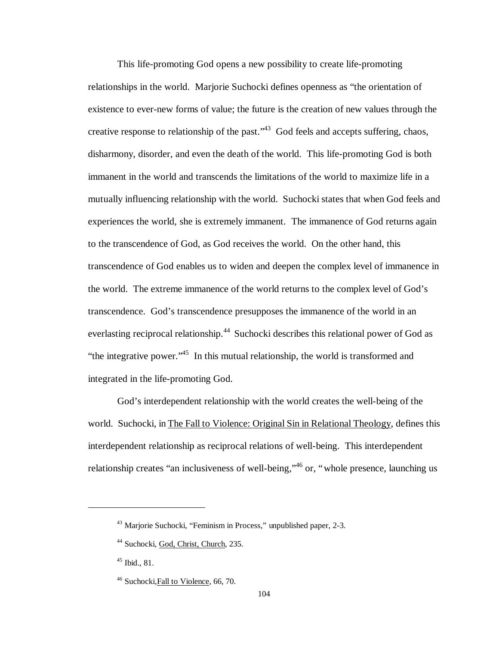This life-promoting God opens a new possibility to create life-promoting relationships in the world. Marjorie Suchocki defines openness as "the orientation of existence to ever-new forms of value; the future is the creation of new values through the creative response to relationship of the past.<sup> $43$ </sup> God feels and accepts suffering, chaos, disharmony, disorder, and even the death of the world. This life-promoting God is both immanent in the world and transcends the limitations of the world to maximize life in a mutually influencing relationship with the world. Suchocki states that when God feels and experiences the world, she is extremely immanent. The immanence of God returns again to the transcendence of God, as God receives the world. On the other hand, this transcendence of God enables us to widen and deepen the complex level of immanence in the world. The extreme immanence of the world returns to the complex level of God's transcendence. God's transcendence presupposes the immanence of the world in an everlasting reciprocal relationship.<sup>44</sup> Suchocki describes this relational power of God as "the integrative power."<sup>45</sup> In this mutual relationship, the world is transformed and integrated in the life-promoting God.

God's interdependent relationship with the world creates the well-being of the world. Suchocki, in The Fall to Violence: Original Sin in Relational Theology, defines this interdependent relationship as reciprocal relations of well-being. This interdependent relationship creates "an inclusiveness of well-being,"<sup>46</sup> or, "whole presence, launching us

<sup>43</sup> Marjorie Suchocki, "Feminism in Process," unpublished paper, 2-3.

<sup>44</sup> Suchocki, God, Christ, Church, 235.

 $45$  Ibid., 81.

<sup>46</sup> Suchocki,Fall to Violence, 66, 70.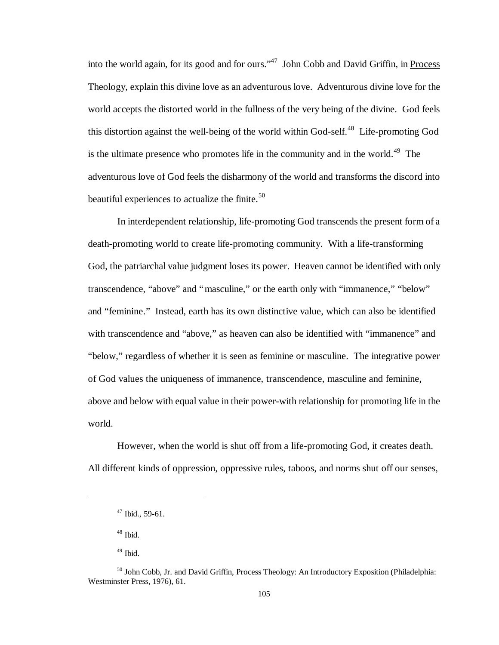into the world again, for its good and for ours."<sup>47</sup> John Cobb and David Griffin, in Process Theology, explain this divine love as an adventurous love. Adventurous divine love for the world accepts the distorted world in the fullness of the very being of the divine. God feels this distortion against the well-being of the world within God-self.<sup>48</sup> Life-promoting God is the ultimate presence who promotes life in the community and in the world.<sup>49</sup> The adventurous love of God feels the disharmony of the world and transforms the discord into beautiful experiences to actualize the finite. $50$ 

In interdependent relationship, life-promoting God transcends the present form of a death-promoting world to create life-promoting community. With a life-transforming God, the patriarchal value judgment loses its power. Heaven cannot be identified with only transcendence, "above" and "masculine," or the earth only with "immanence," "below" and "feminine." Instead, earth has its own distinctive value, which can also be identified with transcendence and "above," as heaven can also be identified with "immanence" and "below," regardless of whether it is seen as feminine or masculine. The integrative power of God values the uniqueness of immanence, transcendence, masculine and feminine, above and below with equal value in their power-with relationship for promoting life in the world.

However, when the world is shut off from a life-promoting God, it creates death. All different kinds of oppression, oppressive rules, taboos, and norms shut off our senses,

 $^{48}$  Ibid.

1

 $47$  Ibid., 59-61.

 $49$  Ibid.

<sup>&</sup>lt;sup>50</sup> John Cobb, Jr. and David Griffin, Process Theology: An Introductory Exposition (Philadelphia: Westminster Press, 1976), 61.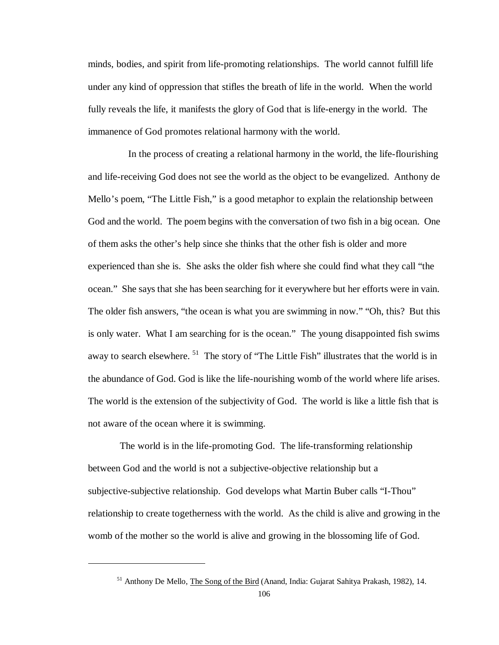minds, bodies, and spirit from life-promoting relationships. The world cannot fulfill life under any kind of oppression that stifles the breath of life in the world. When the world fully reveals the life, it manifests the glory of God that is life-energy in the world. The immanence of God promotes relational harmony with the world.

In the process of creating a relational harmony in the world, the life-flourishing and life-receiving God does not see the world as the object to be evangelized. Anthony de Mello's poem, "The Little Fish," is a good metaphor to explain the relationship between God and the world. The poem begins with the conversation of two fish in a big ocean. One of them asks the other's help since she thinks that the other fish is older and more experienced than she is. She asks the older fish where she could find what they call "the ocean." She says that she has been searching for it everywhere but her efforts were in vain. The older fish answers, "the ocean is what you are swimming in now.""Oh, this? But this is only water. What I am searching for is the ocean." The young disappointed fish swims away to search elsewhere.<sup>51</sup> The story of "The Little Fish" illustrates that the world is in the abundance of God. God is like the life-nourishing womb of the world where life arises. The world is the extension of the subjectivity of God. The world is like a little fish that is not aware of the ocean where it is swimming.

 The world is in the life-promoting God. The life-transforming relationship between God and the world is not a subjective-objective relationship but a subjective-subjective relationship. God develops what Martin Buber calls "I-Thou" relationship to create togetherness with the world. As the child is alive and growing in the womb of the mother so the world is alive and growing in the blossoming life of God.

<sup>51</sup> Anthony De Mello, The Song of the Bird (Anand, India: Gujarat Sahitya Prakash, 1982), 14.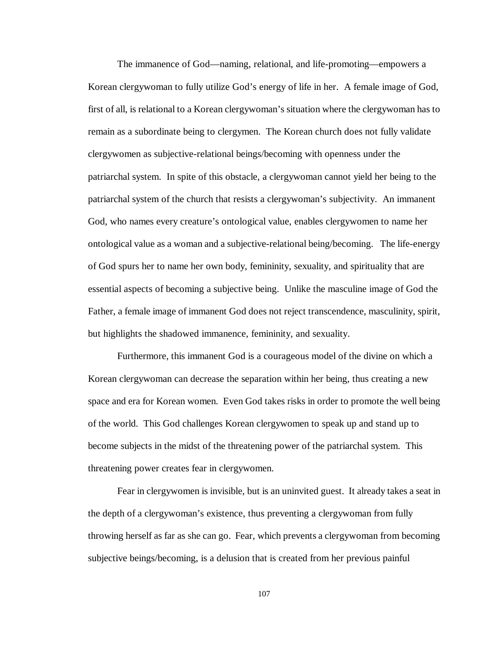The immanence of God— naming, relational, and life-promoting— empowers a Korean clergywoman to fully utilize God's energy of life in her. A female image of God, first of all, is relational to a Korean clergywoman's situation where the clergywoman has to remain as a subordinate being to clergymen. The Korean church does not fully validate clergywomen as subjective-relational beings/becoming with openness under the patriarchal system. In spite of this obstacle, a clergywoman cannot yield her being to the patriarchal system of the church that resists a clergywoman's subjectivity. An immanent God, who names every creature's ontological value, enables clergywomen to name her ontological value as a woman and a subjective-relational being/becoming. The life-energy of God spurs her to name her own body, femininity, sexuality, and spirituality that are essential aspects of becoming a subjective being. Unlike the masculine image of God the Father, a female image of immanent God does not reject transcendence, masculinity, spirit, but highlights the shadowed immanence, femininity, and sexuality.

Furthermore, this immanent God is a courageous model of the divine on which a Korean clergywoman can decrease the separation within her being, thus creating a new space and era for Korean women. Even God takes risks in order to promote the well being of the world. This God challenges Korean clergywomen to speak up and stand up to become subjects in the midst of the threatening power of the patriarchal system. This threatening power creates fear in clergywomen.

Fear in clergywomen is invisible, but is an uninvited guest. It already takes a seat in the depth of a clergywoman's existence, thus preventing a clergywoman from fully throwing herself as far as she can go. Fear, which prevents a clergywoman from becoming subjective beings/becoming, is a delusion that is created from her previous painful

107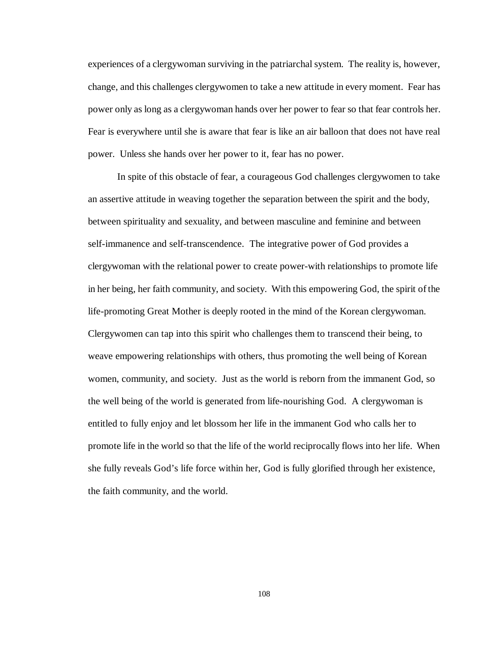experiences of a clergywoman surviving in the patriarchal system. The reality is, however, change, and this challenges clergywomen to take a new attitude in every moment. Fear has power only as long as a clergywoman hands over her power to fear so that fear controls her. Fear is everywhere until she is aware that fear is like an air balloon that does not have real power. Unless she hands over her power to it, fear has no power.

In spite of this obstacle of fear, a courageous God challenges clergywomen to take an assertive attitude in weaving together the separation between the spirit and the body, between spirituality and sexuality, and between masculine and feminine and between self-immanence and self-transcendence. The integrative power of God provides a clergywoman with the relational power to create power-with relationships to promote life in her being, her faith community, and society. With this empowering God, the spirit of the life-promoting Great Mother is deeply rooted in the mind of the Korean clergywoman. Clergywomen can tap into this spirit who challenges them to transcend their being, to weave empowering relationships with others, thus promoting the well being of Korean women, community, and society. Just as the world is reborn from the immanent God, so the well being of the world is generated from life-nourishing God. A clergywoman is entitled to fully enjoy and let blossom her life in the immanent God who calls her to promote life in the world so that the life of the world reciprocally flows into her life. When she fully reveals God's life force within her, God is fully glorified through her existence, the faith community, and the world.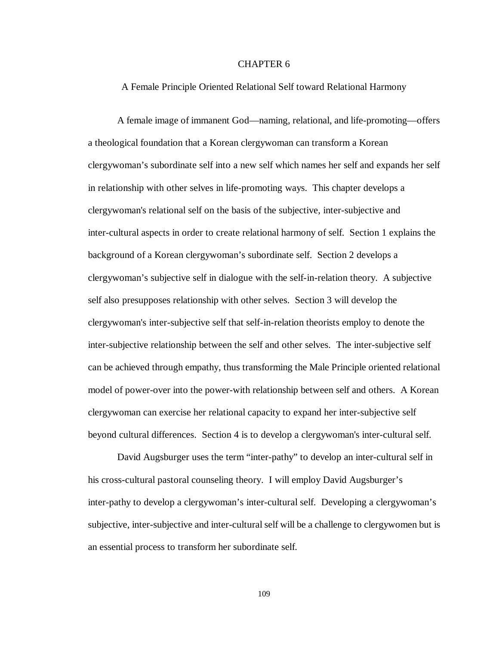# CHAPTER 6

### A Female Principle Oriented Relational Self toward Relational Harmony

A female image of immanent God— naming, relational, and life-promoting— offers a theological foundation that a Korean clergywoman can transform a Korean clergywoman's subordinate self into a new self which names her self and expands her self in relationship with other selves in life-promoting ways. This chapter develops a clergywoman's relational self on the basis of the subjective, inter-subjective and inter-cultural aspects in order to create relational harmony of self. Section 1 explains the background of a Korean clergywoman's subordinate self. Section 2 develops a clergywoman's subjective self in dialogue with the self-in-relation theory. A subjective self also presupposes relationship with other selves. Section 3 will develop the clergywoman's inter-subjective self that self-in-relation theorists employ to denote the inter-subjective relationship between the self and other selves. The inter-subjective self can be achieved through empathy, thus transforming the Male Principle oriented relational model of power-over into the power-with relationship between self and others. A Korean clergywoman can exercise her relational capacity to expand her inter-subjective self beyond cultural differences. Section 4 is to develop a clergywoman's inter-cultural self.

David Augsburger uses the term "inter-pathy" to develop an inter-cultural self in his cross-cultural pastoral counseling theory. I will employ David Augsburger's inter-pathy to develop a clergywoman's inter-cultural self. Developing a clergywoman's subjective, inter-subjective and inter-cultural self will be a challenge to clergywomen but is an essential process to transform her subordinate self.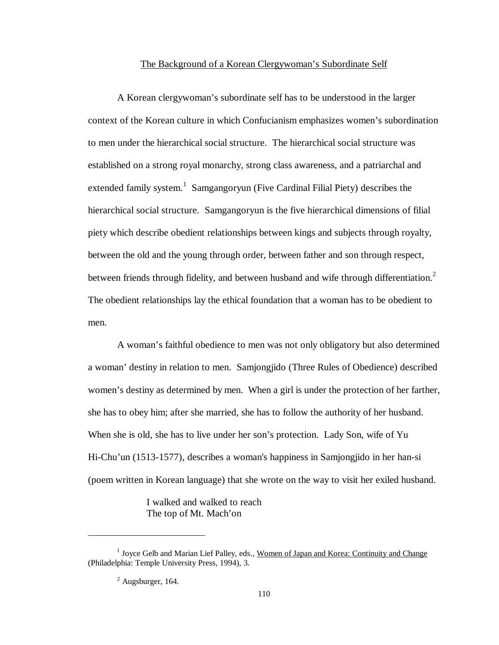#### The Background of a Korean Clergywoman's Subordinate Self

A Korean clergywoman's subordinate self has to be understood in the larger context of the Korean culture in which Confucianism emphasizes women's subordination to men under the hierarchical social structure. The hierarchical social structure was established on a strong royal monarchy, strong class awareness, and a patriarchal and extended family system.<sup>1</sup> Samgangoryun (Five Cardinal Filial Piety) describes the hierarchical social structure. Samgangoryun is the five hierarchical dimensions of filial piety which describe obedient relationships between kings and subjects through royalty, between the old and the young through order, between father and son through respect, between friends through fidelity, and between husband and wife through differentiation.<sup>2</sup> The obedient relationships lay the ethical foundation that a woman has to be obedient to men.

A woman's faithful obedience to men was not only obligatory but also determined a woman' destiny in relation to men. Samjongjido (Three Rules of Obedience) described women's destiny as determined by men. When a girl is under the protection of her farther, she has to obey him; after she married, she has to follow the authority of her husband. When she is old, she has to live under her son's protection. Lady Son, wife of Yu Hi-Chu'un (1513-1577), describes a woman's happiness in Samjongjido in her han-si (poem written in Korean language) that she wrote on the way to visit her exiled husband.

> I walked and walked to reach The top of Mt. Mach'on

<sup>&</sup>lt;sup>1</sup> Joyce Gelb and Marian Lief Palley, eds., Women of Japan and Korea: Continuity and Change (Philadelphia: Temple University Press, 1994), 3.

 $<sup>2</sup>$  Augsburger, 164.</sup>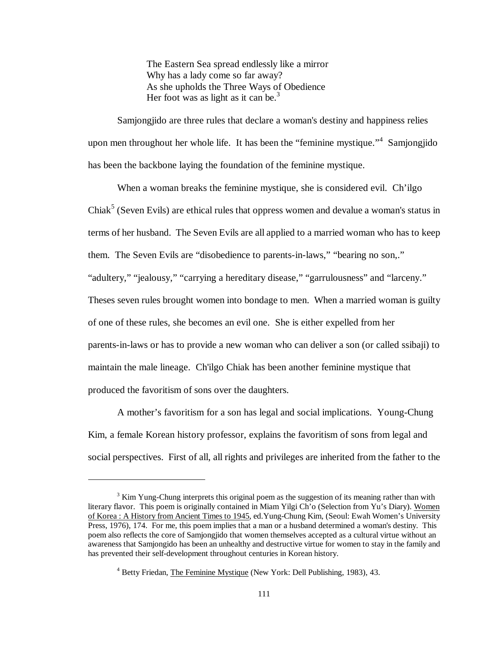The Eastern Sea spread endlessly like a mirror Why has a lady come so far away? As she upholds the Three Ways of Obedience Her foot was as light as it can be.<sup>3</sup>

Samjongjido are three rules that declare a woman's destiny and happiness relies upon men throughout her whole life. It has been the "feminine mystique."<sup>4</sup> Samjongjido has been the backbone laying the foundation of the feminine mystique.

When a woman breaks the feminine mystique, she is considered evil. Ch'ilgo Chiak<sup>5</sup> (Seven Evils) are ethical rules that oppress women and devalue a woman's status in terms of her husband. The Seven Evils are all applied to a married woman who has to keep them. The Seven Evils are "disobedience to parents-in-laws," "bearing no son,." "adultery," "jealousy," "carrying a hereditary disease," "garrulousness" and "larceny." Theses seven rules brought women into bondage to men. When a married woman is guilty of one of these rules, she becomes an evil one. She is either expelled from her parents-in-laws or has to provide a new woman who can deliver a son (or called ssibaji) to maintain the male lineage. Ch'ilgo Chiak has been another feminine mystique that produced the favoritism of sons over the daughters.

A mother's favoritism for a son has legal and social implications. Young-Chung Kim, a female Korean history professor, explains the favoritism of sons from legal and social perspectives. First of all, all rights and privileges are inherited from the father to the

 $3 \text{ Kim Yang-Chung interprets this original poem as the suggestion of its meaning rather than with}$ literary flavor. This poem is originally contained in Miam Yilgi Ch'o (Selection from Yu's Diary). Women of Korea : A History from Ancient Times to 1945, ed.Yung-Chung Kim, (Seoul: Ewah Women's University Press, 1976), 174. For me, this poem implies that a man or a husband determined a woman's destiny. This poem also reflects the core of Samjongjido that women themselves accepted as a cultural virtue without an awareness that Samjongido has been an unhealthy and destructive virtue for women to stay in the family and has prevented their self-development throughout centuries in Korean history.

<sup>&</sup>lt;sup>4</sup> Betty Friedan, *The Feminine Mystique* (New York: Dell Publishing, 1983), 43.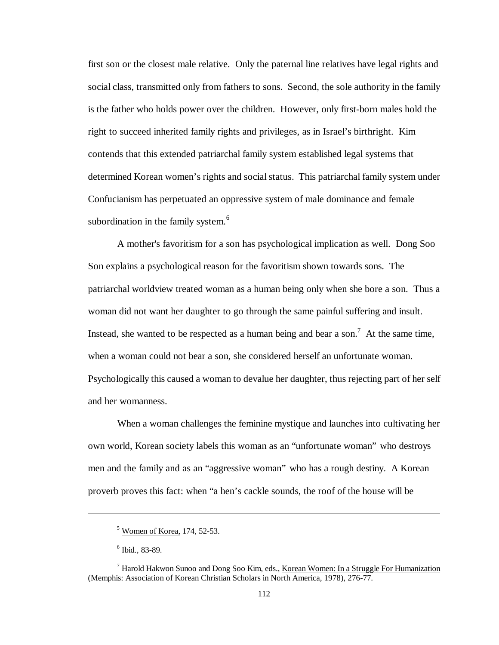first son or the closest male relative. Only the paternal line relatives have legal rights and social class, transmitted only from fathers to sons. Second, the sole authority in the family is the father who holds power over the children. However, only first-born males hold the right to succeed inherited family rights and privileges, as in Israel's birthright. Kim contends that this extended patriarchal family system established legal systems that determined Korean women's rights and social status. This patriarchal family system under Confucianism has perpetuated an oppressive system of male dominance and female subordination in the family system.<sup>6</sup>

A mother's favoritism for a son has psychological implication as well. Dong Soo Son explains a psychological reason for the favoritism shown towards sons. The patriarchal worldview treated woman as a human being only when she bore a son. Thus a woman did not want her daughter to go through the same painful suffering and insult. Instead, she wanted to be respected as a human being and bear a son.<sup>7</sup> At the same time, when a woman could not bear a son, she considered herself an unfortunate woman. Psychologically this caused a woman to devalue her daughter, thus rejecting part of her self and her womanness.

When a woman challenges the feminine mystique and launches into cultivating her own world, Korean society labels this woman as an "unfortunate woman" who destroys men and the family and as an "aggressive woman" who has a rough destiny. A Korean proverb proves this fact: when "a hen's cackle sounds, the roof of the house will be

 $<sup>5</sup>$  Women of Korea, 174, 52-53.</sup>

<sup>6</sup> Ibid., 83-89.

<sup>&</sup>lt;sup>7</sup> Harold Hakwon Sunoo and Dong Soo Kim, eds., Korean Women: In a Struggle For Humanization (Memphis: Association of Korean Christian Scholars in North America, 1978), 276-77.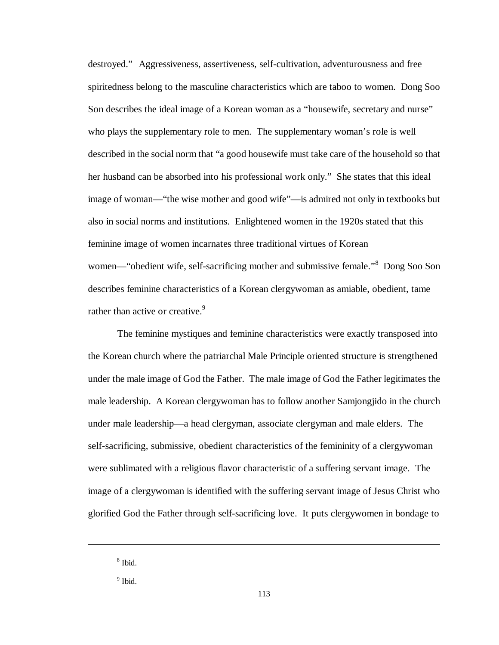destroyed." Aggressiveness, assertiveness, self-cultivation, adventurousness and free spiritedness belong to the masculine characteristics which are taboo to women. Dong Soo Son describes the ideal image of a Korean woman as a "housewife, secretary and nurse" who plays the supplementary role to men. The supplementary woman's role is well described in the social norm that "a good housewife must take care of the household so that her husband can be absorbed into his professional work only." She states that this ideal image of woman— "the wise mother and good wife"— is admired not only in textbooks but also in social norms and institutions. Enlightened women in the 1920s stated that this feminine image of women incarnates three traditional virtues of Korean women—"obedient wife, self-sacrificing mother and submissive female."<sup>8</sup> Dong Soo Son describes feminine characteristics of a Korean clergywoman as amiable, obedient, tame rather than active or creative.<sup>9</sup>

The feminine mystiques and feminine characteristics were exactly transposed into the Korean church where the patriarchal Male Principle oriented structure is strengthened under the male image of God the Father. The male image of God the Father legitimates the male leadership. A Korean clergywoman has to follow another Samjongjido in the church under male leadership—a head clergyman, associate clergyman and male elders. The self-sacrificing, submissive, obedient characteristics of the femininity of a clergywoman were sublimated with a religious flavor characteristic of a suffering servant image. The image of a clergywoman is identified with the suffering servant image of Jesus Christ who glorified God the Father through self-sacrificing love. It puts clergywomen in bondage to

<sup>8</sup> Ibid.

<sup>&</sup>lt;sup>9</sup> Ibid.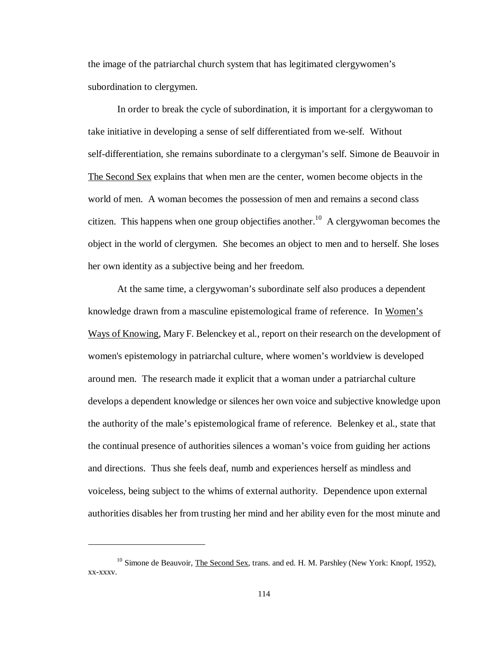the image of the patriarchal church system that has legitimated clergywomen's subordination to clergymen.

In order to break the cycle of subordination, it is important for a clergywoman to take initiative in developing a sense of self differentiated from we-self. Without self-differentiation, she remains subordinate to a clergyman's self. Simone de Beauvoir in The Second Sex explains that when men are the center, women become objects in the world of men. A woman becomes the possession of men and remains a second class citizen. This happens when one group objectifies another.<sup>10</sup> A clergywoman becomes the object in the world of clergymen. She becomes an object to men and to herself. She loses her own identity as a subjective being and her freedom.

At the same time, a clergywoman's subordinate self also produces a dependent knowledge drawn from a masculine epistemological frame of reference. In Women's Ways of Knowing, Mary F. Belenckey et al., report on their research on the development of women's epistemology in patriarchal culture, where women's worldview is developed around men. The research made it explicit that a woman under a patriarchal culture develops a dependent knowledge or silences her own voice and subjective knowledge upon the authority of the male's epistemological frame of reference. Belenkey et al., state that the continual presence of authorities silences a woman's voice from guiding her actions and directions. Thus she feels deaf, numb and experiences herself as mindless and voiceless, being subject to the whims of external authority. Dependence upon external authorities disables her from trusting her mind and her ability even for the most minute and

 $10$  Simone de Beauvoir, The Second Sex, trans. and ed. H. M. Parshley (New York: Knopf, 1952), xx-xxxv.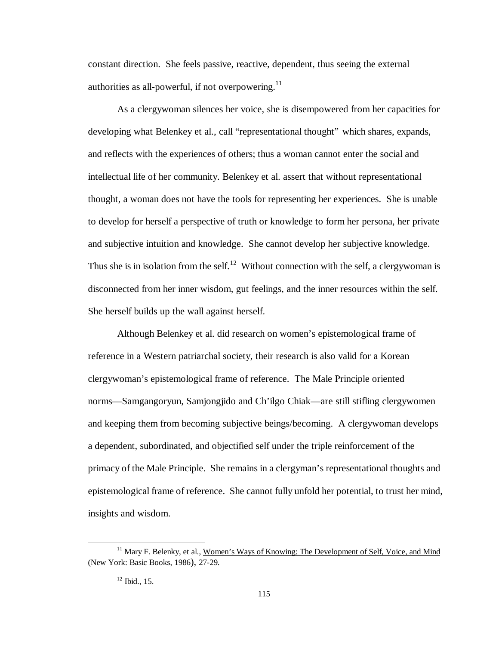constant direction. She feels passive, reactive, dependent, thus seeing the external authorities as all-powerful, if not overpowering. $^{11}$ 

As a clergywoman silences her voice, she is disempowered from her capacities for developing what Belenkey et al., call "representational thought" which shares, expands, and reflects with the experiences of others; thus a woman cannot enter the social and intellectual life of her community. Belenkey et al. assert that without representational thought, a woman does not have the tools for representing her experiences. She is unable to develop for herself a perspective of truth or knowledge to form her persona, her private and subjective intuition and knowledge. She cannot develop her subjective knowledge. Thus she is in isolation from the self.<sup>12</sup> Without connection with the self, a clergywoman is disconnected from her inner wisdom, gut feelings, and the inner resources within the self. She herself builds up the wall against herself.

Although Belenkey et al. did research on women's epistemological frame of reference in a Western patriarchal society, their research is also valid for a Korean clergywoman's epistemological frame of reference. The Male Principle oriented norms— Samgangoryun, Samjongjido and Ch'ilgo Chiak— are still stifling clergywomen and keeping them from becoming subjective beings/becoming. A clergywoman develops a dependent, subordinated, and objectified self under the triple reinforcement of the primacy of the Male Principle. She remains in a clergyman's representational thoughts and epistemological frame of reference. She cannot fully unfold her potential, to trust her mind, insights and wisdom.

<sup>&</sup>lt;sup>11</sup> Mary F. Belenky, et al., Women's Ways of Knowing: The Development of Self, Voice, and Mind (New York: Basic Books, 1986), 27-29.

 $12$  Ibid., 15.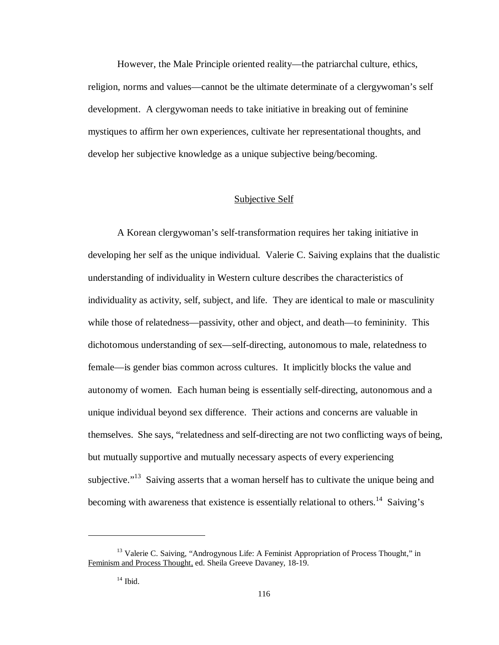However, the Male Principle oriented reality— the patriarchal culture, ethics, religion, norms and values— cannot be the ultimate determinate of a clergywoman's self development. A clergywoman needs to take initiative in breaking out of feminine mystiques to affirm her own experiences, cultivate her representational thoughts, and develop her subjective knowledge as a unique subjective being/becoming.

## Subjective Self

A Korean clergywoman's self-transformation requires her taking initiative in developing her self as the unique individual. Valerie C. Saiving explains that the dualistic understanding of individuality in Western culture describes the characteristics of individuality as activity, self, subject, and life. They are identical to male or masculinity while those of relatedness—passivity, other and object, and death—to femininity. This dichotomous understanding of sex— self-directing, autonomous to male, relatedness to female— is gender bias common across cultures. It implicitly blocks the value and autonomy of women. Each human being is essentially self-directing, autonomous and a unique individual beyond sex difference. Their actions and concerns are valuable in themselves. She says, "relatedness and self-directing are not two conflicting ways of being, but mutually supportive and mutually necessary aspects of every experiencing subjective."<sup>13</sup> Saiving asserts that a woman herself has to cultivate the unique being and becoming with awareness that existence is essentially relational to others.<sup>14</sup> Saiving's

<sup>&</sup>lt;sup>13</sup> Valerie C. Saiving, "Androgynous Life: A Feminist Appropriation of Process Thought," in Feminism and Process Thought, ed. Sheila Greeve Davaney, 18-19.

 $14$  Ibid.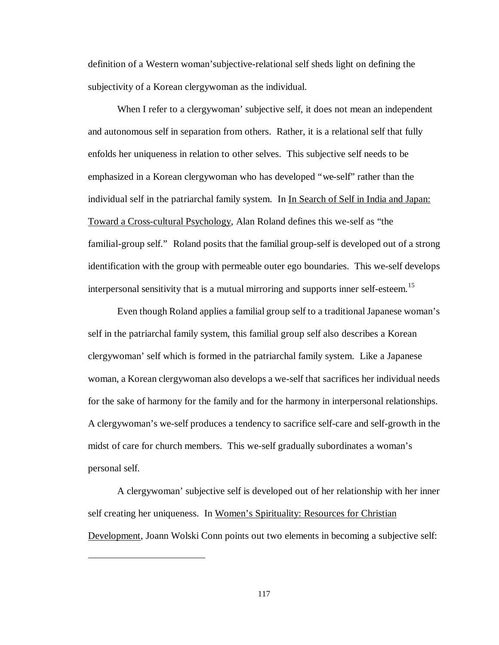definition of a Western woman'subjective-relational self sheds light on defining the subjectivity of a Korean clergywoman as the individual.

When I refer to a clergywoman' subjective self, it does not mean an independent and autonomous self in separation from others. Rather, it is a relational self that fully enfolds her uniqueness in relation to other selves. This subjective self needs to be emphasized in a Korean clergywoman who has developed "we-self" rather than the individual self in the patriarchal family system. In In Search of Self in India and Japan: Toward a Cross-cultural Psychology, Alan Roland defines this we-self as "the familial-group self." Roland posits that the familial group-self is developed out of a strong identification with the group with permeable outer ego boundaries. This we-self develops interpersonal sensitivity that is a mutual mirroring and supports inner self-esteem.<sup>15</sup>

Even though Roland applies a familial group self to a traditional Japanese woman's self in the patriarchal family system, this familial group self also describes a Korean clergywoman' self which is formed in the patriarchal family system. Like a Japanese woman, a Korean clergywoman also develops a we-self that sacrifices her individual needs for the sake of harmony for the family and for the harmony in interpersonal relationships. A clergywoman's we-self produces a tendency to sacrifice self-care and self-growth in the midst of care for church members. This we-self gradually subordinates a woman's personal self.

A clergywoman' subjective self is developed out of her relationship with her inner self creating her uniqueness.In Women's Spirituality: Resources for Christian Development, Joann Wolski Conn points out two elements in becoming a subjective self:

117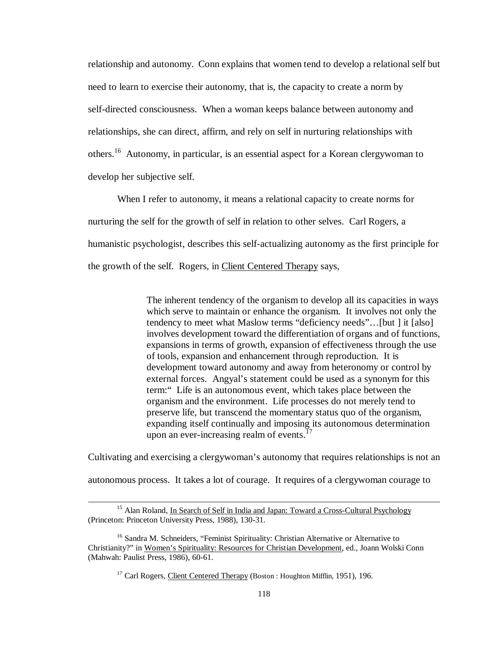relationship and autonomy. Conn explains that women tend to develop a relational self but need to learn to exercise their autonomy, that is, the capacity to create a norm by self-directed consciousness. When a woman keeps balance between autonomy and relationships, she can direct, affirm, and rely on self in nurturing relationships with others.<sup>16</sup> Autonomy, in particular, is an essential aspect for a Korean clergywoman to develop her subjective self.

When I refer to autonomy, it means a relational capacity to create norms for nurturing the self for the growth of self in relation to other selves. Carl Rogers, a humanistic psychologist, describes this self-actualizing autonomy as the first principle for the growth of the self. Rogers, in Client Centered Therapy says,

> The inherent tendency of the organism to develop all its capacities in ways which serve to maintain or enhance the organism. It involves not only the tendency to meet what Maslow terms "deficiency needs"… [but ] it [also] involves development toward the differentiation of organs and of functions, expansions in terms of growth, expansion of effectiveness through the use of tools, expansion and enhancement through reproduction. It is development toward autonomy and away from heteronomy or control by external forces. Angyal's statement could be used as a synonym for this term:" Life is an autonomous event, which takes place between the organism and the environment. Life processes do not merely tend to preserve life, but transcend the momentary status quo of the organism, expanding itself continually and imposing its autonomous determination upon an ever-increasing realm of events.<sup>17</sup>

Cultivating and exercising a clergywoman's autonomy that requires relationships is not an

autonomous process. It takes a lot of courage. It requires of a clergywoman courage to

<sup>&</sup>lt;sup>15</sup> Alan Roland, In Search of Self in India and Japan: Toward a Cross-Cultural Psychology (Princeton: Princeton University Press, 1988), 130-31.

<sup>&</sup>lt;sup>16</sup> Sandra M. Schneiders, "Feminist Spirituality: Christian Alternative or Alternative to Christianity?" in Women's Spirituality: Resources for Christian Development, ed., Joann Wolski Conn (Mahwah: Paulist Press, 1986), 60-61.

<sup>&</sup>lt;sup>17</sup> Carl Rogers, Client Centered Therapy (Boston : Houghton Mifflin, 1951), 196.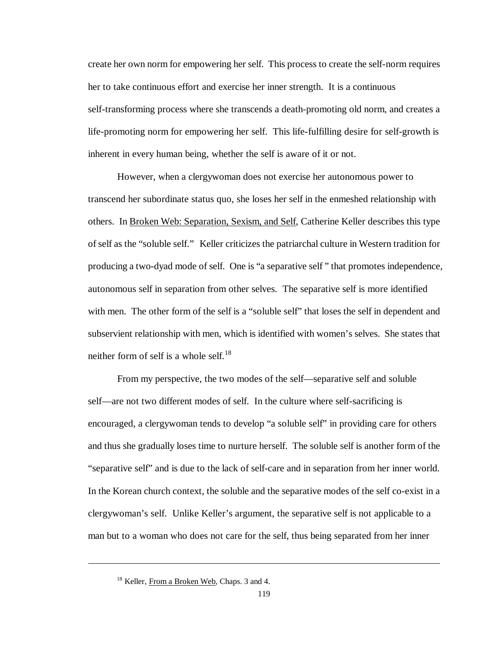create her own norm for empowering her self. This process to create the self-norm requires her to take continuous effort and exercise her inner strength. It is a continuous self-transforming process where she transcends a death-promoting old norm, and creates a life-promoting norm for empowering her self. This life-fulfilling desire for self-growth is inherent in every human being, whether the self is aware of it or not.

However, when a clergywoman does not exercise her autonomous power to transcend her subordinate status quo, she loses her self in the enmeshed relationship with others. In Broken Web: Separation, Sexism, and Self, Catherine Keller describes this type of self as the "soluble self." Keller criticizes the patriarchal culture in Western tradition for producing a two-dyad mode of self. One is "a separative self " that promotes independence, autonomous self in separation from other selves. The separative self is more identified with men. The other form of the self is a "soluble self" that loses the self in dependent and subservient relationship with men, which is identified with women's selves. She states that neither form of self is a whole self.<sup>18</sup>

From my perspective, the two modes of the self— separative self and soluble self— are not two different modes of self. In the culture where self-sacrificing is encouraged, a clergywoman tends to develop "a soluble self" in providing care for others and thus she gradually loses time to nurture herself. The soluble self is another form of the "separative self" and is due to the lack of self-care and in separation from her inner world. In the Korean church context, the soluble and the separative modes of the self co-exist in a clergywoman's self. Unlike Keller's argument, the separative self is not applicable to a man but to a woman who does not care for the self, thus being separated from her inner

<sup>&</sup>lt;sup>18</sup> Keller, From a Broken Web, Chaps. 3 and 4.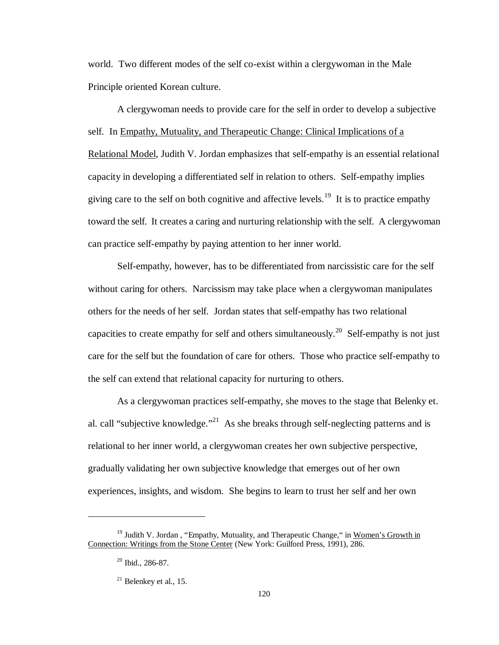world. Two different modes of the self co-exist within a clergywoman in the Male Principle oriented Korean culture.

A clergywoman needs to provide care for the self in order to develop a subjective self. In Empathy, Mutuality, and Therapeutic Change: Clinical Implications of a Relational Model, Judith V. Jordan emphasizes that self-empathy is an essential relational capacity in developing a differentiated self in relation to others. Self-empathy implies giving care to the self on both cognitive and affective levels.<sup>19</sup> It is to practice empathy toward the self. It creates a caring and nurturing relationship with the self. A clergywoman can practice self-empathy by paying attention to her inner world.

Self-empathy, however, has to be differentiated from narcissistic care for the self without caring for others. Narcissism may take place when a clergywoman manipulates others for the needs of her self. Jordan states that self-empathy has two relational capacities to create empathy for self and others simultaneously.<sup>20</sup> Self-empathy is not just care for the self but the foundation of care for others. Those who practice self-empathy to the self can extend that relational capacity for nurturing to others.

As a clergywoman practices self-empathy, she moves to the stage that Belenky et. al. call "subjective knowledge."<sup>21</sup> As she breaks through self-neglecting patterns and is relational to her inner world, a clergywoman creates her own subjective perspective, gradually validating her own subjective knowledge that emerges out of her own experiences, insights, and wisdom. She begins to learn to trust her self and her own

<sup>&</sup>lt;sup>19</sup> Judith V. Jordan, "Empathy, Mutuality, and Therapeutic Change," in Women's Growth in Connection: Writings from the Stone Center (New York: Guilford Press, 1991), 286.

<sup>20</sup> Ibid., 286-87.

 $21$  Belenkey et al., 15.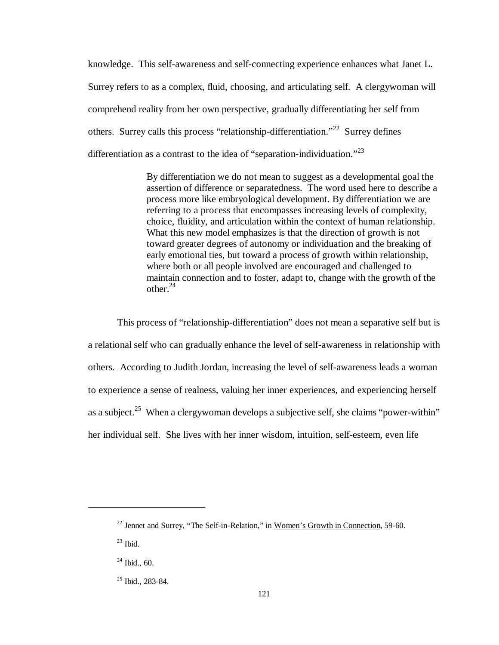knowledge. This self-awareness and self-connecting experience enhances what Janet L. Surrey refers to as a complex, fluid, choosing, and articulating self. A clergywoman will comprehend reality from her own perspective, gradually differentiating her self from others. Surrey calls this process "relationship-differentiation."<sup>22</sup> Surrey defines differentiation as a contrast to the idea of "separation-individuation."<sup>23</sup>

> By differentiation we do not mean to suggest as a developmental goal the assertion of difference or separatedness. The word used here to describe a process more like embryological development. By differentiation we are referring to a process that encompasses increasing levels of complexity, choice, fluidity, and articulation within the context of human relationship. What this new model emphasizes is that the direction of growth is not toward greater degrees of autonomy or individuation and the breaking of early emotional ties, but toward a process of growth within relationship, where both or all people involved are encouraged and challenged to maintain connection and to foster, adapt to, change with the growth of the other $24$

This process of "relationship-differentiation" does not mean a separative self but is a relational self who can gradually enhance the level of self-awareness in relationship with others. According to Judith Jordan, increasing the level of self-awareness leads a woman to experience a sense of realness, valuing her inner experiences, and experiencing herself as a subject.<sup>25</sup> When a clergy woman develops a subjective self, she claims "power-within" her individual self. She lives with her inner wisdom, intuition, self-esteem, even life

<sup>&</sup>lt;sup>22</sup> Jennet and Surrey, "The Self-in-Relation," in Women's Growth in Connection, 59-60.

 $23$  Ibid.

 $24$  Ibid., 60.

<sup>&</sup>lt;sup>25</sup> Ibid., 283-84.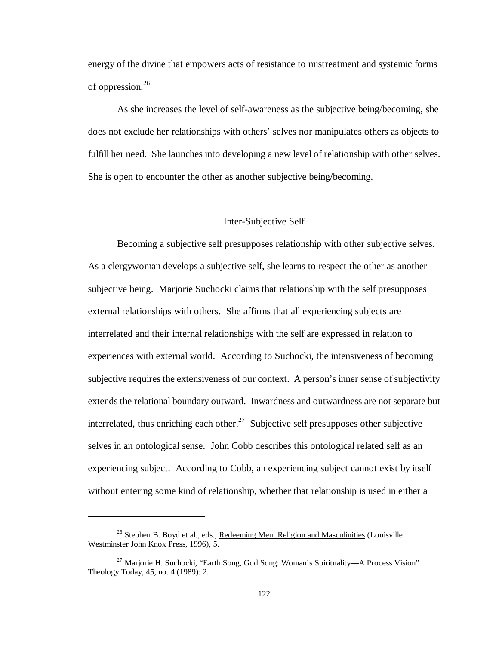energy of the divine that empowers acts of resistance to mistreatment and systemic forms of oppression.<sup>26</sup>

As she increases the level of self-awareness as the subjective being/becoming, she does not exclude her relationships with others' selves nor manipulates others as objects to fulfill her need. She launches into developing a new level of relationship with other selves. She is open to encounter the other as another subjective being/becoming.

### Inter-Subjective Self

Becoming a subjective self presupposes relationship with other subjective selves. As a clergywoman develops a subjective self, she learns to respect the other as another subjective being. Marjorie Suchocki claims that relationship with the self presupposes external relationships with others. She affirms that all experiencing subjects are interrelated and their internal relationships with the self are expressed in relation to experiences with external world. According to Suchocki, the intensiveness of becoming subjective requires the extensiveness of our context. A person's inner sense of subjectivity extends the relational boundary outward. Inwardness and outwardness are not separate but interrelated, thus enriching each other.<sup>27</sup> Subjective self presupposes other subjective selves in an ontological sense. John Cobb describes this ontological related self as an experiencing subject. According to Cobb, an experiencing subject cannot exist by itself without entering some kind of relationship, whether that relationship is used in either a

<sup>&</sup>lt;sup>26</sup> Stephen B. Boyd et al., eds., Redeeming Men: Religion and Masculinities (Louisville: Westminster John Knox Press, 1996), 5.

<sup>&</sup>lt;sup>27</sup> Marjorie H. Suchocki, "Earth Song, God Song: Woman's Spirituality—A Process Vision" Theology Today, 45, no. 4 (1989): 2.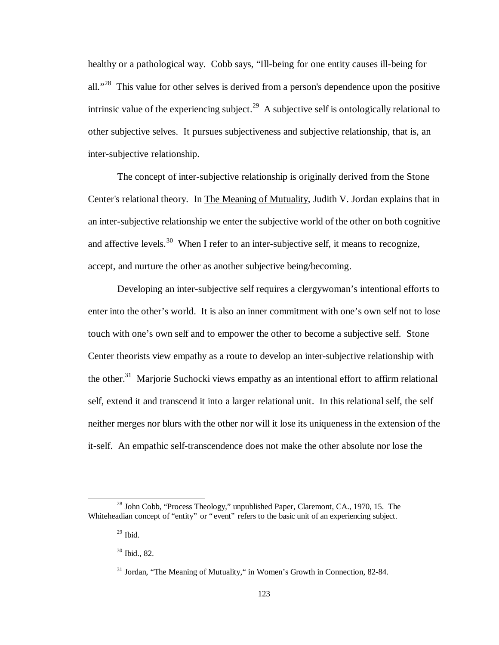healthy or a pathological way. Cobb says, "Ill-being for one entity causes ill-being for all."<sup>28</sup> This value for other selves is derived from a person's dependence upon the positive intrinsic value of the experiencing subject.<sup>29</sup> A subjective self is ontologically relational to other subjective selves. It pursues subjectiveness and subjective relationship, that is, an inter-subjective relationship.

The concept of inter-subjective relationship is originally derived from the Stone Center's relational theory. In The Meaning of Mutuality, Judith V. Jordan explains that in an inter-subjective relationship we enter the subjective world of the other on both cognitive and affective levels.<sup>30</sup> When I refer to an inter-subjective self, it means to recognize, accept, and nurture the other as another subjective being/becoming.

Developing an inter-subjective self requires a clergywoman's intentional efforts to enter into the other's world. It is also an inner commitment with one's own self not to lose touch with one's own self and to empower the other to become a subjective self. Stone Center theorists view empathy as a route to develop an inter-subjective relationship with the other.<sup>31</sup> Marjorie Suchocki views empathy as an intentional effort to affirm relational self, extend it and transcend it into a larger relational unit. In this relational self, the self neither merges nor blurs with the other nor will it lose its uniqueness in the extension of the it-self. An empathic self-transcendence does not make the other absolute nor lose the

<sup>&</sup>lt;sup>28</sup> John Cobb, "Process Theology," unpublished Paper, Claremont, CA., 1970, 15. The Whiteheadian concept of "entity" or "event" refers to the basic unit of an experiencing subject.

 $29$  Ibid.

<sup>30</sup> Ibid., 82.

<sup>&</sup>lt;sup>31</sup> Jordan, "The Meaning of Mutuality," in Women's Growth in Connection, 82-84.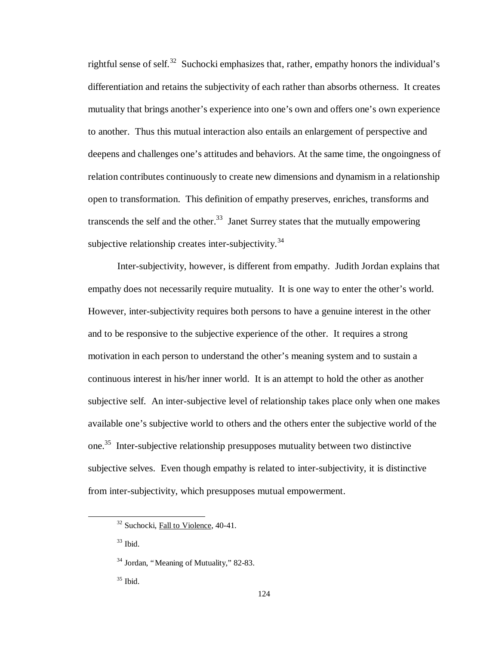rightful sense of self.<sup>32</sup> Suchocki emphasizes that, rather, empathy honors the individual's differentiation and retains the subjectivity of each rather than absorbs otherness. It creates mutuality that brings another's experience into one's own and offers one's own experience to another. Thus this mutual interaction also entails an enlargement of perspective and deepens and challenges one's attitudes and behaviors. At the same time, the ongoingness of relation contributes continuously to create new dimensions and dynamism in a relationship open to transformation. This definition of empathy preserves, enriches, transforms and transcends the self and the other.<sup>33</sup> Janet Surrey states that the mutually empowering subjective relationship creates inter-subjectivity.<sup>34</sup>

Inter-subjectivity, however, is different from empathy. Judith Jordan explains that empathy does not necessarily require mutuality. It is one way to enter the other's world. However, inter-subjectivity requires both persons to have a genuine interest in the other and to be responsive to the subjective experience of the other. It requires a strong motivation in each person to understand the other's meaning system and to sustain a continuous interest in his/her inner world. It is an attempt to hold the other as another subjective self. An inter-subjective level of relationship takes place only when one makes available one's subjective world to others and the others enter the subjective world of the one.<sup>35</sup> Inter-subjective relationship presupposes mutuality between two distinctive subjective selves. Even though empathy is related to inter-subjectivity, it is distinctive from inter-subjectivity, which presupposes mutual empowerment.

 $33$  Ibid.

<sup>&</sup>lt;sup>32</sup> Suchocki, Fall to Violence, 40-41.

<sup>&</sup>lt;sup>34</sup> Jordan, "Meaning of Mutuality," 82-83.

 $35$  Ibid.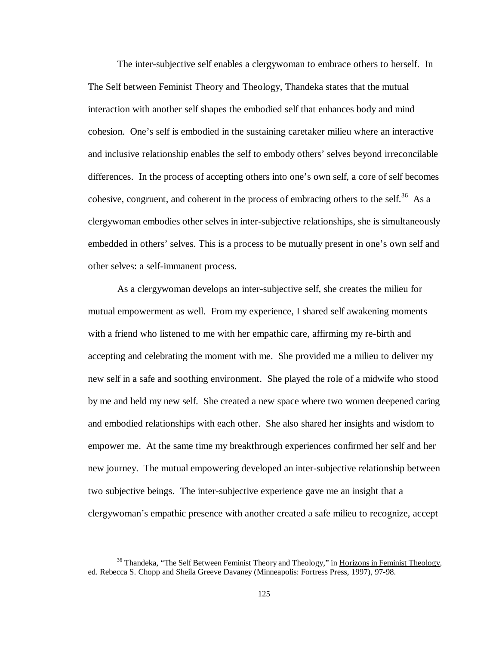The inter-subjective self enables a clergywoman to embrace others to herself. In The Self between Feminist Theory and Theology, Thandeka states that the mutual interaction with another self shapes the embodied self that enhances body and mind cohesion. One's self is embodied in the sustaining caretaker milieu where an interactive and inclusive relationship enables the self to embody others' selves beyond irreconcilable differences. In the process of accepting others into one's own self, a core of self becomes cohesive, congruent, and coherent in the process of embracing others to the self.<sup>36</sup> As a clergywoman embodies other selves in inter-subjective relationships, she is simultaneously embedded in others' selves. This is a process to be mutually present in one's own self and other selves: a self-immanent process.

As a clergywoman develops an inter-subjective self, she creates the milieu for mutual empowerment as well. From my experience, I shared self awakening moments with a friend who listened to me with her empathic care, affirming my re-birth and accepting and celebrating the moment with me. She provided me a milieu to deliver my new self in a safe and soothing environment. She played the role of a midwife who stood by me and held my new self. She created a new space where two women deepened caring and embodied relationships with each other. She also shared her insights and wisdom to empower me. At the same time my breakthrough experiences confirmed her self and her new journey. The mutual empowering developed an inter-subjective relationship between two subjective beings. The inter-subjective experience gave me an insight that a clergywoman's empathic presence with another created a safe milieu to recognize, accept

1

 $36$  Thandeka, "The Self Between Feminist Theory and Theology," in Horizons in Feminist Theology, ed. Rebecca S. Chopp and Sheila Greeve Davaney (Minneapolis: Fortress Press, 1997), 97-98.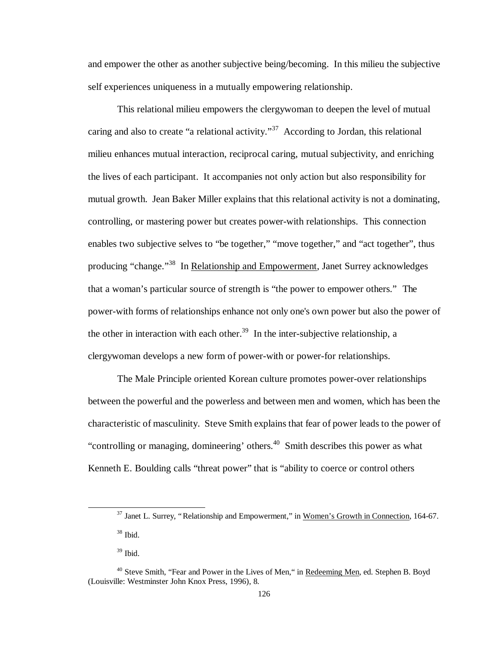and empower the other as another subjective being/becoming. In this milieu the subjective self experiences uniqueness in a mutually empowering relationship.

This relational milieu empowers the clergywoman to deepen the level of mutual caring and also to create "a relational activity."<sup>37</sup> According to Jordan, this relational milieu enhances mutual interaction, reciprocal caring, mutual subjectivity, and enriching the lives of each participant. It accompanies not only action but also responsibility for mutual growth. Jean Baker Miller explains that this relational activity is not a dominating, controlling, or mastering power but creates power-with relationships. This connection enables two subjective selves to "be together," "move together," and "act together", thus producing "change."<sup>38</sup> In Relationship and Empowerment, Janet Surrey acknowledges that a woman's particular source of strength is "the power to empower others." The power-with forms of relationships enhance not only one's own power but also the power of the other in interaction with each other.<sup>39</sup> In the inter-subjective relationship, a clergywoman develops a new form of power-with or power-for relationships.

The Male Principle oriented Korean culture promotes power-over relationships between the powerful and the powerless and between men and women, which has been the characteristic of masculinity. Steve Smith explains that fear of power leads to the power of "controlling or managing, domineering" others. $40$  Smith describes this power as what Kenneth E. Boulding calls "threat power" that is "ability to coerce or control others

 $37$  Janet L. Surrey, "Relationship and Empowerment," in Women's Growth in Connection, 164-67.

<sup>38</sup> Ibid.

<sup>39</sup> Ibid.

<sup>&</sup>lt;sup>40</sup> Steve Smith, "Fear and Power in the Lives of Men," in Redeeming Men, ed. Stephen B. Boyd (Louisville: Westminster John Knox Press, 1996), 8.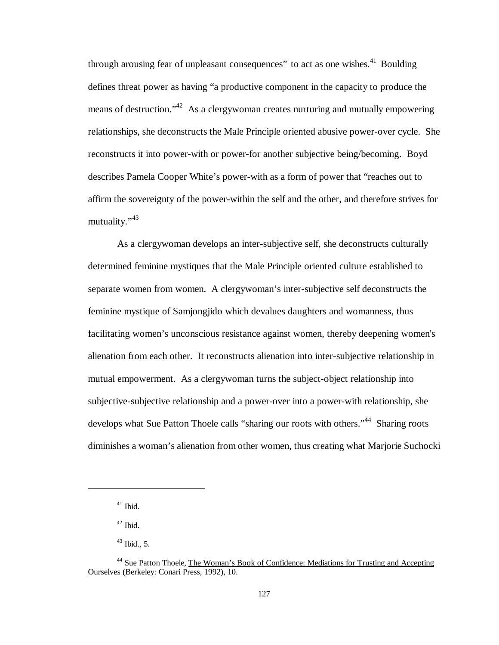through arousing fear of unpleasant consequences" to act as one wishes.<sup>41</sup> Boulding defines threat power as having "a productive component in the capacity to produce the means of destruction."<sup>42</sup> As a clergywoman creates nurturing and mutually empowering relationships, she deconstructs the Male Principle oriented abusive power-over cycle. She reconstructs it into power-with or power-for another subjective being/becoming. Boyd describes Pamela Cooper White's power-with as a form of power that "reaches out to affirm the sovereignty of the power-within the self and the other, and therefore strives for mutuality."<sup>43</sup>

As a clergywoman develops an inter-subjective self, she deconstructs culturally determined feminine mystiques that the Male Principle oriented culture established to separate women from women. A clergywoman's inter-subjective self deconstructs the feminine mystique of Samjongjido which devalues daughters and womanness, thus facilitating women's unconscious resistance against women, thereby deepening women's alienation from each other. It reconstructs alienation into inter-subjective relationship in mutual empowerment. As a clergywoman turns the subject-object relationship into subjective-subjective relationship and a power-over into a power-with relationship, she develops what Sue Patton Thoele calls "sharing our roots with others."<sup>44</sup> Sharing roots diminishes a woman's alienation from other women, thus creating what Marjorie Suchocki

 $41$  Ibid.

 $^{42}$  Ibid.

 $43$  Ibid., 5.

<sup>44</sup> Sue Patton Thoele, The Woman's Book of Confidence: Mediations for Trusting and Accepting Ourselves (Berkeley: Conari Press, 1992), 10.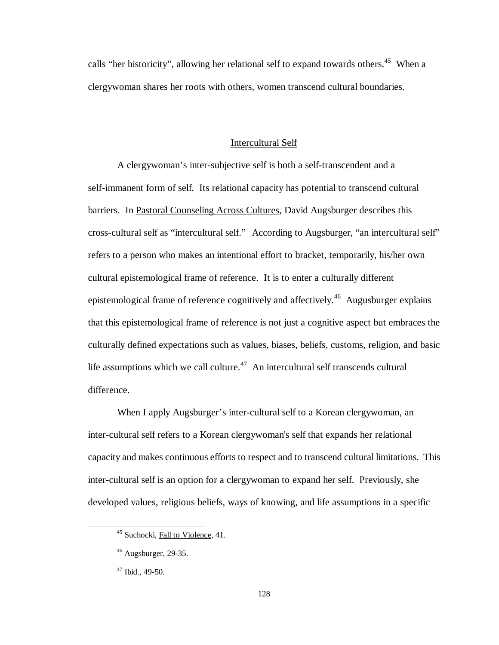calls "her historicity", allowing her relational self to expand towards others.<sup>45</sup> When a clergywoman shares her roots with others, women transcend cultural boundaries.

### Intercultural Self

A clergywoman's inter-subjective self is both a self-transcendent and a self-immanent form of self. Its relational capacity has potential to transcend cultural barriers. In Pastoral Counseling Across Cultures, David Augsburger describes this cross-cultural self as "intercultural self." According to Augsburger, "an intercultural self" refers to a person who makes an intentional effort to bracket, temporarily, his/her own cultural epistemological frame of reference. It is to enter a culturally different epistemological frame of reference cognitively and affectively.<sup>46</sup> Augusburger explains that this epistemological frame of reference is not just a cognitive aspect but embraces the culturally defined expectations such as values, biases, beliefs, customs, religion, and basic life assumptions which we call culture.<sup>47</sup> An intercultural self transcends cultural difference.

When I apply Augsburger's inter-cultural self to a Korean clergywoman, an inter-cultural self refers to a Korean clergywoman's self that expands her relational capacity and makes continuous efforts to respect and to transcend cultural limitations. This inter-cultural self is an option for a clergywoman to expand her self. Previously, she developed values, religious beliefs, ways of knowing, and life assumptions in a specific

<sup>&</sup>lt;sup>45</sup> Suchocki, Fall to Violence, 41.

 $46$  Augsburger, 29-35.

<sup>47</sup> Ibid., 49-50.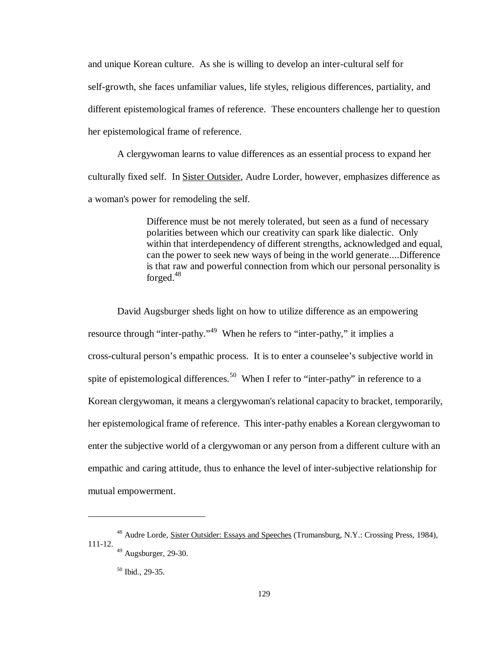and unique Korean culture. As she is willing to develop an inter-cultural self for self-growth, she faces unfamiliar values, life styles, religious differences, partiality, and different epistemological frames of reference. These encounters challenge her to question her epistemological frame of reference.

A clergywoman learns to value differences as an essential process to expand her culturally fixed self. In Sister Outsider, Audre Lorder, however, emphasizes difference as a woman's power for remodeling the self.

> Difference must be not merely tolerated, but seen as a fund of necessary polarities between which our creativity can spark like dialectic. Only within that interdependency of different strengths, acknowledged and equal, can the power to seek new ways of being in the world generate....Difference is that raw and powerful connection from which our personal personality is forged.<sup>48</sup>

David Augsburger sheds light on how to utilize difference as an empowering resource through "inter-pathy."<sup>49</sup> When he refers to "inter-pathy," it implies a cross-cultural person's empathic process. It is to enter a counselee's subjective world in spite of epistemological differences.<sup>50</sup> When I refer to "inter-pathy" in reference to a Korean clergywoman, it means a clergywoman's relational capacity to bracket, temporarily, her epistemological frame of reference. This inter-pathy enables a Korean clergywoman to enter the subjective world of a clergywoman or any person from a different culture with an empathic and caring attitude, thus to enhance the level of inter-subjective relationship for mutual empowerment.

<sup>48</sup> Audre Lorde, Sister Outsider: Essays and Speeches (Trumansburg, N.Y.: Crossing Press, 1984), 111-12.

 $49$  Augsburger, 29-30.

<sup>50</sup> Ibid., 29-35.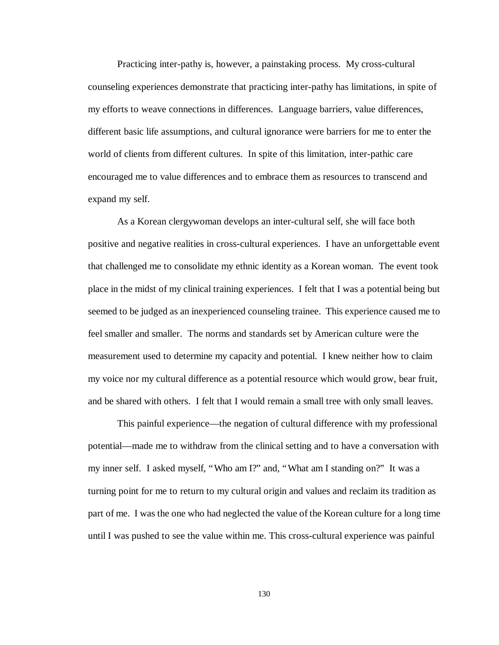Practicing inter-pathy is, however, a painstaking process. My cross-cultural counseling experiences demonstrate that practicing inter-pathy has limitations, in spite of my efforts to weave connections in differences. Language barriers, value differences, different basic life assumptions, and cultural ignorance were barriers for me to enter the world of clients from different cultures. In spite of this limitation, inter-pathic care encouraged me to value differences and to embrace them as resources to transcend and expand my self.

As a Korean clergywoman develops an inter-cultural self, she will face both positive and negative realities in cross-cultural experiences. I have an unforgettable event that challenged me to consolidate my ethnic identity as a Korean woman. The event took place in the midst of my clinical training experiences. I felt that I was a potential being but seemed to be judged as an inexperienced counseling trainee. This experience caused me to feel smaller and smaller. The norms and standards set by American culture were the measurement used to determine my capacity and potential. I knew neither how to claim my voice nor my cultural difference as a potential resource which would grow, bear fruit, and be shared with others. I felt that I would remain a small tree with only small leaves.

This painful experience— the negation of cultural difference with my professional potential— made me to withdraw from the clinical setting and to have a conversation with my inner self. I asked myself, "Who am I?" and, "What am I standing on?" It was a turning point for me to return to my cultural origin and values and reclaim its tradition as part of me. I was the one who had neglected the value of the Korean culture for a long time until I was pushed to see the value within me. This cross-cultural experience was painful

130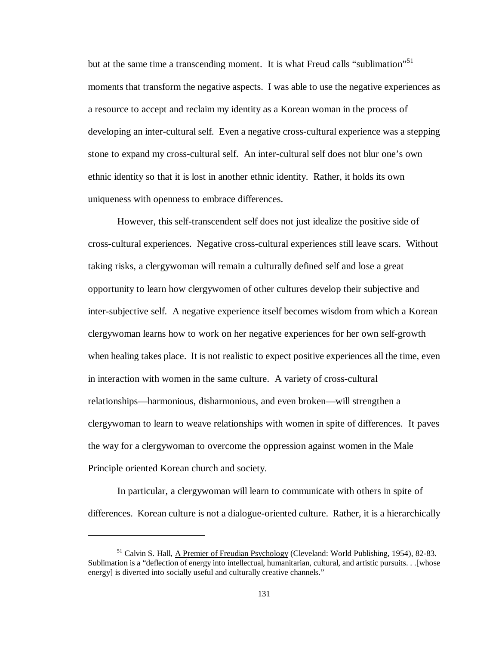but at the same time a transcending moment. It is what Freud calls "sublimation"<sup>51</sup> moments that transform the negative aspects. I was able to use the negative experiences as a resource to accept and reclaim my identity as a Korean woman in the process of developing an inter-cultural self. Even a negative cross-cultural experience was a stepping stone to expand my cross-cultural self. An inter-cultural self does not blur one's own ethnic identity so that it is lost in another ethnic identity. Rather, it holds its own uniqueness with openness to embrace differences.

However, this self-transcendent self does not just idealize the positive side of cross-cultural experiences. Negative cross-cultural experiences still leave scars. Without taking risks, a clergywoman will remain a culturally defined self and lose a great opportunity to learn how clergywomen of other cultures develop their subjective and inter-subjective self. A negative experience itself becomes wisdom from which a Korean clergywoman learns how to work on her negative experiences for her own self-growth when healing takes place. It is not realistic to expect positive experiences all the time, even in interaction with women in the same culture. A variety of cross-cultural relationships— harmonious, disharmonious, and even broken— will strengthen a clergywoman to learn to weave relationships with women in spite of differences. It paves the way for a clergywoman to overcome the oppression against women in the Male Principle oriented Korean church and society.

In particular, a clergywoman will learn to communicate with others in spite of differences. Korean culture is not a dialogue-oriented culture. Rather, it is a hierarchically

<sup>51</sup> Calvin S. Hall, A Premier of Freudian Psychology (Cleveland: World Publishing, 1954), 82-83. Sublimation is a "deflection of energy into intellectual, humanitarian, cultural, and artistic pursuits. . .[whose energy] is diverted into socially useful and culturally creative channels."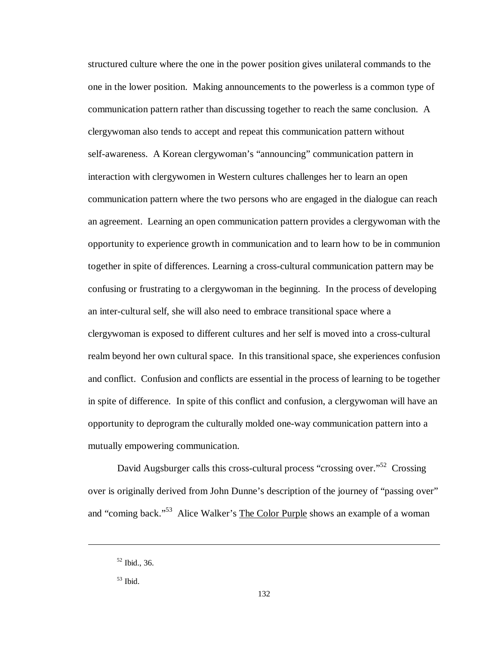structured culture where the one in the power position gives unilateral commands to the one in the lower position. Making announcements to the powerless is a common type of communication pattern rather than discussing together to reach the same conclusion. A clergywoman also tends to accept and repeat this communication pattern without self-awareness. A Korean clergywoman's "announcing" communication pattern in interaction with clergywomen in Western cultures challenges her to learn an open communication pattern where the two persons who are engaged in the dialogue can reach an agreement. Learning an open communication pattern provides a clergywoman with the opportunity to experience growth in communication and to learn how to be in communion together in spite of differences. Learning a cross-cultural communication pattern may be confusing or frustrating to a clergywoman in the beginning. In the process of developing an inter-cultural self, she will also need to embrace transitional space where a clergywoman is exposed to different cultures and her self is moved into a cross-cultural realm beyond her own cultural space. In this transitional space, she experiences confusion and conflict. Confusion and conflicts are essential in the process of learning to be together in spite of difference. In spite of this conflict and confusion, a clergywoman will have an opportunity to deprogram the culturally molded one-way communication pattern into a mutually empowering communication.

David Augsburger calls this cross-cultural process "crossing over."<sup>52</sup> Crossing over is originally derived from John Dunne's description of the journey of "passing over" and "coming back."<sup>53</sup> Alice Walker's The Color Purple shows an example of a woman

 $52$  Ibid., 36.

 $53$  Ibid.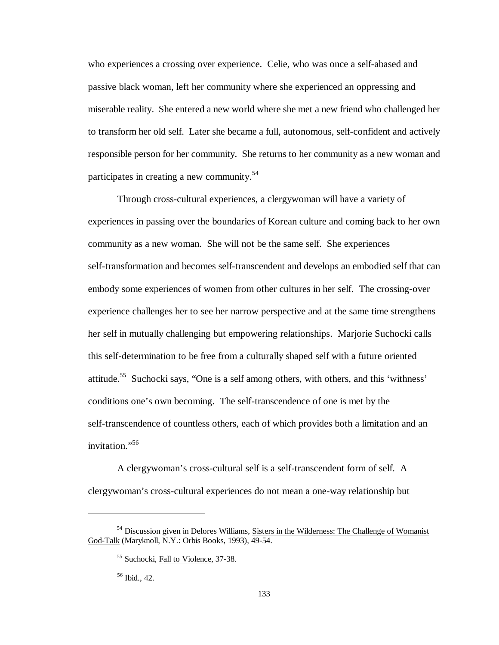who experiences a crossing over experience. Celie, who was once a self-abased and passive black woman, left her community where she experienced an oppressing and miserable reality. She entered a new world where she met a new friend who challenged her to transform her old self. Later she became a full, autonomous, self-confident and actively responsible person for her community. She returns to her community as a new woman and participates in creating a new community.<sup>54</sup>

Through cross-cultural experiences, a clergywoman will have a variety of experiences in passing over the boundaries of Korean culture and coming back to her own community as a new woman. She will not be the same self. She experiences self-transformation and becomes self-transcendent and develops an embodied self that can embody some experiences of women from other cultures in her self. The crossing-over experience challenges her to see her narrow perspective and at the same time strengthens her self in mutually challenging but empowering relationships. Marjorie Suchocki calls this self-determination to be free from a culturally shaped self with a future oriented attitude.<sup>55</sup> Suchocki says, "One is a self among others, with others, and this 'withness' conditions one's own becoming. The self-transcendence of one is met by the self-transcendence of countless others, each of which provides both a limitation and an invitation." 56

A clergywoman's cross-cultural self is a self-transcendent form of self. A clergywoman's cross-cultural experiences do not mean a one-way relationship but

<sup>&</sup>lt;sup>54</sup> Discussion given in Delores Williams, Sisters in the Wilderness: The Challenge of Womanist God-Talk (Maryknoll, N.Y.: Orbis Books, 1993), 49-54.

<sup>&</sup>lt;sup>55</sup> Suchocki, Fall to Violence, 37-38.

<sup>56</sup> Ibid., 42.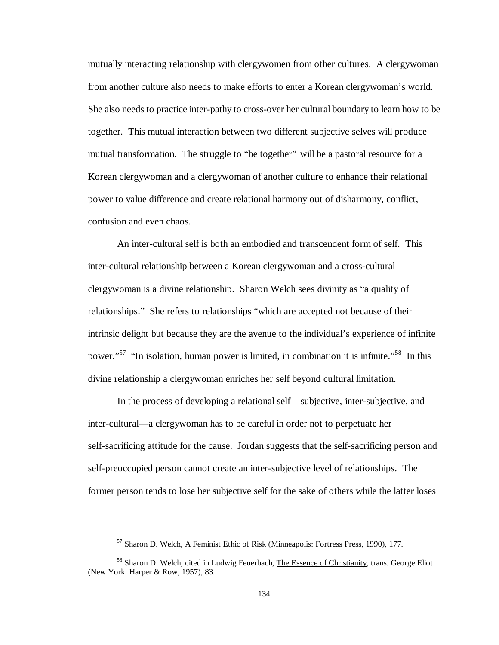mutually interacting relationship with clergywomen from other cultures. A clergywoman from another culture also needs to make efforts to enter a Korean clergywoman's world. She also needs to practice inter-pathy to cross-over her cultural boundary to learn how to be together. This mutual interaction between two different subjective selves will produce mutual transformation. The struggle to "be together" will be a pastoral resource for a Korean clergywoman and a clergywoman of another culture to enhance their relational power to value difference and create relational harmony out of disharmony, conflict, confusion and even chaos.

An inter-cultural self is both an embodied and transcendent form of self. This inter-cultural relationship between a Korean clergywoman and a cross-cultural clergywoman is a divine relationship. Sharon Welch sees divinity as "a quality of relationships." She refers to relationships "which are accepted not because of their intrinsic delight but because they are the avenue to the individual's experience of infinite power."<sup>57</sup> "In isolation, human power is limited, in combination it is infinite."<sup>58</sup> In this divine relationship a clergywoman enriches her self beyond cultural limitation.

In the process of developing a relational self— subjective, inter-subjective, and inter-cultural— a clergywoman has to be careful in order not to perpetuate her self-sacrificing attitude for the cause. Jordan suggests that the self-sacrificing person and self-preoccupied person cannot create an inter-subjective level of relationships. The former person tends to lose her subjective self for the sake of others while the latter loses

<sup>57</sup> Sharon D. Welch, A Feminist Ethic of Risk (Minneapolis: Fortress Press, 1990), 177.

<sup>&</sup>lt;sup>58</sup> Sharon D. Welch, cited in Ludwig Feuerbach, The Essence of Christianity, trans. George Eliot (New York: Harper & Row, 1957), 83.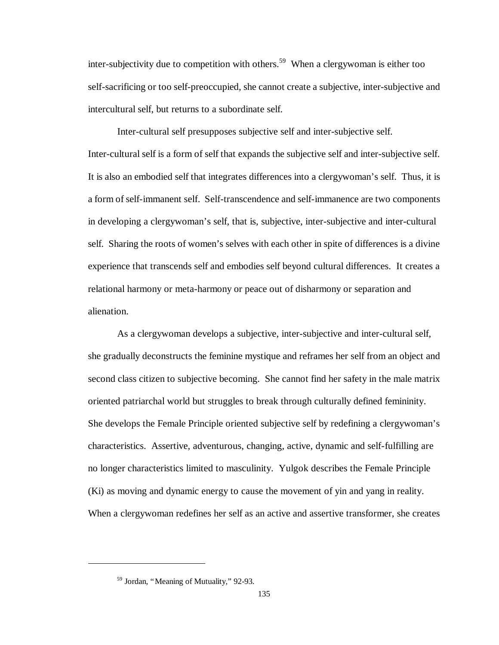inter-subjectivity due to competition with others.<sup>59</sup> When a clergywoman is either too self-sacrificing or too self-preoccupied, she cannot create a subjective, inter-subjective and intercultural self, but returns to a subordinate self.

Inter-cultural self presupposes subjective self and inter-subjective self. Inter-cultural self is a form of self that expands the subjective self and inter-subjective self. It is also an embodied self that integrates differences into a clergywoman's self. Thus, it is a form of self-immanent self. Self-transcendence and self-immanence are two components in developing a clergywoman's self, that is, subjective, inter-subjective and inter-cultural self. Sharing the roots of women's selves with each other in spite of differences is a divine experience that transcends self and embodies self beyond cultural differences. It creates a relational harmony or meta-harmony or peace out of disharmony or separation and alienation.

As a clergywoman develops a subjective, inter-subjective and inter-cultural self, she gradually deconstructs the feminine mystique and reframes her self from an object and second class citizen to subjective becoming. She cannot find her safety in the male matrix oriented patriarchal world but struggles to break through culturally defined femininity. She develops the Female Principle oriented subjective self by redefining a clergywoman's characteristics. Assertive, adventurous, changing, active, dynamic and self-fulfilling are no longer characteristics limited to masculinity. Yulgok describes the Female Principle (Ki) as moving and dynamic energy to cause the movement of yin and yang in reality. When a clergywoman redefines her self as an active and assertive transformer, she creates

<sup>59</sup> Jordan, "Meaning of Mutuality," 92-93.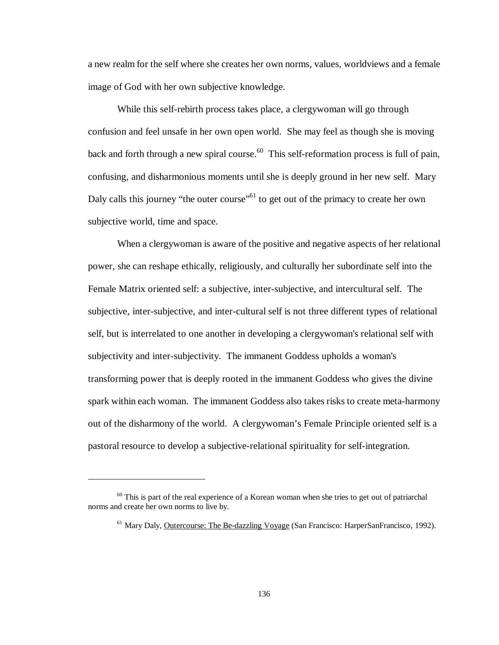a new realm for the self where she creates her own norms, values, worldviews and a female image of God with her own subjective knowledge.

While this self-rebirth process takes place, a clergywoman will go through confusion and feel unsafe in her own open world. She may feel as though she is moving back and forth through a new spiral course.<sup>60</sup> This self-reformation process is full of pain, confusing, and disharmonious moments until she is deeply ground in her new self. Mary Daly calls this journey "the outer course"<sup>61</sup> to get out of the primacy to create her own subjective world, time and space.

When a clergywoman is aware of the positive and negative aspects of her relational power, she can reshape ethically, religiously, and culturally her subordinate self into the Female Matrix oriented self: a subjective, inter-subjective, and intercultural self. The subjective, inter-subjective, and inter-cultural self is not three different types of relational self, but is interrelated to one another in developing a clergywoman's relational self with subjectivity and inter-subjectivity. The immanent Goddess upholds a woman's transforming power that is deeply rooted in the immanent Goddess who gives the divine spark within each woman. The immanent Goddess also takes risks to create meta-harmony out of the disharmony of the world. A clergywoman's Female Principle oriented self is a pastoral resource to develop a subjective-relational spirituality for self-integration.

<sup>&</sup>lt;sup>60</sup> This is part of the real experience of a Korean woman when she tries to get out of patriarchal norms and create her own norms to live by.

<sup>&</sup>lt;sup>61</sup> Mary Daly, Outercourse: The Be-dazzling Voyage (San Francisco: HarperSanFrancisco, 1992).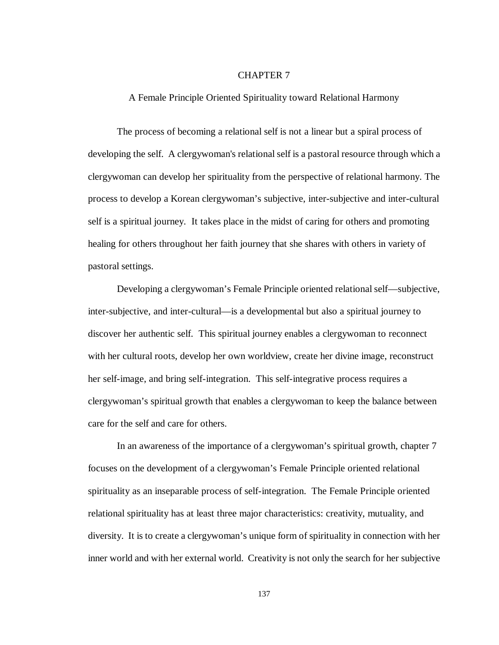## CHAPTER 7

A Female Principle Oriented Spirituality toward Relational Harmony

The process of becoming a relational self is not a linear but a spiral process of developing the self. A clergywoman's relational self is a pastoral resource through which a clergywoman can develop her spirituality from the perspective of relational harmony. The process to develop a Korean clergywoman's subjective, inter-subjective and inter-cultural self is a spiritual journey. It takes place in the midst of caring for others and promoting healing for others throughout her faith journey that she shares with others in variety of pastoral settings.

Developing a clergywoman's Female Principle oriented relational self— subjective, inter-subjective, and inter-cultural— is a developmental but also a spiritual journey to discover her authentic self. This spiritual journey enables a clergywoman to reconnect with her cultural roots, develop her own worldview, create her divine image, reconstruct her self-image, and bring self-integration. This self-integrative process requires a clergywoman's spiritual growth that enables a clergywoman to keep the balance between care for the self and care for others.

In an awareness of the importance of a clergywoman's spiritual growth, chapter 7 focuses on the development of a clergywoman's Female Principle oriented relational spirituality as an inseparable process of self-integration. The Female Principle oriented relational spirituality has at least three major characteristics: creativity, mutuality, and diversity. It is to create a clergywoman's unique form of spirituality in connection with her inner world and with her external world. Creativity is not only the search for her subjective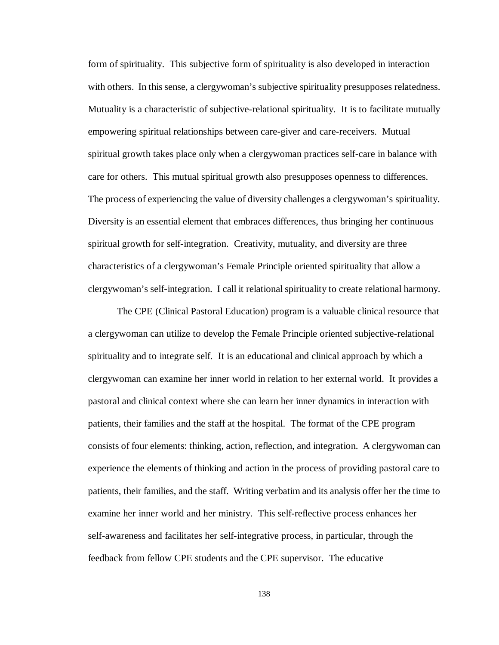form of spirituality. This subjective form of spirituality is also developed in interaction with others. In this sense, a clergywoman's subjective spirituality presupposes relatedness. Mutuality is a characteristic of subjective-relational spirituality. It is to facilitate mutually empowering spiritual relationships between care-giver and care-receivers. Mutual spiritual growth takes place only when a clergywoman practices self-care in balance with care for others. This mutual spiritual growth also presupposes openness to differences. The process of experiencing the value of diversity challenges a clergywoman's spirituality. Diversity is an essential element that embraces differences, thus bringing her continuous spiritual growth for self-integration. Creativity, mutuality, and diversity are three characteristics of a clergywoman's Female Principle oriented spirituality that allow a clergywoman's self-integration. I call it relational spirituality to create relational harmony.

The CPE (Clinical Pastoral Education) program is a valuable clinical resource that a clergywoman can utilize to develop the Female Principle oriented subjective-relational spirituality and to integrate self. It is an educational and clinical approach by which a clergywoman can examine her inner world in relation to her external world. It provides a pastoral and clinical context where she can learn her inner dynamics in interaction with patients, their families and the staff at the hospital. The format of the CPE program consists of four elements: thinking, action, reflection, and integration. A clergywoman can experience the elements of thinking and action in the process of providing pastoral care to patients, their families, and the staff. Writing verbatim and its analysis offer her the time to examine her inner world and her ministry. This self-reflective process enhances her self-awareness and facilitates her self-integrative process, in particular, through the feedback from fellow CPE students and the CPE supervisor. The educative

138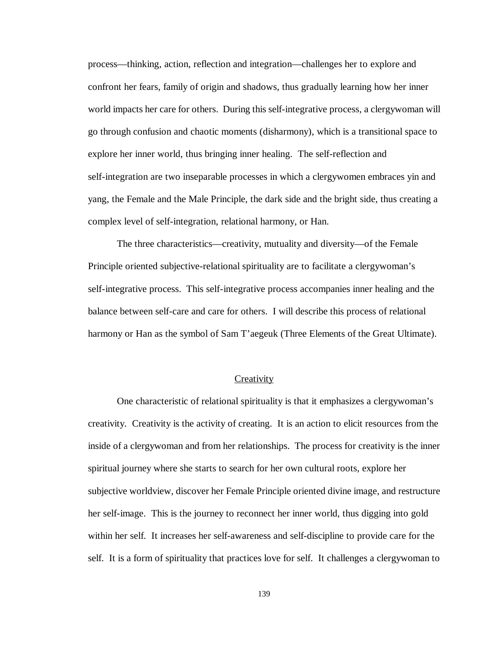process— thinking, action, reflection and integration— challenges her to explore and confront her fears, family of origin and shadows, thus gradually learning how her inner world impacts her care for others. During this self-integrative process, a clergywoman will go through confusion and chaotic moments (disharmony), which is a transitional space to explore her inner world, thus bringing inner healing. The self-reflection and self-integration are two inseparable processes in which a clergywomen embraces yin and yang, the Female and the Male Principle, the dark side and the bright side, thus creating a complex level of self-integration, relational harmony, or Han.

The three characteristics— creativity, mutuality and diversity— of the Female Principle oriented subjective-relational spirituality are to facilitate a clergywoman's self-integrative process. This self-integrative process accompanies inner healing and the balance between self-care and care for others. I will describe this process of relational harmony or Han as the symbol of Sam T'aegeuk (Three Elements of the Great Ultimate).

### **Creativity**

One characteristic of relational spirituality is that it emphasizes a clergywoman's creativity. Creativity is the activity of creating. It is an action to elicit resources from the inside of a clergywoman and from her relationships. The process for creativity is the inner spiritual journey where she starts to search for her own cultural roots, explore her subjective worldview, discover her Female Principle oriented divine image, and restructure her self-image. This is the journey to reconnect her inner world, thus digging into gold within her self. It increases her self-awareness and self-discipline to provide care for the self. It is a form of spirituality that practices love for self. It challenges a clergywoman to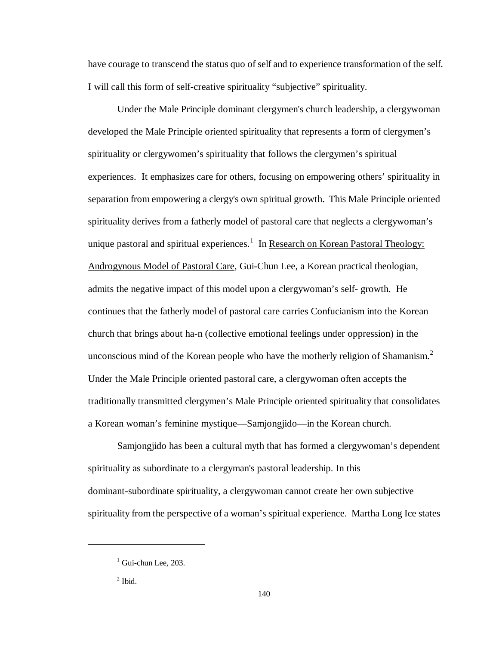have courage to transcend the status quo of self and to experience transformation of the self. I will call this form of self-creative spirituality "subjective" spirituality.

Under the Male Principle dominant clergymen's church leadership, a clergywoman developed the Male Principle oriented spirituality that represents a form of clergymen's spirituality or clergywomen's spirituality that follows the clergymen's spiritual experiences. It emphasizes care for others, focusing on empowering others' spirituality in separation from empowering a clergy's own spiritual growth. This Male Principle oriented spirituality derives from a fatherly model of pastoral care that neglects a clergywoman's unique pastoral and spiritual experiences.<sup>1</sup> In Research on Korean Pastoral Theology: Androgynous Model of Pastoral Care, Gui-Chun Lee, a Korean practical theologian, admits the negative impact of this model upon a clergywoman's self- growth. He continues that the fatherly model of pastoral care carries Confucianism into the Korean church that brings about ha-n (collective emotional feelings under oppression) in the unconscious mind of the Korean people who have the motherly religion of Shamanism. $2$ Under the Male Principle oriented pastoral care, a clergywoman often accepts the traditionally transmitted clergymen's Male Principle oriented spirituality that consolidates a Korean woman's feminine mystique— Samjongjido— in the Korean church.

Samjongjido has been a cultural myth that has formed a clergywoman's dependent spirituality as subordinate to a clergyman's pastoral leadership. In this dominant-subordinate spirituality, a clergywoman cannot create her own subjective spirituality from the perspective of a woman's spiritual experience. Martha Long Ice states

 $\overline{a}$ 

<sup>&</sup>lt;sup>1</sup> Gui-chun Lee, 203.

 $<sup>2</sup>$  Ibid.</sup>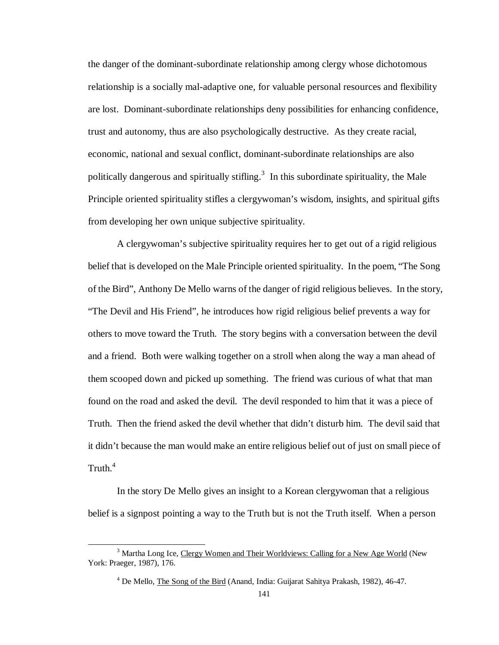the danger of the dominant-subordinate relationship among clergy whose dichotomous relationship is a socially mal-adaptive one, for valuable personal resources and flexibility are lost. Dominant-subordinate relationships deny possibilities for enhancing confidence, trust and autonomy, thus are also psychologically destructive. As they create racial, economic, national and sexual conflict, dominant-subordinate relationships are also politically dangerous and spiritually stifling.<sup>3</sup> In this subordinate spirituality, the Male Principle oriented spirituality stifles a clergywoman's wisdom, insights, and spiritual gifts from developing her own unique subjective spirituality.

A clergywoman's subjective spirituality requires her to get out of a rigid religious belief that is developed on the Male Principle oriented spirituality. In the poem, "The Song of the Bird", Anthony De Mello warns of the danger of rigid religious believes. In the story, "The Devil and His Friend", he introduces how rigid religious belief prevents a way for others to move toward the Truth. The story begins with a conversation between the devil and a friend. Both were walking together on a stroll when along the way a man ahead of them scooped down and picked up something. The friend was curious of what that man found on the road and asked the devil. The devil responded to him that it was a piece of Truth. Then the friend asked the devil whether that didn't disturb him. The devil said that it didn't because the man would make an entire religious belief out of just on small piece of Truth. $4$ 

In the story De Mello gives an insight to a Korean clergywoman that a religious belief is a signpost pointing a way to the Truth but is not the Truth itself. When a person

<sup>&</sup>lt;sup>3</sup> Martha Long Ice, Clergy Women and Their Worldviews: Calling for a New Age World (New York: Praeger, 1987), 176.

<sup>&</sup>lt;sup>4</sup> De Mello, *The Song of the Bird* (Anand, India: Guijarat Sahitya Prakash, 1982), 46-47.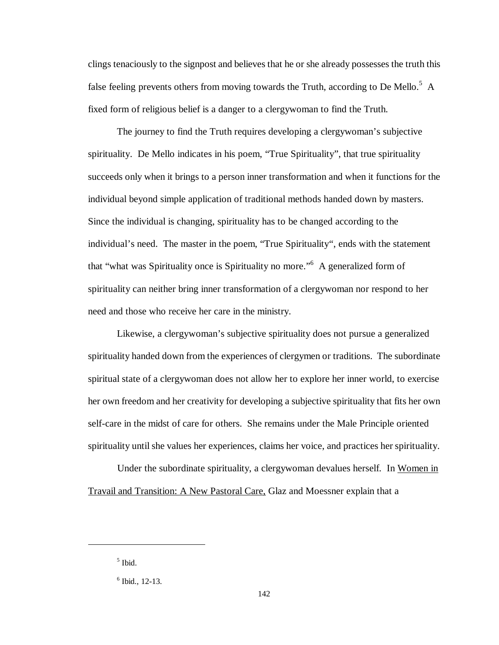clings tenaciously to the signpost and believes that he or she already possesses the truth this false feeling prevents others from moving towards the Truth, according to De Mello.<sup>5</sup> A fixed form of religious belief is a danger to a clergywoman to find the Truth.

The journey to find the Truth requires developing a clergywoman's subjective spirituality. De Mello indicates in his poem, "True Spirituality", that true spirituality succeeds only when it brings to a person inner transformation and when it functions for the individual beyond simple application of traditional methods handed down by masters. Since the individual is changing, spirituality has to be changed according to the individual's need. The master in the poem, "True Spirituality", ends with the statement that "what was Spirituality once is Spirituality no more." A generalized form of spirituality can neither bring inner transformation of a clergywoman nor respond to her need and those who receive her care in the ministry.

Likewise, a clergywoman's subjective spirituality does not pursue a generalized spirituality handed down from the experiences of clergymen or traditions. The subordinate spiritual state of a clergywoman does not allow her to explore her inner world, to exercise her own freedom and her creativity for developing a subjective spirituality that fits her own self-care in the midst of care for others. She remains under the Male Principle oriented spirituality until she values her experiences, claims her voice, and practices her spirituality.

Under the subordinate spirituality, a clergywoman devalues herself. In Women in Travail and Transition: A New Pastoral Care, Glaz and Moessner explain that a

 $\overline{a}$ 

<sup>5</sup> Ibid.

<sup>6</sup> Ibid., 12-13.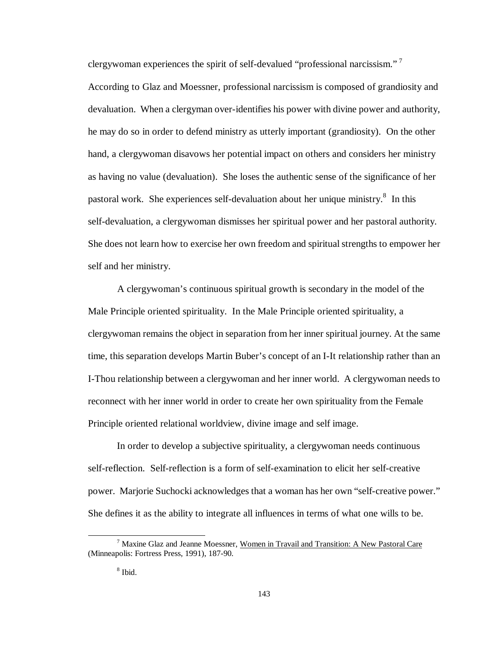clergywoman experiences the spirit of self-devalued "professional narcissism."<sup>7</sup>

According to Glaz and Moessner, professional narcissism is composed of grandiosity and devaluation. When a clergyman over-identifies his power with divine power and authority, he may do so in order to defend ministry as utterly important (grandiosity). On the other hand, a clergywoman disavows her potential impact on others and considers her ministry as having no value (devaluation). She loses the authentic sense of the significance of her pastoral work. She experiences self-devaluation about her unique ministry.<sup>8</sup> In this self-devaluation, a clergywoman dismisses her spiritual power and her pastoral authority. She does not learn how to exercise her own freedom and spiritual strengths to empower her self and her ministry.

A clergywoman's continuous spiritual growth is secondary in the model of the Male Principle oriented spirituality. In the Male Principle oriented spirituality, a clergywoman remains the object in separation from her inner spiritual journey. At the same time, this separation develops Martin Buber's concept of an I-It relationship rather than an I-Thou relationship between a clergywoman and her inner world. A clergywoman needs to reconnect with her inner world in order to create her own spirituality from the Female Principle oriented relational worldview, divine image and self image.

In order to develop a subjective spirituality, a clergywoman needs continuous self-reflection. Self-reflection is a form of self-examination to elicit her self-creative power. Marjorie Suchocki acknowledges that a woman has her own "self-creative power." She defines it as the ability to integrate all influences in terms of what one wills to be.

<sup>7</sup> Maxine Glaz and Jeanne Moessner, Women in Travail and Transition: A New Pastoral Care (Minneapolis: Fortress Press, 1991), 187-90.

<sup>8</sup> Ibid.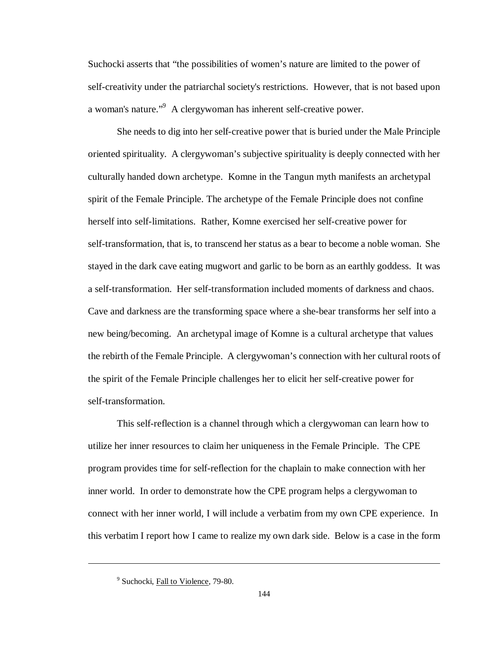Suchocki asserts that "the possibilities of women's nature are limited to the power of self-creativity under the patriarchal society's restrictions. However, that is not based upon a woman's nature."<sup>9</sup> A clergywoman has inherent self-creative power.

She needs to dig into her self-creative power that is buried under the Male Principle oriented spirituality. A clergywoman's subjective spirituality is deeply connected with her culturally handed down archetype. Komne in the Tangun myth manifests an archetypal spirit of the Female Principle. The archetype of the Female Principle does not confine herself into self-limitations. Rather, Komne exercised her self-creative power for self-transformation, that is, to transcend her status as a bear to become a noble woman. She stayed in the dark cave eating mugwort and garlic to be born as an earthly goddess. It was a self-transformation. Her self-transformation included moments of darkness and chaos. Cave and darkness are the transforming space where a she-bear transforms her self into a new being/becoming. An archetypal image of Komne is a cultural archetype that values the rebirth of the Female Principle. A clergywoman's connection with her cultural roots of the spirit of the Female Principle challenges her to elicit her self-creative power for self-transformation.

This self-reflection is a channel through which a clergywoman can learn how to utilize her inner resources to claim her uniqueness in the Female Principle. The CPE program provides time for self-reflection for the chaplain to make connection with her inner world. In order to demonstrate how the CPE program helps a clergywoman to connect with her inner world, I will include a verbatim from my own CPE experience. In this verbatim I report how I came to realize my own dark side. Below is a case in the form

 $\overline{a}$ 

<sup>&</sup>lt;sup>9</sup> Suchocki, Fall to Violence, 79-80.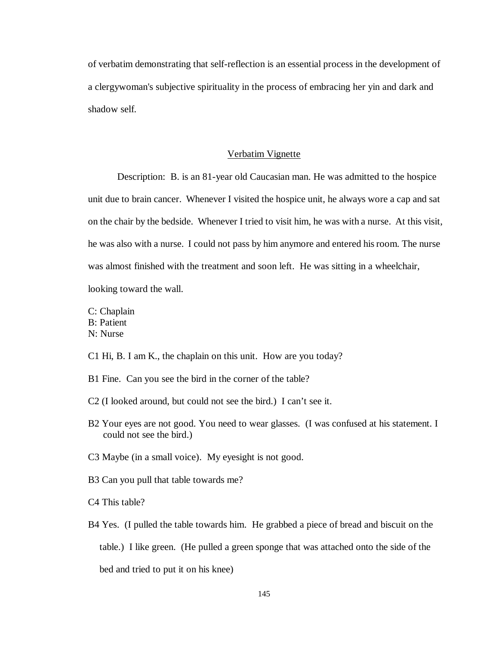of verbatim demonstrating that self-reflection is an essential process in the development of a clergywoman's subjective spirituality in the process of embracing her yin and dark and shadow self.

#### Verbatim Vignette

Description: B. is an 81-year old Caucasian man. He was admitted to the hospice unit due to brain cancer. Whenever I visited the hospice unit, he always wore a cap and sat on the chair by the bedside. Whenever I tried to visit him, he was with a nurse. At this visit, he was also with a nurse. I could not pass by him anymore and entered his room. The nurse was almost finished with the treatment and soon left. He was sitting in a wheelchair, looking toward the wall.

C: Chaplain B: Patient N: Nurse

C1 Hi, B. I am K., the chaplain on this unit. How are you today?

- B1 Fine. Can you see the bird in the corner of the table?
- C2 (I looked around, but could not see the bird.) I can't see it.
- B2 Your eyes are not good. You need to wear glasses. (I was confused at his statement. I could not see the bird.)
- C3 Maybe (in a small voice). My eyesight is not good.
- B3 Can you pull that table towards me?
- C4 This table?
- B4 Yes. (I pulled the table towards him. He grabbed a piece of bread and biscuit on the table.) I like green. (He pulled a green sponge that was attached onto the side of the bed and tried to put it on his knee)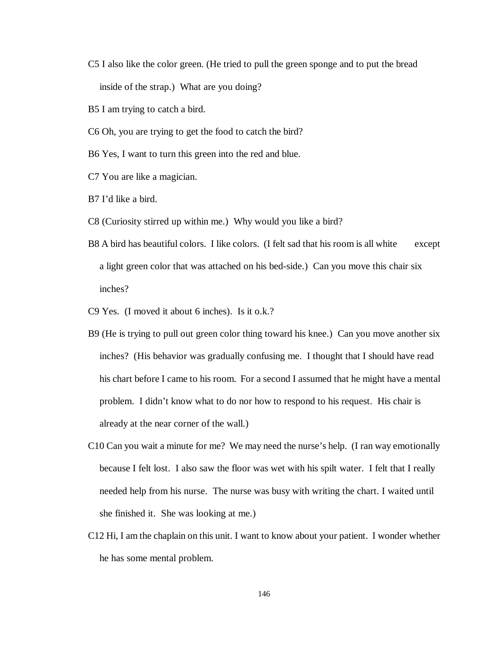- C5 I also like the color green. (He tried to pull the green sponge and to put the bread inside of the strap.) What are you doing?
- B5 I am trying to catch a bird.
- C6 Oh, you are trying to get the food to catch the bird?
- B6 Yes, I want to turn this green into the red and blue.
- C7 You are like a magician.
- B7 I'd like a bird.
- C8 (Curiosity stirred up within me.) Why would you like a bird?
- B8 A bird has beautiful colors. I like colors. (I felt sad that his room is all white except a light green color that was attached on his bed-side.) Can you move this chair six inches?
- C9 Yes. (I moved it about 6 inches). Is it o.k.?
- B9 (He is trying to pull out green color thing toward his knee.) Can you move another six inches? (His behavior was gradually confusing me. I thought that I should have read his chart before I came to his room. For a second I assumed that he might have a mental problem. I didn't know what to do nor how to respond to his request. His chair is already at the near corner of the wall.)
- C10 Can you wait a minute for me? We may need the nurse's help. (I ran way emotionally because I felt lost. I also saw the floor was wet with his spilt water. I felt that I really needed help from his nurse. The nurse was busy with writing the chart. I waited until she finished it. She was looking at me.)
- C12 Hi, I am the chaplain on this unit. I want to know about your patient. I wonder whether he has some mental problem.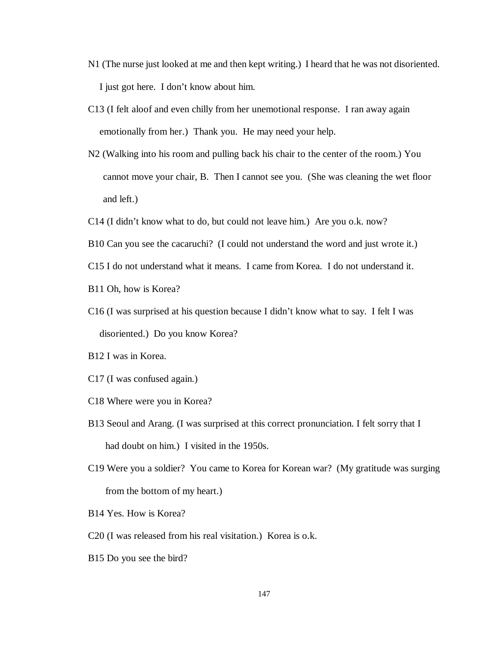- N1 (The nurse just looked at me and then kept writing.) I heard that he was not disoriented. I just got here. I don't know about him.
- C13 (I felt aloof and even chilly from her unemotional response. I ran away again emotionally from her.) Thank you. He may need your help.
- N2 (Walking into his room and pulling back his chair to the center of the room.) You cannot move your chair, B. Then I cannot see you. (She was cleaning the wet floor and left.)
- C14 (I didn't know what to do, but could not leave him.) Are you o.k. now?
- B10 Can you see the cacaruchi? (I could not understand the word and just wrote it.)
- C15 I do not understand what it means. I came from Korea. I do not understand it.
- B11 Oh, how is Korea?
- C16 (I was surprised at his question because I didn't know what to say. I felt I was disoriented.) Do you know Korea?
- B12 I was in Korea.
- C17 (I was confused again.)
- C18 Where were you in Korea?
- B13 Seoul and Arang. (I was surprised at this correct pronunciation. I felt sorry that I had doubt on him.) I visited in the 1950s.
- C19 Were you a soldier? You came to Korea for Korean war? (My gratitude was surging from the bottom of my heart.)
- B14 Yes. How is Korea?
- C20 (I was released from his real visitation.) Korea is o.k.
- B15 Do you see the bird?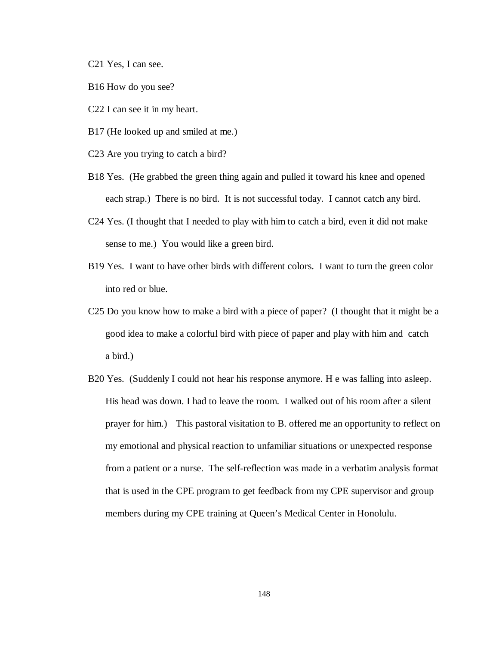C21 Yes, I can see.

- B16 How do you see?
- C22 I can see it in my heart.
- B17 (He looked up and smiled at me.)
- C23 Are you trying to catch a bird?
- B18 Yes. (He grabbed the green thing again and pulled it toward his knee and opened each strap.) There is no bird. It is not successful today. I cannot catch any bird.
- C24 Yes. (I thought that I needed to play with him to catch a bird, even it did not make sense to me.) You would like a green bird.
- B19 Yes. I want to have other birds with different colors. I want to turn the green color into red or blue.
- C25 Do you know how to make a bird with a piece of paper? (I thought that it might be a good idea to make a colorful bird with piece of paper and play with him and catch a bird.)
- B20 Yes. (Suddenly I could not hear his response anymore. H e was falling into asleep. His head was down. I had to leave the room. I walked out of his room after a silent prayer for him.) This pastoral visitation to B. offered me an opportunity to reflect on my emotional and physical reaction to unfamiliar situations or unexpected response from a patient or a nurse. The self-reflection was made in a verbatim analysis format that is used in the CPE program to get feedback from my CPE supervisor and group members during my CPE training at Queen's Medical Center in Honolulu.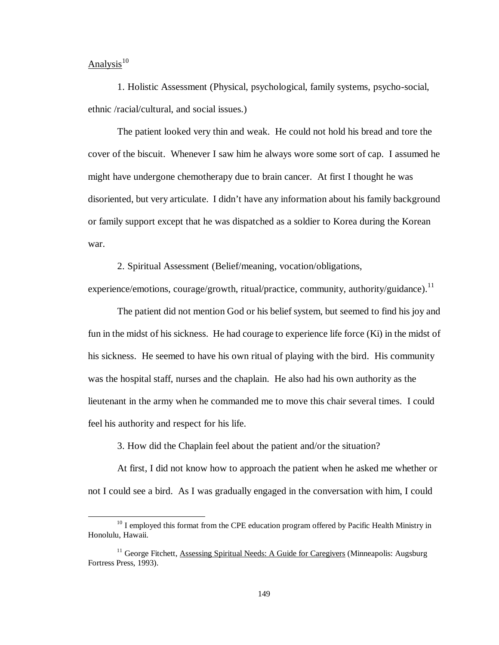# $Analysis<sup>10</sup>$

 $\overline{a}$ 

1. Holistic Assessment (Physical, psychological, family systems, psycho-social, ethnic /racial/cultural, and social issues.)

The patient looked very thin and weak. He could not hold his bread and tore the cover of the biscuit. Whenever I saw him he always wore some sort of cap. I assumed he might have undergone chemotherapy due to brain cancer. At first I thought he was disoriented, but very articulate. I didn't have any information about his family background or family support except that he was dispatched as a soldier to Korea during the Korean war.

2. Spiritual Assessment (Belief/meaning, vocation/obligations,

experience/emotions, courage/growth, ritual/practice, community, authority/guidance).<sup>11</sup>

The patient did not mention God or his belief system, but seemed to find his joy and fun in the midst of his sickness. He had courage to experience life force (Ki) in the midst of his sickness. He seemed to have his own ritual of playing with the bird. His community was the hospital staff, nurses and the chaplain. He also had his own authority as the lieutenant in the army when he commanded me to move this chair several times. I could feel his authority and respect for his life.

3. How did the Chaplain feel about the patient and/or the situation?

At first, I did not know how to approach the patient when he asked me whether or not I could see a bird. As I was gradually engaged in the conversation with him, I could

 $10$  I employed this format from the CPE education program offered by Pacific Health Ministry in Honolulu, Hawaii.

<sup>&</sup>lt;sup>11</sup> George Fitchett, Assessing Spiritual Needs: A Guide for Caregivers (Minneapolis: Augsburg Fortress Press, 1993).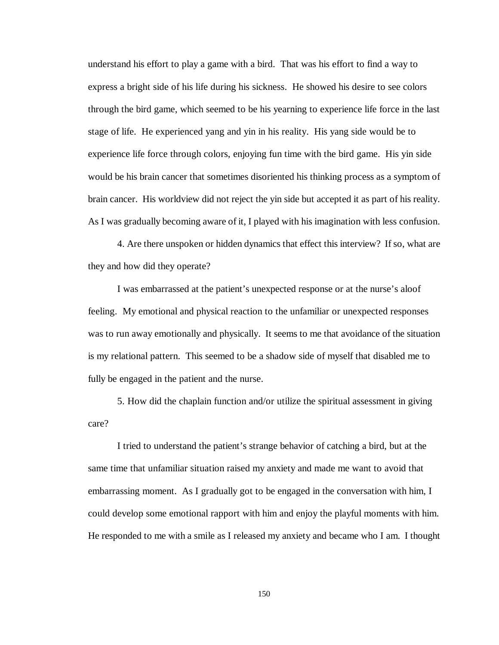understand his effort to play a game with a bird. That was his effort to find a way to express a bright side of his life during his sickness. He showed his desire to see colors through the bird game, which seemed to be his yearning to experience life force in the last stage of life. He experienced yang and yin in his reality. His yang side would be to experience life force through colors, enjoying fun time with the bird game. His yin side would be his brain cancer that sometimes disoriented his thinking process as a symptom of brain cancer. His worldview did not reject the yin side but accepted it as part of his reality. As I was gradually becoming aware of it, I played with his imagination with less confusion.

4. Are there unspoken or hidden dynamics that effect this interview? If so, what are they and how did they operate?

I was embarrassed at the patient's unexpected response or at the nurse's aloof feeling. My emotional and physical reaction to the unfamiliar or unexpected responses was to run away emotionally and physically. It seems to me that avoidance of the situation is my relational pattern. This seemed to be a shadow side of myself that disabled me to fully be engaged in the patient and the nurse.

5. How did the chaplain function and/or utilize the spiritual assessment in giving care?

I tried to understand the patient's strange behavior of catching a bird, but at the same time that unfamiliar situation raised my anxiety and made me want to avoid that embarrassing moment. As I gradually got to be engaged in the conversation with him, I could develop some emotional rapport with him and enjoy the playful moments with him. He responded to me with a smile as I released my anxiety and became who I am. I thought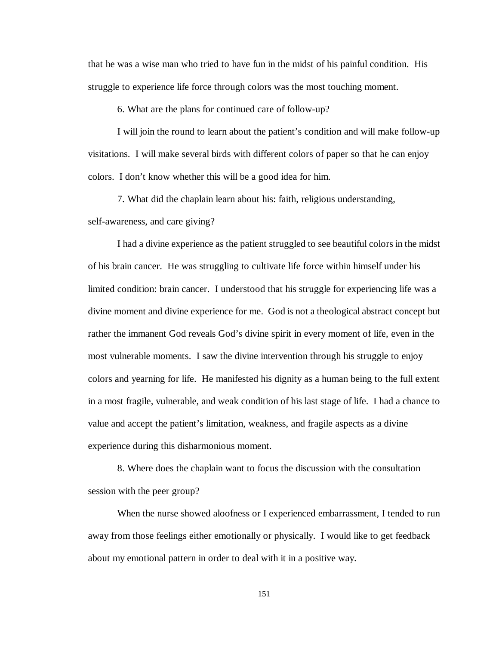that he was a wise man who tried to have fun in the midst of his painful condition. His struggle to experience life force through colors was the most touching moment.

6. What are the plans for continued care of follow-up?

I will join the round to learn about the patient's condition and will make follow-up visitations. I will make several birds with different colors of paper so that he can enjoy colors. I don't know whether this will be a good idea for him.

7. What did the chaplain learn about his: faith, religious understanding,

self-awareness, and care giving?

I had a divine experience as the patient struggled to see beautiful colors in the midst of his brain cancer. He was struggling to cultivate life force within himself under his limited condition: brain cancer. I understood that his struggle for experiencing life was a divine moment and divine experience for me. God is not a theological abstract concept but rather the immanent God reveals God's divine spirit in every moment of life, even in the most vulnerable moments. I saw the divine intervention through his struggle to enjoy colors and yearning for life. He manifested his dignity as a human being to the full extent in a most fragile, vulnerable, and weak condition of his last stage of life. I had a chance to value and accept the patient's limitation, weakness, and fragile aspects as a divine experience during this disharmonious moment.

8. Where does the chaplain want to focus the discussion with the consultation session with the peer group?

When the nurse showed aloofness or I experienced embarrassment, I tended to run away from those feelings either emotionally or physically. I would like to get feedback about my emotional pattern in order to deal with it in a positive way.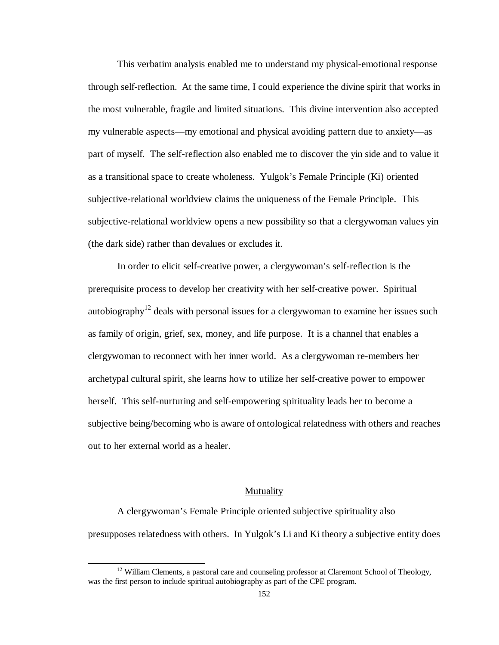This verbatim analysis enabled me to understand my physical-emotional response through self-reflection. At the same time, I could experience the divine spirit that works in the most vulnerable, fragile and limited situations. This divine intervention also accepted my vulnerable aspects— my emotional and physical avoiding pattern due to anxiety— as part of myself. The self-reflection also enabled me to discover the yin side and to value it as a transitional space to create wholeness. Yulgok's Female Principle (Ki) oriented subjective-relational worldview claims the uniqueness of the Female Principle. This subjective-relational worldview opens a new possibility so that a clergywoman values yin (the dark side) rather than devalues or excludes it.

In order to elicit self-creative power, a clergywoman's self-reflection is the prerequisite process to develop her creativity with her self-creative power. Spiritual autobiography<sup>12</sup> deals with personal issues for a clergy woman to examine her issues such as family of origin, grief, sex, money, and life purpose. It is a channel that enables a clergywoman to reconnect with her inner world. As a clergywoman re-members her archetypal cultural spirit, she learns how to utilize her self-creative power to empower herself. This self-nurturing and self-empowering spirituality leads her to become a subjective being/becoming who is aware of ontological relatedness with others and reaches out to her external world as a healer.

### Mutuality

A clergywoman's Female Principle oriented subjective spirituality also presupposes relatedness with others. In Yulgok's Li and Ki theory a subjective entity does

 $\overline{a}$ 

 $12$  William Clements, a pastoral care and counseling professor at Claremont School of Theology, was the first person to include spiritual autobiography as part of the CPE program.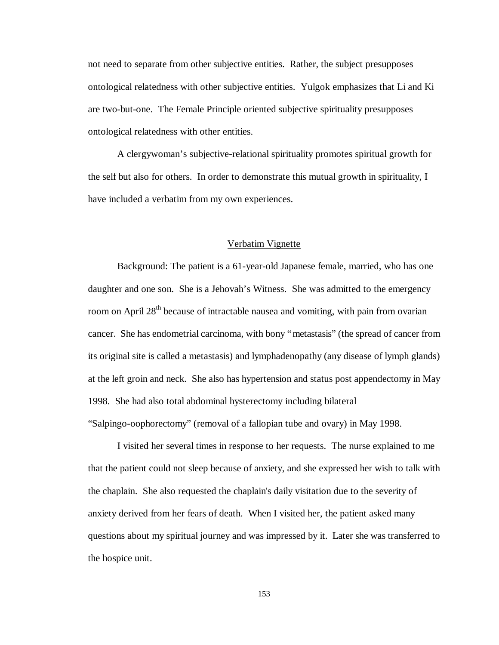not need to separate from other subjective entities. Rather, the subject presupposes ontological relatedness with other subjective entities. Yulgok emphasizes that Li and Ki are two-but-one. The Female Principle oriented subjective spirituality presupposes ontological relatedness with other entities.

A clergywoman's subjective-relational spirituality promotes spiritual growth for the self but also for others. In order to demonstrate this mutual growth in spirituality, I have included a verbatim from my own experiences.

# Verbatim Vignette

Background: The patient is a 61-year-old Japanese female, married, who has one daughter and one son. She is a Jehovah's Witness. She was admitted to the emergency room on April 28<sup>th</sup> because of intractable nausea and vomiting, with pain from ovarian cancer. She has endometrial carcinoma, with bony "metastasis" (the spread of cancer from its original site is called a metastasis) and lymphadenopathy (any disease of lymph glands) at the left groin and neck. She also has hypertension and status post appendectomy in May 1998. She had also total abdominal hysterectomy including bilateral "Salpingo-oophorectomy" (removal of a fallopian tube and ovary) in May 1998.

I visited her several times in response to her requests. The nurse explained to me that the patient could not sleep because of anxiety, and she expressed her wish to talk with the chaplain. She also requested the chaplain's daily visitation due to the severity of anxiety derived from her fears of death. When I visited her, the patient asked many questions about my spiritual journey and was impressed by it. Later she was transferred to the hospice unit.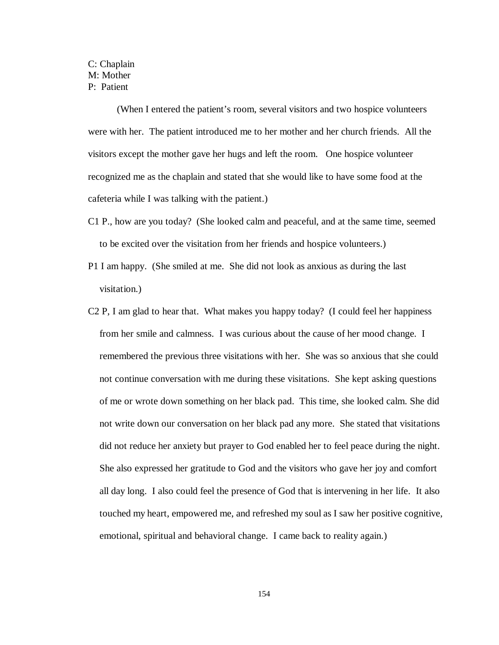# C: Chaplain M: Mother P: Patient

(When I entered the patient's room, several visitors and two hospice volunteers were with her. The patient introduced me to her mother and her church friends. All the visitors except the mother gave her hugs and left the room. One hospice volunteer recognized me as the chaplain and stated that she would like to have some food at the cafeteria while I was talking with the patient.)

- C1 P., how are you today? (She looked calm and peaceful, and at the same time, seemed to be excited over the visitation from her friends and hospice volunteers.)
- P1 I am happy. (She smiled at me. She did not look as anxious as during the last visitation.)
- C2 P, I am glad to hear that. What makes you happy today? (I could feel her happiness from her smile and calmness. I was curious about the cause of her mood change. I remembered the previous three visitations with her. She was so anxious that she could not continue conversation with me during these visitations. She kept asking questions of me or wrote down something on her black pad. This time, she looked calm. She did not write down our conversation on her black pad any more. She stated that visitations did not reduce her anxiety but prayer to God enabled her to feel peace during the night. She also expressed her gratitude to God and the visitors who gave her joy and comfort all day long. I also could feel the presence of God that is intervening in her life. It also touched my heart, empowered me, and refreshed my soul as I saw her positive cognitive, emotional, spiritual and behavioral change. I came back to reality again.)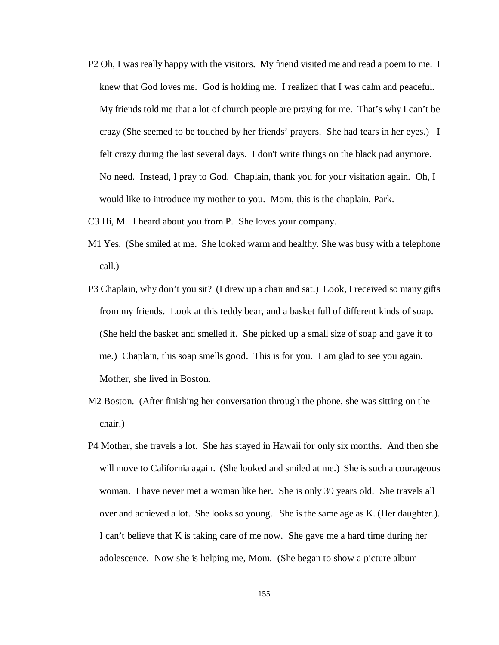- P2 Oh, I was really happy with the visitors. My friend visited me and read a poem to me. I knew that God loves me. God is holding me. I realized that I was calm and peaceful. My friends told me that a lot of church people are praying for me. That's why I can't be crazy (She seemed to be touched by her friends' prayers. She had tears in her eyes.) I felt crazy during the last several days. I don't write things on the black pad anymore. No need. Instead, I pray to God. Chaplain, thank you for your visitation again. Oh, I would like to introduce my mother to you. Mom, this is the chaplain, Park.
- C3 Hi, M. I heard about you from P. She loves your company.
- M1 Yes. (She smiled at me. She looked warm and healthy. She was busy with a telephone call.)
- P3 Chaplain, why don't you sit? (I drew up a chair and sat.) Look, I received so many gifts from my friends. Look at this teddy bear, and a basket full of different kinds of soap. (She held the basket and smelled it. She picked up a small size of soap and gave it to me.) Chaplain, this soap smells good. This is for you. I am glad to see you again. Mother, she lived in Boston.
- M2 Boston. (After finishing her conversation through the phone, she was sitting on the chair.)
- P4 Mother, she travels a lot. She has stayed in Hawaii for only six months. And then she will move to California again. (She looked and smiled at me.) She is such a courageous woman. I have never met a woman like her. She is only 39 years old. She travels all over and achieved a lot. She looks so young. She is the same age as K. (Her daughter.). I can't believe that K is taking care of me now. She gave me a hard time during her adolescence. Now she is helping me, Mom. (She began to show a picture album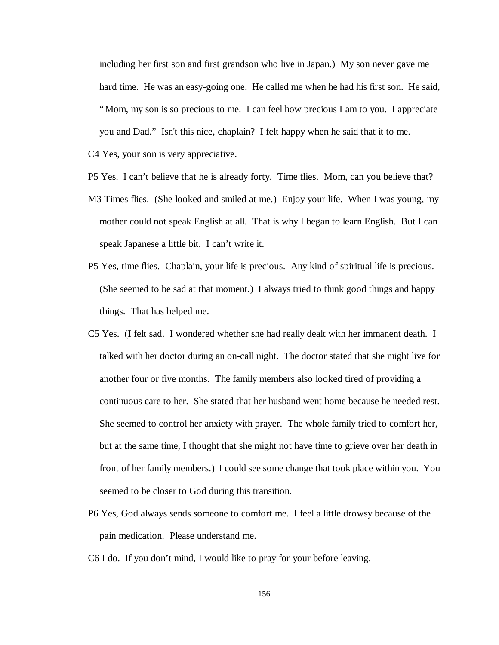including her first son and first grandson who live in Japan.) My son never gave me hard time. He was an easy-going one. He called me when he had his first son. He said, "Mom, my son is so precious to me. I can feel how precious I am to you. I appreciate you and Dad." Isn't this nice, chaplain? I felt happy when he said that it to me.

C4 Yes, your son is very appreciative.

- P5 Yes. I can't believe that he is already forty. Time flies. Mom, can you believe that?
- M3 Times flies. (She looked and smiled at me.) Enjoy your life. When I was young, my mother could not speak English at all. That is why I began to learn English. But I can speak Japanese a little bit. I can't write it.
- P5 Yes, time flies. Chaplain, your life is precious. Any kind of spiritual life is precious. (She seemed to be sad at that moment.) I always tried to think good things and happy things. That has helped me.
- C5 Yes. (I felt sad. I wondered whether she had really dealt with her immanent death. I talked with her doctor during an on-call night. The doctor stated that she might live for another four or five months. The family members also looked tired of providing a continuous care to her. She stated that her husband went home because he needed rest. She seemed to control her anxiety with prayer. The whole family tried to comfort her, but at the same time, I thought that she might not have time to grieve over her death in front of her family members.) I could see some change that took place within you. You seemed to be closer to God during this transition.
- P6 Yes, God always sends someone to comfort me. I feel a little drowsy because of the pain medication. Please understand me.
- C6 I do. If you don't mind, I would like to pray for your before leaving.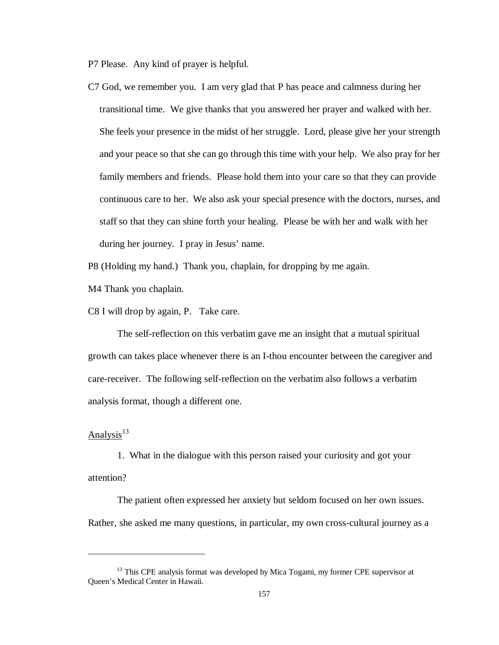P7 Please. Any kind of prayer is helpful.

C7 God, we remember you. I am very glad that P has peace and calmness during her transitional time. We give thanks that you answered her prayer and walked with her. She feels your presence in the midst of her struggle. Lord, please give her your strength and your peace so that she can go through this time with your help. We also pray for her family members and friends. Please hold them into your care so that they can provide continuous care to her. We also ask your special presence with the doctors, nurses, and staff so that they can shine forth your healing. Please be with her and walk with her during her journey. I pray in Jesus' name.

P8 (Holding my hand.) Thank you, chaplain, for dropping by me again.

M4 Thank you chaplain.

C8 I will drop by again, P. Take care.

 The self-reflection on this verbatim gave me an insight that a mutual spiritual growth can takes place whenever there is an I-thou encounter between the caregiver and care-receiver. The following self-reflection on the verbatim also follows a verbatim analysis format, though a different one.

# Analysis $13$

 $\overline{a}$ 

1. What in the dialogue with this person raised your curiosity and got your attention?

The patient often expressed her anxiety but seldom focused on her own issues. Rather, she asked me many questions, in particular, my own cross-cultural journey as a

<sup>&</sup>lt;sup>13</sup> This CPE analysis format was developed by Mica Togami, my former CPE supervisor at Queen's Medical Center in Hawaii.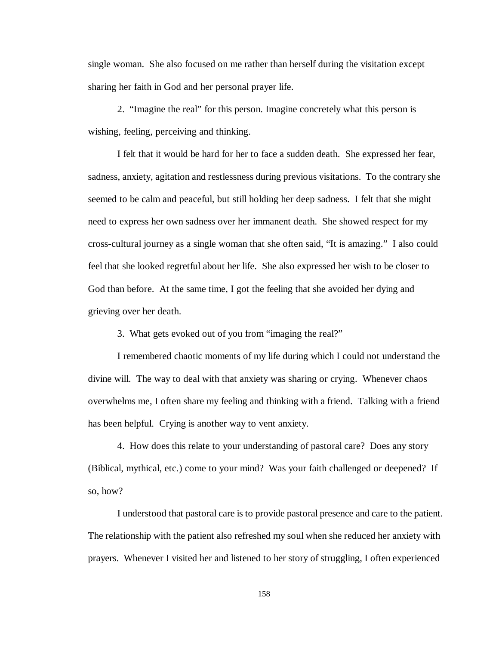single woman. She also focused on me rather than herself during the visitation except sharing her faith in God and her personal prayer life.

2. "Imagine the real" for this person. Imagine concretely what this person is wishing, feeling, perceiving and thinking.

I felt that it would be hard for her to face a sudden death. She expressed her fear, sadness, anxiety, agitation and restlessness during previous visitations. To the contrary she seemed to be calm and peaceful, but still holding her deep sadness. I felt that she might need to express her own sadness over her immanent death. She showed respect for my cross-cultural journey as a single woman that she often said, "It is amazing." I also could feel that she looked regretful about her life. She also expressed her wish to be closer to God than before. At the same time, I got the feeling that she avoided her dying and grieving over her death.

3. What gets evoked out of you from "imaging the real?"

I remembered chaotic moments of my life during which I could not understand the divine will. The way to deal with that anxiety was sharing or crying. Whenever chaos overwhelms me, I often share my feeling and thinking with a friend. Talking with a friend has been helpful. Crying is another way to vent anxiety.

4. How does this relate to your understanding of pastoral care? Does any story (Biblical, mythical, etc.) come to your mind? Was your faith challenged or deepened? If so, how?

I understood that pastoral care is to provide pastoral presence and care to the patient. The relationship with the patient also refreshed my soul when she reduced her anxiety with prayers. Whenever I visited her and listened to her story of struggling, I often experienced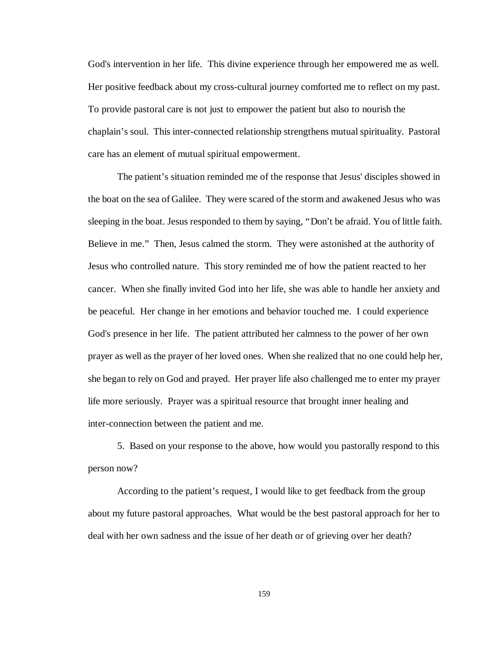God's intervention in her life. This divine experience through her empowered me as well. Her positive feedback about my cross-cultural journey comforted me to reflect on my past. To provide pastoral care is not just to empower the patient but also to nourish the chaplain's soul. This inter-connected relationship strengthens mutual spirituality. Pastoral care has an element of mutual spiritual empowerment.

The patient's situation reminded me of the response that Jesus' disciples showed in the boat on the sea of Galilee. They were scared of the storm and awakened Jesus who was sleeping in the boat. Jesus responded to them by saying, "Don't be afraid. You of little faith. Believe in me." Then, Jesus calmed the storm. They were astonished at the authority of Jesus who controlled nature. This story reminded me of how the patient reacted to her cancer. When she finally invited God into her life, she was able to handle her anxiety and be peaceful. Her change in her emotions and behavior touched me. I could experience God's presence in her life. The patient attributed her calmness to the power of her own prayer as well as the prayer of her loved ones. When she realized that no one could help her, she began to rely on God and prayed. Her prayer life also challenged me to enter my prayer life more seriously. Prayer was a spiritual resource that brought inner healing and inter-connection between the patient and me.

5. Based on your response to the above, how would you pastorally respond to this person now?

According to the patient's request, I would like to get feedback from the group about my future pastoral approaches. What would be the best pastoral approach for her to deal with her own sadness and the issue of her death or of grieving over her death?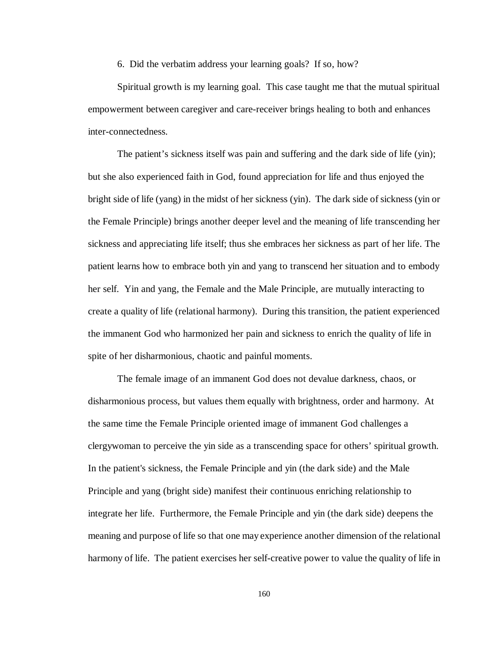6. Did the verbatim address your learning goals? If so, how?

Spiritual growth is my learning goal. This case taught me that the mutual spiritual empowerment between caregiver and care-receiver brings healing to both and enhances inter-connectedness.

The patient's sickness itself was pain and suffering and the dark side of life (yin); but she also experienced faith in God, found appreciation for life and thus enjoyed the bright side of life (yang) in the midst of her sickness (yin). The dark side of sickness (yin or the Female Principle) brings another deeper level and the meaning of life transcending her sickness and appreciating life itself; thus she embraces her sickness as part of her life. The patient learns how to embrace both yin and yang to transcend her situation and to embody her self. Yin and yang, the Female and the Male Principle, are mutually interacting to create a quality of life (relational harmony). During this transition, the patient experienced the immanent God who harmonized her pain and sickness to enrich the quality of life in spite of her disharmonious, chaotic and painful moments.

The female image of an immanent God does not devalue darkness, chaos, or disharmonious process, but values them equally with brightness, order and harmony. At the same time the Female Principle oriented image of immanent God challenges a clergywoman to perceive the yin side as a transcending space for others' spiritual growth. In the patient's sickness, the Female Principle and yin (the dark side) and the Male Principle and yang (bright side) manifest their continuous enriching relationship to integrate her life. Furthermore, the Female Principle and yin (the dark side) deepens the meaning and purpose of life so that one may experience another dimension of the relational harmony of life. The patient exercises her self-creative power to value the quality of life in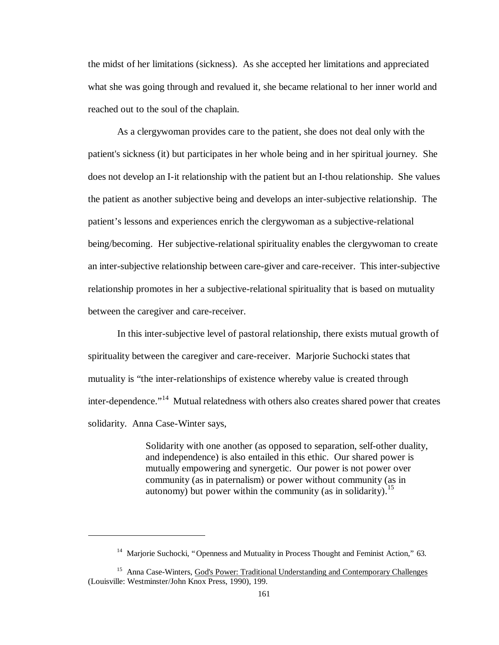the midst of her limitations (sickness). As she accepted her limitations and appreciated what she was going through and revalued it, she became relational to her inner world and reached out to the soul of the chaplain.

As a clergywoman provides care to the patient, she does not deal only with the patient's sickness (it) but participates in her whole being and in her spiritual journey. She does not develop an I-it relationship with the patient but an I-thou relationship. She values the patient as another subjective being and develops an inter-subjective relationship. The patient's lessons and experiences enrich the clergywoman as a subjective-relational being/becoming. Her subjective-relational spirituality enables the clergywoman to create an inter-subjective relationship between care-giver and care-receiver. This inter-subjective relationship promotes in her a subjective-relational spirituality that is based on mutuality between the caregiver and care-receiver.

In this inter-subjective level of pastoral relationship, there exists mutual growth of spirituality between the caregiver and care-receiver. Marjorie Suchocki states that mutuality is "the inter-relationships of existence whereby value is created through inter-dependence."<sup>14</sup> Mutual relatedness with others also creates shared power that creates solidarity. Anna Case-Winter says,

> Solidarity with one another (as opposed to separation, self-other duality, and independence) is also entailed in this ethic. Our shared power is mutually empowering and synergetic. Our power is not power over community (as in paternalism) or power without community (as in autonomy) but power within the community (as in solidarity).<sup>15</sup>

<sup>&</sup>lt;sup>14</sup> Mariorie Suchocki, "Openness and Mutuality in Process Thought and Feminist Action," 63.

<sup>&</sup>lt;sup>15</sup> Anna Case-Winters, God's Power: Traditional Understanding and Contemporary Challenges (Louisville: Westminster/John Knox Press, 1990), 199.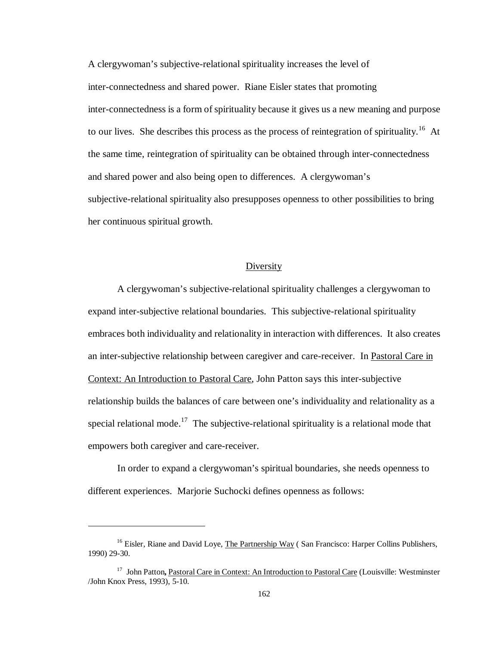A clergywoman's subjective-relational spirituality increases the level of inter-connectedness and shared power. Riane Eisler states that promoting inter-connectedness is a form of spirituality because it gives us a new meaning and purpose to our lives. She describes this process as the process of reintegration of spirituality.<sup>16</sup> At the same time, reintegration of spirituality can be obtained through inter-connectedness and shared power and also being open to differences. A clergywoman's subjective-relational spirituality also presupposes openness to other possibilities to bring her continuous spiritual growth.

### Diversity

A clergywoman's subjective-relational spirituality challenges a clergywoman to expand inter-subjective relational boundaries. This subjective-relational spirituality embraces both individuality and relationality in interaction with differences. It also creates an inter-subjective relationship between caregiver and care-receiver. In Pastoral Care in Context: An Introduction to Pastoral Care, John Patton says this inter-subjective relationship builds the balances of care between one's individuality and relationality as a special relational mode.<sup>17</sup> The subjective-relational spirituality is a relational mode that empowers both caregiver and care-receiver.

In order to expand a clergywoman's spiritual boundaries, she needs openness to different experiences. Marjorie Suchocki defines openness as follows:

<sup>&</sup>lt;sup>16</sup> Eisler, Riane and David Loye, The Partnership Way (San Francisco: Harper Collins Publishers, 1990) 29-30.

<sup>&</sup>lt;sup>17</sup> John Patton, Pastoral Care in Context: An Introduction to Pastoral Care (Louisville: Westminster /John Knox Press, 1993), 5-10.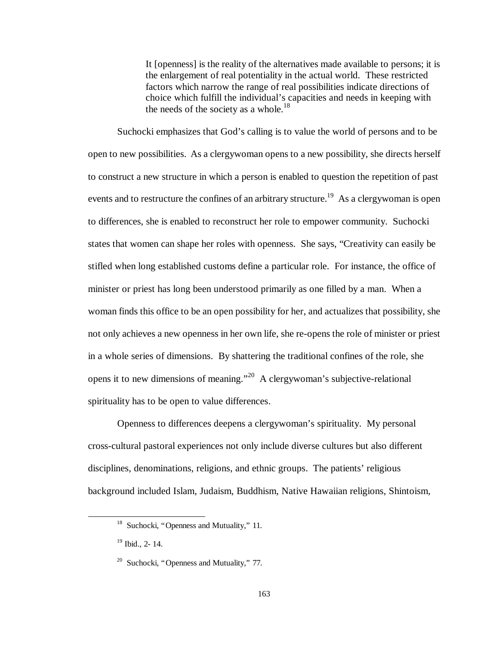It [openness] is the reality of the alternatives made available to persons; it is the enlargement of real potentiality in the actual world. These restricted factors which narrow the range of real possibilities indicate directions of choice which fulfill the individual's capacities and needs in keeping with the needs of the society as a whole.<sup>18</sup>

Suchocki emphasizes that God's calling is to value the world of persons and to be open to new possibilities. As a clergywoman opens to a new possibility, she directs herself to construct a new structure in which a person is enabled to question the repetition of past events and to restructure the confines of an arbitrary structure.<sup>19</sup> As a clergywoman is open to differences, she is enabled to reconstruct her role to empower community. Suchocki states that women can shape her roles with openness. She says, "Creativity can easily be stifled when long established customs define a particular role. For instance, the office of minister or priest has long been understood primarily as one filled by a man. When a woman finds this office to be an open possibility for her, and actualizes that possibility, she not only achieves a new openness in her own life, she re-opens the role of minister or priest in a whole series of dimensions. By shattering the traditional confines of the role, she opens it to new dimensions of meaning."<sup>20</sup> A clergywoman's subjective-relational spirituality has to be open to value differences.

Openness to differences deepens a clergywoman's spirituality. My personal cross-cultural pastoral experiences not only include diverse cultures but also different disciplines, denominations, religions, and ethnic groups. The patients' religious background included Islam, Judaism, Buddhism, Native Hawaiian religions, Shintoism,

<sup>&</sup>lt;sup>18</sup> Suchocki, "Openness and Mutuality," 11.

<sup>19</sup> Ibid., 2- 14.

<sup>&</sup>lt;sup>20</sup> Suchocki, "Openness and Mutuality," 77.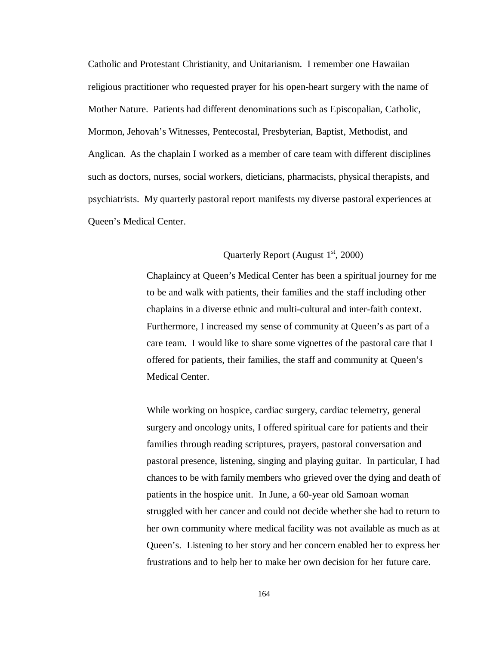Catholic and Protestant Christianity, and Unitarianism. I remember one Hawaiian religious practitioner who requested prayer for his open-heart surgery with the name of Mother Nature. Patients had different denominations such as Episcopalian, Catholic, Mormon, Jehovah's Witnesses, Pentecostal, Presbyterian, Baptist, Methodist, and Anglican. As the chaplain I worked as a member of care team with different disciplines such as doctors, nurses, social workers, dieticians, pharmacists, physical therapists, and psychiatrists. My quarterly pastoral report manifests my diverse pastoral experiences at Queen's Medical Center.

# Quarterly Report (August  $1<sup>st</sup>$ , 2000)

Chaplaincy at Queen's Medical Center has been a spiritual journey for me to be and walk with patients, their families and the staff including other chaplains in a diverse ethnic and multi-cultural and inter-faith context. Furthermore, I increased my sense of community at Queen's as part of a care team. I would like to share some vignettes of the pastoral care that I offered for patients, their families, the staff and community at Queen's Medical Center.

While working on hospice, cardiac surgery, cardiac telemetry, general surgery and oncology units, I offered spiritual care for patients and their families through reading scriptures, prayers, pastoral conversation and pastoral presence, listening, singing and playing guitar. In particular, I had chances to be with family members who grieved over the dying and death of patients in the hospice unit. In June, a 60-year old Samoan woman struggled with her cancer and could not decide whether she had to return to her own community where medical facility was not available as much as at Queen's. Listening to her story and her concern enabled her to express her frustrations and to help her to make her own decision for her future care.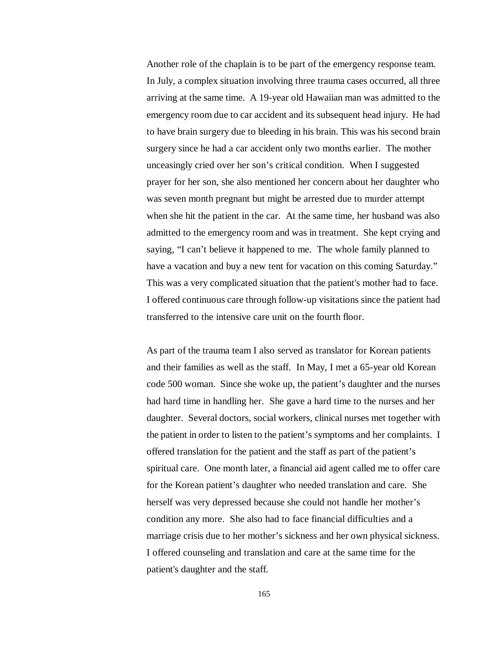Another role of the chaplain is to be part of the emergency response team. In July, a complex situation involving three trauma cases occurred, all three arriving at the same time. A 19-year old Hawaiian man was admitted to the emergency room due to car accident and its subsequent head injury. He had to have brain surgery due to bleeding in his brain. This was his second brain surgery since he had a car accident only two months earlier. The mother unceasingly cried over her son's critical condition. When I suggested prayer for her son, she also mentioned her concern about her daughter who was seven month pregnant but might be arrested due to murder attempt when she hit the patient in the car. At the same time, her husband was also admitted to the emergency room and was in treatment. She kept crying and saying, "I can't believe it happened to me. The whole family planned to have a vacation and buy a new tent for vacation on this coming Saturday." This was a very complicated situation that the patient's mother had to face. I offered continuous care through follow-up visitations since the patient had transferred to the intensive care unit on the fourth floor.

As part of the trauma team I also served as translator for Korean patients and their families as well as the staff. In May, I met a 65-year old Korean code 500 woman. Since she woke up, the patient's daughter and the nurses had hard time in handling her. She gave a hard time to the nurses and her daughter. Several doctors, social workers, clinical nurses met together with the patient in order to listen to the patient's symptoms and her complaints. I offered translation for the patient and the staff as part of the patient's spiritual care. One month later, a financial aid agent called me to offer care for the Korean patient's daughter who needed translation and care. She herself was very depressed because she could not handle her mother's condition any more. She also had to face financial difficulties and a marriage crisis due to her mother's sickness and her own physical sickness. I offered counseling and translation and care at the same time for the patient's daughter and the staff.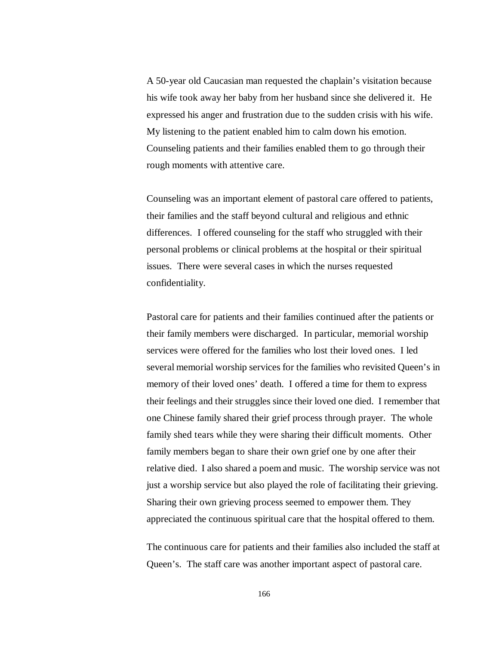A 50-year old Caucasian man requested the chaplain's visitation because his wife took away her baby from her husband since she delivered it. He expressed his anger and frustration due to the sudden crisis with his wife. My listening to the patient enabled him to calm down his emotion. Counseling patients and their families enabled them to go through their rough moments with attentive care.

Counseling was an important element of pastoral care offered to patients, their families and the staff beyond cultural and religious and ethnic differences. I offered counseling for the staff who struggled with their personal problems or clinical problems at the hospital or their spiritual issues. There were several cases in which the nurses requested confidentiality.

Pastoral care for patients and their families continued after the patients or their family members were discharged. In particular, memorial worship services were offered for the families who lost their loved ones. I led several memorial worship services for the families who revisited Queen's in memory of their loved ones' death. I offered a time for them to express their feelings and their struggles since their loved one died. I remember that one Chinese family shared their grief process through prayer. The whole family shed tears while they were sharing their difficult moments. Other family members began to share their own grief one by one after their relative died. I also shared a poem and music. The worship service was not just a worship service but also played the role of facilitating their grieving. Sharing their own grieving process seemed to empower them. They appreciated the continuous spiritual care that the hospital offered to them.

The continuous care for patients and their families also included the staff at Queen's. The staff care was another important aspect of pastoral care.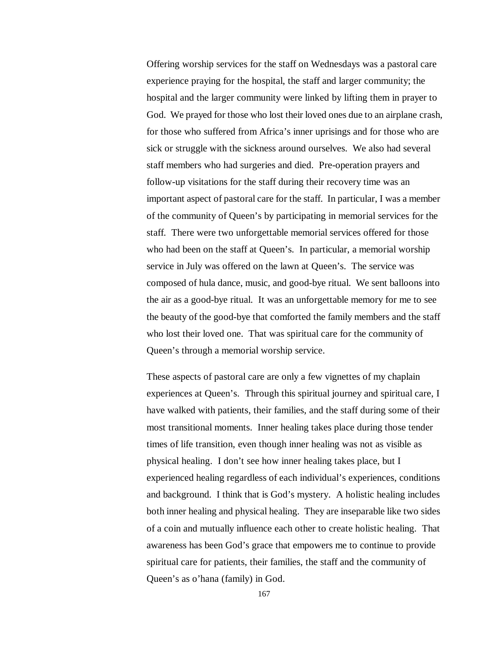Offering worship services for the staff on Wednesdays was a pastoral care experience praying for the hospital, the staff and larger community; the hospital and the larger community were linked by lifting them in prayer to God. We prayed for those who lost their loved ones due to an airplane crash, for those who suffered from Africa's inner uprisings and for those who are sick or struggle with the sickness around ourselves. We also had several staff members who had surgeries and died. Pre-operation prayers and follow-up visitations for the staff during their recovery time was an important aspect of pastoral care for the staff. In particular, I was a member of the community of Queen's by participating in memorial services for the staff. There were two unforgettable memorial services offered for those who had been on the staff at Queen's. In particular, a memorial worship service in July was offered on the lawn at Queen's. The service was composed of hula dance, music, and good-bye ritual. We sent balloons into the air as a good-bye ritual. It was an unforgettable memory for me to see the beauty of the good-bye that comforted the family members and the staff who lost their loved one. That was spiritual care for the community of Queen's through a memorial worship service.

These aspects of pastoral care are only a few vignettes of my chaplain experiences at Queen's. Through this spiritual journey and spiritual care, I have walked with patients, their families, and the staff during some of their most transitional moments. Inner healing takes place during those tender times of life transition, even though inner healing was not as visible as physical healing. I don't see how inner healing takes place, but I experienced healing regardless of each individual's experiences, conditions and background. I think that is God's mystery. A holistic healing includes both inner healing and physical healing. They are inseparable like two sides of a coin and mutually influence each other to create holistic healing. That awareness has been God's grace that empowers me to continue to provide spiritual care for patients, their families, the staff and the community of Queen's as o'hana (family) in God.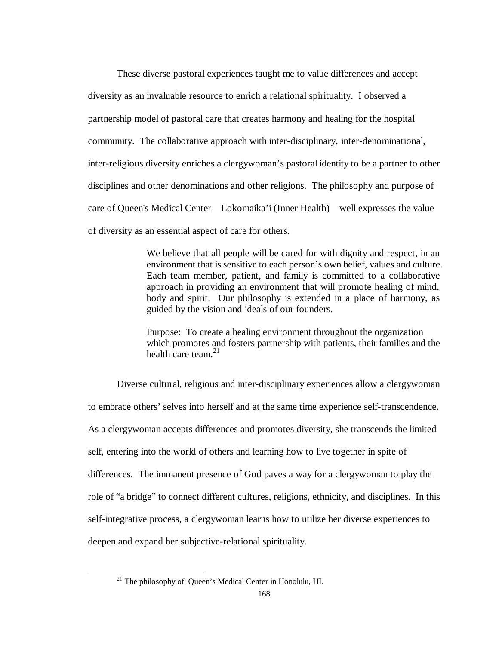These diverse pastoral experiences taught me to value differences and accept diversity as an invaluable resource to enrich a relational spirituality. I observed a partnership model of pastoral care that creates harmony and healing for the hospital community. The collaborative approach with inter-disciplinary, inter-denominational, inter-religious diversity enriches a clergywoman's pastoral identity to be a partner to other disciplines and other denominations and other religions. The philosophy and purpose of care of Queen's Medical Center— Lokomaika'i (Inner Health)— well expresses the value of diversity as an essential aspect of care for others.

> We believe that all people will be cared for with dignity and respect, in an environment that is sensitive to each person's own belief, values and culture. Each team member, patient, and family is committed to a collaborative approach in providing an environment that will promote healing of mind, body and spirit. Our philosophy is extended in a place of harmony, as guided by the vision and ideals of our founders.

> Purpose: To create a healing environment throughout the organization which promotes and fosters partnership with patients, their families and the health care team $^{21}$

Diverse cultural, religious and inter-disciplinary experiences allow a clergywoman to embrace others' selves into herself and at the same time experience self-transcendence. As a clergywoman accepts differences and promotes diversity, she transcends the limited self, entering into the world of others and learning how to live together in spite of differences. The immanent presence of God paves a way for a clergywoman to play the role of "a bridge" to connect different cultures, religions, ethnicity, and disciplines. In this self-integrative process, a clergywoman learns how to utilize her diverse experiences to deepen and expand her subjective-relational spirituality.

<sup>&</sup>lt;sup>21</sup> The philosophy of Queen's Medical Center in Honolulu, HI.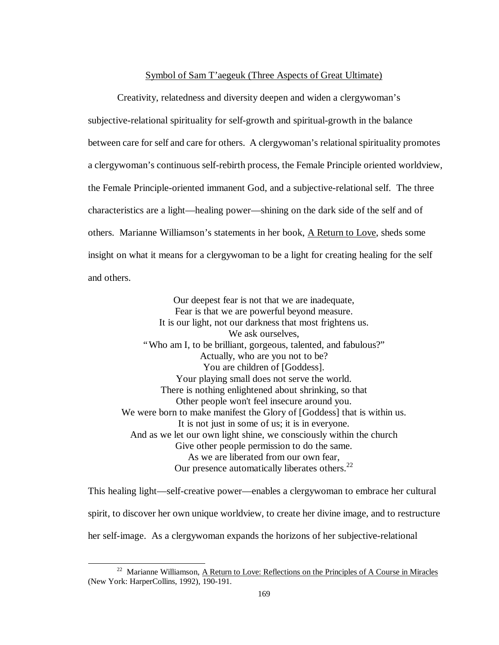## Symbol of Sam T'aegeuk (Three Aspects of Great Ultimate)

Creativity, relatedness and diversity deepen and widen a clergywoman's subjective-relational spirituality for self-growth and spiritual-growth in the balance between care for self and care for others. A clergywoman's relational spirituality promotes a clergywoman's continuous self-rebirth process, the Female Principle oriented worldview, the Female Principle-oriented immanent God, and a subjective-relational self. The three characteristics are a light— healing power— shining on the dark side of the self and of others. Marianne Williamson's statements in her book, A Return to Love, sheds some insight on what it means for a clergywoman to be a light for creating healing for the self and others.

Our deepest fear is not that we are inadequate, Fear is that we are powerful beyond measure. It is our light, not our darkness that most frightens us. We ask ourselves, "Who am I, to be brilliant, gorgeous, talented, and fabulous?" Actually, who are you not to be? You are children of [Goddess]. Your playing small does not serve the world. There is nothing enlightened about shrinking, so that Other people won't feel insecure around you. We were born to make manifest the Glory of [Goddess] that is within us. It is not just in some of us; it is in everyone. And as we let our own light shine, we consciously within the church Give other people permission to do the same. As we are liberated from our own fear, Our presence automatically liberates others.<sup>22</sup>

This healing light— self-creative power— enables a clergywoman to embrace her cultural spirit, to discover her own unique worldview, to create her divine image, and to restructure her self-image. As a clergywoman expands the horizons of her subjective-relational

<sup>&</sup>lt;sup>22</sup> Marianne Williamson, A Return to Love: Reflections on the Principles of A Course in Miracles (New York: HarperCollins, 1992), 190-191.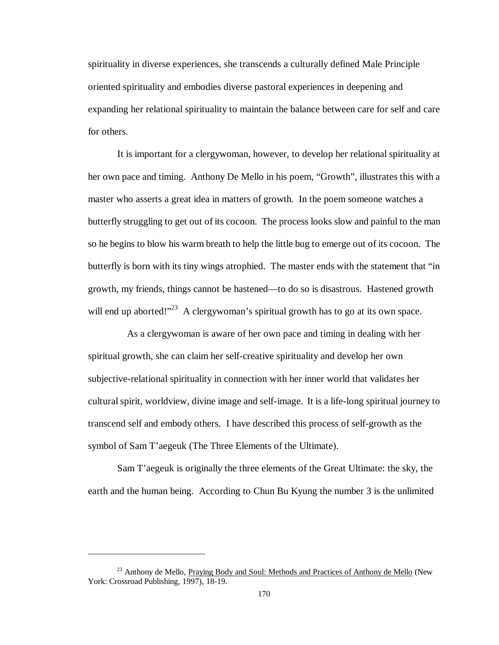spirituality in diverse experiences, she transcends a culturally defined Male Principle oriented spirituality and embodies diverse pastoral experiences in deepening and expanding her relational spirituality to maintain the balance between care for self and care for others.

It is important for a clergywoman, however, to develop her relational spirituality at her own pace and timing. Anthony De Mello in his poem, "Growth", illustrates this with a master who asserts a great idea in matters of growth. In the poem someone watches a butterfly struggling to get out of its cocoon. The process looks slow and painful to the man so he begins to blow his warm breath to help the little bug to emerge out of its cocoon. The butterfly is born with its tiny wings atrophied. The master ends with the statement that "in growth, my friends, things cannot be hastened— to do so is disastrous. Hastened growth will end up aborted!"<sup>23</sup> A clergywoman's spiritual growth has to go at its own space.

As a clergywoman is aware of her own pace and timing in dealing with her spiritual growth, she can claim her self-creative spirituality and develop her own subjective-relational spirituality in connection with her inner world that validates her cultural spirit, worldview, divine image and self-image. It is a life-long spiritual journey to transcend self and embody others. I have described this process of self-growth as the symbol of Sam T'aegeuk (The Three Elements of the Ultimate).

Sam T'aegeuk is originally the three elements of the Great Ultimate: the sky, the earth and the human being. According to Chun Bu Kyung the number 3 is the unlimited

<sup>&</sup>lt;sup>23</sup> Anthony de Mello, Praying Body and Soul: Methods and Practices of Anthony de Mello (New York: Crossroad Publishing, 1997), 18-19.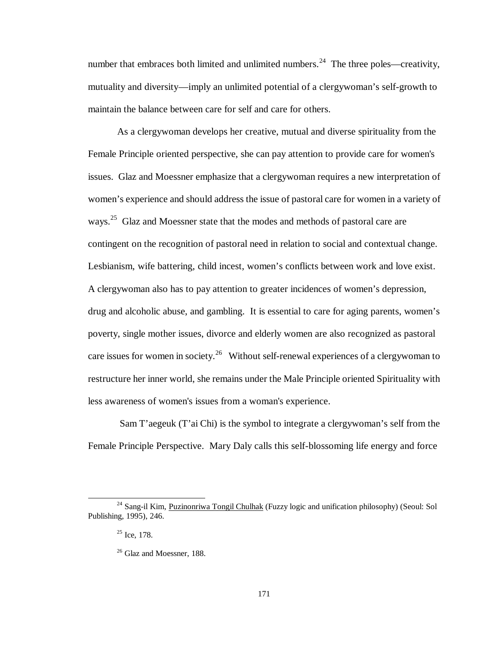number that embraces both limited and unlimited numbers.<sup>24</sup> The three poles—creativity, mutuality and diversity— imply an unlimited potential of a clergywoman's self-growth to maintain the balance between care for self and care for others.

As a clergywoman develops her creative, mutual and diverse spirituality from the Female Principle oriented perspective, she can pay attention to provide care for women's issues. Glaz and Moessner emphasize that a clergywoman requires a new interpretation of women's experience and should address the issue of pastoral care for women in a variety of ways.<sup>25</sup> Glaz and Moessner state that the modes and methods of pastoral care are contingent on the recognition of pastoral need in relation to social and contextual change. Lesbianism, wife battering, child incest, women's conflicts between work and love exist. A clergywoman also has to pay attention to greater incidences of women's depression, drug and alcoholic abuse, and gambling. It is essential to care for aging parents, women's poverty, single mother issues, divorce and elderly women are also recognized as pastoral care issues for women in society.<sup>26</sup> Without self-renewal experiences of a clergy woman to restructure her inner world, she remains under the Male Principle oriented Spirituality with less awareness of women's issues from a woman's experience.

 Sam T'aegeuk (T'ai Chi) is the symbol to integrate a clergywoman's self from the Female Principle Perspective. Mary Daly calls this self-blossoming life energy and force

 $\overline{a}$ 

<sup>&</sup>lt;sup>24</sup> Sang-il Kim, Puzinonriwa Tongil Chulhak (Fuzzy logic and unification philosophy) (Seoul: Sol Publishing, 1995), 246.

 $25$  Ice, 178.

<sup>&</sup>lt;sup>26</sup> Glaz and Moessner, 188.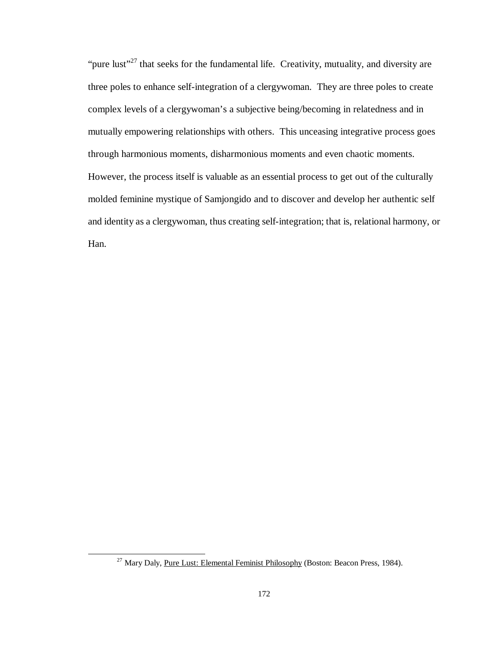"pure lust"<sup>27</sup> that seeks for the fundamental life. Creativity, mutuality, and diversity are three poles to enhance self-integration of a clergywoman. They are three poles to create complex levels of a clergywoman's a subjective being/becoming in relatedness and in mutually empowering relationships with others. This unceasing integrative process goes through harmonious moments, disharmonious moments and even chaotic moments. However, the process itself is valuable as an essential process to get out of the culturally molded feminine mystique of Samjongido and to discover and develop her authentic self and identity as a clergywoman, thus creating self-integration; that is, relational harmony, or Han.

 $\overline{a}$ 

 $27$  Mary Daly, Pure Lust: Elemental Feminist Philosophy (Boston: Beacon Press, 1984).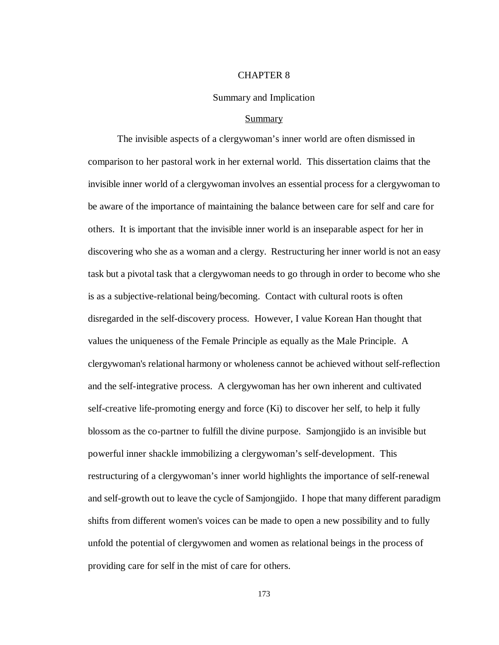## CHAPTER 8

### Summary and Implication

### Summary

The invisible aspects of a clergywoman's inner world are often dismissed in comparison to her pastoral work in her external world. This dissertation claims that the invisible inner world of a clergywoman involves an essential process for a clergywoman to be aware of the importance of maintaining the balance between care for self and care for others. It is important that the invisible inner world is an inseparable aspect for her in discovering who she as a woman and a clergy. Restructuring her inner world is not an easy task but a pivotal task that a clergywoman needs to go through in order to become who she is as a subjective-relational being/becoming. Contact with cultural roots is often disregarded in the self-discovery process. However, I value Korean Han thought that values the uniqueness of the Female Principle as equally as the Male Principle. A clergywoman's relational harmony or wholeness cannot be achieved without self-reflection and the self-integrative process. A clergywoman has her own inherent and cultivated self-creative life-promoting energy and force (Ki) to discover her self, to help it fully blossom as the co-partner to fulfill the divine purpose. Samjongjido is an invisible but powerful inner shackle immobilizing a clergywoman's self-development. This restructuring of a clergywoman's inner world highlights the importance of self-renewal and self-growth out to leave the cycle of Samjongjido. I hope that many different paradigm shifts from different women's voices can be made to open a new possibility and to fully unfold the potential of clergywomen and women as relational beings in the process of providing care for self in the mist of care for others.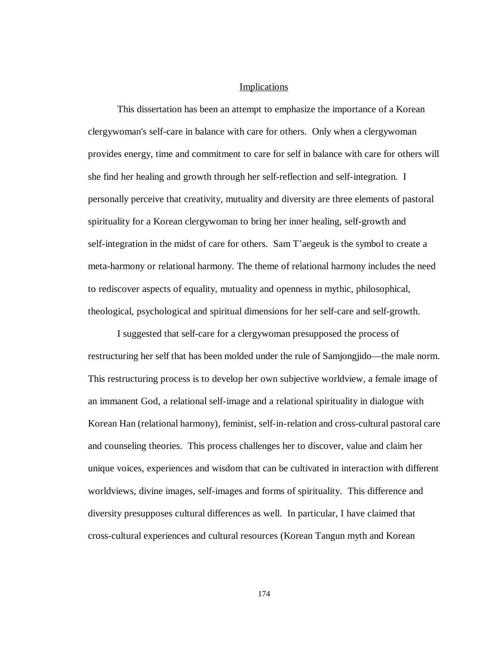# Implications

This dissertation has been an attempt to emphasize the importance of a Korean clergywoman's self-care in balance with care for others. Only when a clergywoman provides energy, time and commitment to care for self in balance with care for others will she find her healing and growth through her self-reflection and self-integration. I personally perceive that creativity, mutuality and diversity are three elements of pastoral spirituality for a Korean clergywoman to bring her inner healing, self-growth and self-integration in the midst of care for others. Sam T'aegeuk is the symbol to create a meta-harmony or relational harmony. The theme of relational harmony includes the need to rediscover aspects of equality, mutuality and openness in mythic, philosophical, theological, psychological and spiritual dimensions for her self-care and self-growth.

I suggested that self-care for a clergywoman presupposed the process of restructuring her self that has been molded under the rule of Samjongjido— the male norm. This restructuring process is to develop her own subjective worldview, a female image of an immanent God, a relational self-image and a relational spirituality in dialogue with Korean Han (relational harmony), feminist, self-in-relation and cross-cultural pastoral care and counseling theories. This process challenges her to discover, value and claim her unique voices, experiences and wisdom that can be cultivated in interaction with different worldviews, divine images, self-images and forms of spirituality. This difference and diversity presupposes cultural differences as well. In particular, I have claimed that cross-cultural experiences and cultural resources (Korean Tangun myth and Korean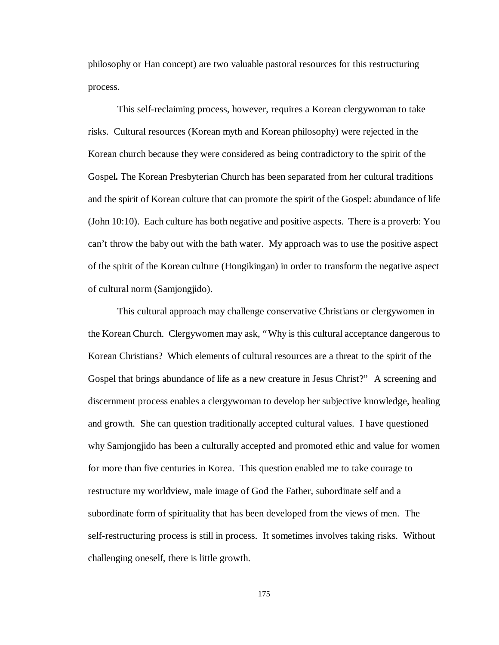philosophy or Han concept) are two valuable pastoral resources for this restructuring process.

This self-reclaiming process, however, requires a Korean clergywoman to take risks. Cultural resources (Korean myth and Korean philosophy) were rejected in the Korean church because they were considered as being contradictory to the spirit of the Gospel**.** The Korean Presbyterian Church has been separated from her cultural traditions and the spirit of Korean culture that can promote the spirit of the Gospel: abundance of life (John 10:10). Each culture has both negative and positive aspects. There is a proverb: You can't throw the baby out with the bath water. My approach was to use the positive aspect of the spirit of the Korean culture (Hongikingan) in order to transform the negative aspect of cultural norm (Samjongjido).

This cultural approach may challenge conservative Christians or clergywomen in the Korean Church. Clergywomen may ask, "Why is this cultural acceptance dangerous to Korean Christians? Which elements of cultural resources are a threat to the spirit of the Gospel that brings abundance of life as a new creature in Jesus Christ?" A screening and discernment process enables a clergywoman to develop her subjective knowledge, healing and growth. She can question traditionally accepted cultural values. I have questioned why Samjongjido has been a culturally accepted and promoted ethic and value for women for more than five centuries in Korea. This question enabled me to take courage to restructure my worldview, male image of God the Father, subordinate self and a subordinate form of spirituality that has been developed from the views of men. The self-restructuring process is still in process. It sometimes involves taking risks. Without challenging oneself, there is little growth.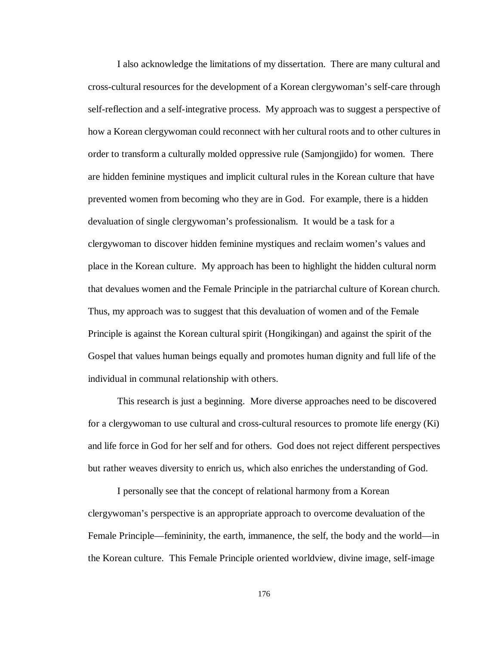I also acknowledge the limitations of my dissertation. There are many cultural and cross-cultural resources for the development of a Korean clergywoman's self-care through self-reflection and a self-integrative process. My approach was to suggest a perspective of how a Korean clergywoman could reconnect with her cultural roots and to other cultures in order to transform a culturally molded oppressive rule (Samjongjido) for women. There are hidden feminine mystiques and implicit cultural rules in the Korean culture that have prevented women from becoming who they are in God. For example, there is a hidden devaluation of single clergywoman's professionalism. It would be a task for a clergywoman to discover hidden feminine mystiques and reclaim women's values and place in the Korean culture. My approach has been to highlight the hidden cultural norm that devalues women and the Female Principle in the patriarchal culture of Korean church. Thus, my approach was to suggest that this devaluation of women and of the Female Principle is against the Korean cultural spirit (Hongikingan) and against the spirit of the Gospel that values human beings equally and promotes human dignity and full life of the individual in communal relationship with others.

This research is just a beginning. More diverse approaches need to be discovered for a clergywoman to use cultural and cross-cultural resources to promote life energy (Ki) and life force in God for her self and for others. God does not reject different perspectives but rather weaves diversity to enrich us, which also enriches the understanding of God.

I personally see that the concept of relational harmony from a Korean clergywoman's perspective is an appropriate approach to overcome devaluation of the Female Principle— femininity, the earth, immanence, the self, the body and the world— in the Korean culture. This Female Principle oriented worldview, divine image, self-image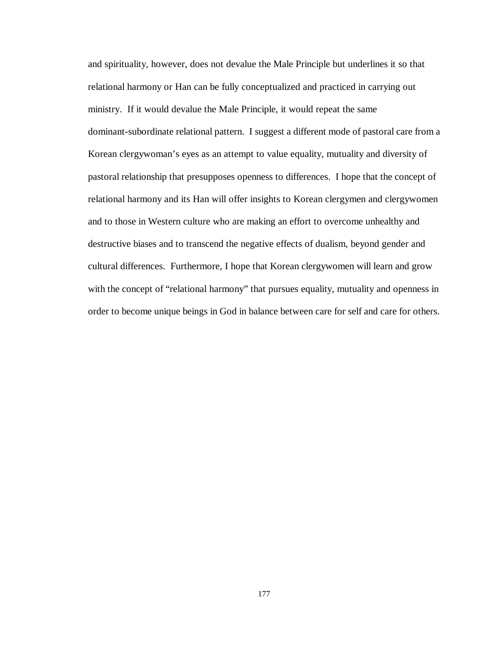and spirituality, however, does not devalue the Male Principle but underlines it so that relational harmony or Han can be fully conceptualized and practiced in carrying out ministry. If it would devalue the Male Principle, it would repeat the same dominant-subordinate relational pattern. I suggest a different mode of pastoral care from a Korean clergywoman's eyes as an attempt to value equality, mutuality and diversity of pastoral relationship that presupposes openness to differences. I hope that the concept of relational harmony and its Han will offer insights to Korean clergymen and clergywomen and to those in Western culture who are making an effort to overcome unhealthy and destructive biases and to transcend the negative effects of dualism, beyond gender and cultural differences. Furthermore, I hope that Korean clergywomen will learn and grow with the concept of "relational harmony" that pursues equality, mutuality and openness in order to become unique beings in God in balance between care for self and care for others.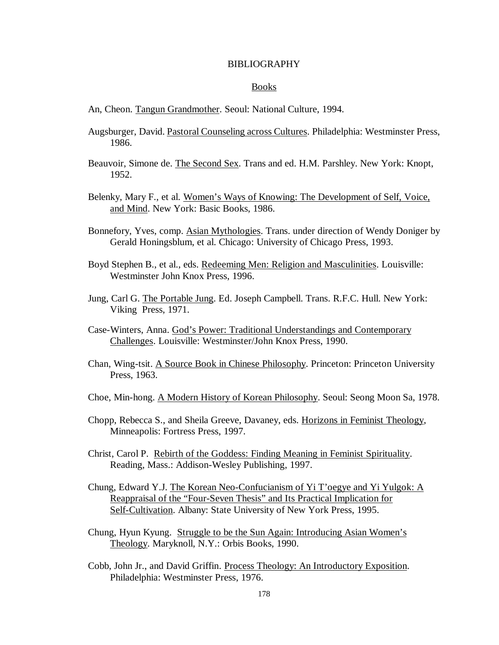## BIBLIOGRAPHY

## Books

- An, Cheon. Tangun Grandmother. Seoul: National Culture, 1994.
- Augsburger, David. Pastoral Counseling across Cultures. Philadelphia: Westminster Press, 1986.
- Beauvoir, Simone de. The Second Sex. Trans and ed. H.M. Parshley. New York: Knopt, 1952.
- Belenky, Mary F., et al. Women's Ways of Knowing: The Development of Self, Voice, and Mind. New York: Basic Books, 1986.
- Bonnefory, Yves, comp. Asian Mythologies. Trans. under direction of Wendy Doniger by Gerald Honingsblum, et al. Chicago: University of Chicago Press, 1993.
- Boyd Stephen B., et al., eds. Redeeming Men: Religion and Masculinities. Louisville: Westminster John Knox Press, 1996.
- Jung, Carl G. The Portable Jung. Ed. Joseph Campbell. Trans. R.F.C. Hull. New York: Viking Press, 1971.
- Case-Winters, Anna. God's Power: Traditional Understandings and Contemporary Challenges. Louisville: Westminster/John Knox Press, 1990.
- Chan, Wing-tsit. A Source Book in Chinese Philosophy. Princeton: Princeton University Press, 1963.
- Choe, Min-hong. A Modern History of Korean Philosophy. Seoul: Seong Moon Sa, 1978.
- Chopp, Rebecca S., and Sheila Greeve, Davaney, eds. Horizons in Feminist Theology, Minneapolis: Fortress Press, 1997.
- Christ, Carol P. Rebirth of the Goddess: Finding Meaning in Feminist Spirituality. Reading, Mass.: Addison-Wesley Publishing, 1997.
- Chung, Edward Y.J. The Korean Neo-Confucianism of Yi T'oegye and Yi Yulgok: A Reappraisal of the "Four-Seven Thesis" and Its Practical Implication for Self-Cultivation. Albany: State University of New York Press, 1995.
- Chung, Hyun Kyung. Struggle to be the Sun Again: Introducing Asian Women's Theology. Maryknoll, N.Y.: Orbis Books, 1990.
- Cobb, John Jr., and David Griffin. Process Theology: An Introductory Exposition. Philadelphia: Westminster Press, 1976.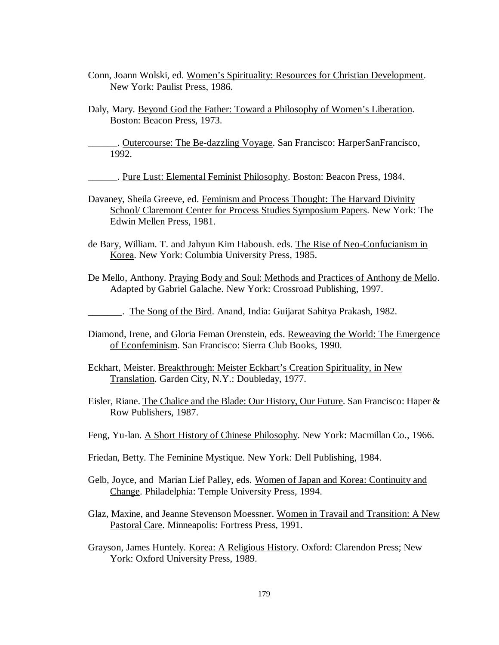- Conn, Joann Wolski, ed. Women's Spirituality: Resources for Christian Development. New York: Paulist Press, 1986.
- Daly, Mary. Beyond God the Father: Toward a Philosophy of Women's Liberation. Boston: Beacon Press, 1973.

\_\_\_\_\_\_. Outercourse: The Be-dazzling Voyage. San Francisco: HarperSanFrancisco, 1992.

. Pure Lust: Elemental Feminist Philosophy. Boston: Beacon Press, 1984.

- Davaney, Sheila Greeve, ed. Feminism and Process Thought: The Harvard Divinity School/ Claremont Center for Process Studies Symposium Papers. New York: The Edwin Mellen Press, 1981.
- de Bary, William. T. and Jahyun Kim Haboush. eds. The Rise of Neo-Confucianism in Korea. New York: Columbia University Press, 1985.
- De Mello, Anthony. Praying Body and Soul: Methods and Practices of Anthony de Mello. Adapted by Gabriel Galache. New York: Crossroad Publishing, 1997.

\_\_\_\_\_\_\_. The Song of the Bird. Anand, India: Guijarat Sahitya Prakash, 1982.

- Diamond, Irene, and Gloria Feman Orenstein, eds. Reweaving the World: The Emergence of Econfeminism. San Francisco: Sierra Club Books, 1990.
- Eckhart, Meister. Breakthrough: Meister Eckhart's Creation Spirituality, in New Translation. Garden City, N.Y.: Doubleday, 1977.
- Eisler, Riane. The Chalice and the Blade: Our History, Our Future. San Francisco: Haper & Row Publishers, 1987.
- Feng, Yu-lan. A Short History of Chinese Philosophy. New York: Macmillan Co., 1966.
- Friedan, Betty. The Feminine Mystique. New York: Dell Publishing, 1984.
- Gelb, Joyce, and Marian Lief Palley, eds. Women of Japan and Korea: Continuity and Change. Philadelphia: Temple University Press, 1994.
- Glaz, Maxine, and Jeanne Stevenson Moessner. Women in Travail and Transition: A New Pastoral Care. Minneapolis: Fortress Press, 1991.
- Grayson, James Huntely. Korea: A Religious History. Oxford: Clarendon Press; New York: Oxford University Press, 1989.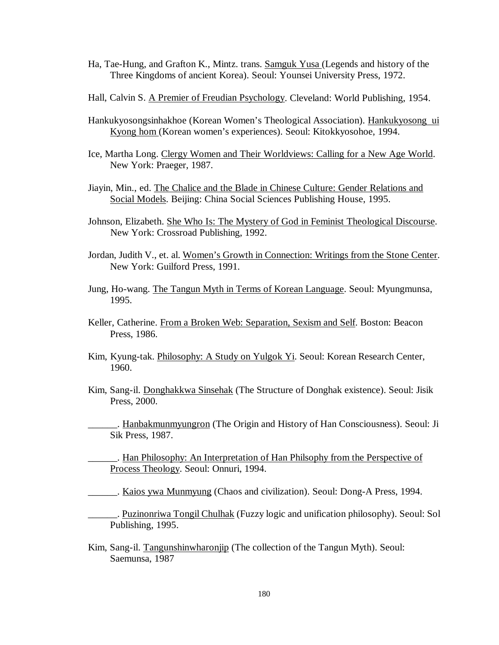- Ha, Tae-Hung, and Grafton K., Mintz. trans. Samguk Yusa (Legends and history of the Three Kingdoms of ancient Korea). Seoul: Younsei University Press, 1972.
- Hall, Calvin S. A Premier of Freudian Psychology. Cleveland: World Publishing, 1954.
- Hankukyosongsinhakhoe (Korean Women's Theological Association). Hankukyosong ui Kyong hom (Korean women's experiences). Seoul: Kitokkyosohoe, 1994.
- Ice, Martha Long. Clergy Women and Their Worldviews: Calling for a New Age World. New York: Praeger, 1987.
- Jiayin, Min., ed. The Chalice and the Blade in Chinese Culture: Gender Relations and Social Models. Beijing: China Social Sciences Publishing House, 1995.
- Johnson, Elizabeth. She Who Is: The Mystery of God in Feminist Theological Discourse. New York: Crossroad Publishing, 1992.
- Jordan, Judith V., et. al. Women's Growth in Connection: Writings from the Stone Center. New York: Guilford Press, 1991.
- Jung, Ho-wang. The Tangun Myth in Terms of Korean Language. Seoul: Myungmunsa, 1995.
- Keller, Catherine. From a Broken Web: Separation, Sexism and Self. Boston: Beacon Press, 1986.
- Kim, Kyung-tak. Philosophy: A Study on Yulgok Yi. Seoul: Korean Research Center, 1960.
- Kim, Sang-il. Donghakkwa Sinsehak (The Structure of Donghak existence). Seoul: Jisik Press, 2000.
	- . Hanbakmunmyungron (The Origin and History of Han Consciousness). Seoul: Ji Sik Press, 1987.

. Han Philosophy: An Interpretation of Han Philsophy from the Perspective of Process Theology. Seoul: Onnuri, 1994.

\_\_\_\_\_\_. Kaios ywa Munmyung (Chaos and civilization). Seoul: Dong-A Press, 1994.

- \_\_\_\_\_\_. Puzinonriwa Tongil Chulhak (Fuzzy logic and unification philosophy). Seoul: Sol Publishing, 1995.
- Kim, Sang-il. Tangunshinwharonjip (The collection of the Tangun Myth). Seoul: Saemunsa, 1987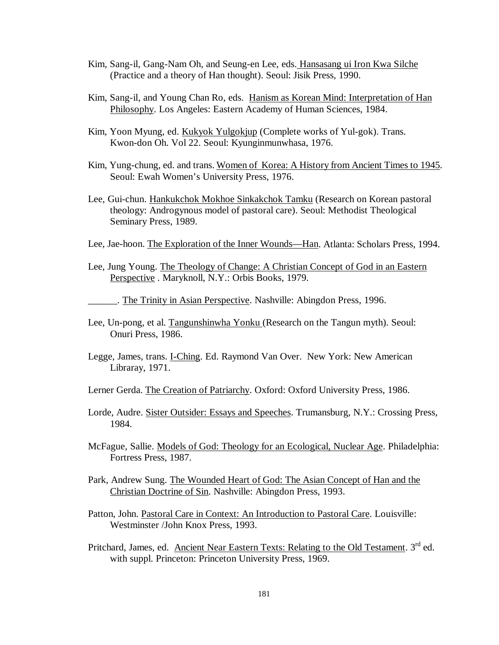- Kim, Sang-il, Gang-Nam Oh, and Seung-en Lee, eds. Hansasang ui Iron Kwa Silche (Practice and a theory of Han thought). Seoul: Jisik Press, 1990.
- Kim, Sang-il, and Young Chan Ro, eds. Hanism as Korean Mind: Interpretation of Han Philosophy. Los Angeles: Eastern Academy of Human Sciences, 1984.
- Kim, Yoon Myung, ed. Kukyok Yulgokjup (Complete works of Yul-gok). Trans. Kwon-don Oh. Vol 22. Seoul: Kyunginmunwhasa, 1976.
- Kim, Yung-chung, ed. and trans. Women of Korea: A History from Ancient Times to 1945. Seoul: Ewah Women's University Press, 1976.
- Lee, Gui-chun. Hankukchok Mokhoe Sinkakchok Tamku (Research on Korean pastoral theology: Androgynous model of pastoral care). Seoul: Methodist Theological Seminary Press, 1989.
- Lee, Jae-hoon. The Exploration of the Inner Wounds— Han. Atlanta: Scholars Press, 1994.
- Lee, Jung Young. The Theology of Change: A Christian Concept of God in an Eastern Perspective . Maryknoll, N.Y.: Orbis Books, 1979.

\_\_\_\_\_\_. The Trinity in Asian Perspective. Nashville: Abingdon Press, 1996.

- Lee, Un-pong, et al. Tangunshinwha Yonku (Research on the Tangun myth). Seoul: Onuri Press, 1986.
- Legge, James, trans. I-Ching. Ed. Raymond Van Over. New York: New American Libraray, 1971.
- Lerner Gerda. The Creation of Patriarchy. Oxford: Oxford University Press, 1986.
- Lorde, Audre. Sister Outsider: Essays and Speeches. Trumansburg, N.Y.: Crossing Press, 1984.
- McFague, Sallie. Models of God: Theology for an Ecological, Nuclear Age. Philadelphia: Fortress Press, 1987.
- Park, Andrew Sung. The Wounded Heart of God: The Asian Concept of Han and the Christian Doctrine of Sin. Nashville: Abingdon Press, 1993.
- Patton, John. Pastoral Care in Context: An Introduction to Pastoral Care. Louisville: Westminster /John Knox Press, 1993.
- Pritchard, James, ed. Ancient Near Eastern Texts: Relating to the Old Testament. 3<sup>rd</sup> ed. with suppl. Princeton: Princeton University Press, 1969.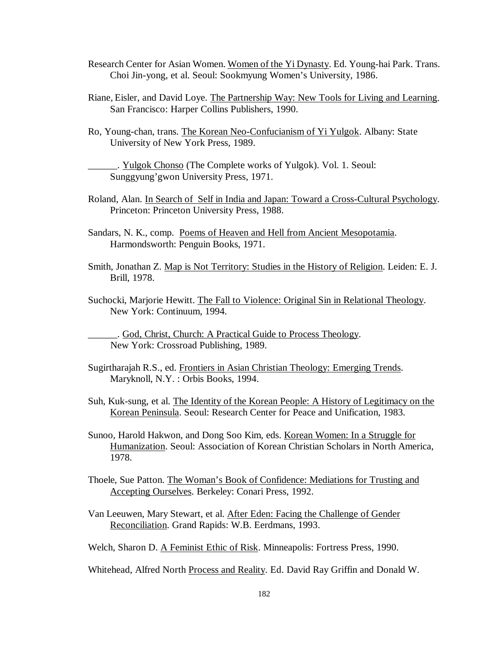- Research Center for Asian Women. Women of the Yi Dynasty. Ed. Young-hai Park. Trans. Choi Jin-yong, et al. Seoul: Sookmyung Women's University, 1986.
- Riane, Eisler, and David Loye. The Partnership Way: New Tools for Living and Learning. San Francisco: Harper Collins Publishers, 1990.
- Ro, Young-chan, trans. The Korean Neo-Confucianism of Yi Yulgok. Albany: State University of New York Press, 1989.

\_\_\_\_\_\_. Yulgok Chonso (The Complete works of Yulgok). Vol. 1. Seoul: Sunggyung'gwon University Press, 1971.

- Roland, Alan. In Search of Self in India and Japan: Toward a Cross-Cultural Psychology. Princeton: Princeton University Press, 1988.
- Sandars, N. K., comp. Poems of Heaven and Hell from Ancient Mesopotamia. Harmondsworth: Penguin Books, 1971.
- Smith, Jonathan Z. Map is Not Territory: Studies in the History of Religion. Leiden: E. J. Brill, 1978.
- Suchocki, Marjorie Hewitt. The Fall to Violence: Original Sin in Relational Theology. New York: Continuum, 1994.

\_\_\_\_\_\_. God, Christ, Church: A Practical Guide to Process Theology. New York: Crossroad Publishing, 1989.

- Sugirtharajah R.S., ed. Frontiers in Asian Christian Theology: Emerging Trends. Maryknoll, N.Y. : Orbis Books, 1994.
- Suh, Kuk-sung, et al. The Identity of the Korean People: A History of Legitimacy on the Korean Peninsula. Seoul: Research Center for Peace and Unification, 1983.
- Sunoo, Harold Hakwon, and Dong Soo Kim, eds. Korean Women: In a Struggle for Humanization. Seoul: Association of Korean Christian Scholars in North America, 1978.
- Thoele, Sue Patton. The Woman's Book of Confidence: Mediations for Trusting and Accepting Ourselves. Berkeley: Conari Press, 1992.
- Van Leeuwen, Mary Stewart, et al. After Eden: Facing the Challenge of Gender Reconciliation. Grand Rapids: W.B. Eerdmans, 1993.

Welch, Sharon D. A Feminist Ethic of Risk. Minneapolis: Fortress Press, 1990.

Whitehead, Alfred North Process and Reality. Ed. David Ray Griffin and Donald W.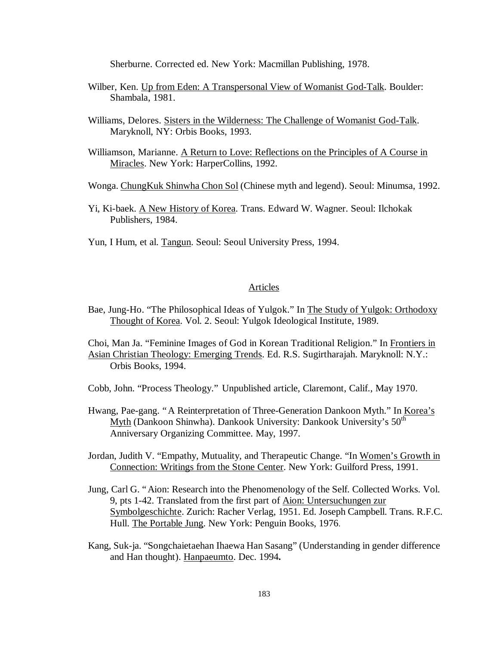Sherburne. Corrected ed. New York: Macmillan Publishing, 1978.

- Wilber, Ken. Up from Eden: A Transpersonal View of Womanist God-Talk. Boulder: Shambala, 1981.
- Williams, Delores. Sisters in the Wilderness: The Challenge of Womanist God-Talk. Maryknoll, NY: Orbis Books, 1993.
- Williamson, Marianne. A Return to Love: Reflections on the Principles of A Course in Miracles. New York: HarperCollins, 1992.
- Wonga. ChungKuk Shinwha Chon Sol (Chinese myth and legend). Seoul: Minumsa, 1992.
- Yi, Ki-baek. A New History of Korea. Trans. Edward W. Wagner. Seoul: Ilchokak Publishers, 1984.
- Yun, I Hum, et al. Tangun. Seoul: Seoul University Press, 1994.

## Articles

- Bae, Jung-Ho. "The Philosophical Ideas of Yulgok." In The Study of Yulgok: Orthodoxy Thought of Korea. Vol. 2. Seoul: Yulgok Ideological Institute, 1989.
- Choi, Man Ja. "Feminine Images of God in Korean Traditional Religion." In Frontiers in Asian Christian Theology: Emerging Trends. Ed. R.S. Sugirtharajah. Maryknoll: N.Y.: Orbis Books, 1994.
- Cobb, John. "Process Theology." Unpublished article, Claremont, Calif., May 1970.
- Hwang, Pae-gang. "A Reinterpretation of Three-Generation Dankoon Myth." In Korea's Myth (Dankoon Shinwha). Dankook University: Dankook University's 50<sup>th</sup> Anniversary Organizing Committee. May, 1997.
- Jordan, Judith V. "Empathy, Mutuality, and Therapeutic Change. "In Women's Growth in Connection: Writings from the Stone Center. New York: Guilford Press, 1991.
- Jung, Carl G. "Aion: Research into the Phenomenology of the Self. Collected Works. Vol. 9, pts 1-42. Translated from the first part of Aion: Untersuchungen zur Symbolgeschichte. Zurich: Racher Verlag, 1951. Ed. Joseph Campbell. Trans. R.F.C. Hull. The Portable Jung. New York: Penguin Books, 1976.
- Kang, Suk-ja. "Songchaietaehan Ihaewa Han Sasang" (Understanding in gender difference and Han thought). Hanpaeumto. Dec. 1994**.**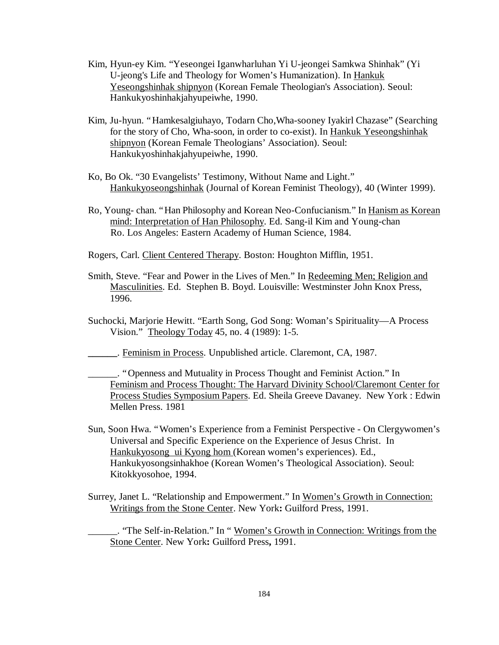- Kim, Hyun-ey Kim. "Yeseongei Iganwharluhan Yi U-jeongei Samkwa Shinhak" (Yi U-jeong's Life and Theology for Women's Humanization). In Hankuk Yeseongshinhak shipnyon (Korean Female Theologian's Association). Seoul: Hankukyoshinhakjahyupeiwhe, 1990.
- Kim, Ju-hyun. "Hamkesalgiuhayo, Todarn Cho,Wha-sooney Iyakirl Chazase" (Searching for the story of Cho, Wha-soon, in order to co-exist). In Hankuk Yeseongshinhak shipnyon (Korean Female Theologians' Association). Seoul: Hankukyoshinhakjahyupeiwhe, 1990.
- Ko, Bo Ok. "30 Evangelists' Testimony, Without Name and Light." Hankukyoseongshinhak (Journal of Korean Feminist Theology), 40 (Winter 1999).
- Ro, Young- chan. "Han Philosophy and Korean Neo-Confucianism." In Hanism as Korean mind: Interpretation of Han Philosophy. Ed. Sang-il Kim and Young-chan Ro. Los Angeles: Eastern Academy of Human Science, 1984.
- Rogers, Carl. Client Centered Therapy. Boston: Houghton Mifflin, 1951.
- Smith, Steve. "Fear and Power in the Lives of Men." In Redeeming Men; Religion and Masculinities. Ed. Stephen B. Boyd. Louisville: Westminster John Knox Press, 1996.
- Suchocki, Marjorie Hewitt. "Earth Song, God Song: Woman's Spirituality— A Process Vision." Theology Today 45, no. 4 (1989): 1-5.
- **\_\_\_\_\_\_**. Feminism in Process. Unpublished article. Claremont, CA, 1987.

\_\_\_\_\_\_. "Openness and Mutuality in Process Thought and Feminist Action." In Feminism and Process Thought: The Harvard Divinity School/Claremont Center for Process Studies Symposium Papers. Ed. Sheila Greeve Davaney. New York : Edwin Mellen Press. 1981

- Sun, Soon Hwa. "Women's Experience from a Feminist Perspective On Clergywomen's Universal and Specific Experience on the Experience of Jesus Christ. In Hankukyosong ui Kyong hom (Korean women's experiences). Ed., Hankukyosongsinhakhoe (Korean Women's Theological Association). Seoul: Kitokkyosohoe, 1994.
- Surrey, Janet L. "Relationship and Empowerment." In Women's Growth in Connection: Writings from the Stone Center. New York**:** Guilford Press, 1991.

\_\_\_\_\_\_. "The Self-in-Relation." In " Women's Growth in Connection: Writings from the Stone Center. New York**:** Guilford Press**,** 1991.